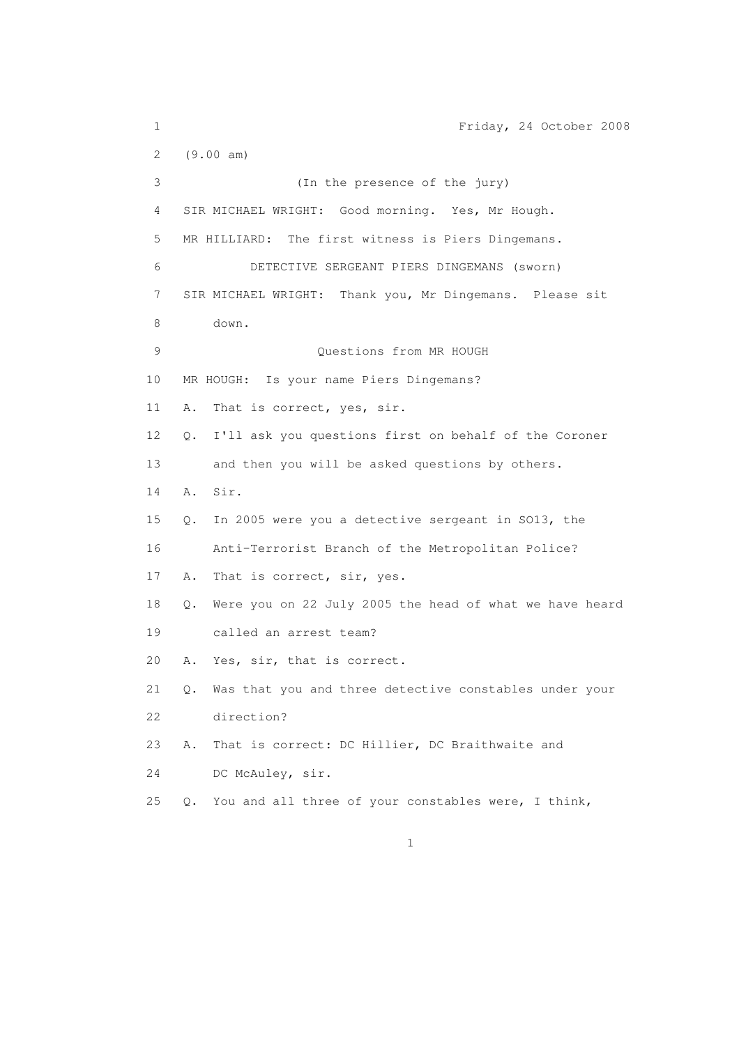1 Friday, 24 October 2008 2 (9.00 am) 3 (In the presence of the jury) 4 SIR MICHAEL WRIGHT: Good morning. Yes, Mr Hough. 5 MR HILLIARD: The first witness is Piers Dingemans. 6 DETECTIVE SERGEANT PIERS DINGEMANS (sworn) 7 SIR MICHAEL WRIGHT: Thank you, Mr Dingemans. Please sit 8 down. 9 Questions from MR HOUGH 10 MR HOUGH: Is your name Piers Dingemans? 11 A. That is correct, yes, sir. 12 Q. I'll ask you questions first on behalf of the Coroner 13 and then you will be asked questions by others. 14 A. Sir. 15 Q. In 2005 were you a detective sergeant in SO13, the 16 Anti-Terrorist Branch of the Metropolitan Police? 17 A. That is correct, sir, yes. 18 Q. Were you on 22 July 2005 the head of what we have heard 19 called an arrest team? 20 A. Yes, sir, that is correct. 21 Q. Was that you and three detective constables under your 22 direction? 23 A. That is correct: DC Hillier, DC Braithwaite and 24 DC McAuley, sir. 25 Q. You and all three of your constables were, I think,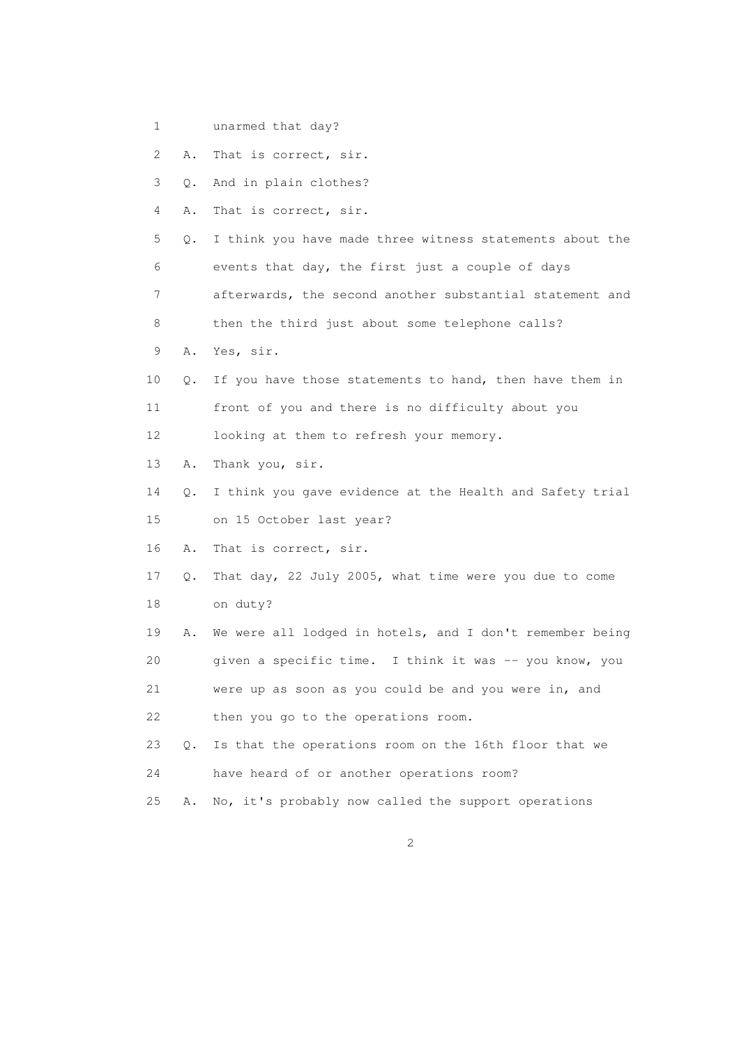1 unarmed that day?

2 A. That is correct, sir.

3 Q. And in plain clothes?

4 A. That is correct, sir.

 5 Q. I think you have made three witness statements about the 6 events that day, the first just a couple of days 7 afterwards, the second another substantial statement and

8 then the third just about some telephone calls?

- 9 A. Yes, sir.
- 10 Q. If you have those statements to hand, then have them in 11 front of you and there is no difficulty about you

12 looking at them to refresh your memory.

13 A. Thank you, sir.

14 Q. I think you gave evidence at the Health and Safety trial

15 on 15 October last year?

16 A. That is correct, sir.

- 17 Q. That day, 22 July 2005, what time were you due to come 18 on duty?
- 19 A. We were all lodged in hotels, and I don't remember being 20 given a specific time. I think it was -- you know, you

21 were up as soon as you could be and you were in, and

22 then you go to the operations room.

 23 Q. Is that the operations room on the 16th floor that we 24 have heard of or another operations room?

25 A. No, it's probably now called the support operations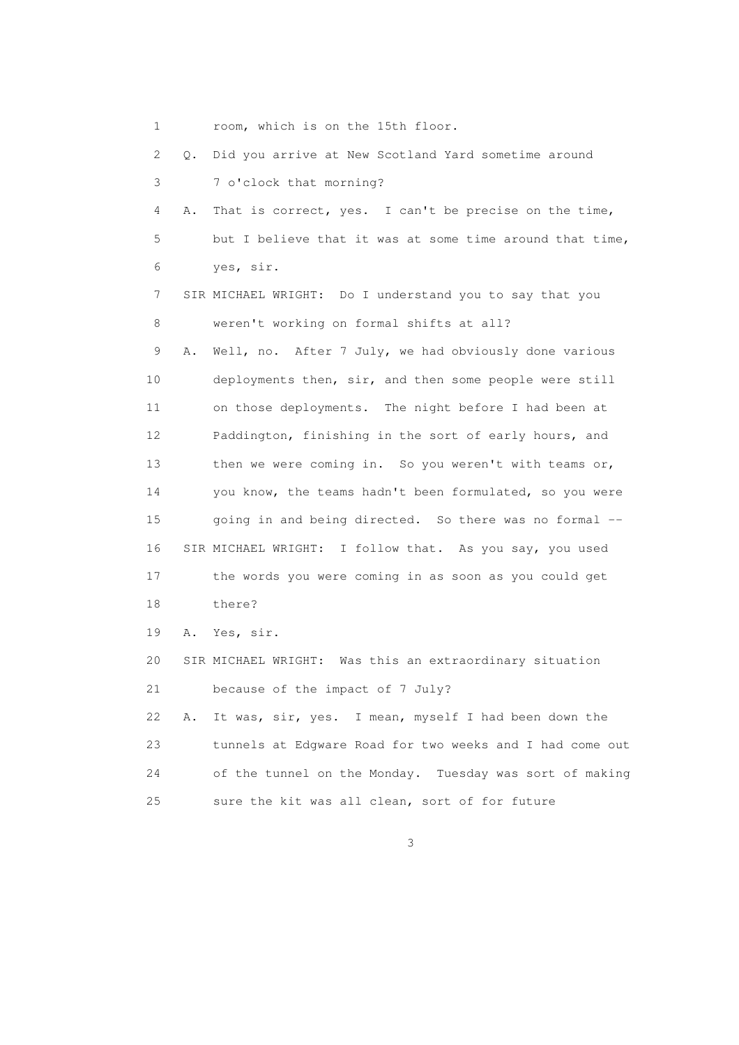1 room, which is on the 15th floor.

 2 Q. Did you arrive at New Scotland Yard sometime around 3 7 o'clock that morning? 4 A. That is correct, yes. I can't be precise on the time, 5 but I believe that it was at some time around that time, 6 yes, sir. 7 SIR MICHAEL WRIGHT: Do I understand you to say that you 8 weren't working on formal shifts at all? 9 A. Well, no. After 7 July, we had obviously done various 10 deployments then, sir, and then some people were still 11 on those deployments. The night before I had been at 12 Paddington, finishing in the sort of early hours, and 13 then we were coming in. So you weren't with teams or, 14 you know, the teams hadn't been formulated, so you were 15 going in and being directed. So there was no formal -- 16 SIR MICHAEL WRIGHT: I follow that. As you say, you used 17 the words you were coming in as soon as you could get 18 there? 19 A. Yes, sir. 20 SIR MICHAEL WRIGHT: Was this an extraordinary situation 21 because of the impact of 7 July? 22 A. It was, sir, yes. I mean, myself I had been down the 23 tunnels at Edgware Road for two weeks and I had come out 24 of the tunnel on the Monday. Tuesday was sort of making 25 sure the kit was all clean, sort of for future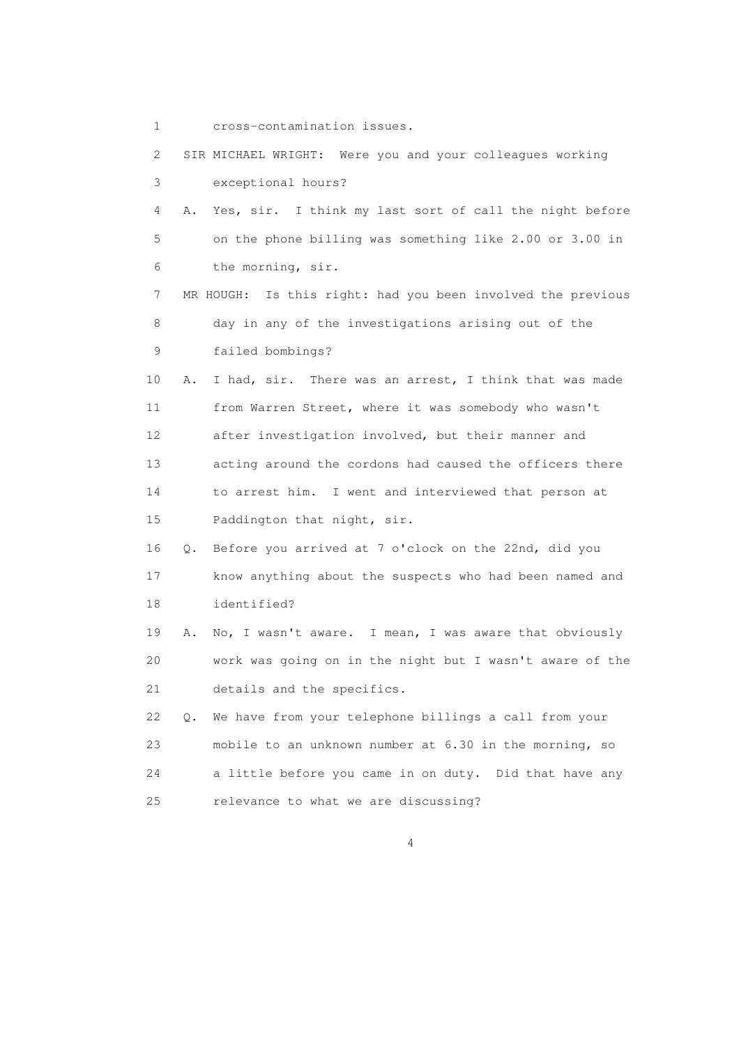1 cross-contamination issues.

 2 SIR MICHAEL WRIGHT: Were you and your colleagues working 3 exceptional hours? 4 A. Yes, sir. I think my last sort of call the night before 5 on the phone billing was something like 2.00 or 3.00 in 6 the morning, sir. 7 MR HOUGH: Is this right: had you been involved the previous 8 day in any of the investigations arising out of the 9 failed bombings? 10 A. I had, sir. There was an arrest, I think that was made 11 from Warren Street, where it was somebody who wasn't 12 after investigation involved, but their manner and 13 acting around the cordons had caused the officers there 14 to arrest him. I went and interviewed that person at 15 Paddington that night, sir. 16 Q. Before you arrived at 7 o'clock on the 22nd, did you 17 know anything about the suspects who had been named and 18 identified? 19 A. No, I wasn't aware. I mean, I was aware that obviously 20 work was going on in the night but I wasn't aware of the 21 details and the specifics. 22 Q. We have from your telephone billings a call from your 23 mobile to an unknown number at 6.30 in the morning, so 24 a little before you came in on duty. Did that have any 25 relevance to what we are discussing?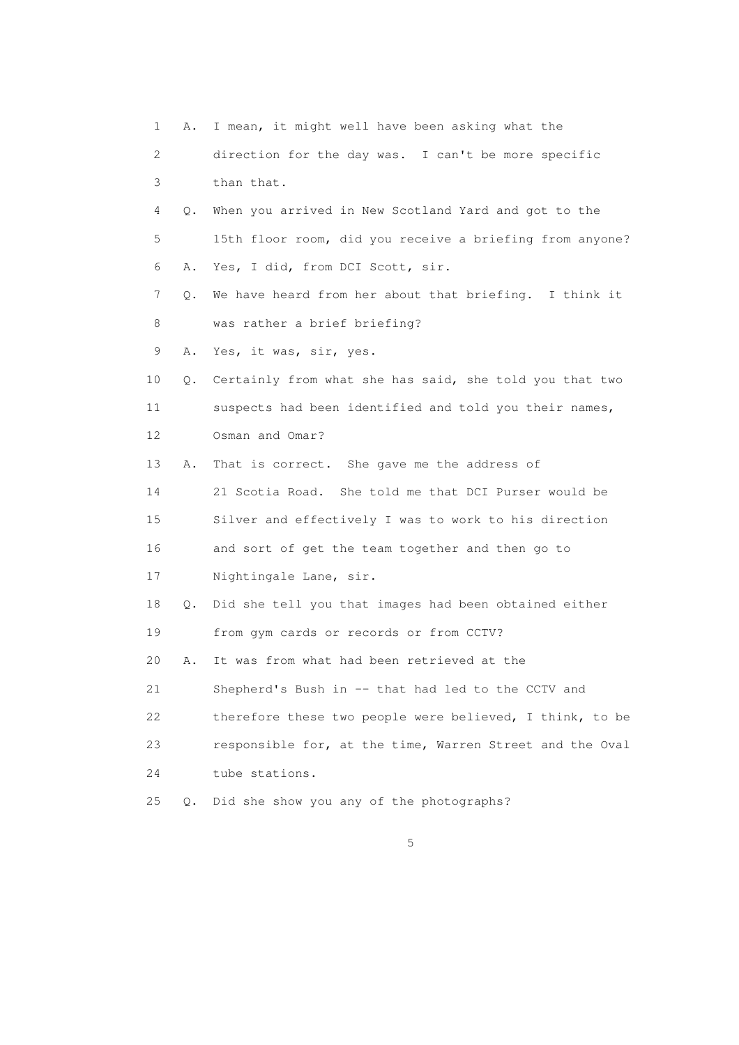1 A. I mean, it might well have been asking what the 2 direction for the day was. I can't be more specific 3 than that. 4 Q. When you arrived in New Scotland Yard and got to the 5 15th floor room, did you receive a briefing from anyone? 6 A. Yes, I did, from DCI Scott, sir. 7 Q. We have heard from her about that briefing. I think it 8 was rather a brief briefing? 9 A. Yes, it was, sir, yes. 10 Q. Certainly from what she has said, she told you that two 11 suspects had been identified and told you their names, 12 Osman and Omar? 13 A. That is correct. She gave me the address of 14 21 Scotia Road. She told me that DCI Purser would be 15 Silver and effectively I was to work to his direction 16 and sort of get the team together and then go to 17 Nightingale Lane, sir. 18 Q. Did she tell you that images had been obtained either 19 from gym cards or records or from CCTV? 20 A. It was from what had been retrieved at the 21 Shepherd's Bush in -- that had led to the CCTV and 22 therefore these two people were believed, I think, to be 23 responsible for, at the time, Warren Street and the Oval 24 tube stations. 25 Q. Did she show you any of the photographs?

 $\sim$  5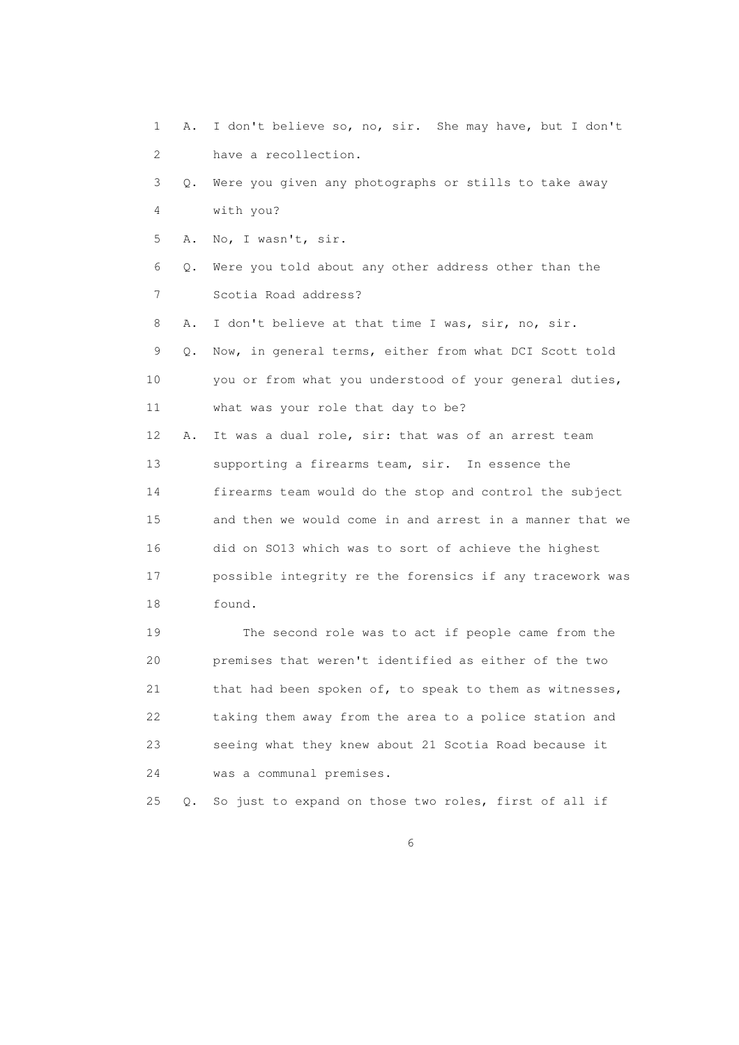1 A. I don't believe so, no, sir. She may have, but I don't 2 have a recollection. 3 Q. Were you given any photographs or stills to take away 4 with you? 5 A. No, I wasn't, sir. 6 Q. Were you told about any other address other than the 7 Scotia Road address? 8 A. I don't believe at that time I was, sir, no, sir. 9 Q. Now, in general terms, either from what DCI Scott told 10 you or from what you understood of your general duties, 11 what was your role that day to be? 12 A. It was a dual role, sir: that was of an arrest team 13 supporting a firearms team, sir. In essence the 14 firearms team would do the stop and control the subject 15 and then we would come in and arrest in a manner that we 16 did on SO13 which was to sort of achieve the highest 17 possible integrity re the forensics if any tracework was 18 found. 19 The second role was to act if people came from the 20 premises that weren't identified as either of the two 21 that had been spoken of, to speak to them as witnesses, 22 taking them away from the area to a police station and

 23 seeing what they knew about 21 Scotia Road because it 24 was a communal premises.

25 Q. So just to expand on those two roles, first of all if

 $6<sup>o</sup>$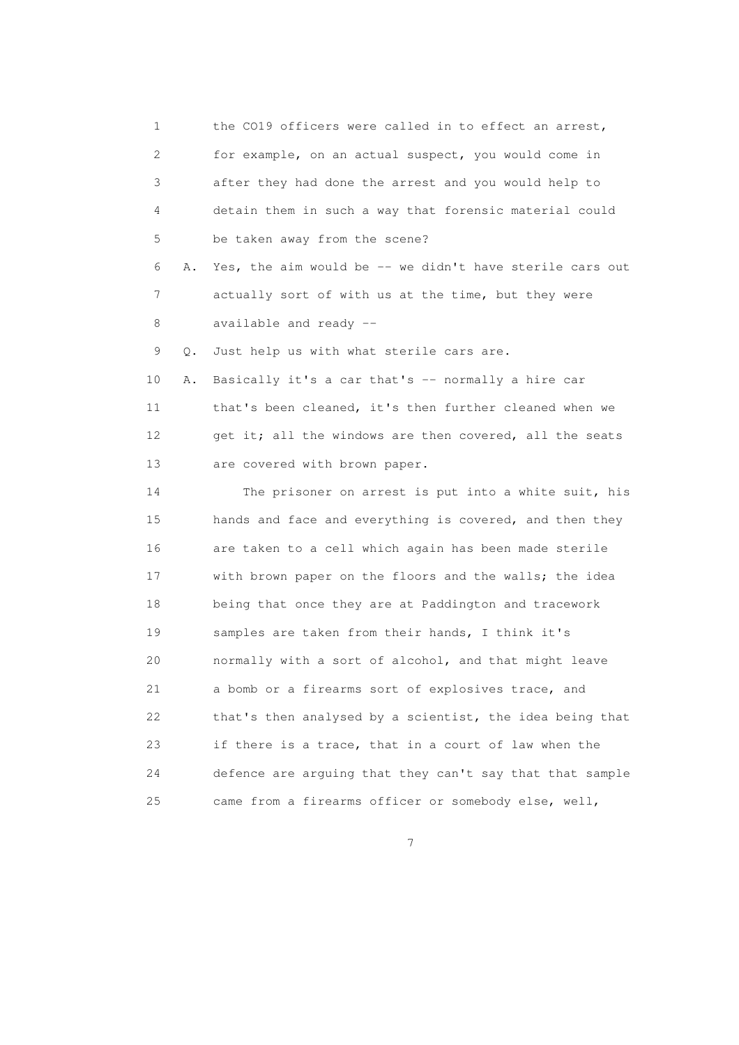1 the CO19 officers were called in to effect an arrest, 2 for example, on an actual suspect, you would come in 3 after they had done the arrest and you would help to 4 detain them in such a way that forensic material could 5 be taken away from the scene? 6 A. Yes, the aim would be -- we didn't have sterile cars out 7 actually sort of with us at the time, but they were 8 available and ready -- 9 Q. Just help us with what sterile cars are. 10 A. Basically it's a car that's -- normally a hire car 11 that's been cleaned, it's then further cleaned when we 12 get it; all the windows are then covered, all the seats 13 are covered with brown paper. 14 The prisoner on arrest is put into a white suit, his 15 hands and face and everything is covered, and then they 16 are taken to a cell which again has been made sterile 17 with brown paper on the floors and the walls; the idea 18 being that once they are at Paddington and tracework 19 samples are taken from their hands, I think it's 20 normally with a sort of alcohol, and that might leave 21 a bomb or a firearms sort of explosives trace, and 22 that's then analysed by a scientist, the idea being that 23 if there is a trace, that in a court of law when the 24 defence are arguing that they can't say that that sample 25 came from a firearms officer or somebody else, well,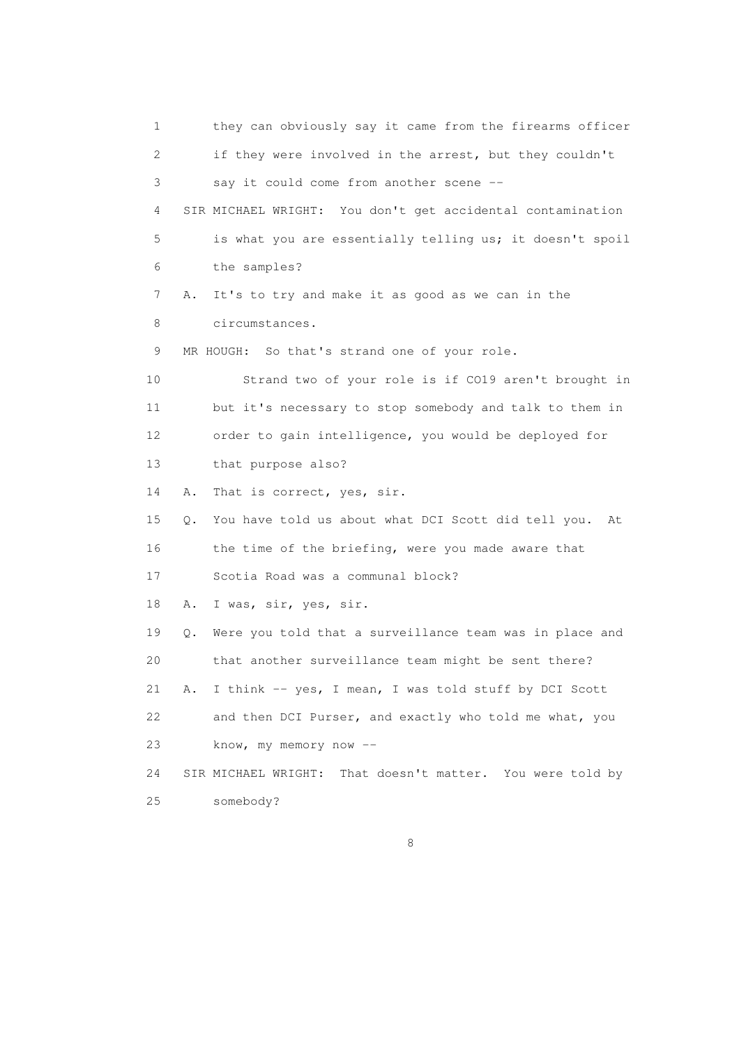1 they can obviously say it came from the firearms officer 2 if they were involved in the arrest, but they couldn't 3 say it could come from another scene -- 4 SIR MICHAEL WRIGHT: You don't get accidental contamination 5 is what you are essentially telling us; it doesn't spoil 6 the samples? 7 A. It's to try and make it as good as we can in the 8 circumstances. 9 MR HOUGH: So that's strand one of your role. 10 Strand two of your role is if CO19 aren't brought in 11 but it's necessary to stop somebody and talk to them in 12 order to gain intelligence, you would be deployed for 13 that purpose also? 14 A. That is correct, yes, sir. 15 Q. You have told us about what DCI Scott did tell you. At 16 the time of the briefing, were you made aware that 17 Scotia Road was a communal block? 18 A. I was, sir, yes, sir. 19 Q. Were you told that a surveillance team was in place and 20 that another surveillance team might be sent there? 21 A. I think -- yes, I mean, I was told stuff by DCI Scott 22 and then DCI Purser, and exactly who told me what, you 23 know, my memory now -- 24 SIR MICHAEL WRIGHT: That doesn't matter. You were told by 25 somebody?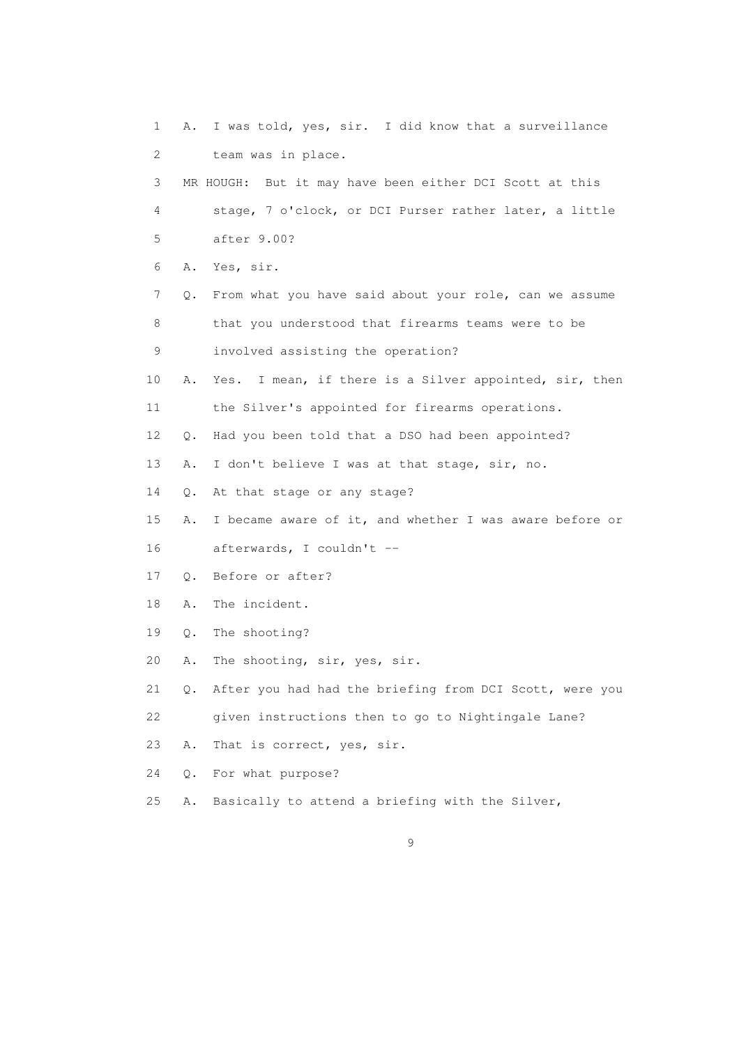1 A. I was told, yes, sir. I did know that a surveillance 2 team was in place. 3 MR HOUGH: But it may have been either DCI Scott at this 4 stage, 7 o'clock, or DCI Purser rather later, a little 5 after 9.00? 6 A. Yes, sir. 7 Q. From what you have said about your role, can we assume 8 that you understood that firearms teams were to be 9 involved assisting the operation? 10 A. Yes. I mean, if there is a Silver appointed, sir, then 11 the Silver's appointed for firearms operations. 12 Q. Had you been told that a DSO had been appointed? 13 A. I don't believe I was at that stage, sir, no. 14 Q. At that stage or any stage? 15 A. I became aware of it, and whether I was aware before or 16 afterwards, I couldn't -- 17 Q. Before or after? 18 A. The incident. 19 Q. The shooting? 20 A. The shooting, sir, yes, sir. 21 Q. After you had had the briefing from DCI Scott, were you 22 given instructions then to go to Nightingale Lane? 23 A. That is correct, yes, sir. 24 Q. For what purpose? 25 A. Basically to attend a briefing with the Silver,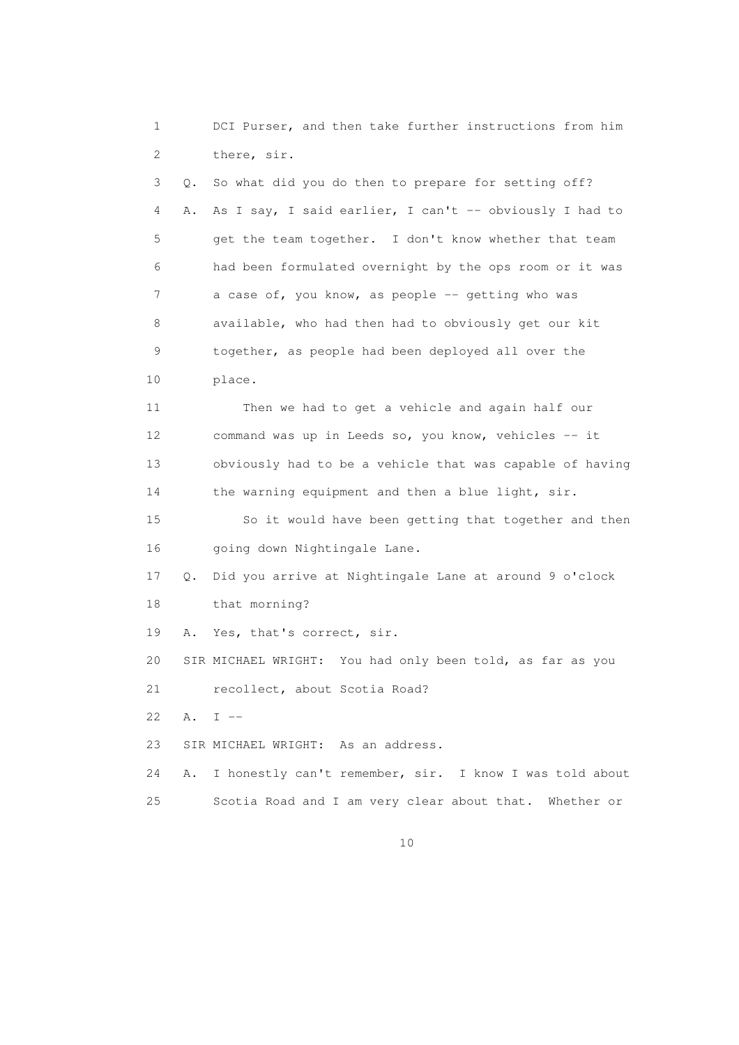1 DCI Purser, and then take further instructions from him 2 there, sir. 3 Q. So what did you do then to prepare for setting off? 4 A. As I say, I said earlier, I can't -- obviously I had to 5 get the team together. I don't know whether that team 6 had been formulated overnight by the ops room or it was 7 a case of, you know, as people -- getting who was 8 available, who had then had to obviously get our kit 9 together, as people had been deployed all over the 10 place. 11 Then we had to get a vehicle and again half our 12 command was up in Leeds so, you know, vehicles -- it 13 obviously had to be a vehicle that was capable of having 14 the warning equipment and then a blue light, sir. 15 So it would have been getting that together and then 16 going down Nightingale Lane. 17 Q. Did you arrive at Nightingale Lane at around 9 o'clock 18 that morning? 19 A. Yes, that's correct, sir. 20 SIR MICHAEL WRIGHT: You had only been told, as far as you 21 recollect, about Scotia Road? 22  $A. T =$  23 SIR MICHAEL WRIGHT: As an address. 24 A. I honestly can't remember, sir. I know I was told about 25 Scotia Road and I am very clear about that. Whether or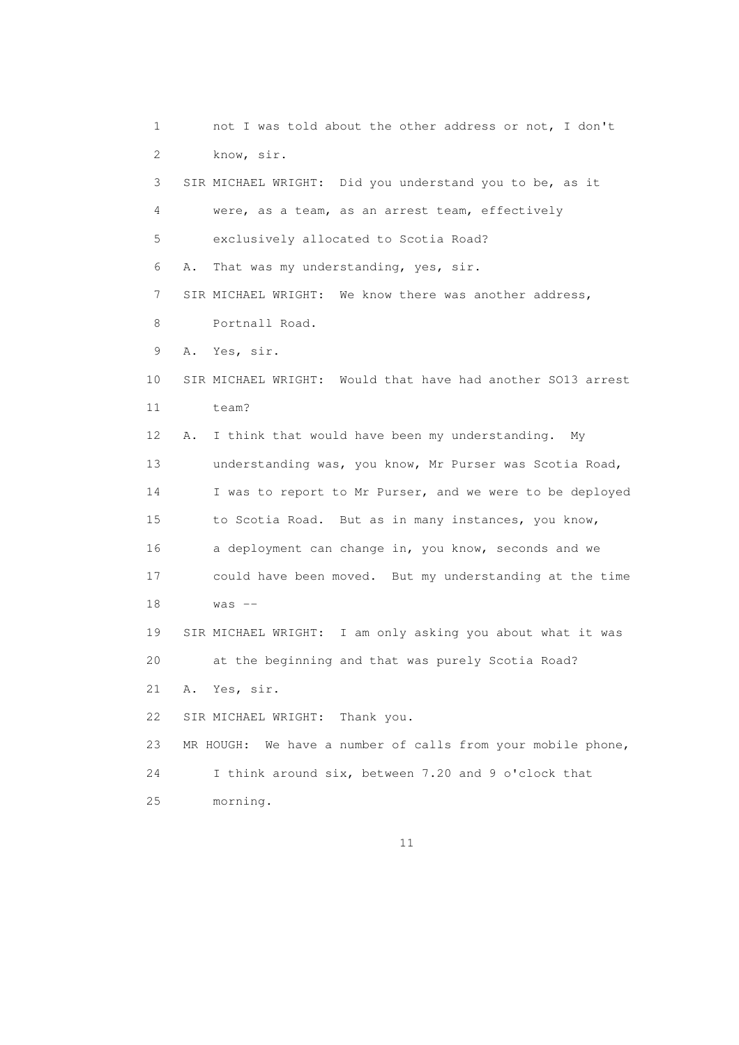1 not I was told about the other address or not, I don't 2 know, sir. 3 SIR MICHAEL WRIGHT: Did you understand you to be, as it 4 were, as a team, as an arrest team, effectively 5 exclusively allocated to Scotia Road? 6 A. That was my understanding, yes, sir. 7 SIR MICHAEL WRIGHT: We know there was another address, 8 Portnall Road. 9 A. Yes, sir. 10 SIR MICHAEL WRIGHT: Would that have had another SO13 arrest 11 team? 12 A. I think that would have been my understanding. My 13 understanding was, you know, Mr Purser was Scotia Road, 14 I was to report to Mr Purser, and we were to be deployed 15 to Scotia Road. But as in many instances, you know, 16 a deployment can change in, you know, seconds and we 17 could have been moved. But my understanding at the time 18 was -- 19 SIR MICHAEL WRIGHT: I am only asking you about what it was 20 at the beginning and that was purely Scotia Road? 21 A. Yes, sir. 22 SIR MICHAEL WRIGHT: Thank you. 23 MR HOUGH: We have a number of calls from your mobile phone, 24 I think around six, between 7.20 and 9 o'clock that 25 morning.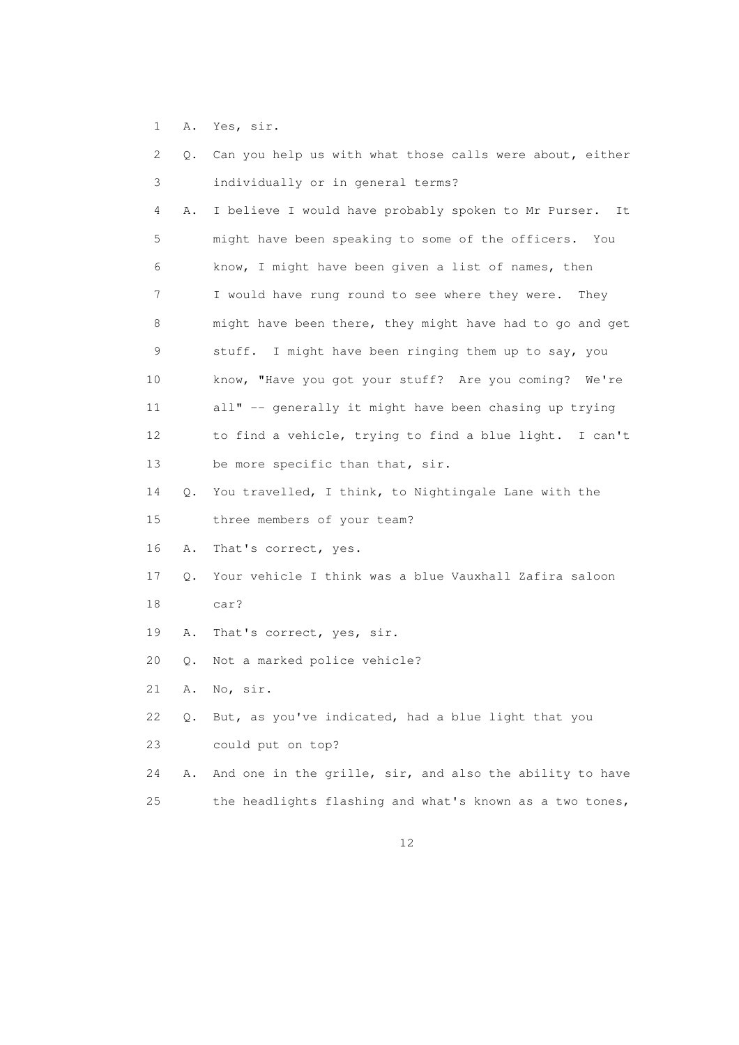1 A. Yes, sir.

| 2  |           | Q. Can you help us with what those calls were about, either |
|----|-----------|-------------------------------------------------------------|
| 3  |           | individually or in general terms?                           |
| 4  | Α.        | I believe I would have probably spoken to Mr Purser.<br>It  |
| 5  |           | might have been speaking to some of the officers. You       |
| 6  |           | know, I might have been given a list of names, then         |
| 7  |           | I would have rung round to see where they were.<br>They     |
| 8  |           | might have been there, they might have had to go and get    |
| 9  |           | stuff. I might have been ringing them up to say, you        |
| 10 |           | know, "Have you got your stuff? Are you coming?<br>We're    |
| 11 |           | all" -- generally it might have been chasing up trying      |
| 12 |           | to find a vehicle, trying to find a blue light. I can't     |
| 13 |           | be more specific than that, sir.                            |
| 14 | $\circ$ . | You travelled, I think, to Nightingale Lane with the        |
| 15 |           | three members of your team?                                 |
| 16 | Α.        | That's correct, yes.                                        |
| 17 | Q.        | Your vehicle I think was a blue Vauxhall Zafira saloon      |
| 18 |           | car?                                                        |
| 19 | Α.        | That's correct, yes, sir.                                   |
| 20 | Q.        | Not a marked police vehicle?                                |
| 21 | Α.        | No, sir.                                                    |
| 22 | $\circ$ . | But, as you've indicated, had a blue light that you         |
| 23 |           | could put on top?                                           |
| 24 | Α.        | And one in the grille, sir, and also the ability to have    |
| 25 |           | the headlights flashing and what's known as a two tones,    |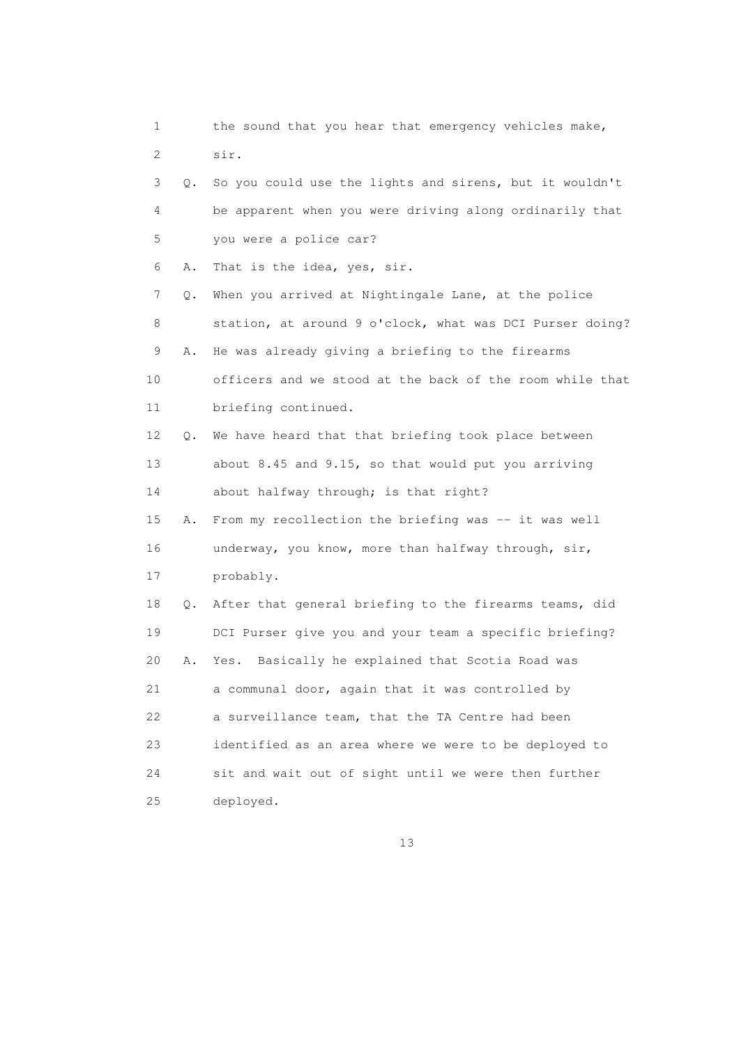1 the sound that you hear that emergency vehicles make, 2 sir. 3 Q. So you could use the lights and sirens, but it wouldn't 4 be apparent when you were driving along ordinarily that 5 you were a police car? 6 A. That is the idea, yes, sir. 7 Q. When you arrived at Nightingale Lane, at the police 8 station, at around 9 o'clock, what was DCI Purser doing? 9 A. He was already giving a briefing to the firearms 10 officers and we stood at the back of the room while that 11 briefing continued. 12 Q. We have heard that that briefing took place between 13 about 8.45 and 9.15, so that would put you arriving 14 about halfway through; is that right? 15 A. From my recollection the briefing was -- it was well 16 underway, you know, more than halfway through, sir, 17 probably. 18 Q. After that general briefing to the firearms teams, did 19 DCI Purser give you and your team a specific briefing? 20 A. Yes. Basically he explained that Scotia Road was 21 a communal door, again that it was controlled by 22 a surveillance team, that the TA Centre had been 23 identified as an area where we were to be deployed to 24 sit and wait out of sight until we were then further 25 deployed.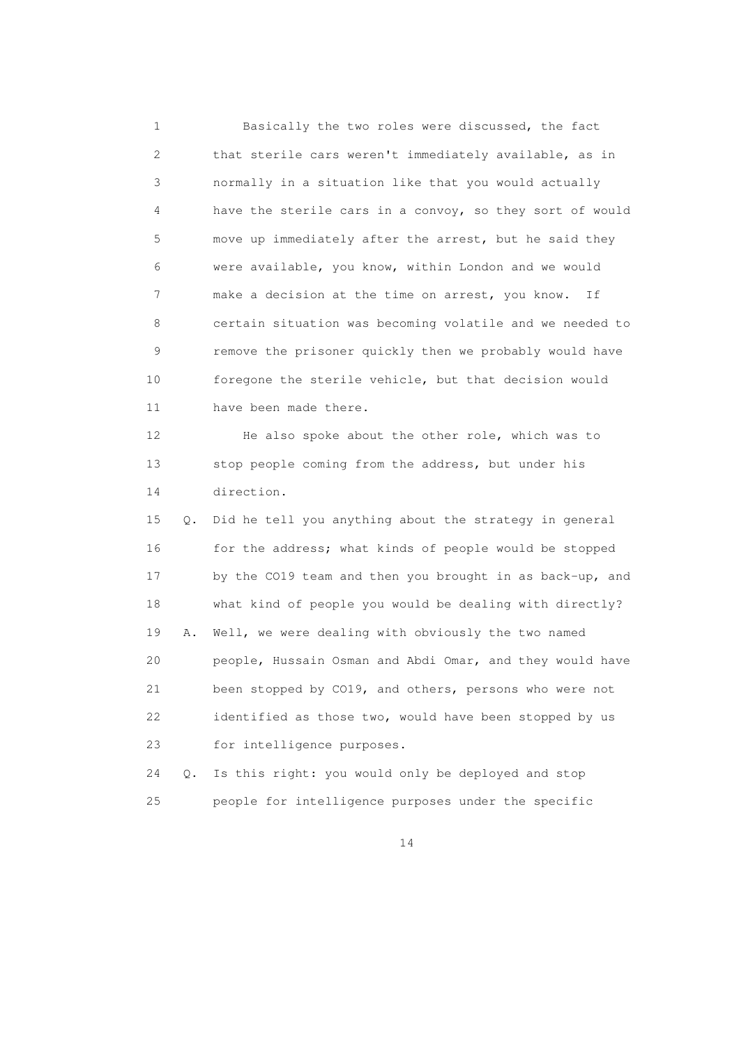1 Basically the two roles were discussed, the fact 2 that sterile cars weren't immediately available, as in 3 normally in a situation like that you would actually 4 have the sterile cars in a convoy, so they sort of would 5 move up immediately after the arrest, but he said they 6 were available, you know, within London and we would 7 make a decision at the time on arrest, you know. If 8 certain situation was becoming volatile and we needed to 9 remove the prisoner quickly then we probably would have 10 foregone the sterile vehicle, but that decision would 11 have been made there. 12 He also spoke about the other role, which was to 13 stop people coming from the address, but under his 14 direction. 15 Q. Did he tell you anything about the strategy in general 16 for the address; what kinds of people would be stopped 17 by the CO19 team and then you brought in as back-up, and 18 what kind of people you would be dealing with directly? 19 A. Well, we were dealing with obviously the two named 20 people, Hussain Osman and Abdi Omar, and they would have 21 been stopped by CO19, and others, persons who were not 22 identified as those two, would have been stopped by us 23 for intelligence purposes. 24 Q. Is this right: you would only be deployed and stop

25 people for intelligence purposes under the specific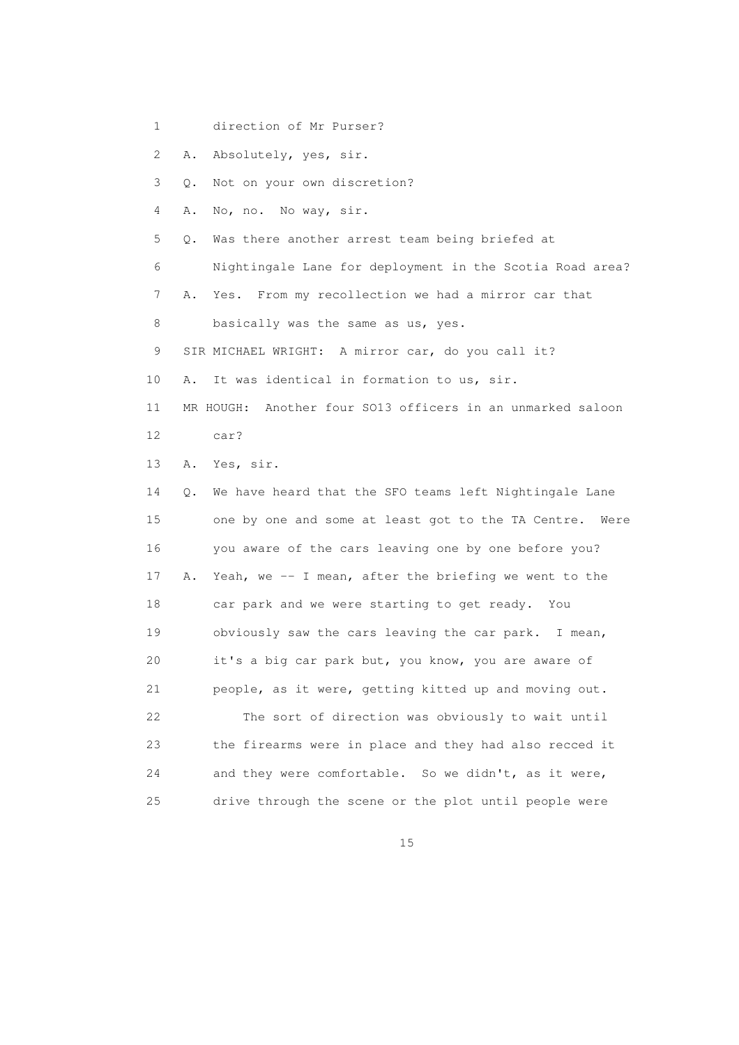1 direction of Mr Purser?

2 A. Absolutely, yes, sir.

3 Q. Not on your own discretion?

4 A. No, no. No way, sir.

5 Q. Was there another arrest team being briefed at

- 6 Nightingale Lane for deployment in the Scotia Road area?
- 7 A. Yes. From my recollection we had a mirror car that
- 8 basically was the same as us, yes.
- 9 SIR MICHAEL WRIGHT: A mirror car, do you call it?
- 10 A. It was identical in formation to us, sir.
- 11 MR HOUGH: Another four SO13 officers in an unmarked saloon
- 12 car?

13 A. Yes, sir.

 14 Q. We have heard that the SFO teams left Nightingale Lane 15 one by one and some at least got to the TA Centre. Were 16 you aware of the cars leaving one by one before you? 17 A. Yeah, we -- I mean, after the briefing we went to the 18 car park and we were starting to get ready. You 19 obviously saw the cars leaving the car park. I mean, 20 it's a big car park but, you know, you are aware of 21 people, as it were, getting kitted up and moving out. 22 The sort of direction was obviously to wait until 23 the firearms were in place and they had also recced it 24 and they were comfortable. So we didn't, as it were, 25 drive through the scene or the plot until people were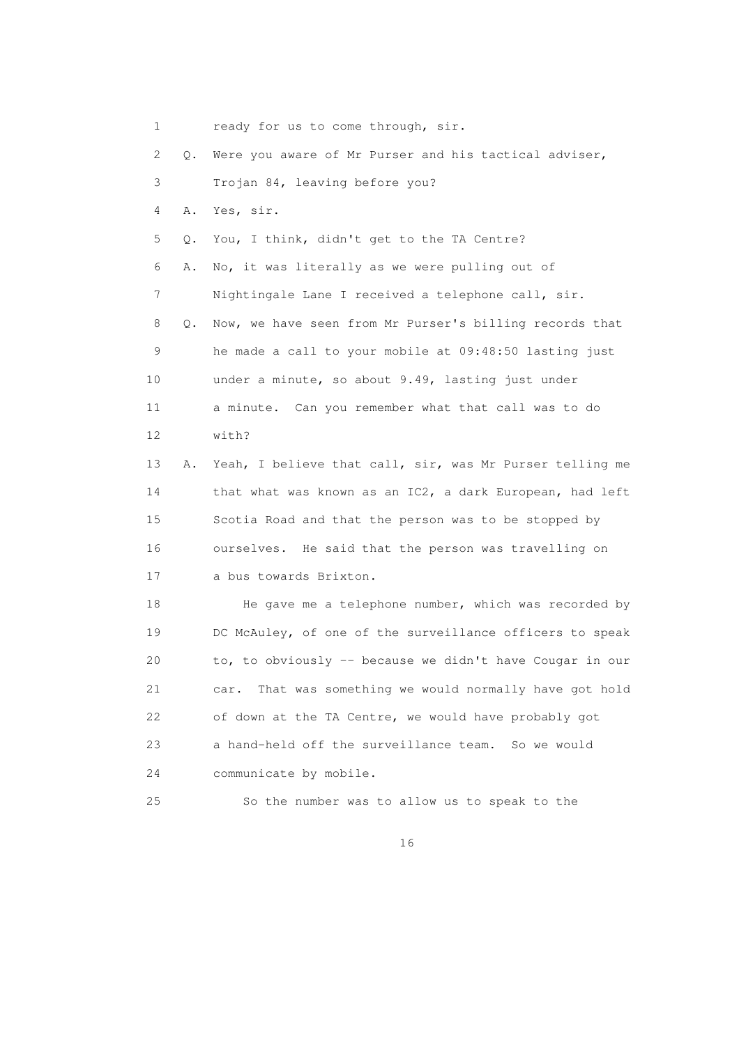| 1  |           | ready for us to come through, sir.                         |
|----|-----------|------------------------------------------------------------|
| 2  | Q.        | Were you aware of Mr Purser and his tactical adviser,      |
| 3  |           | Trojan 84, leaving before you?                             |
| 4  | Α.        | Yes, sir.                                                  |
| 5  | Q.        | You, I think, didn't get to the TA Centre?                 |
| 6  | Α.        | No, it was literally as we were pulling out of             |
| 7  |           | Nightingale Lane I received a telephone call, sir.         |
| 8  | $\circ$ . | Now, we have seen from Mr Purser's billing records that    |
| 9  |           | he made a call to your mobile at 09:48:50 lasting just     |
| 10 |           | under a minute, so about 9.49, lasting just under          |
| 11 |           | a minute. Can you remember what that call was to do        |
| 12 |           | with?                                                      |
| 13 | Α.        | Yeah, I believe that call, sir, was Mr Purser telling me   |
| 14 |           | that what was known as an IC2, a dark European, had left   |
| 15 |           | Scotia Road and that the person was to be stopped by       |
| 16 |           | ourselves. He said that the person was travelling on       |
| 17 |           | a bus towards Brixton.                                     |
| 18 |           | He gave me a telephone number, which was recorded by       |
| 19 |           | DC McAuley, of one of the surveillance officers to speak   |
| 20 |           | to, to obviously -- because we didn't have Cougar in our   |
| 21 |           | That was something we would normally have got hold<br>car. |
| 22 |           | of down at the TA Centre, we would have probably got       |
| 23 |           | a hand-held off the surveillance team.<br>So we would      |

24 communicate by mobile.

25 So the number was to allow us to speak to the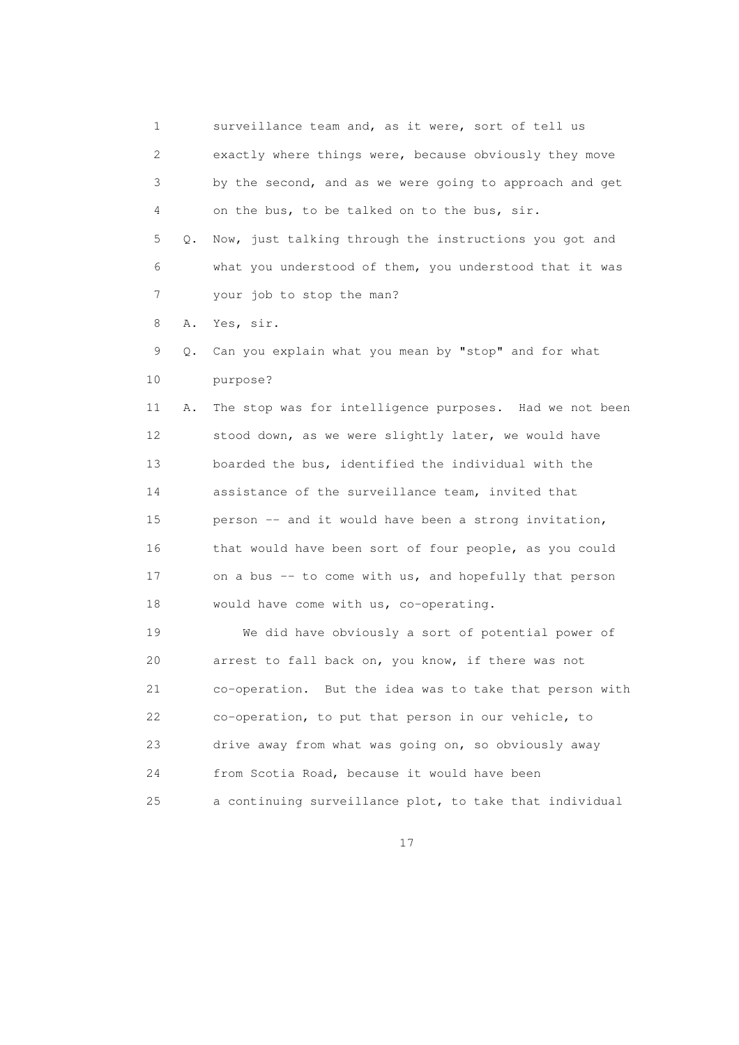1 surveillance team and, as it were, sort of tell us 2 exactly where things were, because obviously they move 3 by the second, and as we were going to approach and get 4 on the bus, to be talked on to the bus, sir. 5 Q. Now, just talking through the instructions you got and 6 what you understood of them, you understood that it was 7 your job to stop the man? 8 A. Yes, sir. 9 Q. Can you explain what you mean by "stop" and for what 10 purpose? 11 A. The stop was for intelligence purposes. Had we not been 12 stood down, as we were slightly later, we would have 13 boarded the bus, identified the individual with the 14 assistance of the surveillance team, invited that 15 person -- and it would have been a strong invitation, 16 that would have been sort of four people, as you could 17 on a bus -- to come with us, and hopefully that person 18 would have come with us, co-operating. 19 We did have obviously a sort of potential power of 20 arrest to fall back on, you know, if there was not 21 co-operation. But the idea was to take that person with 22 co-operation, to put that person in our vehicle, to 23 drive away from what was going on, so obviously away 24 from Scotia Road, because it would have been 25 a continuing surveillance plot, to take that individual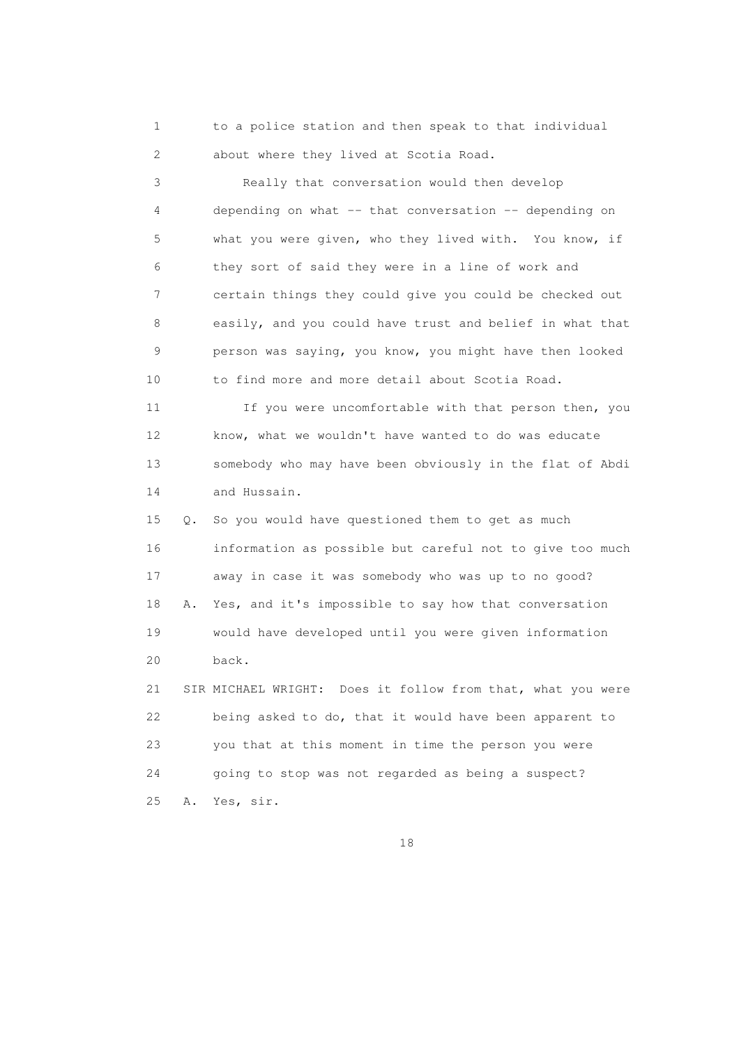1 to a police station and then speak to that individual 2 about where they lived at Scotia Road.

 3 Really that conversation would then develop 4 depending on what -- that conversation -- depending on 5 what you were given, who they lived with. You know, if 6 they sort of said they were in a line of work and 7 certain things they could give you could be checked out 8 easily, and you could have trust and belief in what that 9 person was saying, you know, you might have then looked 10 to find more and more detail about Scotia Road.

11 If you were uncomfortable with that person then, you 12 know, what we wouldn't have wanted to do was educate 13 somebody who may have been obviously in the flat of Abdi 14 and Hussain.

 15 Q. So you would have questioned them to get as much 16 information as possible but careful not to give too much 17 away in case it was somebody who was up to no good? 18 A. Yes, and it's impossible to say how that conversation 19 would have developed until you were given information 20 back.

 21 SIR MICHAEL WRIGHT: Does it follow from that, what you were 22 being asked to do, that it would have been apparent to 23 you that at this moment in time the person you were 24 going to stop was not regarded as being a suspect? 25 A. Yes, sir.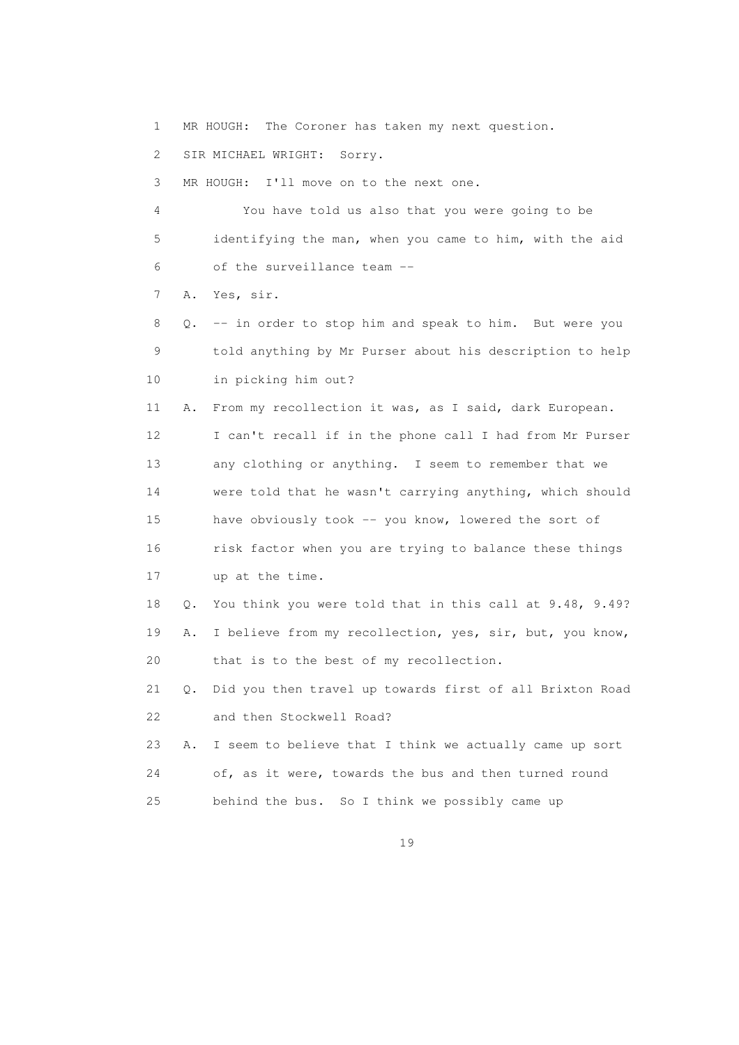1 MR HOUGH: The Coroner has taken my next question.

2 SIR MICHAEL WRIGHT: Sorry.

3 MR HOUGH: I'll move on to the next one.

 4 You have told us also that you were going to be 5 identifying the man, when you came to him, with the aid 6 of the surveillance team --

7 A. Yes, sir.

 8 Q. -- in order to stop him and speak to him. But were you 9 told anything by Mr Purser about his description to help 10 in picking him out?

 11 A. From my recollection it was, as I said, dark European. 12 I can't recall if in the phone call I had from Mr Purser 13 any clothing or anything. I seem to remember that we 14 were told that he wasn't carrying anything, which should 15 have obviously took -- you know, lowered the sort of 16 risk factor when you are trying to balance these things 17 up at the time.

 18 Q. You think you were told that in this call at 9.48, 9.49? 19 A. I believe from my recollection, yes, sir, but, you know,

20 that is to the best of my recollection.

 21 Q. Did you then travel up towards first of all Brixton Road 22 and then Stockwell Road?

 23 A. I seem to believe that I think we actually came up sort 24 of, as it were, towards the bus and then turned round 25 behind the bus. So I think we possibly came up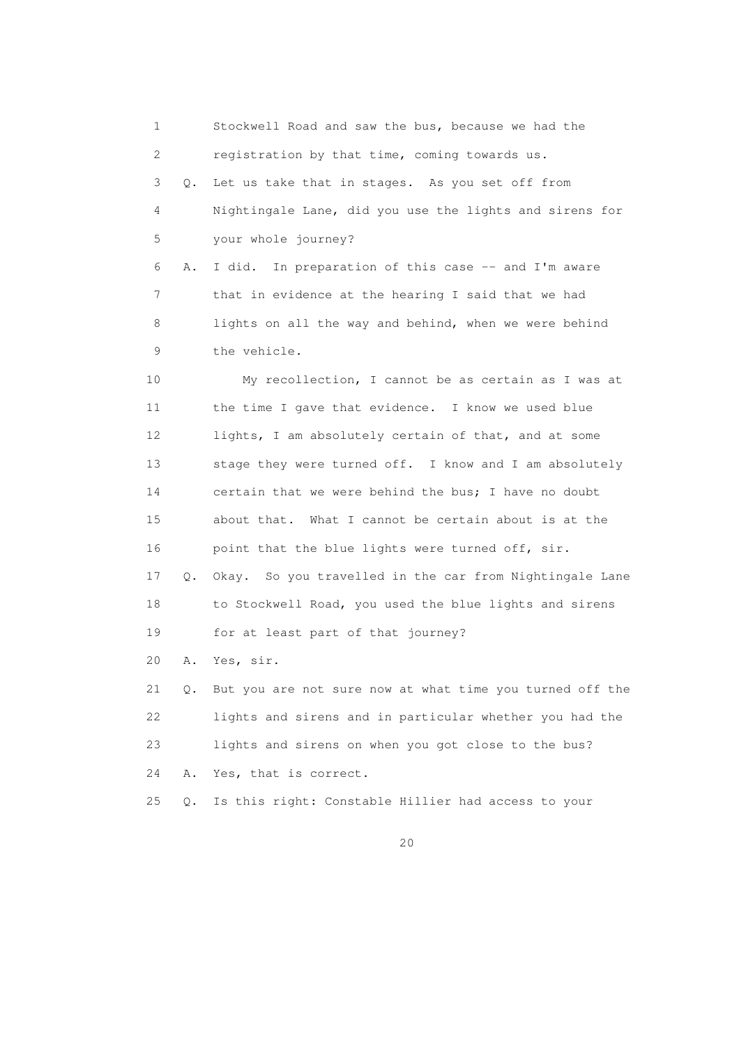1 Stockwell Road and saw the bus, because we had the 2 registration by that time, coming towards us. 3 Q. Let us take that in stages. As you set off from 4 Nightingale Lane, did you use the lights and sirens for 5 your whole journey? 6 A. I did. In preparation of this case -- and I'm aware 7 that in evidence at the hearing I said that we had 8 lights on all the way and behind, when we were behind 9 the vehicle. 10 My recollection, I cannot be as certain as I was at 11 the time I gave that evidence. I know we used blue 12 lights, I am absolutely certain of that, and at some 13 stage they were turned off. I know and I am absolutely 14 certain that we were behind the bus; I have no doubt 15 about that. What I cannot be certain about is at the 16 point that the blue lights were turned off, sir. 17 Q. Okay. So you travelled in the car from Nightingale Lane 18 to Stockwell Road, you used the blue lights and sirens 19 for at least part of that journey? 20 A. Yes, sir. 21 Q. But you are not sure now at what time you turned off the 22 lights and sirens and in particular whether you had the 23 lights and sirens on when you got close to the bus? 24 A. Yes, that is correct. 25 Q. Is this right: Constable Hillier had access to your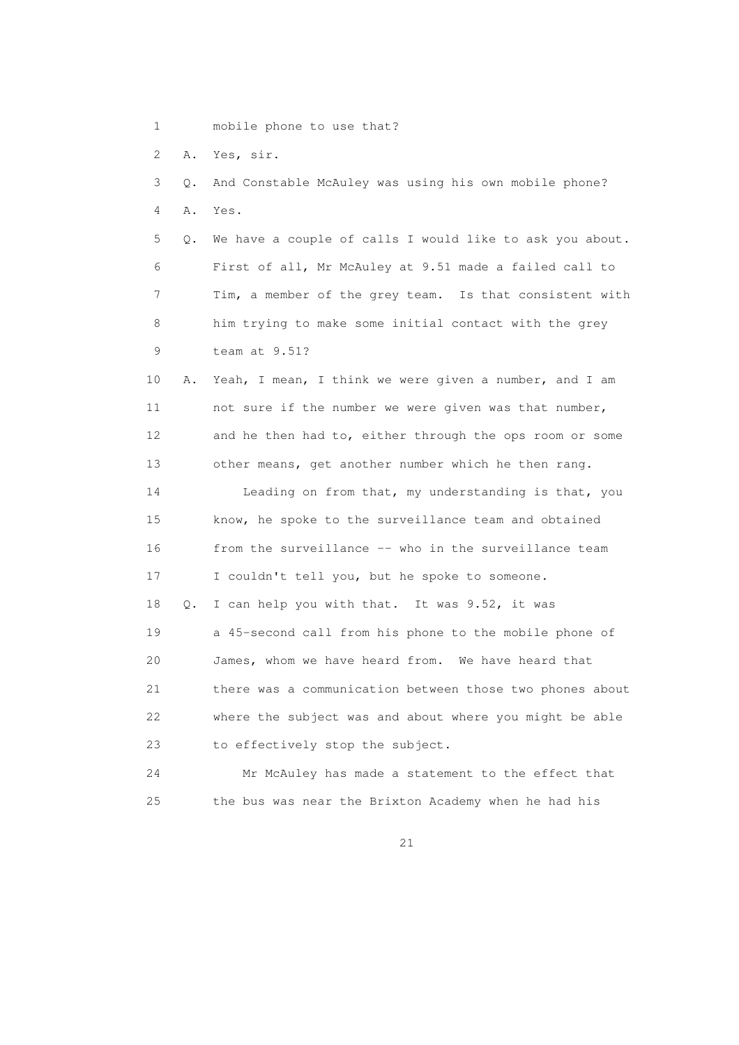1 mobile phone to use that?

2 A. Yes, sir.

| 3  | Q. | And Constable McAuley was using his own mobile phone?    |
|----|----|----------------------------------------------------------|
| 4  | Α. | Yes.                                                     |
| 5  | О. | We have a couple of calls I would like to ask you about. |
| 6  |    | First of all, Mr McAuley at 9.51 made a failed call to   |
| 7  |    | Tim, a member of the grey team. Is that consistent with  |
| 8  |    | him trying to make some initial contact with the grey    |
| 9  |    | team at $9.51$ ?                                         |
| 10 | Α. | Yeah, I mean, I think we were given a number, and I am   |
| 11 |    | not sure if the number we were given was that number,    |
| 12 |    | and he then had to, either through the ops room or some  |
| 13 |    | other means, get another number which he then rang.      |
| 14 |    | Leading on from that, my understanding is that, you      |
| 15 |    | know, he spoke to the surveillance team and obtained     |
| 16 |    | from the surveillance -- who in the surveillance team    |
| 17 |    | I couldn't tell you, but he spoke to someone.            |
| 18 | Q. | I can help you with that. It was 9.52, it was            |
| 19 |    | a 45-second call from his phone to the mobile phone of   |
| 20 |    | James, whom we have heard from. We have heard that       |
| 21 |    | there was a communication between those two phones about |
| 22 |    | where the subject was and about where you might be able  |
| 23 |    | to effectively stop the subject.                         |
| 24 |    | Mr McAuley has made a statement to the effect that       |
| 25 |    | the bus was near the Brixton Academy when he had his     |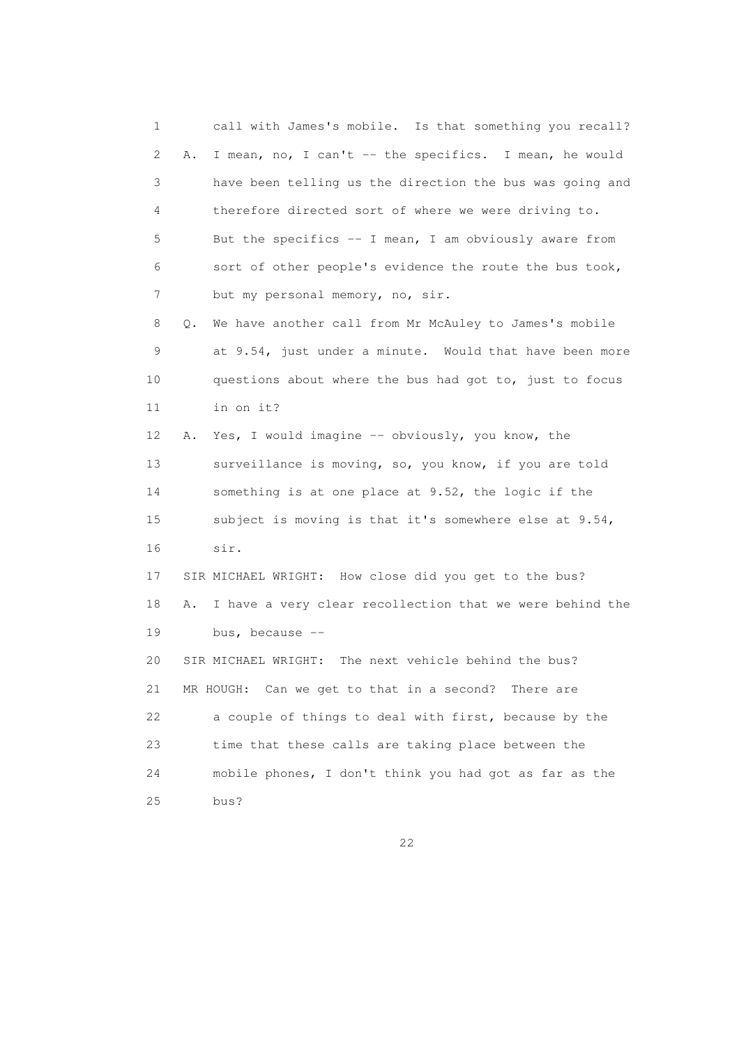1 call with James's mobile. Is that something you recall? 2 A. I mean, no, I can't -- the specifics. I mean, he would 3 have been telling us the direction the bus was going and 4 therefore directed sort of where we were driving to. 5 But the specifics -- I mean, I am obviously aware from 6 sort of other people's evidence the route the bus took, 7 but my personal memory, no, sir. 8 Q. We have another call from Mr McAuley to James's mobile 9 at 9.54, just under a minute. Would that have been more 10 questions about where the bus had got to, just to focus 11 in on it? 12 A. Yes, I would imagine -- obviously, you know, the 13 surveillance is moving, so, you know, if you are told 14 something is at one place at 9.52, the logic if the 15 subject is moving is that it's somewhere else at 9.54, 16 sir. 17 SIR MICHAEL WRIGHT: How close did you get to the bus? 18 A. I have a very clear recollection that we were behind the 19 bus, because -- 20 SIR MICHAEL WRIGHT: The next vehicle behind the bus? 21 MR HOUGH: Can we get to that in a second? There are 22 a couple of things to deal with first, because by the 23 time that these calls are taking place between the 24 mobile phones, I don't think you had got as far as the 25 bus?

<u>22</u>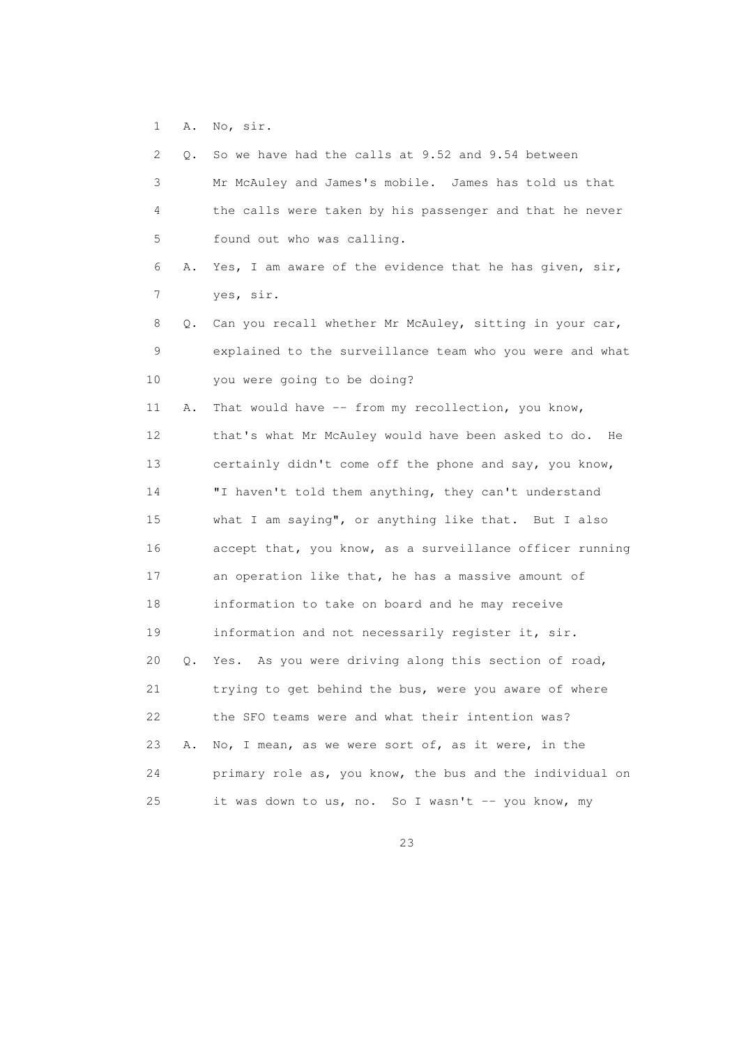1 A. No, sir.

| 2  |           | Q. So we have had the calls at 9.52 and 9.54 between     |
|----|-----------|----------------------------------------------------------|
| 3  |           | Mr McAuley and James's mobile. James has told us that    |
| 4  |           | the calls were taken by his passenger and that he never  |
| 5  |           | found out who was calling.                               |
| 6  | Α.        | Yes, I am aware of the evidence that he has given, sir,  |
| 7  |           | yes, sir.                                                |
| 8  | Q.        | Can you recall whether Mr McAuley, sitting in your car,  |
| 9  |           | explained to the surveillance team who you were and what |
| 10 |           | you were going to be doing?                              |
| 11 | Α.        | That would have -- from my recollection, you know,       |
| 12 |           | that's what Mr McAuley would have been asked to do. He   |
| 13 |           | certainly didn't come off the phone and say, you know,   |
| 14 |           | "I haven't told them anything, they can't understand     |
| 15 |           | what I am saying", or anything like that. But I also     |
| 16 |           | accept that, you know, as a surveillance officer running |
| 17 |           | an operation like that, he has a massive amount of       |
| 18 |           | information to take on board and he may receive          |
| 19 |           | information and not necessarily register it, sir.        |
| 20 | $\circ$ . | Yes. As you were driving along this section of road,     |
| 21 |           | trying to get behind the bus, were you aware of where    |
| 22 |           | the SFO teams were and what their intention was?         |
| 23 | Α.        | No, I mean, as we were sort of, as it were, in the       |
| 24 |           | primary role as, you know, the bus and the individual on |
| 25 |           | it was down to us, no. So I wasn't -- you know, my       |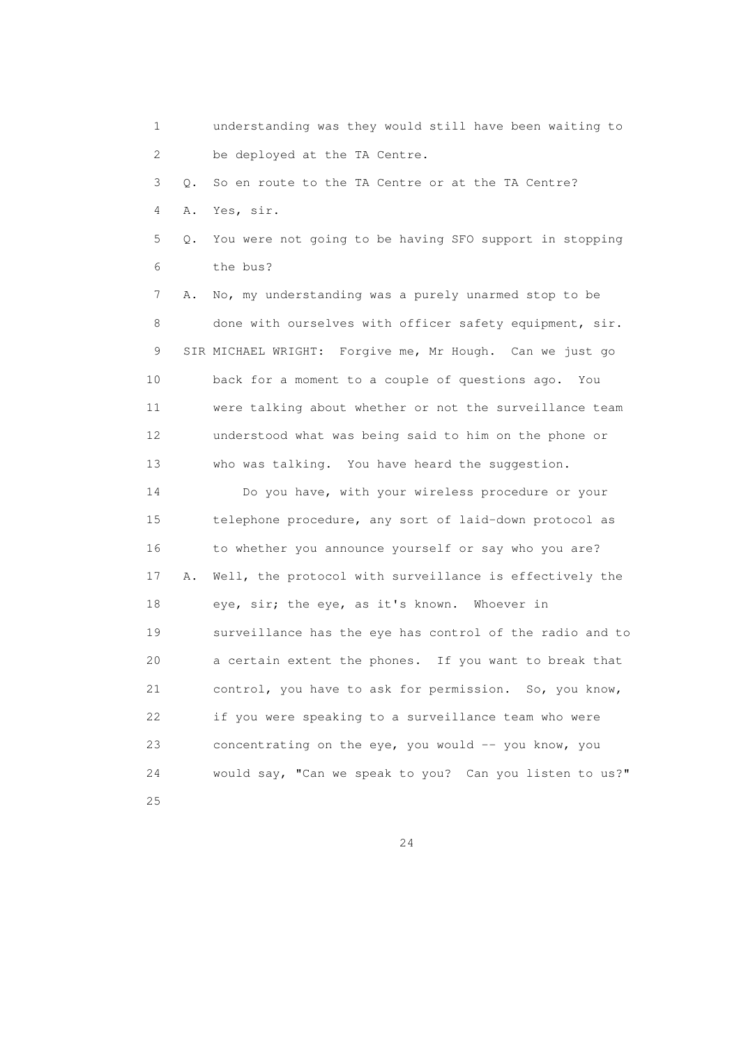1 understanding was they would still have been waiting to 2 be deployed at the TA Centre. 3 Q. So en route to the TA Centre or at the TA Centre? 4 A. Yes, sir. 5 Q. You were not going to be having SFO support in stopping 6 the bus? 7 A. No, my understanding was a purely unarmed stop to be 8 done with ourselves with officer safety equipment, sir. 9 SIR MICHAEL WRIGHT: Forgive me, Mr Hough. Can we just go 10 back for a moment to a couple of questions ago. You 11 were talking about whether or not the surveillance team 12 understood what was being said to him on the phone or 13 who was talking. You have heard the suggestion. 14 Do you have, with your wireless procedure or your 15 telephone procedure, any sort of laid-down protocol as 16 to whether you announce yourself or say who you are? 17 A. Well, the protocol with surveillance is effectively the 18 eye, sir; the eye, as it's known. Whoever in 19 surveillance has the eye has control of the radio and to 20 a certain extent the phones. If you want to break that 21 control, you have to ask for permission. So, you know, 22 if you were speaking to a surveillance team who were 23 concentrating on the eye, you would -- you know, you 24 would say, "Can we speak to you? Can you listen to us?" 25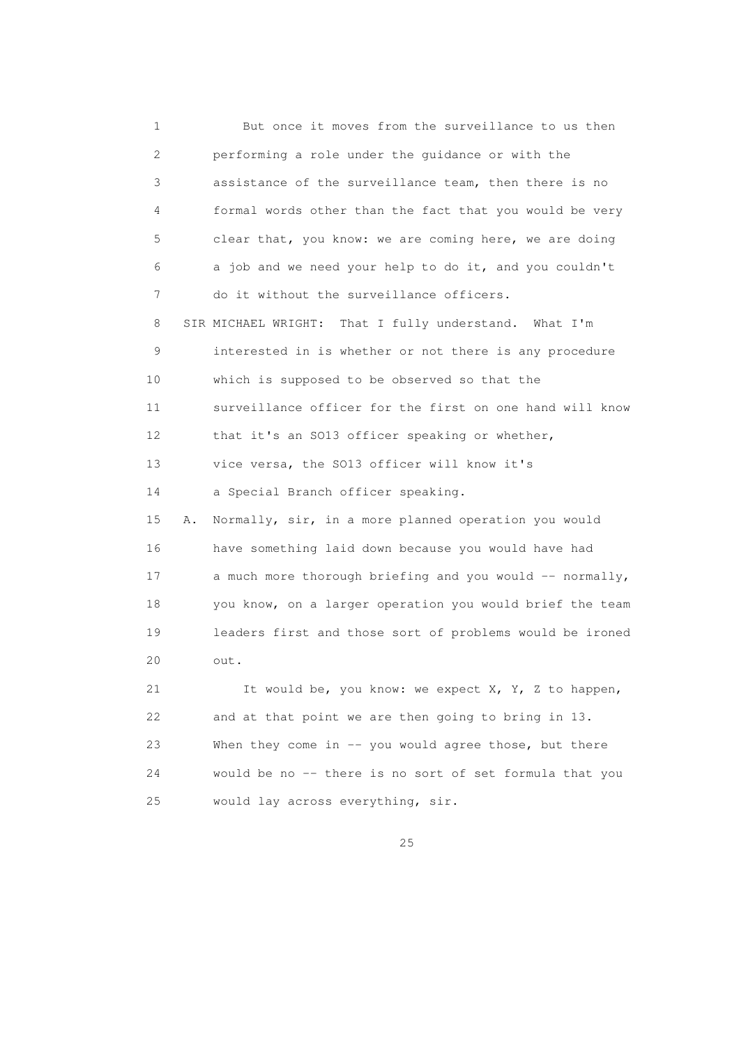1 But once it moves from the surveillance to us then 2 performing a role under the guidance or with the 3 assistance of the surveillance team, then there is no 4 formal words other than the fact that you would be very 5 clear that, you know: we are coming here, we are doing 6 a job and we need your help to do it, and you couldn't 7 do it without the surveillance officers. 8 SIR MICHAEL WRIGHT: That I fully understand. What I'm 9 interested in is whether or not there is any procedure 10 which is supposed to be observed so that the 11 surveillance officer for the first on one hand will know 12 that it's an SO13 officer speaking or whether, 13 vice versa, the SO13 officer will know it's 14 a Special Branch officer speaking. 15 A. Normally, sir, in a more planned operation you would 16 have something laid down because you would have had 17 a much more thorough briefing and you would -- normally, 18 you know, on a larger operation you would brief the team 19 leaders first and those sort of problems would be ironed 20 out. 21 It would be, you know: we expect X, Y, Z to happen, 22 and at that point we are then going to bring in 13. 23 When they come in -- you would agree those, but there 24 would be no -- there is no sort of set formula that you 25 would lay across everything, sir.

<u>25</u>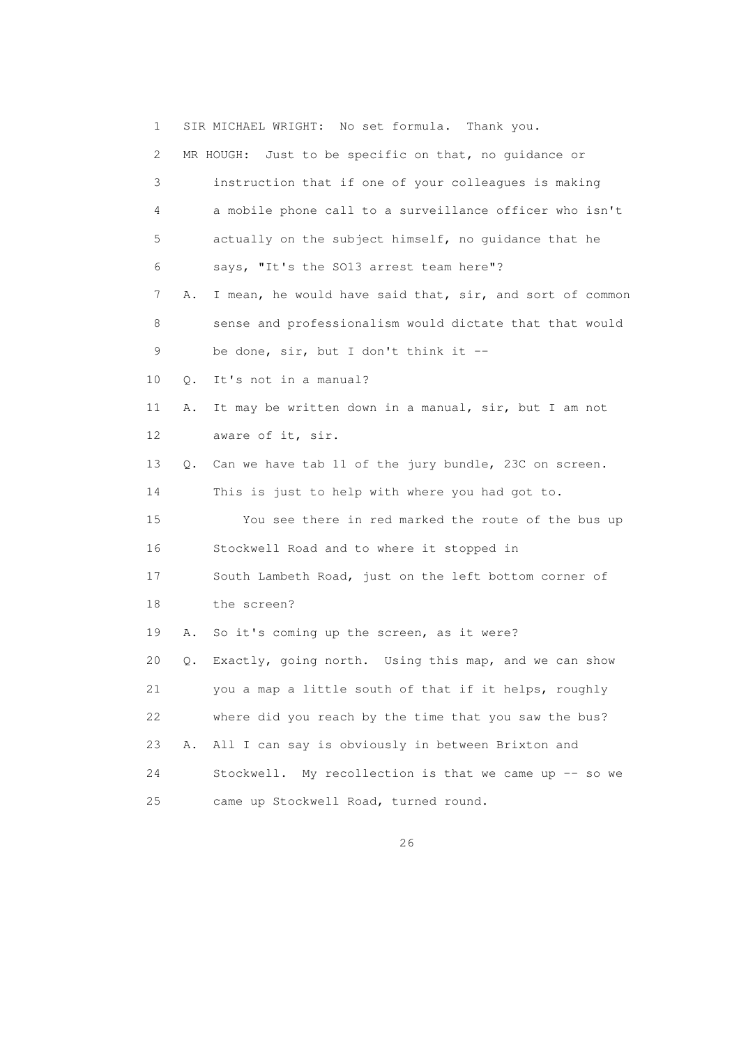1 SIR MICHAEL WRIGHT: No set formula. Thank you. 2 MR HOUGH: Just to be specific on that, no guidance or 3 instruction that if one of your colleagues is making 4 a mobile phone call to a surveillance officer who isn't 5 actually on the subject himself, no guidance that he 6 says, "It's the SO13 arrest team here"? 7 A. I mean, he would have said that, sir, and sort of common 8 sense and professionalism would dictate that that would 9 be done, sir, but I don't think it -- 10 Q. It's not in a manual? 11 A. It may be written down in a manual, sir, but I am not 12 aware of it, sir. 13 Q. Can we have tab 11 of the jury bundle, 23C on screen. 14 This is just to help with where you had got to. 15 You see there in red marked the route of the bus up 16 Stockwell Road and to where it stopped in 17 South Lambeth Road, just on the left bottom corner of 18 the screen? 19 A. So it's coming up the screen, as it were? 20 Q. Exactly, going north. Using this map, and we can show 21 you a map a little south of that if it helps, roughly 22 where did you reach by the time that you saw the bus? 23 A. All I can say is obviously in between Brixton and 24 Stockwell. My recollection is that we came up -- so we 25 came up Stockwell Road, turned round.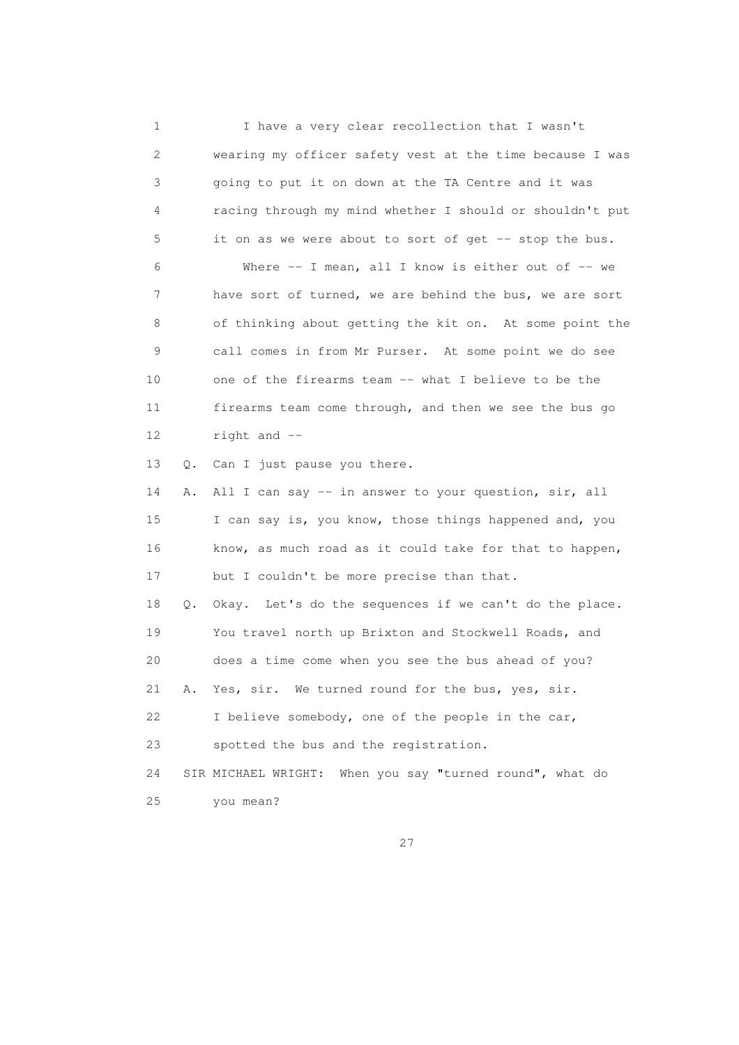1 I have a very clear recollection that I wasn't 2 wearing my officer safety vest at the time because I was 3 going to put it on down at the TA Centre and it was 4 racing through my mind whether I should or shouldn't put 5 it on as we were about to sort of get -- stop the bus. 6 Where -- I mean, all I know is either out of -- we 7 have sort of turned, we are behind the bus, we are sort 8 of thinking about getting the kit on. At some point the 9 call comes in from Mr Purser. At some point we do see 10 one of the firearms team -- what I believe to be the 11 firearms team come through, and then we see the bus go 12 right and -- 13 Q. Can I just pause you there. 14 A. All I can say -- in answer to your question, sir, all 15 I can say is, you know, those things happened and, you 16 know, as much road as it could take for that to happen, 17 but I couldn't be more precise than that. 18 Q. Okay. Let's do the sequences if we can't do the place. 19 You travel north up Brixton and Stockwell Roads, and 20 does a time come when you see the bus ahead of you? 21 A. Yes, sir. We turned round for the bus, yes, sir. 22 I believe somebody, one of the people in the car, 23 spotted the bus and the registration. 24 SIR MICHAEL WRIGHT: When you say "turned round", what do 25 you mean?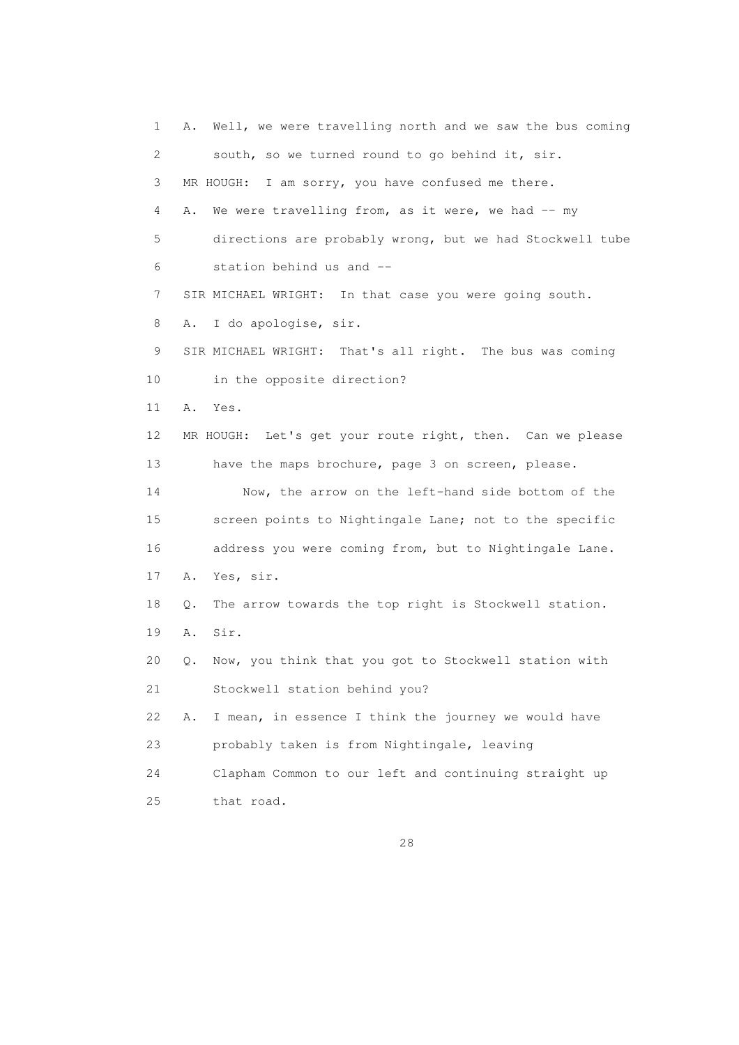1 A. Well, we were travelling north and we saw the bus coming 2 south, so we turned round to go behind it, sir. 3 MR HOUGH: I am sorry, you have confused me there. 4 A. We were travelling from, as it were, we had -- my 5 directions are probably wrong, but we had Stockwell tube 6 station behind us and -- 7 SIR MICHAEL WRIGHT: In that case you were going south. 8 A. I do apologise, sir. 9 SIR MICHAEL WRIGHT: That's all right. The bus was coming 10 in the opposite direction? 11 A. Yes. 12 MR HOUGH: Let's get your route right, then. Can we please 13 have the maps brochure, page 3 on screen, please. 14 Now, the arrow on the left-hand side bottom of the 15 screen points to Nightingale Lane; not to the specific 16 address you were coming from, but to Nightingale Lane. 17 A. Yes, sir. 18 Q. The arrow towards the top right is Stockwell station. 19 A. Sir. 20 Q. Now, you think that you got to Stockwell station with 21 Stockwell station behind you? 22 A. I mean, in essence I think the journey we would have 23 probably taken is from Nightingale, leaving 24 Clapham Common to our left and continuing straight up 25 that road.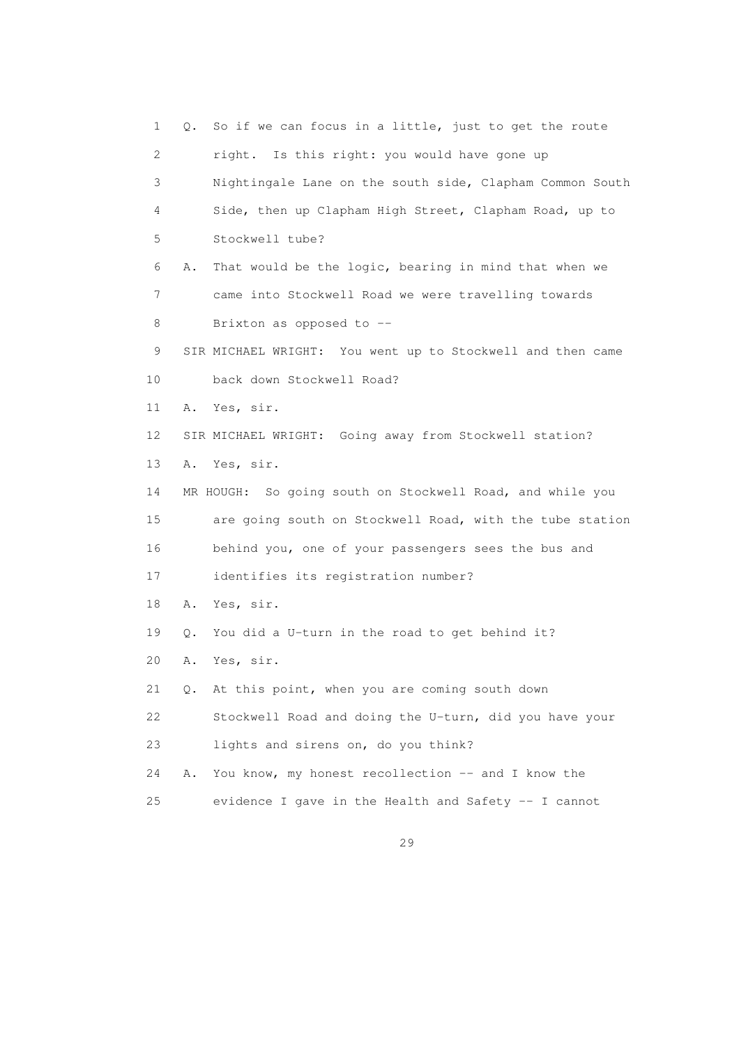1 Q. So if we can focus in a little, just to get the route 2 right. Is this right: you would have gone up 3 Nightingale Lane on the south side, Clapham Common South 4 Side, then up Clapham High Street, Clapham Road, up to 5 Stockwell tube? 6 A. That would be the logic, bearing in mind that when we 7 came into Stockwell Road we were travelling towards 8 Brixton as opposed to -- 9 SIR MICHAEL WRIGHT: You went up to Stockwell and then came 10 back down Stockwell Road? 11 A. Yes, sir. 12 SIR MICHAEL WRIGHT: Going away from Stockwell station? 13 A. Yes, sir. 14 MR HOUGH: So going south on Stockwell Road, and while you 15 are going south on Stockwell Road, with the tube station 16 behind you, one of your passengers sees the bus and 17 identifies its registration number? 18 A. Yes, sir. 19 Q. You did a U-turn in the road to get behind it? 20 A. Yes, sir. 21 Q. At this point, when you are coming south down 22 Stockwell Road and doing the U-turn, did you have your 23 lights and sirens on, do you think? 24 A. You know, my honest recollection -- and I know the 25 evidence I gave in the Health and Safety -- I cannot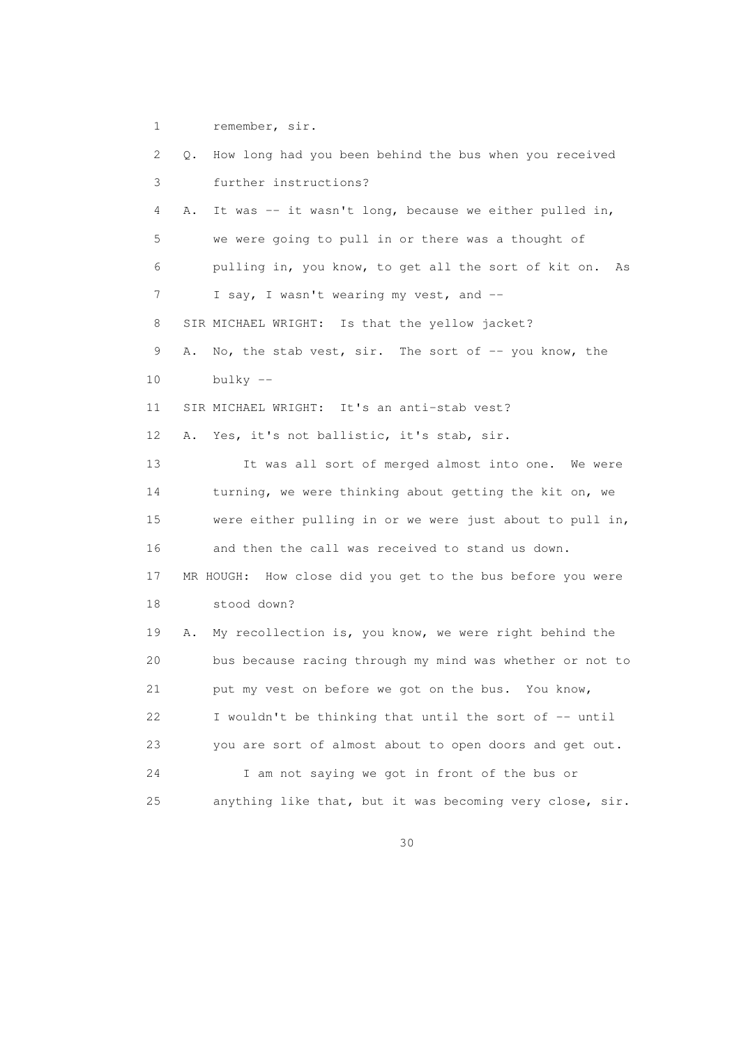1 remember, sir.

 2 Q. How long had you been behind the bus when you received 3 further instructions? 4 A. It was -- it wasn't long, because we either pulled in, 5 we were going to pull in or there was a thought of 6 pulling in, you know, to get all the sort of kit on. As 7 I say, I wasn't wearing my vest, and -- 8 SIR MICHAEL WRIGHT: Is that the yellow jacket? 9 A. No, the stab vest, sir. The sort of -- you know, the 10 bulky -- 11 SIR MICHAEL WRIGHT: It's an anti-stab vest? 12 A. Yes, it's not ballistic, it's stab, sir. 13 It was all sort of merged almost into one. We were 14 turning, we were thinking about getting the kit on, we 15 were either pulling in or we were just about to pull in, 16 and then the call was received to stand us down. 17 MR HOUGH: How close did you get to the bus before you were 18 stood down? 19 A. My recollection is, you know, we were right behind the 20 bus because racing through my mind was whether or not to 21 put my vest on before we got on the bus. You know, 22 I wouldn't be thinking that until the sort of -- until 23 you are sort of almost about to open doors and get out. 24 I am not saying we got in front of the bus or 25 anything like that, but it was becoming very close, sir.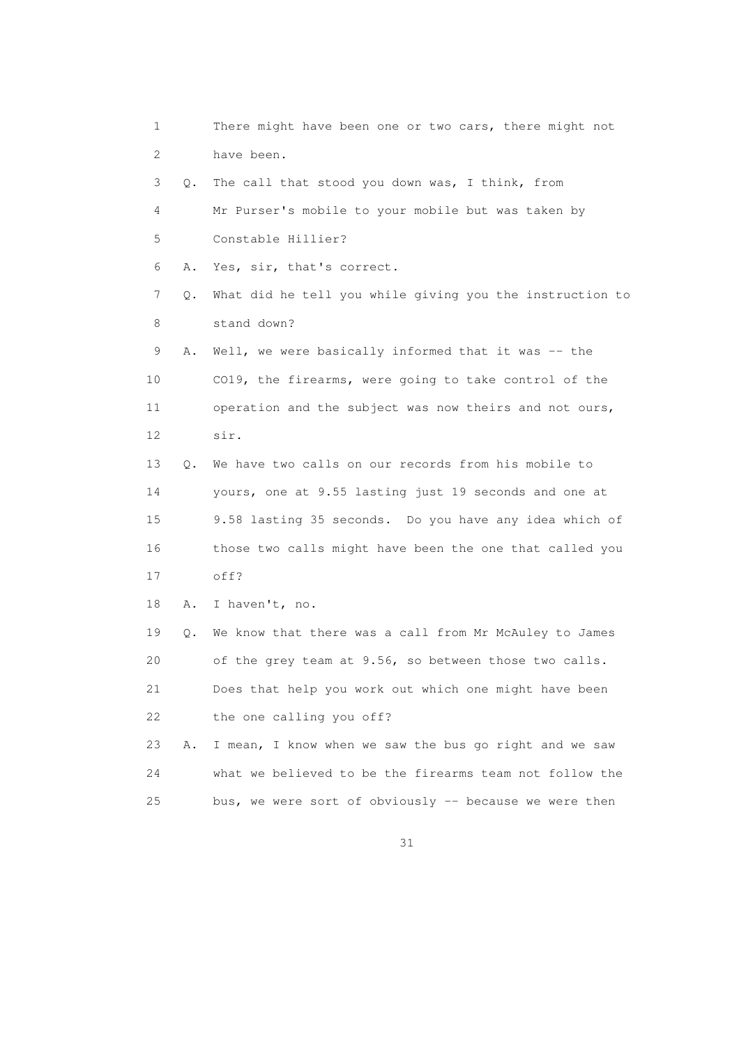1 There might have been one or two cars, there might not 2 have been. 3 Q. The call that stood you down was, I think, from 4 Mr Purser's mobile to your mobile but was taken by 5 Constable Hillier? 6 A. Yes, sir, that's correct. 7 Q. What did he tell you while giving you the instruction to 8 stand down? 9 A. Well, we were basically informed that it was -- the 10 CO19, the firearms, were going to take control of the 11 operation and the subject was now theirs and not ours, 12 sir. 13 Q. We have two calls on our records from his mobile to 14 yours, one at 9.55 lasting just 19 seconds and one at 15 9.58 lasting 35 seconds. Do you have any idea which of 16 those two calls might have been the one that called you 17 off? 18 A. I haven't, no. 19 Q. We know that there was a call from Mr McAuley to James 20 of the grey team at 9.56, so between those two calls. 21 Does that help you work out which one might have been 22 the one calling you off? 23 A. I mean, I know when we saw the bus go right and we saw 24 what we believed to be the firearms team not follow the 25 bus, we were sort of obviously -- because we were then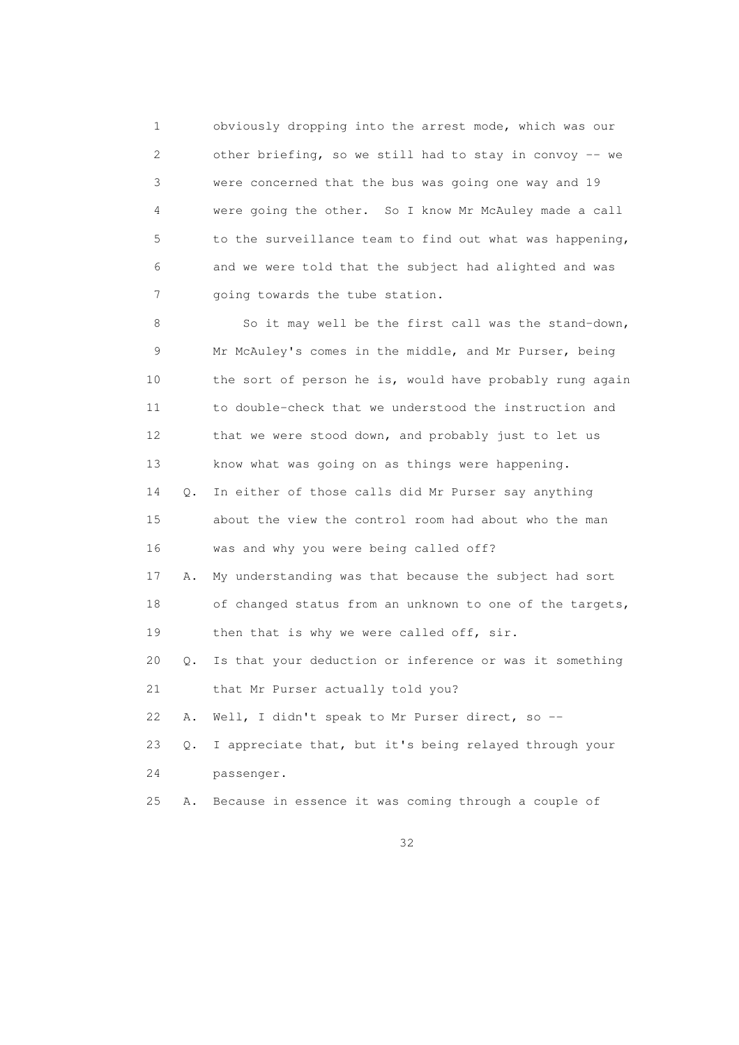1 obviously dropping into the arrest mode, which was our 2 other briefing, so we still had to stay in convoy -- we 3 were concerned that the bus was going one way and 19 4 were going the other. So I know Mr McAuley made a call 5 to the surveillance team to find out what was happening, 6 and we were told that the subject had alighted and was 7 going towards the tube station.

 8 So it may well be the first call was the stand-down, 9 Mr McAuley's comes in the middle, and Mr Purser, being 10 the sort of person he is, would have probably rung again 11 to double-check that we understood the instruction and 12 that we were stood down, and probably just to let us 13 know what was going on as things were happening. 14 Q. In either of those calls did Mr Purser say anything 15 about the view the control room had about who the man 16 was and why you were being called off? 17 A. My understanding was that because the subject had sort 18 of changed status from an unknown to one of the targets, 19 then that is why we were called off, sir. 20 Q. Is that your deduction or inference or was it something 21 that Mr Purser actually told you? 22 A. Well, I didn't speak to Mr Purser direct, so -- 23 Q. I appreciate that, but it's being relayed through your 24 passenger. 25 A. Because in essence it was coming through a couple of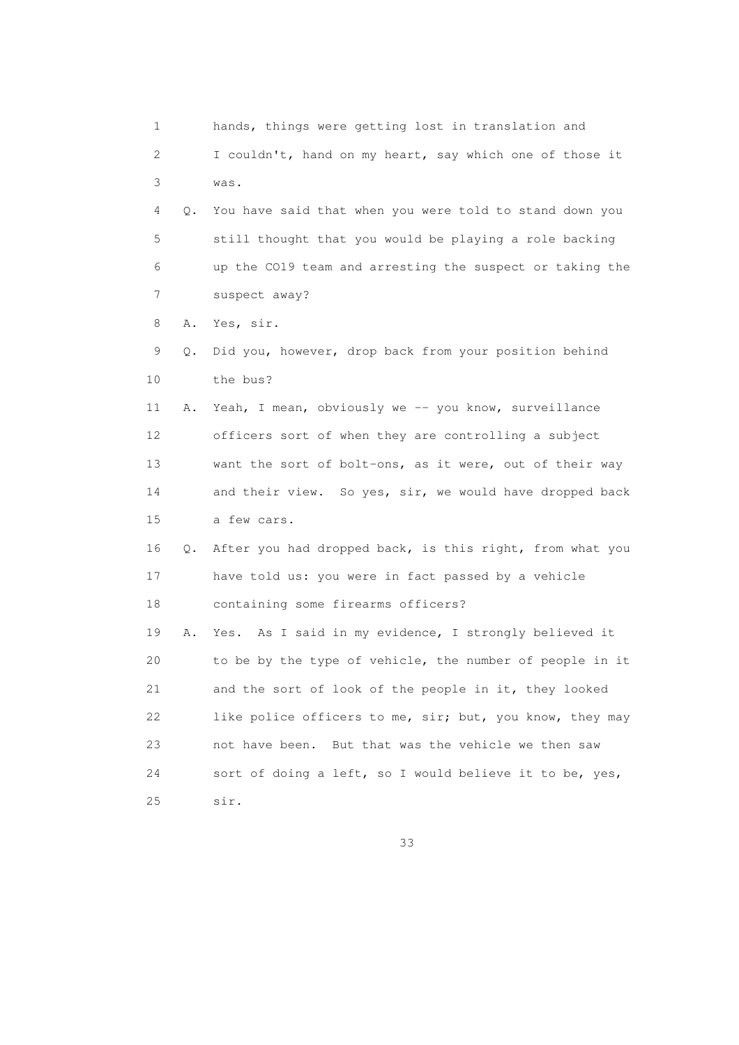1 hands, things were getting lost in translation and 2 I couldn't, hand on my heart, say which one of those it 3 was. 4 Q. You have said that when you were told to stand down you 5 still thought that you would be playing a role backing 6 up the CO19 team and arresting the suspect or taking the 7 suspect away? 8 A. Yes, sir. 9 Q. Did you, however, drop back from your position behind 10 the bus? 11 A. Yeah, I mean, obviously we -- you know, surveillance 12 officers sort of when they are controlling a subject 13 want the sort of bolt-ons, as it were, out of their way 14 and their view. So yes, sir, we would have dropped back 15 a few cars. 16 Q. After you had dropped back, is this right, from what you 17 have told us: you were in fact passed by a vehicle 18 containing some firearms officers? 19 A. Yes. As I said in my evidence, I strongly believed it 20 to be by the type of vehicle, the number of people in it 21 and the sort of look of the people in it, they looked 22 like police officers to me, sir; but, you know, they may 23 not have been. But that was the vehicle we then saw 24 sort of doing a left, so I would believe it to be, yes, 25 sir.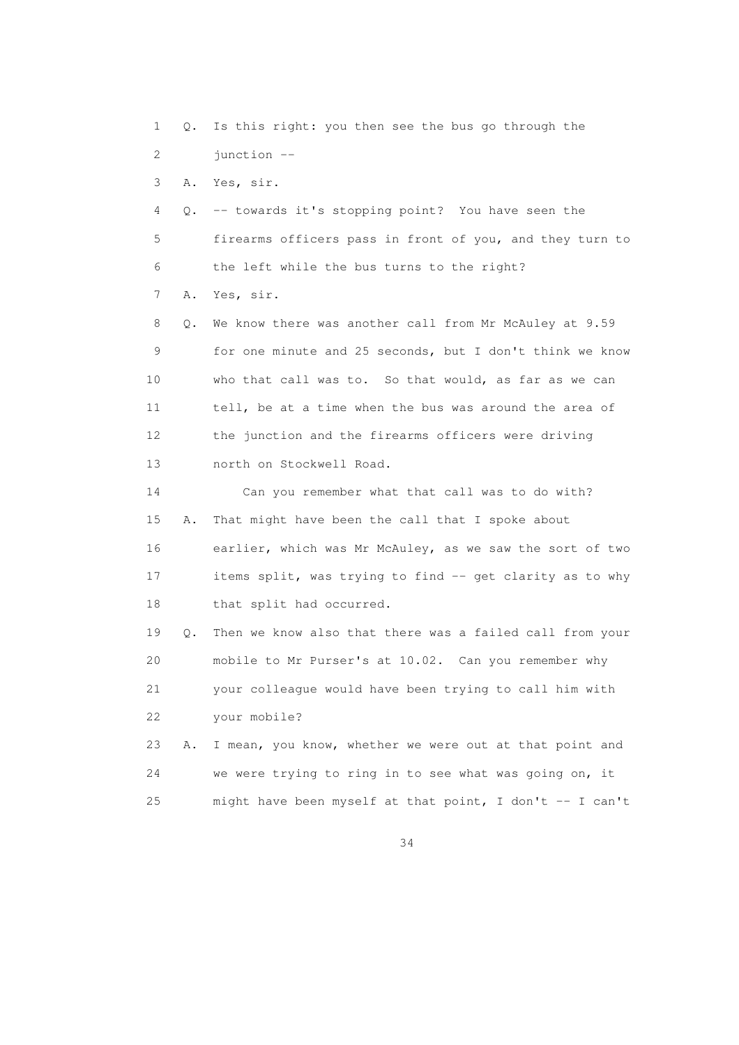1 Q. Is this right: you then see the bus go through the 2 junction --

3 A. Yes, sir.

 4 Q. -- towards it's stopping point? You have seen the 5 firearms officers pass in front of you, and they turn to 6 the left while the bus turns to the right? 7 A. Yes, sir.

 8 Q. We know there was another call from Mr McAuley at 9.59 9 for one minute and 25 seconds, but I don't think we know 10 who that call was to. So that would, as far as we can 11 tell, be at a time when the bus was around the area of 12 the junction and the firearms officers were driving 13 north on Stockwell Road.

 14 Can you remember what that call was to do with? 15 A. That might have been the call that I spoke about 16 earlier, which was Mr McAuley, as we saw the sort of two 17 items split, was trying to find -- get clarity as to why 18 that split had occurred.

 19 Q. Then we know also that there was a failed call from your 20 mobile to Mr Purser's at 10.02. Can you remember why 21 your colleague would have been trying to call him with 22 your mobile?

 23 A. I mean, you know, whether we were out at that point and 24 we were trying to ring in to see what was going on, it 25 might have been myself at that point, I don't -- I can't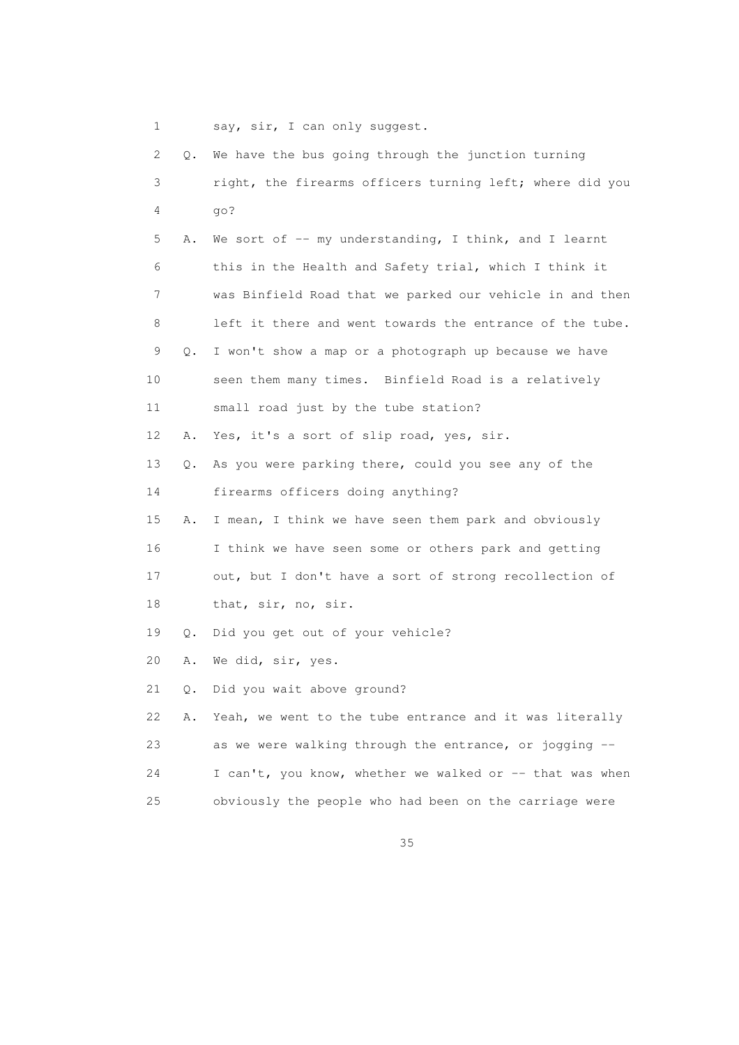```
1 say, sir, I can only suggest.
```

| 2  |    | Q. We have the bus going through the junction turning    |
|----|----|----------------------------------------------------------|
| 3  |    | right, the firearms officers turning left; where did you |
| 4  |    | go?                                                      |
| 5  | Α. | We sort of $-$ my understanding, I think, and I learnt   |
| 6  |    | this in the Health and Safety trial, which I think it    |
| 7  |    | was Binfield Road that we parked our vehicle in and then |
| 8  |    | left it there and went towards the entrance of the tube. |
| 9  | Q. | I won't show a map or a photograph up because we have    |
| 10 |    | seen them many times. Binfield Road is a relatively      |
| 11 |    | small road just by the tube station?                     |
| 12 | Α. | Yes, it's a sort of slip road, yes, sir.                 |
| 13 | Q. | As you were parking there, could you see any of the      |
| 14 |    | firearms officers doing anything?                        |
| 15 | Α. | I mean, I think we have seen them park and obviously     |
| 16 |    | I think we have seen some or others park and getting     |
| 17 |    | out, but I don't have a sort of strong recollection of   |
| 18 |    | that, sir, no, sir.                                      |
| 19 | Q. | Did you get out of your vehicle?                         |
| 20 | Α. | We did, sir, yes.                                        |
| 21 | Q. | Did you wait above ground?                               |
| 22 | Α. | Yeah, we went to the tube entrance and it was literally  |
| 23 |    | as we were walking through the entrance, or jogging --   |
| 24 |    | I can't, you know, whether we walked or -- that was when |
| 25 |    | obviously the people who had been on the carriage were   |

<u>35 and 200 million and 200 million and 200 million and 200 million and 200 million and 200 million and 200 million and 200 million and 200 million and 200 million and 200 million and 200 million and 200 million and 200 mi</u>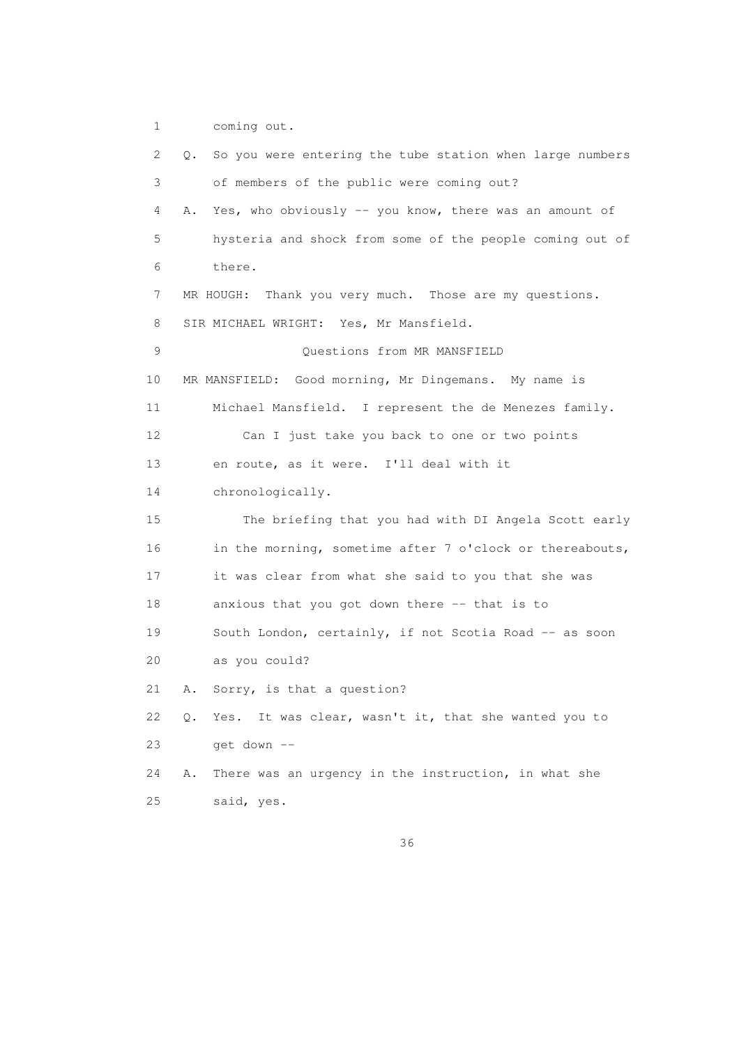1 coming out.

 2 Q. So you were entering the tube station when large numbers 3 of members of the public were coming out? 4 A. Yes, who obviously -- you know, there was an amount of 5 hysteria and shock from some of the people coming out of 6 there. 7 MR HOUGH: Thank you very much. Those are my questions. 8 SIR MICHAEL WRIGHT: Yes, Mr Mansfield. 9 Questions from MR MANSFIELD 10 MR MANSFIELD: Good morning, Mr Dingemans. My name is 11 Michael Mansfield. I represent the de Menezes family. 12 Can I just take you back to one or two points 13 en route, as it were. I'll deal with it 14 chronologically. 15 The briefing that you had with DI Angela Scott early 16 in the morning, sometime after 7 o'clock or thereabouts, 17 it was clear from what she said to you that she was 18 anxious that you got down there -- that is to 19 South London, certainly, if not Scotia Road -- as soon 20 as you could? 21 A. Sorry, is that a question? 22 Q. Yes. It was clear, wasn't it, that she wanted you to 23 get down -- 24 A. There was an urgency in the instruction, in what she 25 said, yes.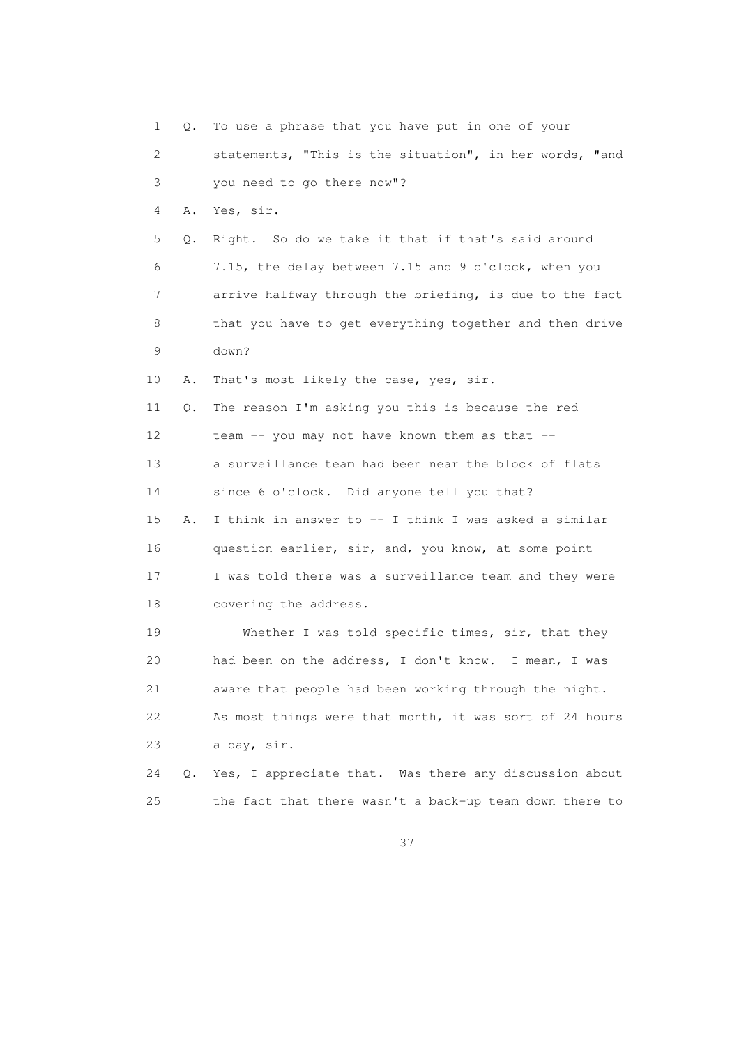1 Q. To use a phrase that you have put in one of your 2 statements, "This is the situation", in her words, "and 3 you need to go there now"? 4 A. Yes, sir. 5 Q. Right. So do we take it that if that's said around 6 7.15, the delay between 7.15 and 9 o'clock, when you 7 arrive halfway through the briefing, is due to the fact 8 that you have to get everything together and then drive 9 down? 10 A. That's most likely the case, yes, sir. 11 Q. The reason I'm asking you this is because the red 12 team -- you may not have known them as that -- 13 a surveillance team had been near the block of flats 14 since 6 o'clock. Did anyone tell you that? 15 A. I think in answer to -- I think I was asked a similar 16 question earlier, sir, and, you know, at some point 17 I was told there was a surveillance team and they were 18 covering the address. 19 Whether I was told specific times, sir, that they 20 had been on the address, I don't know. I mean, I was 21 aware that people had been working through the night. 22 As most things were that month, it was sort of 24 hours 23 a day, sir. 24 Q. Yes, I appreciate that. Was there any discussion about 25 the fact that there wasn't a back-up team down there to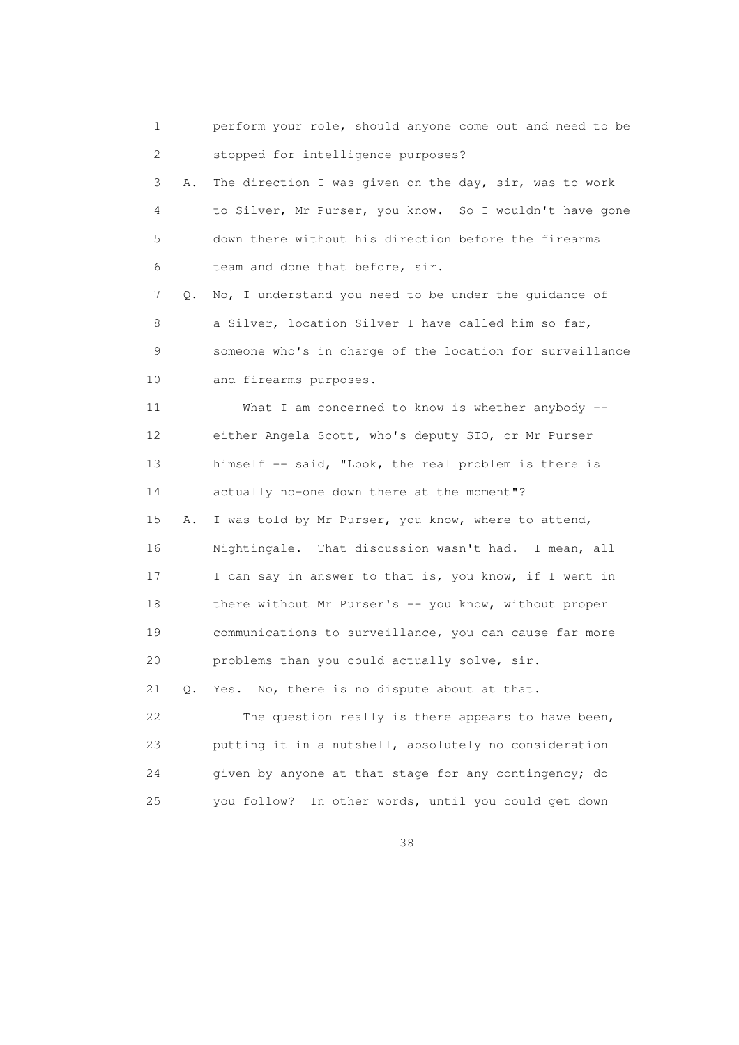1 perform your role, should anyone come out and need to be 2 stopped for intelligence purposes? 3 A. The direction I was given on the day, sir, was to work 4 to Silver, Mr Purser, you know. So I wouldn't have gone 5 down there without his direction before the firearms 6 team and done that before, sir. 7 Q. No, I understand you need to be under the guidance of 8 a Silver, location Silver I have called him so far, 9 someone who's in charge of the location for surveillance 10 and firearms purposes. 11 What I am concerned to know is whether anybody -- 12 either Angela Scott, who's deputy SIO, or Mr Purser 13 himself -- said, "Look, the real problem is there is 14 actually no-one down there at the moment"? 15 A. I was told by Mr Purser, you know, where to attend, 16 Nightingale. That discussion wasn't had. I mean, all 17 I can say in answer to that is, you know, if I went in 18 there without Mr Purser's -- you know, without proper 19 communications to surveillance, you can cause far more 20 problems than you could actually solve, sir. 21 Q. Yes. No, there is no dispute about at that. 22 The question really is there appears to have been, 23 putting it in a nutshell, absolutely no consideration 24 given by anyone at that stage for any contingency; do 25 you follow? In other words, until you could get down

<u>38 and 38 and 38 and 38 and 38 and 38 and 38 and 38 and 38 and 38 and 38 and 38 and 38 and 38 and 38 and 38 and 38 and 38 and 38 and 38 and 38 and 38 and 38 and 38 and 38 and 38 and 38 and 38 and 38 and 38 and 38 and 38 a</u>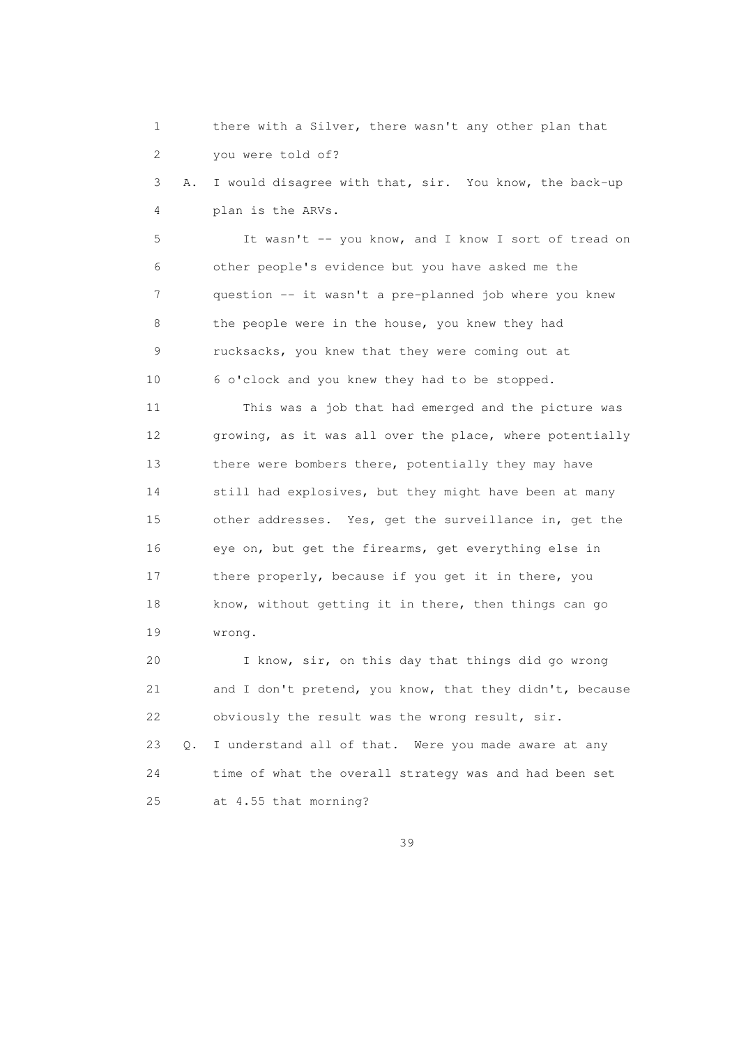1 there with a Silver, there wasn't any other plan that 2 you were told of?

 3 A. I would disagree with that, sir. You know, the back-up 4 plan is the ARVs.

 5 It wasn't -- you know, and I know I sort of tread on 6 other people's evidence but you have asked me the 7 question -- it wasn't a pre-planned job where you knew 8 the people were in the house, you knew they had 9 rucksacks, you knew that they were coming out at 10 6 o'clock and you knew they had to be stopped.

 11 This was a job that had emerged and the picture was 12 growing, as it was all over the place, where potentially 13 there were bombers there, potentially they may have 14 still had explosives, but they might have been at many 15 other addresses. Yes, get the surveillance in, get the 16 eye on, but get the firearms, get everything else in 17 there properly, because if you get it in there, you 18 know, without getting it in there, then things can go 19 wrong.

 20 I know, sir, on this day that things did go wrong 21 and I don't pretend, you know, that they didn't, because 22 obviously the result was the wrong result, sir.

 23 Q. I understand all of that. Were you made aware at any 24 time of what the overall strategy was and had been set 25 at 4.55 that morning?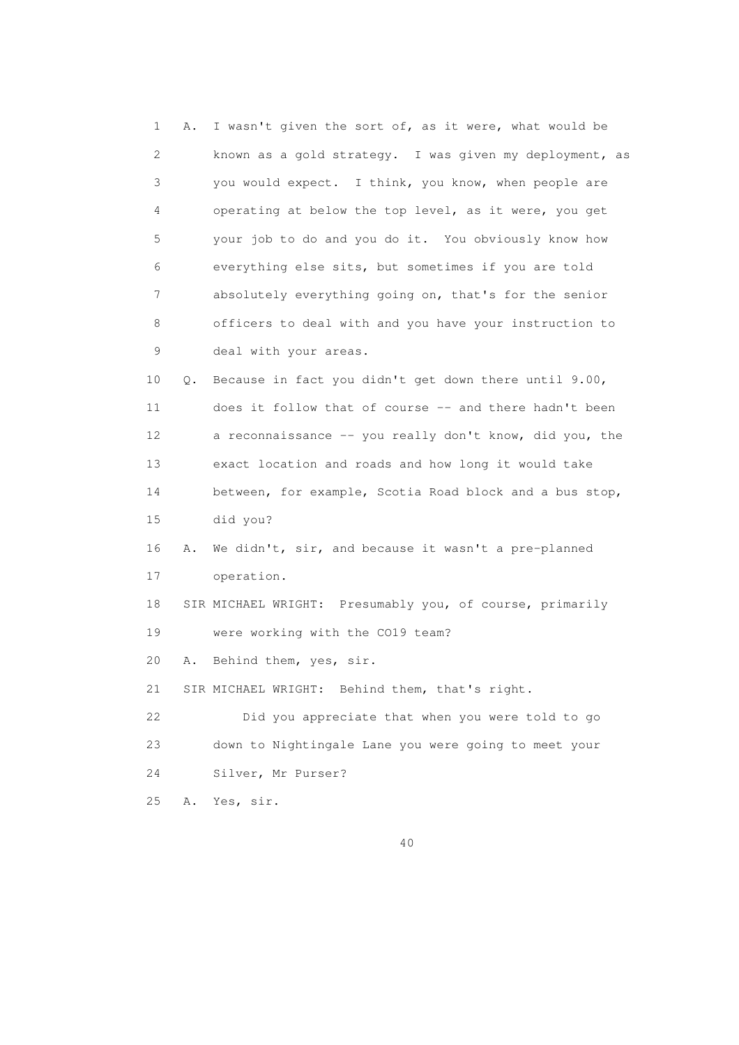1 A. I wasn't given the sort of, as it were, what would be 2 known as a gold strategy. I was given my deployment, as 3 you would expect. I think, you know, when people are 4 operating at below the top level, as it were, you get 5 your job to do and you do it. You obviously know how 6 everything else sits, but sometimes if you are told 7 absolutely everything going on, that's for the senior 8 officers to deal with and you have your instruction to 9 deal with your areas. 10 Q. Because in fact you didn't get down there until 9.00, 11 does it follow that of course -- and there hadn't been 12 a reconnaissance -- you really don't know, did you, the 13 exact location and roads and how long it would take 14 between, for example, Scotia Road block and a bus stop, 15 did you? 16 A. We didn't, sir, and because it wasn't a pre-planned 17 operation. 18 SIR MICHAEL WRIGHT: Presumably you, of course, primarily 19 were working with the CO19 team? 20 A. Behind them, yes, sir. 21 SIR MICHAEL WRIGHT: Behind them, that's right. 22 Did you appreciate that when you were told to go 23 down to Nightingale Lane you were going to meet your 24 Silver, Mr Purser? 25 A. Yes, sir.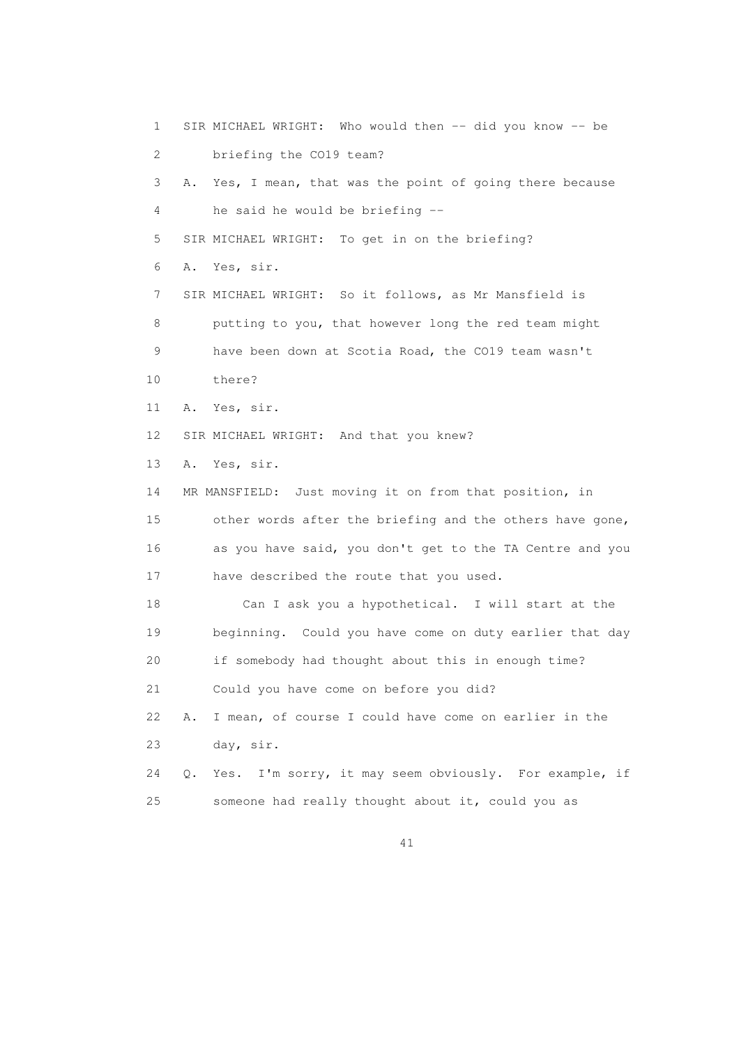1 SIR MICHAEL WRIGHT: Who would then -- did you know -- be 2 briefing the CO19 team? 3 A. Yes, I mean, that was the point of going there because 4 he said he would be briefing -- 5 SIR MICHAEL WRIGHT: To get in on the briefing? 6 A. Yes, sir. 7 SIR MICHAEL WRIGHT: So it follows, as Mr Mansfield is 8 putting to you, that however long the red team might 9 have been down at Scotia Road, the CO19 team wasn't 10 there? 11 A. Yes, sir. 12 SIR MICHAEL WRIGHT: And that you knew? 13 A. Yes, sir. 14 MR MANSFIELD: Just moving it on from that position, in 15 other words after the briefing and the others have gone, 16 as you have said, you don't get to the TA Centre and you 17 have described the route that you used. 18 Can I ask you a hypothetical. I will start at the 19 beginning. Could you have come on duty earlier that day 20 if somebody had thought about this in enough time? 21 Could you have come on before you did? 22 A. I mean, of course I could have come on earlier in the 23 day, sir. 24 Q. Yes. I'm sorry, it may seem obviously. For example, if 25 someone had really thought about it, could you as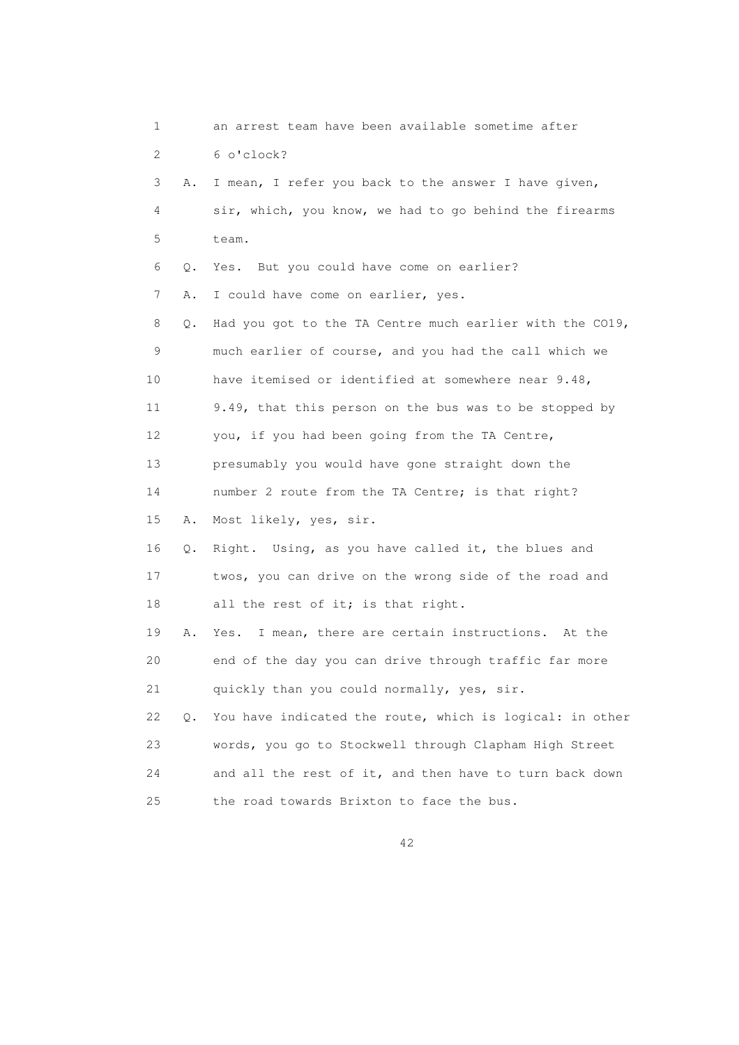| 1  |           | an arrest team have been available sometime after        |
|----|-----------|----------------------------------------------------------|
| 2  |           | 6 o'clock?                                               |
| 3  | Α.        | I mean, I refer you back to the answer I have given,     |
| 4  |           | sir, which, you know, we had to go behind the firearms   |
| 5  |           | team.                                                    |
| 6  | Q.        | Yes. But you could have come on earlier?                 |
| 7  | Α.        | I could have come on earlier, yes.                       |
| 8  | Q.        | Had you got to the TA Centre much earlier with the CO19, |
| 9  |           | much earlier of course, and you had the call which we    |
| 10 |           | have itemised or identified at somewhere near 9.48,      |
| 11 |           | 9.49, that this person on the bus was to be stopped by   |
| 12 |           | you, if you had been going from the TA Centre,           |
| 13 |           | presumably you would have gone straight down the         |
| 14 |           | number 2 route from the TA Centre; is that right?        |
| 15 | Α.        | Most likely, yes, sir.                                   |
| 16 | Q.        | Right. Using, as you have called it, the blues and       |
| 17 |           | twos, you can drive on the wrong side of the road and    |
| 18 |           | all the rest of it; is that right.                       |
| 19 | Α.        | I mean, there are certain instructions. At the<br>Yes.   |
| 20 |           | end of the day you can drive through traffic far more    |
| 21 |           | quickly than you could normally, yes, sir.               |
| 22 | $\circ$ . | You have indicated the route, which is logical: in other |
| 23 |           | words, you go to Stockwell through Clapham High Street   |
| 24 |           | and all the rest of it, and then have to turn back down  |
| 25 |           | the road towards Brixton to face the bus.                |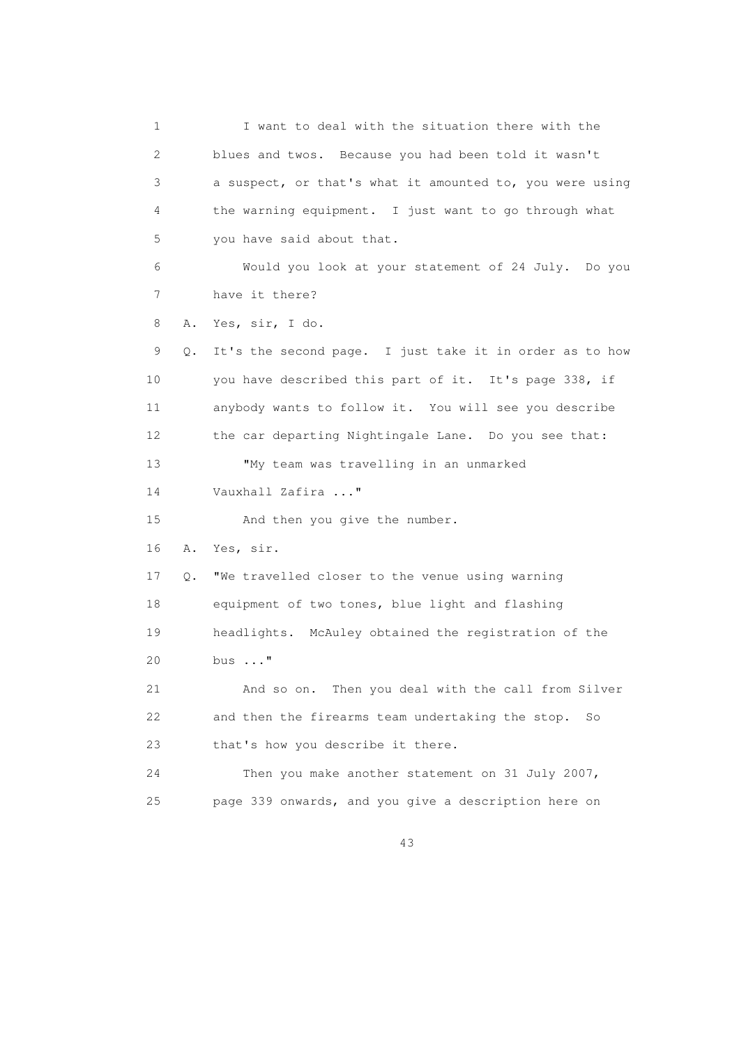1 I want to deal with the situation there with the 2 blues and twos. Because you had been told it wasn't 3 a suspect, or that's what it amounted to, you were using 4 the warning equipment. I just want to go through what 5 you have said about that. 6 Would you look at your statement of 24 July. Do you 7 have it there? 8 A. Yes, sir, I do. 9 Q. It's the second page. I just take it in order as to how 10 you have described this part of it. It's page 338, if 11 anybody wants to follow it. You will see you describe 12 the car departing Nightingale Lane. Do you see that: 13 "My team was travelling in an unmarked 14 Vauxhall Zafira ..." 15 And then you give the number. 16 A. Yes, sir. 17 Q. "We travelled closer to the venue using warning 18 equipment of two tones, blue light and flashing 19 headlights. McAuley obtained the registration of the 20 bus ..." 21 And so on. Then you deal with the call from Silver 22 and then the firearms team undertaking the stop. So 23 that's how you describe it there. 24 Then you make another statement on 31 July 2007, 25 page 339 onwards, and you give a description here on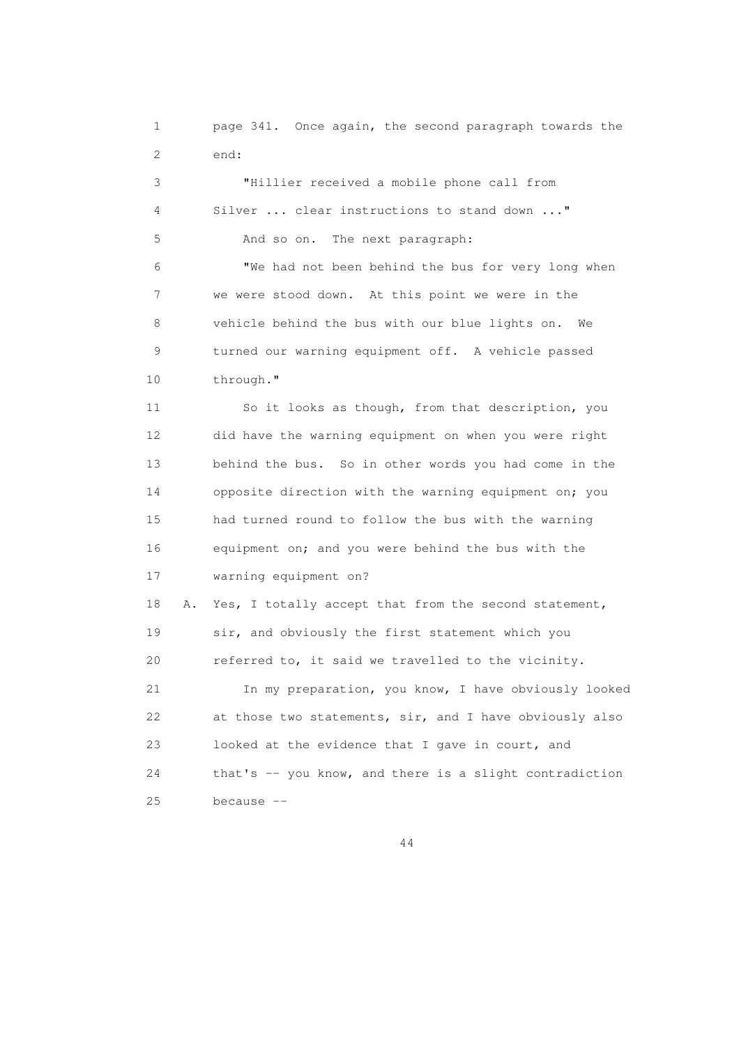1 page 341. Once again, the second paragraph towards the 2 end:

 3 "Hillier received a mobile phone call from 4 Silver ... clear instructions to stand down ..." 5 And so on. The next paragraph: 6 "We had not been behind the bus for very long when 7 we were stood down. At this point we were in the 8 vehicle behind the bus with our blue lights on. We 9 turned our warning equipment off. A vehicle passed 10 through." 11 So it looks as though, from that description, you 12 did have the warning equipment on when you were right 13 behind the bus. So in other words you had come in the 14 opposite direction with the warning equipment on; you 15 had turned round to follow the bus with the warning 16 equipment on; and you were behind the bus with the 17 warning equipment on? 18 A. Yes, I totally accept that from the second statement, 19 sir, and obviously the first statement which you 20 referred to, it said we travelled to the vicinity. 21 In my preparation, you know, I have obviously looked 22 at those two statements, sir, and I have obviously also 23 looked at the evidence that I gave in court, and 24 that's -- you know, and there is a slight contradiction

25 because --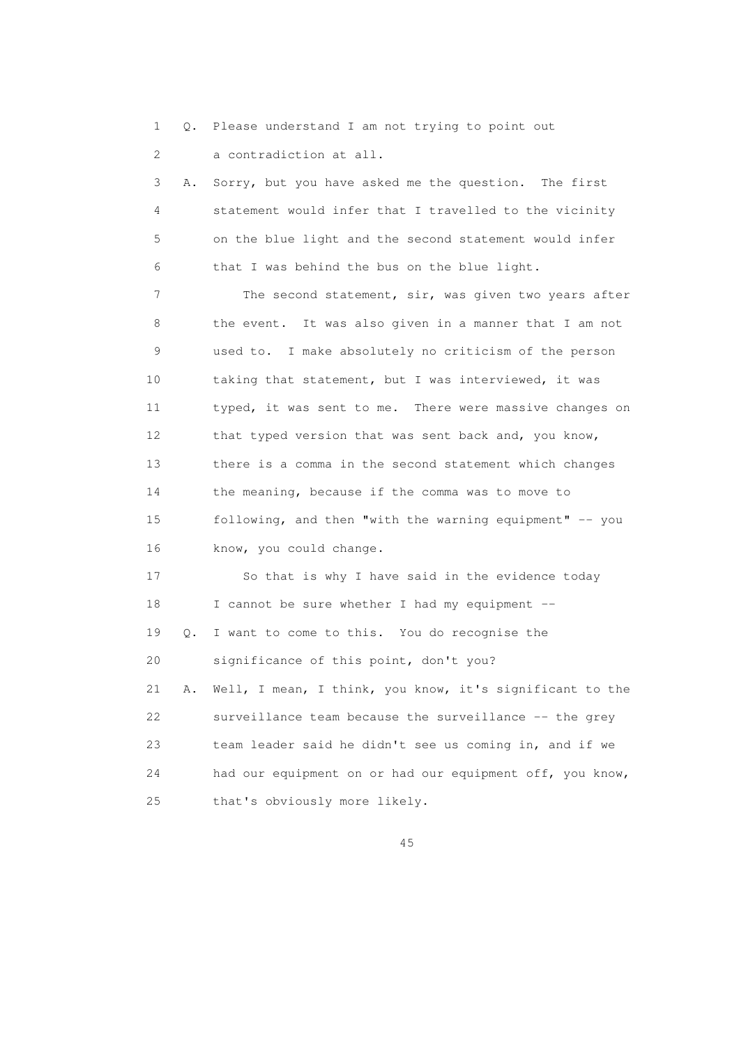1 Q. Please understand I am not trying to point out

2 a contradiction at all.

 3 A. Sorry, but you have asked me the question. The first 4 statement would infer that I travelled to the vicinity 5 on the blue light and the second statement would infer 6 that I was behind the bus on the blue light.

 7 The second statement, sir, was given two years after 8 the event. It was also given in a manner that I am not 9 used to. I make absolutely no criticism of the person 10 taking that statement, but I was interviewed, it was 11 typed, it was sent to me. There were massive changes on 12 that typed version that was sent back and, you know, 13 there is a comma in the second statement which changes 14 the meaning, because if the comma was to move to 15 following, and then "with the warning equipment" -- you 16 know, you could change.

 17 So that is why I have said in the evidence today 18 I cannot be sure whether I had my equipment -- 19 Q. I want to come to this. You do recognise the 20 significance of this point, don't you? 21 A. Well, I mean, I think, you know, it's significant to the 22 surveillance team because the surveillance -- the grey 23 team leader said he didn't see us coming in, and if we 24 had our equipment on or had our equipment off, you know,

25 that's obviously more likely.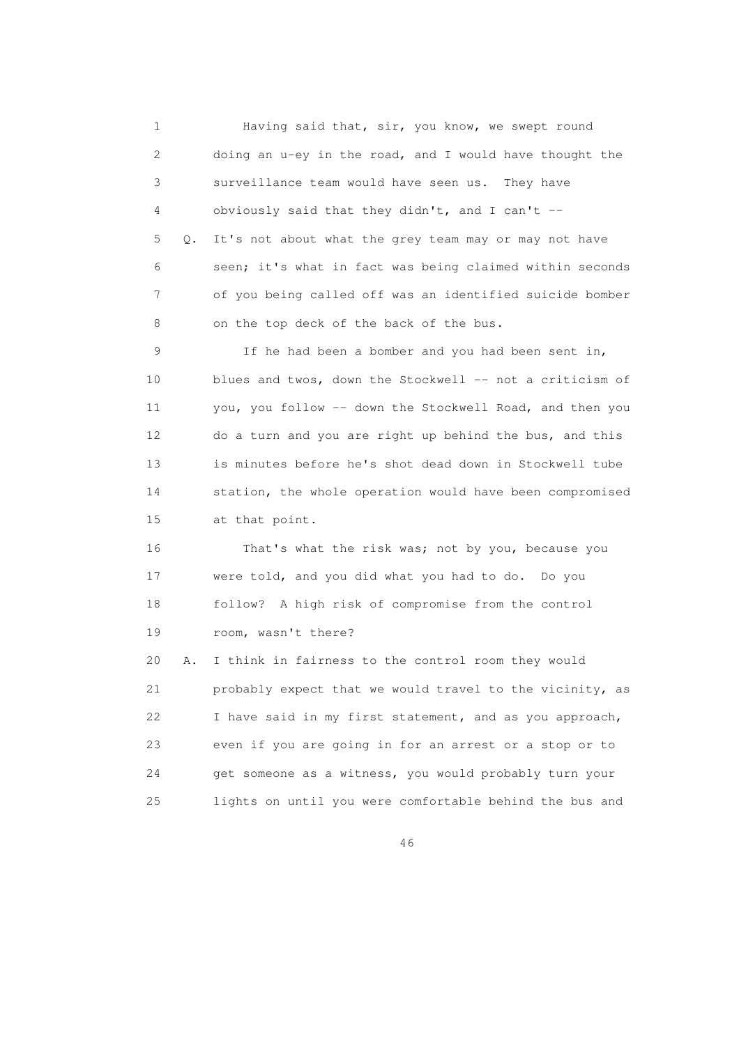1 Having said that, sir, you know, we swept round 2 doing an u-ey in the road, and I would have thought the 3 surveillance team would have seen us. They have 4 obviously said that they didn't, and I can't -- 5 Q. It's not about what the grey team may or may not have 6 seen; it's what in fact was being claimed within seconds 7 of you being called off was an identified suicide bomber 8 on the top deck of the back of the bus. 9 If he had been a bomber and you had been sent in, 10 blues and twos, down the Stockwell -- not a criticism of 11 you, you follow -- down the Stockwell Road, and then you 12 do a turn and you are right up behind the bus, and this 13 is minutes before he's shot dead down in Stockwell tube 14 station, the whole operation would have been compromised 15 at that point. 16 That's what the risk was; not by you, because you 17 were told, and you did what you had to do. Do you 18 follow? A high risk of compromise from the control 19 room, wasn't there? 20 A. I think in fairness to the control room they would 21 probably expect that we would travel to the vicinity, as 22 I have said in my first statement, and as you approach, 23 even if you are going in for an arrest or a stop or to 24 get someone as a witness, you would probably turn your 25 lights on until you were comfortable behind the bus and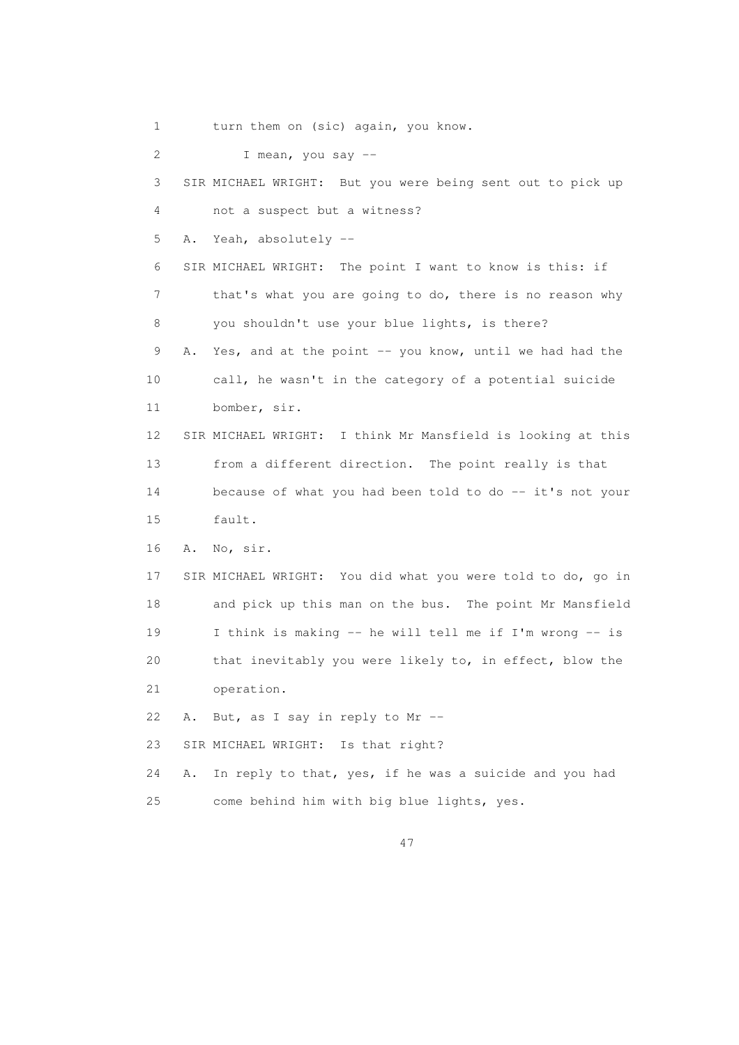1 turn them on (sic) again, you know.

2 I mean, you say --

 3 SIR MICHAEL WRIGHT: But you were being sent out to pick up 4 not a suspect but a witness? 5 A. Yeah, absolutely -- 6 SIR MICHAEL WRIGHT: The point I want to know is this: if 7 that's what you are going to do, there is no reason why 8 you shouldn't use your blue lights, is there? 9 A. Yes, and at the point -- you know, until we had had the 10 call, he wasn't in the category of a potential suicide 11 bomber, sir. 12 SIR MICHAEL WRIGHT: I think Mr Mansfield is looking at this 13 from a different direction. The point really is that 14 because of what you had been told to do -- it's not your 15 fault. 16 A. No, sir. 17 SIR MICHAEL WRIGHT: You did what you were told to do, go in 18 and pick up this man on the bus. The point Mr Mansfield 19 I think is making -- he will tell me if I'm wrong -- is 20 that inevitably you were likely to, in effect, blow the 21 operation. 22 A. But, as I say in reply to Mr -- 23 SIR MICHAEL WRIGHT: Is that right? 24 A. In reply to that, yes, if he was a suicide and you had 25 come behind him with big blue lights, yes.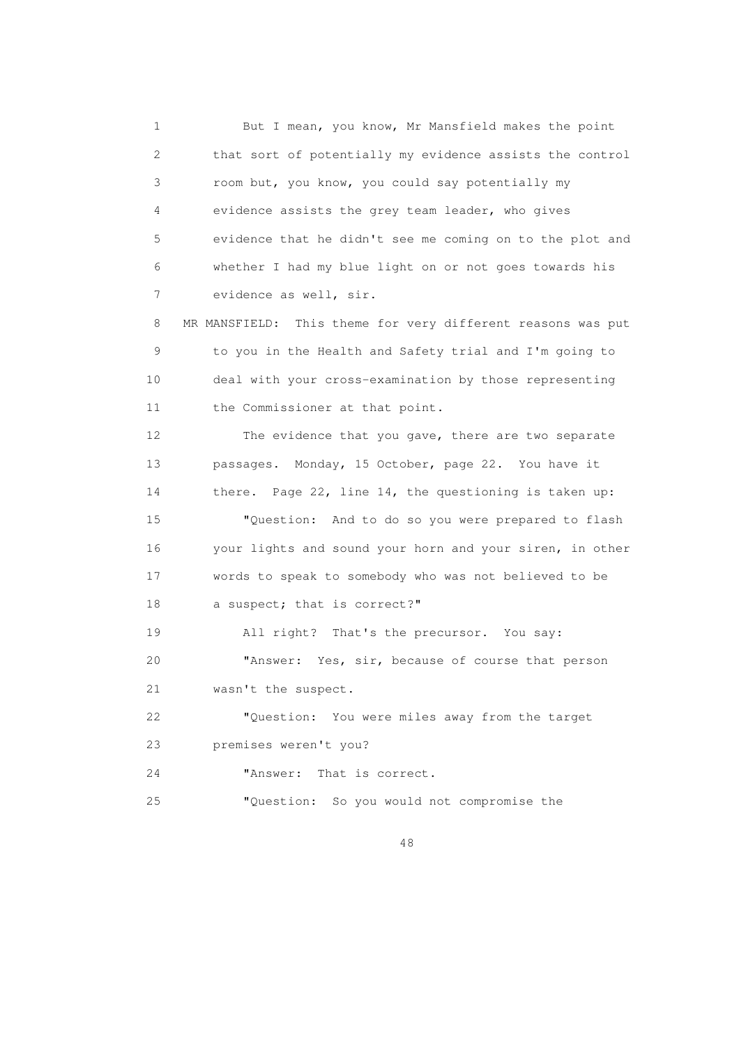1 But I mean, you know, Mr Mansfield makes the point 2 that sort of potentially my evidence assists the control 3 room but, you know, you could say potentially my 4 evidence assists the grey team leader, who gives 5 evidence that he didn't see me coming on to the plot and 6 whether I had my blue light on or not goes towards his 7 evidence as well, sir. 8 MR MANSFIELD: This theme for very different reasons was put 9 to you in the Health and Safety trial and I'm going to 10 deal with your cross-examination by those representing 11 the Commissioner at that point. 12 The evidence that you gave, there are two separate 13 passages. Monday, 15 October, page 22. You have it 14 there. Page 22, line 14, the questioning is taken up: 15 "Question: And to do so you were prepared to flash 16 your lights and sound your horn and your siren, in other 17 words to speak to somebody who was not believed to be 18 a suspect; that is correct?" 19 All right? That's the precursor. You say: 20 "Answer: Yes, sir, because of course that person 21 wasn't the suspect. 22 "Question: You were miles away from the target 23 premises weren't you? 24 "Answer: That is correct. 25 "Question: So you would not compromise the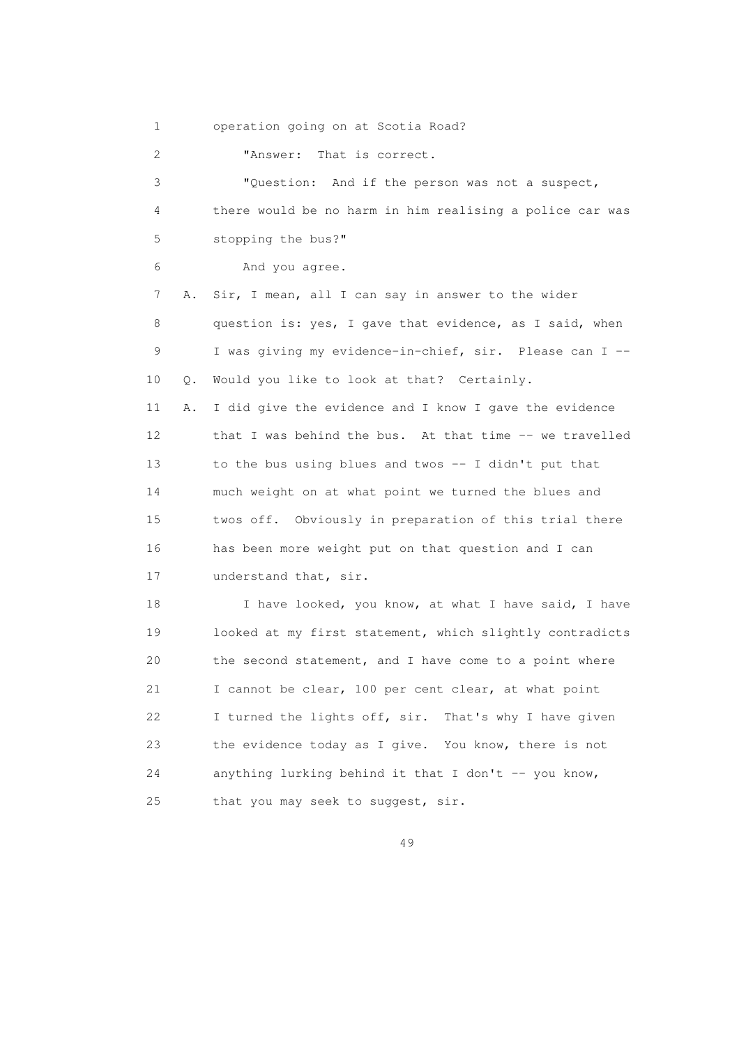1 operation going on at Scotia Road?

2 **"Answer:** That is correct.

 3 "Question: And if the person was not a suspect, 4 there would be no harm in him realising a police car was 5 stopping the bus?" 6 And you agree. 7 A. Sir, I mean, all I can say in answer to the wider 8 question is: yes, I gave that evidence, as I said, when 9 I was giving my evidence-in-chief, sir. Please can I -- 10 Q. Would you like to look at that? Certainly. 11 A. I did give the evidence and I know I gave the evidence 12 that I was behind the bus. At that time -- we travelled 13 to the bus using blues and twos -- I didn't put that 14 much weight on at what point we turned the blues and 15 twos off. Obviously in preparation of this trial there 16 has been more weight put on that question and I can 17 understand that, sir. 18 I have looked, you know, at what I have said, I have 19 looked at my first statement, which slightly contradicts 20 the second statement, and I have come to a point where 21 I cannot be clear, 100 per cent clear, at what point 22 I turned the lights off, sir. That's why I have given 23 the evidence today as I give. You know, there is not 24 anything lurking behind it that I don't -- you know,

49

25 that you may seek to suggest, sir.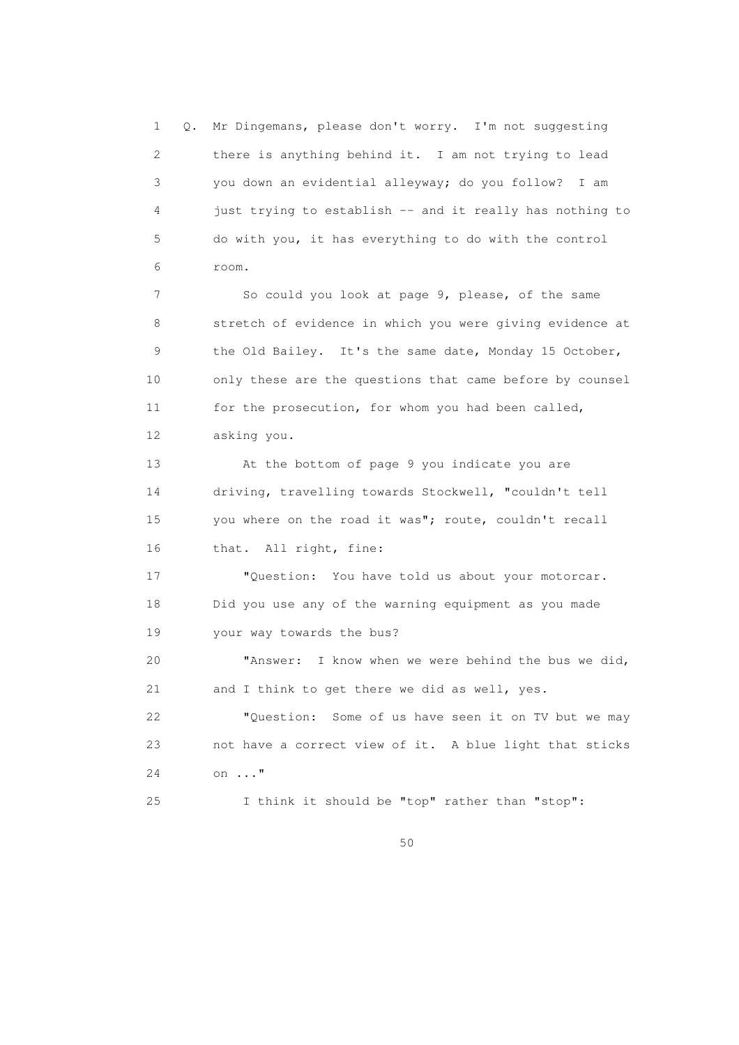1 Q. Mr Dingemans, please don't worry. I'm not suggesting 2 there is anything behind it. I am not trying to lead 3 you down an evidential alleyway; do you follow? I am 4 just trying to establish -- and it really has nothing to 5 do with you, it has everything to do with the control 6 room. 7 So could you look at page 9, please, of the same 8 stretch of evidence in which you were giving evidence at 9 the Old Bailey. It's the same date, Monday 15 October, 10 only these are the questions that came before by counsel 11 for the prosecution, for whom you had been called, 12 asking you. 13 At the bottom of page 9 you indicate you are 14 driving, travelling towards Stockwell, "couldn't tell 15 you where on the road it was"; route, couldn't recall 16 that. All right, fine: 17 "Question: You have told us about your motorcar. 18 Did you use any of the warning equipment as you made 19 your way towards the bus? 20 "Answer: I know when we were behind the bus we did, 21 and I think to get there we did as well, yes. 22 "Question: Some of us have seen it on TV but we may 23 not have a correct view of it. A blue light that sticks 24 on ..." 25 I think it should be "top" rather than "stop":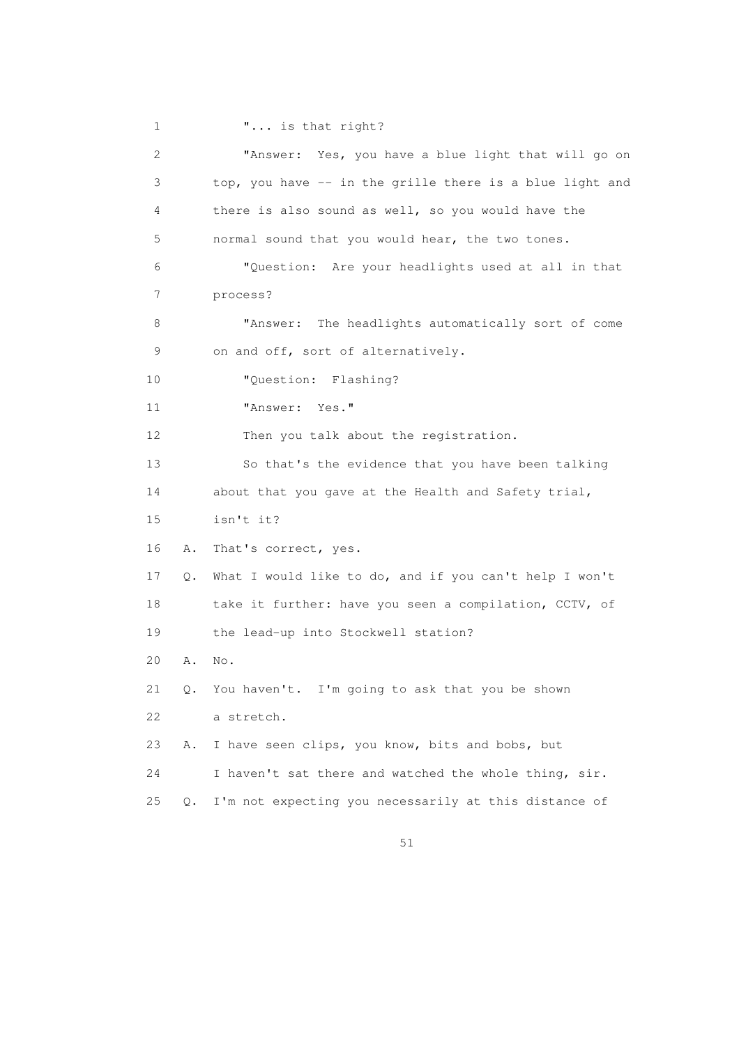1 **"...** is that right? 2 "Answer: Yes, you have a blue light that will go on 3 top, you have -- in the grille there is a blue light and 4 there is also sound as well, so you would have the 5 normal sound that you would hear, the two tones. 6 "Question: Are your headlights used at all in that 7 process? 8 "Answer: The headlights automatically sort of come 9 on and off, sort of alternatively. 10 "Question: Flashing? 11 "Answer: Yes." 12 Then you talk about the registration. 13 So that's the evidence that you have been talking 14 about that you gave at the Health and Safety trial, 15 isn't it? 16 A. That's correct, yes. 17 Q. What I would like to do, and if you can't help I won't 18 take it further: have you seen a compilation, CCTV, of 19 the lead-up into Stockwell station? 20 A. No. 21 Q. You haven't. I'm going to ask that you be shown 22 a stretch. 23 A. I have seen clips, you know, bits and bobs, but 24 I haven't sat there and watched the whole thing, sir. 25 Q. I'm not expecting you necessarily at this distance of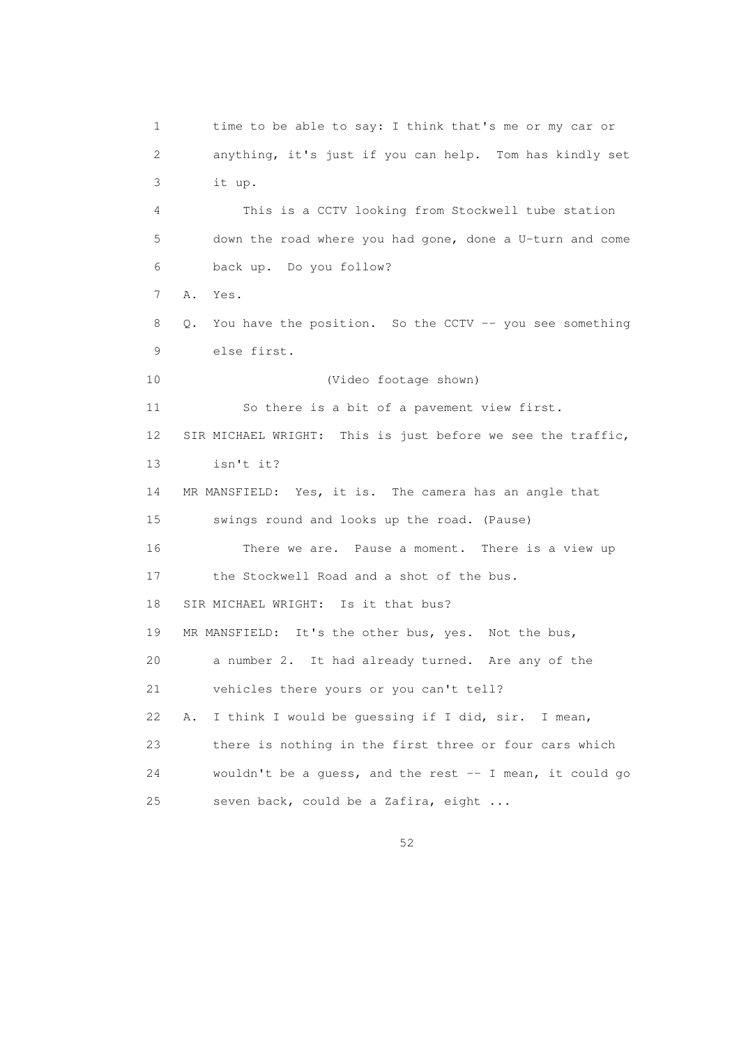1 time to be able to say: I think that's me or my car or 2 anything, it's just if you can help. Tom has kindly set 3 it up. 4 This is a CCTV looking from Stockwell tube station 5 down the road where you had gone, done a U-turn and come 6 back up. Do you follow? 7 A. Yes. 8 Q. You have the position. So the CCTV -- you see something 9 else first. 10 (Video footage shown) 11 So there is a bit of a pavement view first. 12 SIR MICHAEL WRIGHT: This is just before we see the traffic, 13 isn't it? 14 MR MANSFIELD: Yes, it is. The camera has an angle that 15 swings round and looks up the road. (Pause) 16 There we are. Pause a moment. There is a view up 17 the Stockwell Road and a shot of the bus. 18 SIR MICHAEL WRIGHT: Is it that bus? 19 MR MANSFIELD: It's the other bus, yes. Not the bus, 20 a number 2. It had already turned. Are any of the 21 vehicles there yours or you can't tell? 22 A. I think I would be guessing if I did, sir. I mean, 23 there is nothing in the first three or four cars which 24 wouldn't be a guess, and the rest -- I mean, it could go 25 seven back, could be a Zafira, eight ...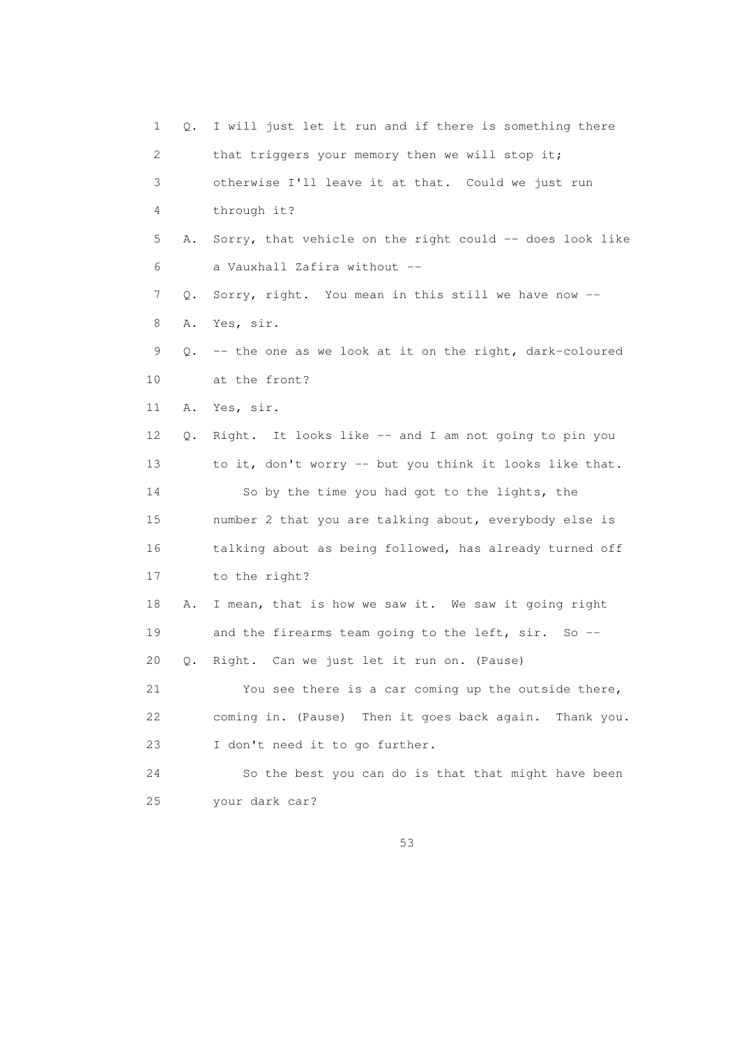1 Q. I will just let it run and if there is something there 2 that triggers your memory then we will stop it; 3 otherwise I'll leave it at that. Could we just run 4 through it? 5 A. Sorry, that vehicle on the right could -- does look like 6 a Vauxhall Zafira without -- 7 Q. Sorry, right. You mean in this still we have now -- 8 A. Yes, sir. 9 Q. -- the one as we look at it on the right, dark-coloured 10 at the front? 11 A. Yes, sir. 12 Q. Right. It looks like -- and I am not going to pin you 13 to it, don't worry -- but you think it looks like that. 14 So by the time you had got to the lights, the 15 number 2 that you are talking about, everybody else is 16 talking about as being followed, has already turned off 17 to the right? 18 A. I mean, that is how we saw it. We saw it going right 19 and the firearms team going to the left, sir. So -- 20 Q. Right. Can we just let it run on. (Pause) 21 You see there is a car coming up the outside there, 22 coming in. (Pause) Then it goes back again. Thank you. 23 I don't need it to go further. 24 So the best you can do is that that might have been 25 your dark car?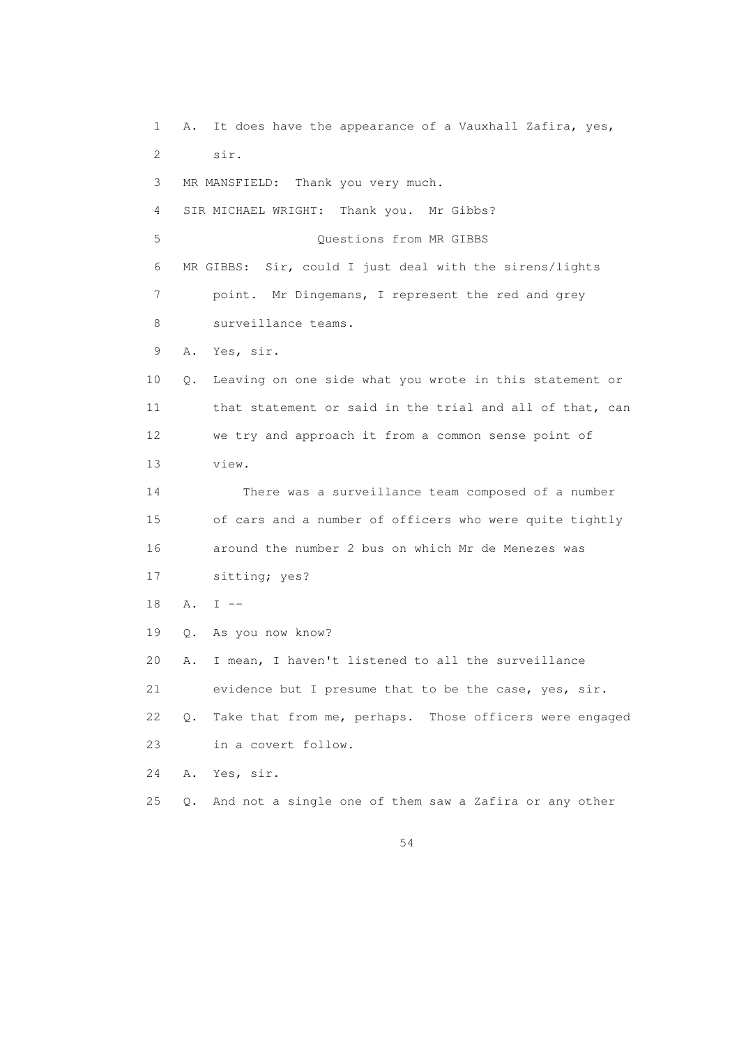1 A. It does have the appearance of a Vauxhall Zafira, yes, 2 sir. 3 MR MANSFIELD: Thank you very much. 4 SIR MICHAEL WRIGHT: Thank you. Mr Gibbs? 5 Questions from MR GIBBS 6 MR GIBBS: Sir, could I just deal with the sirens/lights 7 point. Mr Dingemans, I represent the red and grey 8 surveillance teams. 9 A. Yes, sir. 10 Q. Leaving on one side what you wrote in this statement or 11 that statement or said in the trial and all of that, can 12 we try and approach it from a common sense point of 13 view. 14 There was a surveillance team composed of a number 15 of cars and a number of officers who were quite tightly 16 around the number 2 bus on which Mr de Menezes was 17 sitting; yes? 18 A. I -- 19 Q. As you now know? 20 A. I mean, I haven't listened to all the surveillance 21 evidence but I presume that to be the case, yes, sir. 22 Q. Take that from me, perhaps. Those officers were engaged 23 in a covert follow. 24 A. Yes, sir. 25 Q. And not a single one of them saw a Zafira or any other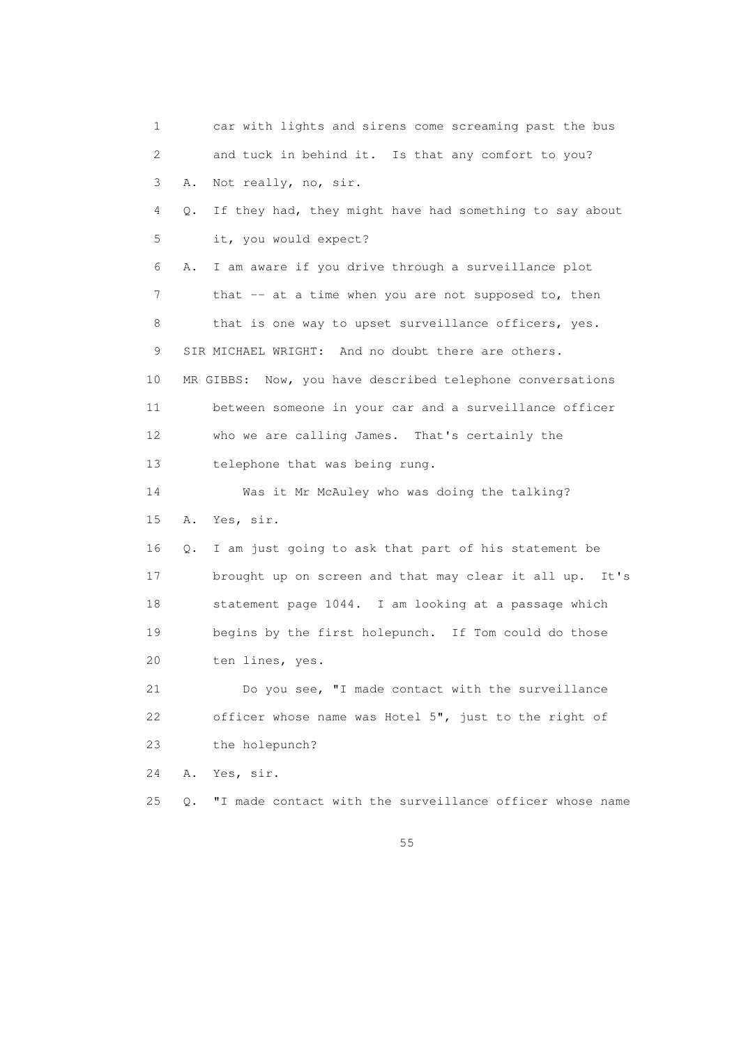1 car with lights and sirens come screaming past the bus 2 and tuck in behind it. Is that any comfort to you? 3 A. Not really, no, sir. 4 Q. If they had, they might have had something to say about 5 it, you would expect? 6 A. I am aware if you drive through a surveillance plot 7 that -- at a time when you are not supposed to, then 8 that is one way to upset surveillance officers, yes. 9 SIR MICHAEL WRIGHT: And no doubt there are others. 10 MR GIBBS: Now, you have described telephone conversations 11 between someone in your car and a surveillance officer 12 who we are calling James. That's certainly the 13 telephone that was being rung. 14 Was it Mr McAuley who was doing the talking? 15 A. Yes, sir. 16 Q. I am just going to ask that part of his statement be 17 brought up on screen and that may clear it all up. It's 18 statement page 1044. I am looking at a passage which 19 begins by the first holepunch. If Tom could do those 20 ten lines, yes. 21 Do you see, "I made contact with the surveillance 22 officer whose name was Hotel 5", just to the right of 23 the holepunch? 24 A. Yes, sir. 25 Q. "I made contact with the surveillance officer whose name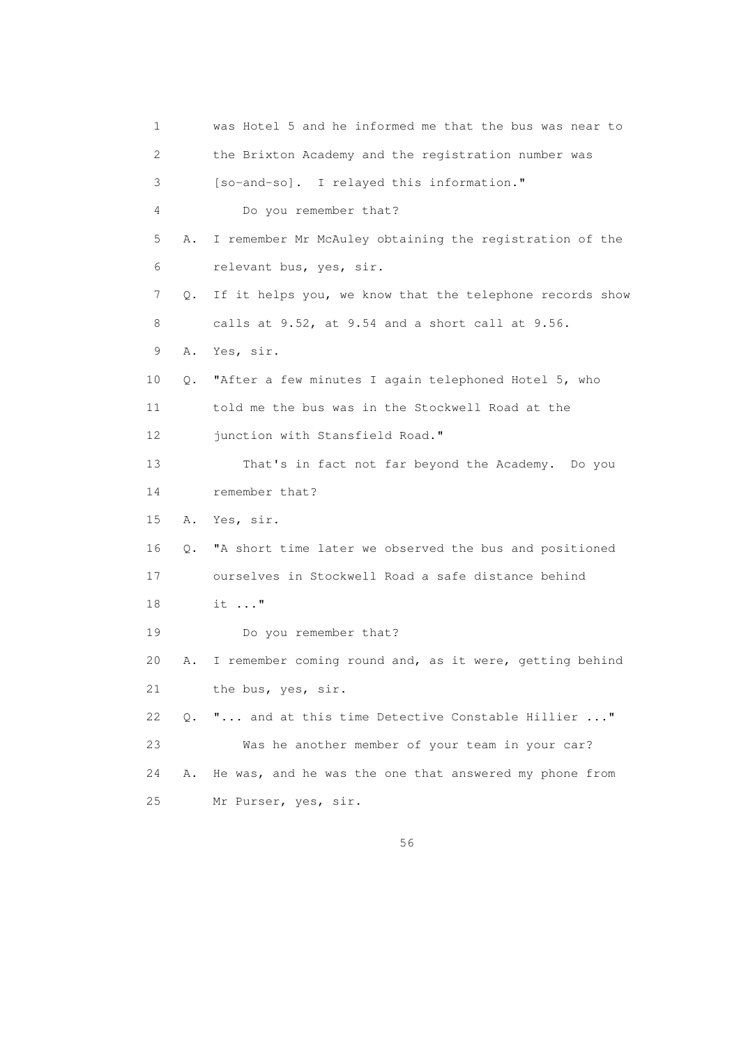| 1  |    | was Hotel 5 and he informed me that the bus was near to  |
|----|----|----------------------------------------------------------|
| 2  |    | the Brixton Academy and the registration number was      |
| 3  |    | [so-and-so]. I relayed this information."                |
| 4  |    | Do you remember that?                                    |
| 5  | Α. | I remember Mr McAuley obtaining the registration of the  |
| 6  |    | relevant bus, yes, sir.                                  |
| 7  | Q. | If it helps you, we know that the telephone records show |
| 8  |    | calls at 9.52, at 9.54 and a short call at 9.56.         |
| 9  | Α. | Yes, sir.                                                |
| 10 | Q. | "After a few minutes I again telephoned Hotel 5, who     |
| 11 |    | told me the bus was in the Stockwell Road at the         |
| 12 |    | junction with Stansfield Road."                          |
| 13 |    | That's in fact not far beyond the Academy. Do you        |
| 14 |    | remember that?                                           |
| 15 | Α. | Yes, sir.                                                |
| 16 | Q. | "A short time later we observed the bus and positioned   |
| 17 |    | ourselves in Stockwell Road a safe distance behind       |
| 18 |    | $it \dots$ "                                             |
| 19 |    | Do you remember that?                                    |
| 20 | Α. | I remember coming round and, as it were, getting behind  |
| 21 |    | the bus, yes, sir.                                       |
| 22 | 0. | " and at this time Detective Constable Hillier "         |
| 23 |    | Was he another member of your team in your car?          |
| 24 | Α. | He was, and he was the one that answered my phone from   |
| 25 |    | Mr Purser, yes, sir.                                     |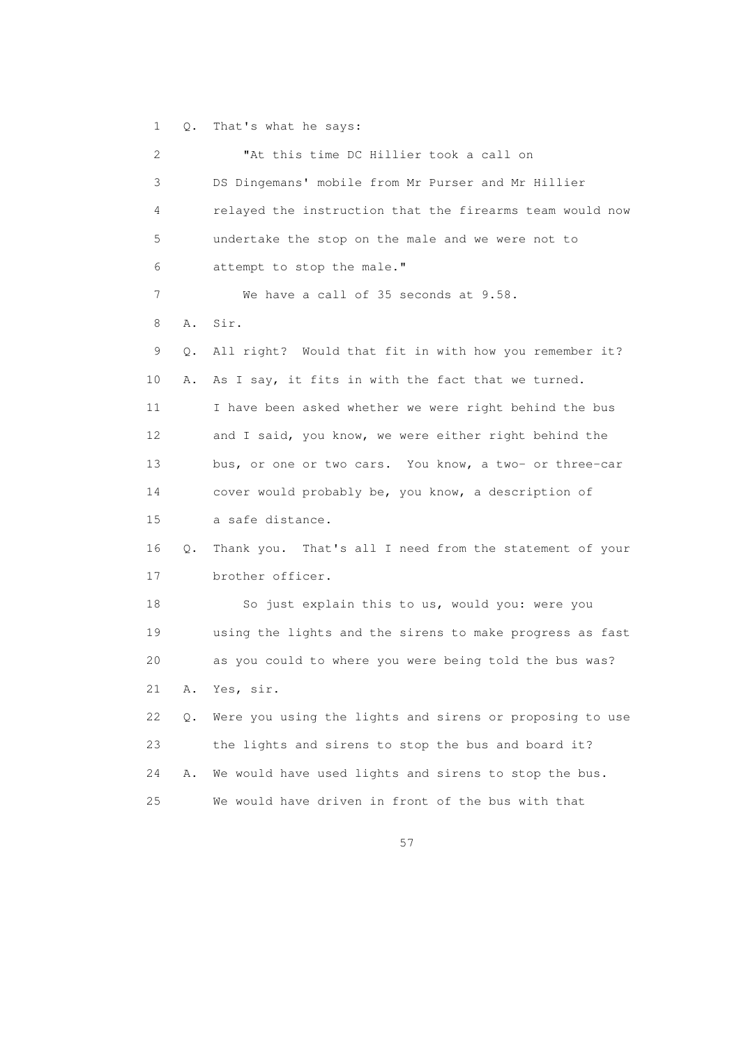1 Q. That's what he says:

```
 2 "At this time DC Hillier took a call on 
3 DS Dingemans' mobile from Mr Purser and Mr Hillier 
4 relayed the instruction that the firearms team would now 
5 undertake the stop on the male and we were not to 
 6 attempt to stop the male." 
7 We have a call of 35 seconds at 9.58. 
8 A. Sir. 
9 Q. All right? Would that fit in with how you remember it? 
10 A. As I say, it fits in with the fact that we turned. 
11 I have been asked whether we were right behind the bus 
12 and I said, you know, we were either right behind the 
13 bus, or one or two cars. You know, a two- or three-car 
14 cover would probably be, you know, a description of 
15 a safe distance. 
16 Q. Thank you. That's all I need from the statement of your 
17 brother officer. 
18 So just explain this to us, would you: were you 
19 using the lights and the sirens to make progress as fast 
20 as you could to where you were being told the bus was? 
21 A. Yes, sir. 
22 Q. Were you using the lights and sirens or proposing to use 
23 the lights and sirens to stop the bus and board it? 
24 A. We would have used lights and sirens to stop the bus. 
25 We would have driven in front of the bus with that
```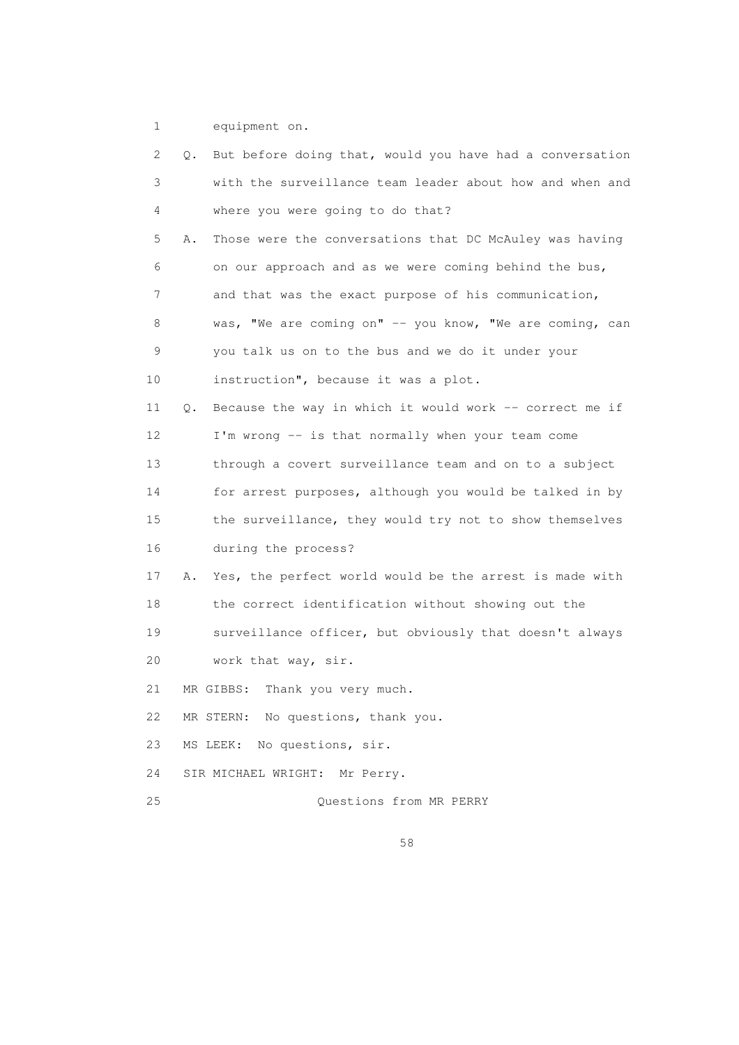1 equipment on.

| 2  | Q. But before doing that, would you have had a conversation   |
|----|---------------------------------------------------------------|
| 3  | with the surveillance team leader about how and when and      |
| 4  | where you were going to do that?                              |
| 5  | Those were the conversations that DC McAuley was having<br>Α. |
| 6  | on our approach and as we were coming behind the bus,         |
| 7  | and that was the exact purpose of his communication,          |
| 8  | was, "We are coming on" -- you know, "We are coming, can      |
| 9  | you talk us on to the bus and we do it under your             |
| 10 | instruction", because it was a plot.                          |
| 11 | Because the way in which it would work -- correct me if<br>Q. |
| 12 | I'm wrong -- is that normally when your team come             |
| 13 | through a covert surveillance team and on to a subject        |
| 14 | for arrest purposes, although you would be talked in by       |
| 15 | the surveillance, they would try not to show themselves       |
| 16 | during the process?                                           |
| 17 | Yes, the perfect world would be the arrest is made with<br>Α. |
| 18 | the correct identification without showing out the            |
| 19 | surveillance officer, but obviously that doesn't always       |
| 20 | work that way, sir.                                           |
| 21 | Thank you very much.<br>MR GIBBS:                             |
| 22 | MR STERN: No questions, thank you.                            |
| 23 | No questions, sir.<br>MS LEEK:                                |
| 24 | SIR MICHAEL WRIGHT:<br>Mr Perry.                              |
| 25 | Questions from MR PERRY                                       |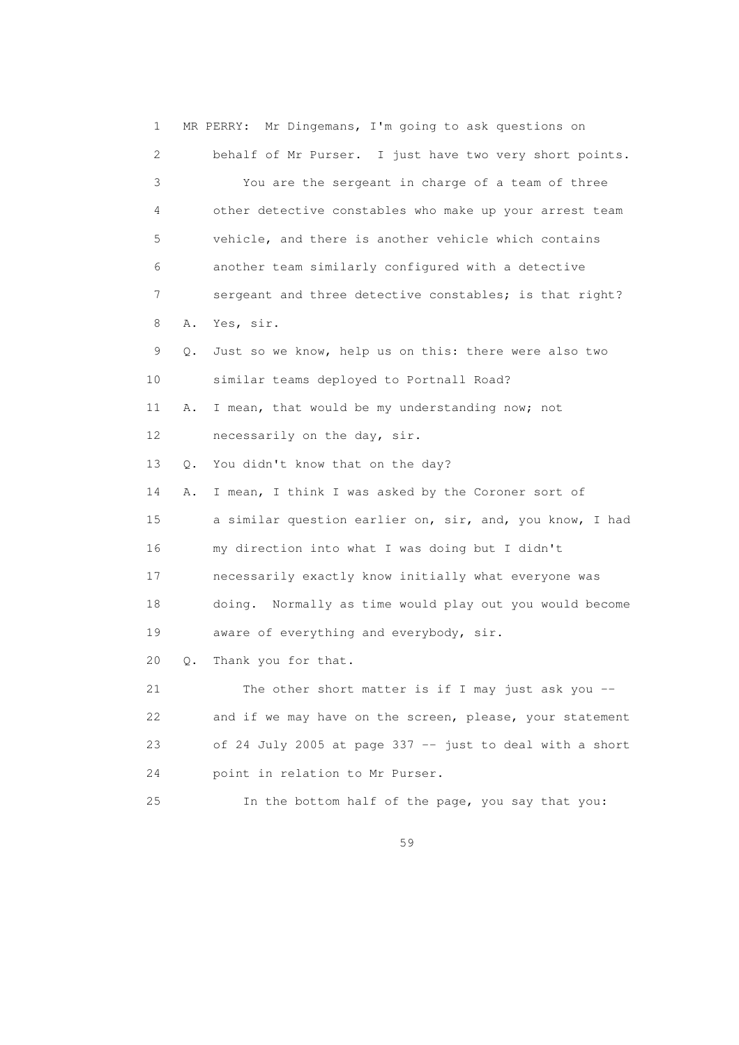| $\mathbf 1$     |           | MR PERRY: Mr Dingemans, I'm going to ask questions on    |
|-----------------|-----------|----------------------------------------------------------|
| 2               |           | behalf of Mr Purser. I just have two very short points.  |
| 3               |           | You are the sergeant in charge of a team of three        |
| 4               |           | other detective constables who make up your arrest team  |
| 5               |           | vehicle, and there is another vehicle which contains     |
| 6               |           | another team similarly configured with a detective       |
| 7               |           | sergeant and three detective constables; is that right?  |
| 8               | Α.        | Yes, sir.                                                |
| 9               | $\circ$ . | Just so we know, help us on this: there were also two    |
| 10              |           | similar teams deployed to Portnall Road?                 |
| 11              | Α.        | I mean, that would be my understanding now; not          |
| 12 <sup>°</sup> |           | necessarily on the day, sir.                             |
| 13              | Q.        | You didn't know that on the day?                         |
| 14              | Α.        | I mean, I think I was asked by the Coroner sort of       |
| 15              |           | a similar question earlier on, sir, and, you know, I had |
| 16              |           | my direction into what I was doing but I didn't          |
| 17              |           | necessarily exactly know initially what everyone was     |
| 18              |           | doing. Normally as time would play out you would become  |
| 19              |           | aware of everything and everybody, sir.                  |
| 20              | Q.        | Thank you for that.                                      |
| 21              |           | The other short matter is if I may just ask you $-$      |
| 22              |           | and if we may have on the screen, please, your statement |
| 23              |           | of 24 July 2005 at page 337 -- just to deal with a short |
| 24              |           | point in relation to Mr Purser.                          |
| 25              |           | In the bottom half of the page, you say that you:        |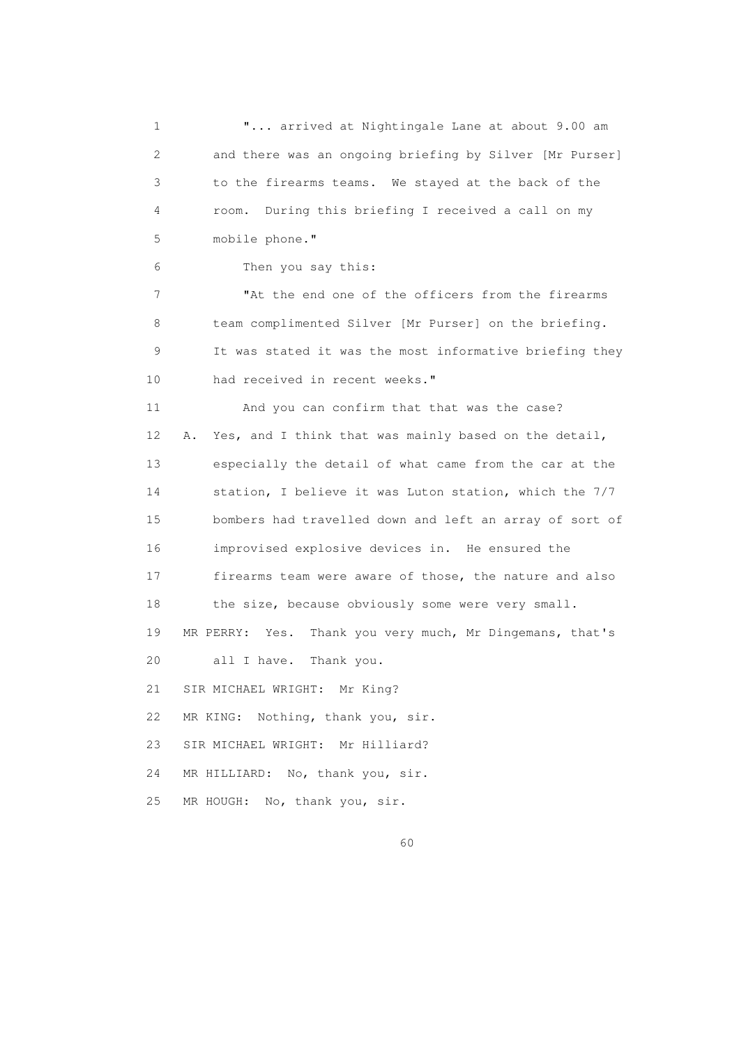1 "... arrived at Nightingale Lane at about 9.00 am 2 and there was an ongoing briefing by Silver [Mr Purser] 3 to the firearms teams. We stayed at the back of the 4 room. During this briefing I received a call on my 5 mobile phone." 6 Then you say this: 7 The the end one of the officers from the firearms 8 team complimented Silver [Mr Purser] on the briefing. 9 It was stated it was the most informative briefing they 10 had received in recent weeks." 11 And you can confirm that that was the case? 12 A. Yes, and I think that was mainly based on the detail, 13 especially the detail of what came from the car at the 14 station, I believe it was Luton station, which the 7/7 15 bombers had travelled down and left an array of sort of 16 improvised explosive devices in. He ensured the 17 firearms team were aware of those, the nature and also 18 the size, because obviously some were very small. 19 MR PERRY: Yes. Thank you very much, Mr Dingemans, that's 20 all I have. Thank you. 21 SIR MICHAEL WRIGHT: Mr King? 22 MR KING: Nothing, thank you, sir. 23 SIR MICHAEL WRIGHT: Mr Hilliard? 24 MR HILLIARD: No, thank you, sir. 25 MR HOUGH: No, thank you, sir.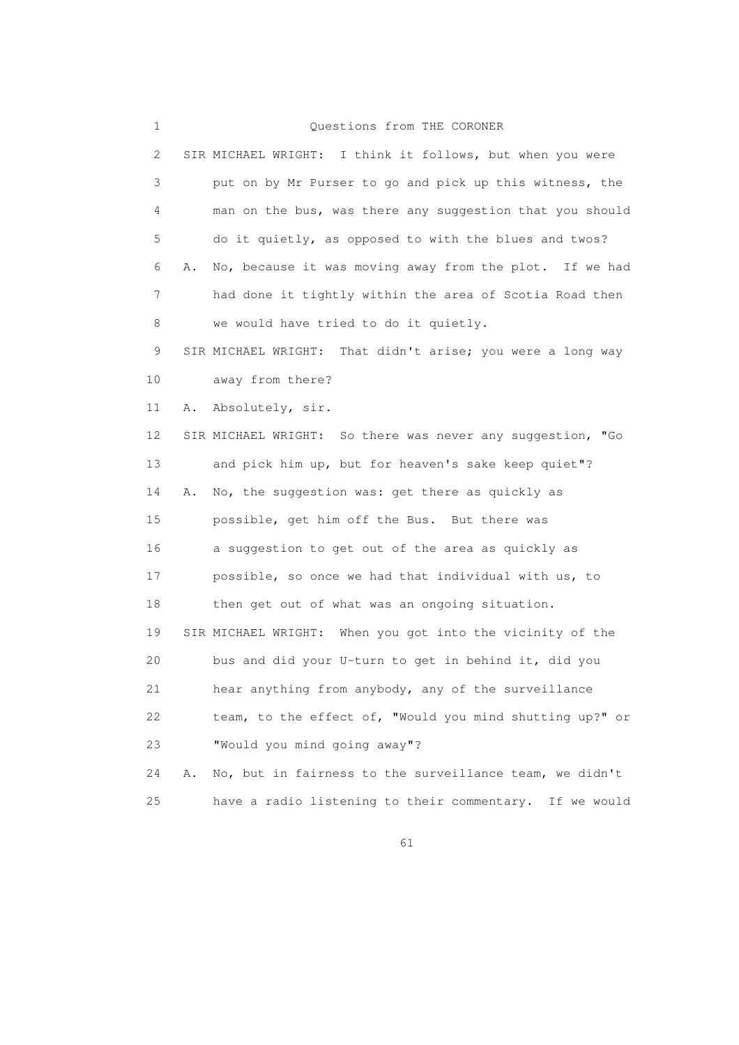## 1 Questions from THE CORONER

| 2  |    | SIR MICHAEL WRIGHT: I think it follows, but when you were  |
|----|----|------------------------------------------------------------|
| 3  |    | put on by Mr Purser to go and pick up this witness, the    |
| 4  |    | man on the bus, was there any suggestion that you should   |
| 5  |    | do it quietly, as opposed to with the blues and twos?      |
| 6  | Α. | No, because it was moving away from the plot. If we had    |
| 7  |    | had done it tightly within the area of Scotia Road then    |
| 8  |    | we would have tried to do it quietly.                      |
| 9  |    | SIR MICHAEL WRIGHT: That didn't arise; you were a long way |
| 10 |    | away from there?                                           |
| 11 | Α. | Absolutely, sir.                                           |
| 12 |    | SIR MICHAEL WRIGHT: So there was never any suggestion, "Go |
| 13 |    | and pick him up, but for heaven's sake keep quiet"?        |
| 14 | Α. | No, the suggestion was: get there as quickly as            |
| 15 |    | possible, get him off the Bus. But there was               |
| 16 |    | a suggestion to get out of the area as quickly as          |
| 17 |    | possible, so once we had that individual with us, to       |
| 18 |    | then get out of what was an ongoing situation.             |
| 19 |    | SIR MICHAEL WRIGHT: When you got into the vicinity of the  |
| 20 |    | bus and did your U-turn to get in behind it, did you       |
| 21 |    | hear anything from anybody, any of the surveillance        |
| 22 |    | team, to the effect of, "Would you mind shutting up?" or   |
| 23 |    | "Would you mind going away"?                               |
| 24 | Α. | No, but in fairness to the surveillance team, we didn't    |
| 25 |    | have a radio listening to their commentary. If we would    |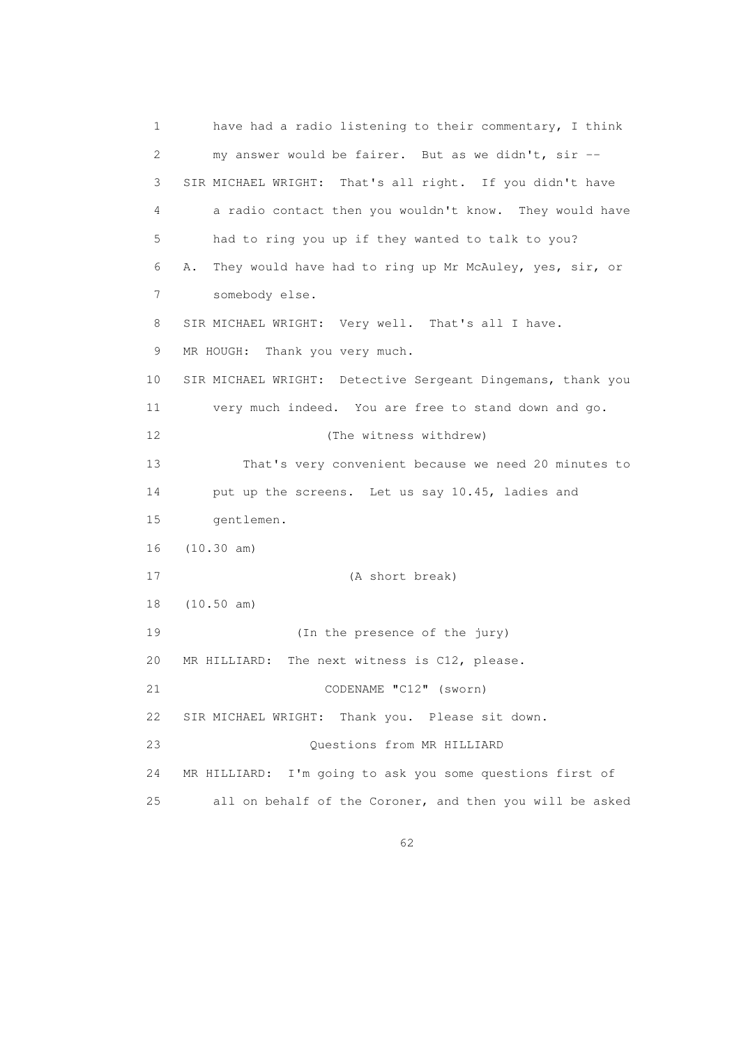1 have had a radio listening to their commentary, I think 2 my answer would be fairer. But as we didn't, sir -- 3 SIR MICHAEL WRIGHT: That's all right. If you didn't have 4 a radio contact then you wouldn't know. They would have 5 had to ring you up if they wanted to talk to you? 6 A. They would have had to ring up Mr McAuley, yes, sir, or 7 somebody else. 8 SIR MICHAEL WRIGHT: Very well. That's all I have. 9 MR HOUGH: Thank you very much. 10 SIR MICHAEL WRIGHT: Detective Sergeant Dingemans, thank you 11 very much indeed. You are free to stand down and go. 12 (The witness withdrew) 13 That's very convenient because we need 20 minutes to 14 put up the screens. Let us say 10.45, ladies and 15 gentlemen. 16 (10.30 am) 17 (A short break) 18 (10.50 am) 19 (In the presence of the jury) 20 MR HILLIARD: The next witness is C12, please. 21 CODENAME "C12" (sworn) 22 SIR MICHAEL WRIGHT: Thank you. Please sit down. 23 Questions from MR HILLIARD 24 MR HILLIARD: I'm going to ask you some questions first of 25 all on behalf of the Coroner, and then you will be asked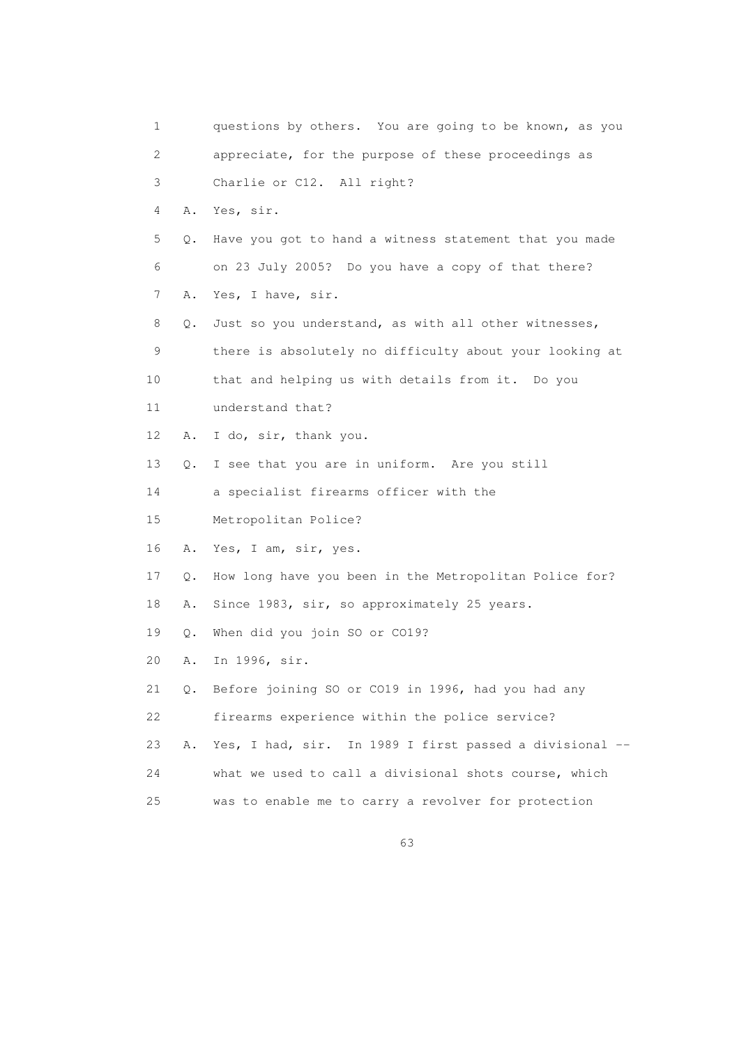1 questions by others. You are going to be known, as you 2 appreciate, for the purpose of these proceedings as 3 Charlie or C12. All right? 4 A. Yes, sir. 5 Q. Have you got to hand a witness statement that you made 6 on 23 July 2005? Do you have a copy of that there? 7 A. Yes, I have, sir. 8 Q. Just so you understand, as with all other witnesses, 9 there is absolutely no difficulty about your looking at 10 that and helping us with details from it. Do you 11 understand that? 12 A. I do, sir, thank you. 13 Q. I see that you are in uniform. Are you still 14 a specialist firearms officer with the 15 Metropolitan Police? 16 A. Yes, I am, sir, yes. 17 Q. How long have you been in the Metropolitan Police for? 18 A. Since 1983, sir, so approximately 25 years. 19 Q. When did you join SO or CO19? 20 A. In 1996, sir. 21 Q. Before joining SO or CO19 in 1996, had you had any 22 firearms experience within the police service? 23 A. Yes, I had, sir. In 1989 I first passed a divisional -- 24 what we used to call a divisional shots course, which 25 was to enable me to carry a revolver for protection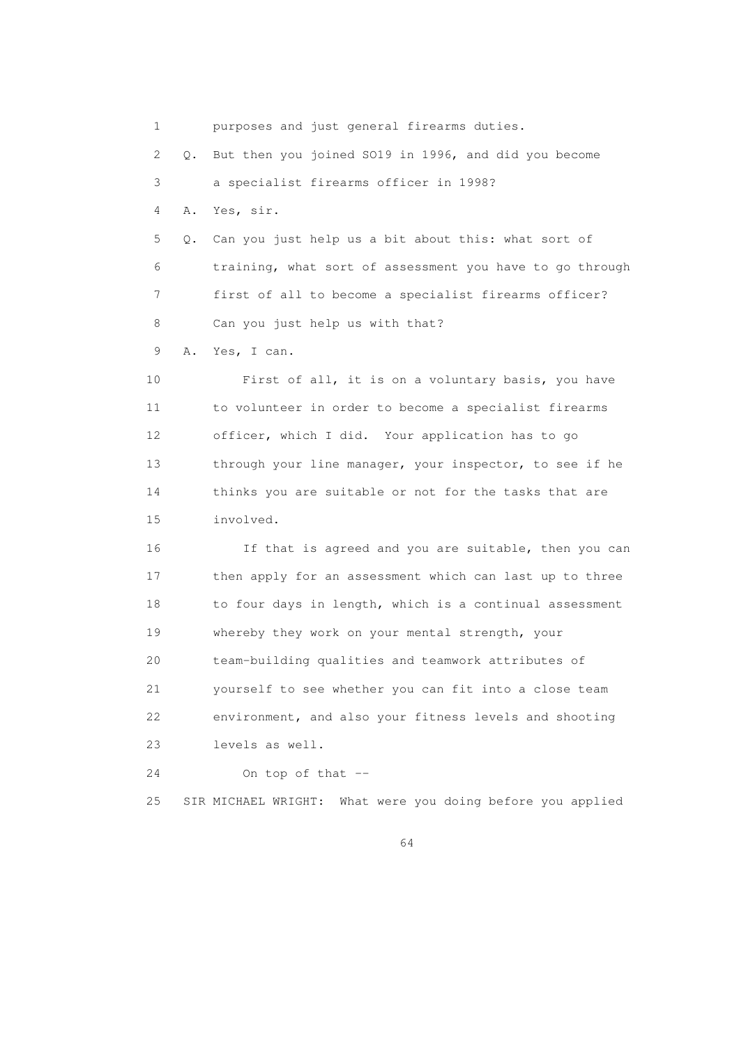1 purposes and just general firearms duties. 2 Q. But then you joined SO19 in 1996, and did you become 3 a specialist firearms officer in 1998? 4 A. Yes, sir. 5 Q. Can you just help us a bit about this: what sort of 6 training, what sort of assessment you have to go through 7 first of all to become a specialist firearms officer? 8 Can you just help us with that? 9 A. Yes, I can. 10 First of all, it is on a voluntary basis, you have

 11 to volunteer in order to become a specialist firearms 12 officer, which I did. Your application has to go 13 through your line manager, your inspector, to see if he 14 thinks you are suitable or not for the tasks that are 15 involved.

 16 If that is agreed and you are suitable, then you can 17 then apply for an assessment which can last up to three 18 to four days in length, which is a continual assessment 19 whereby they work on your mental strength, your 20 team-building qualities and teamwork attributes of 21 yourself to see whether you can fit into a close team 22 environment, and also your fitness levels and shooting 23 levels as well. 24 On top of that --

25 SIR MICHAEL WRIGHT: What were you doing before you applied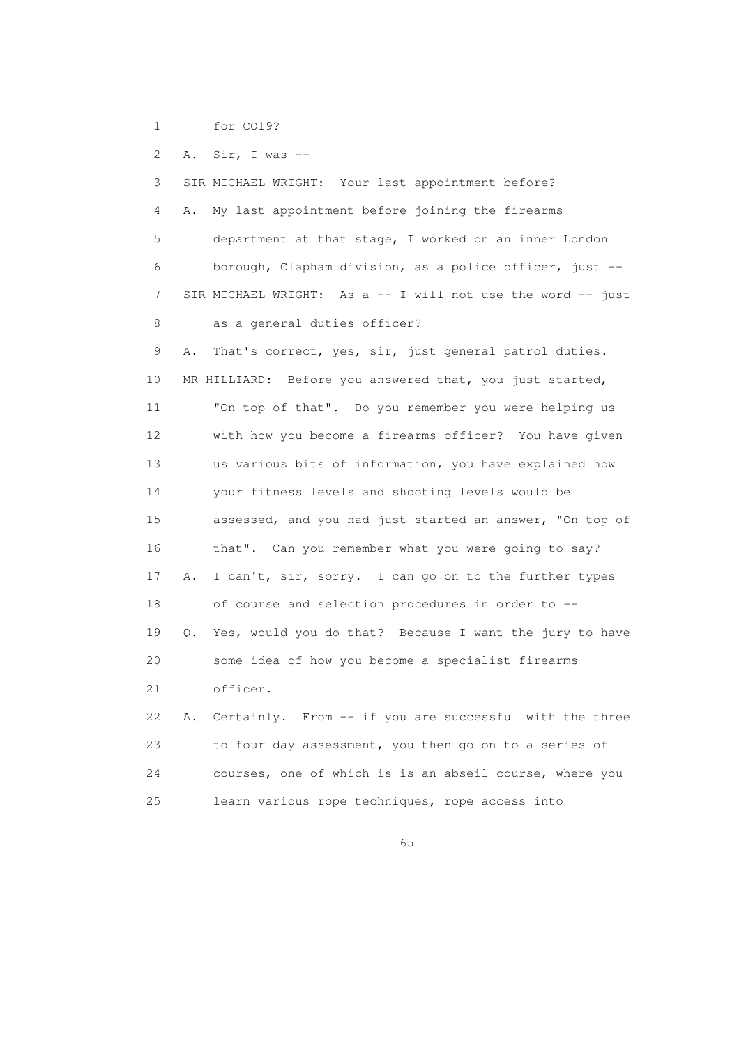1 for CO19?

2 A. Sir, I was --

 3 SIR MICHAEL WRIGHT: Your last appointment before? 4 A. My last appointment before joining the firearms 5 department at that stage, I worked on an inner London 6 borough, Clapham division, as a police officer, just -- 7 SIR MICHAEL WRIGHT: As a -- I will not use the word -- just 8 as a general duties officer? 9 A. That's correct, yes, sir, just general patrol duties. 10 MR HILLIARD: Before you answered that, you just started, 11 "On top of that". Do you remember you were helping us 12 with how you become a firearms officer? You have given 13 us various bits of information, you have explained how 14 your fitness levels and shooting levels would be 15 assessed, and you had just started an answer, "On top of 16 that". Can you remember what you were going to say? 17 A. I can't, sir, sorry. I can go on to the further types 18 of course and selection procedures in order to -- 19 Q. Yes, would you do that? Because I want the jury to have 20 some idea of how you become a specialist firearms 21 officer. 22 A. Certainly. From -- if you are successful with the three 23 to four day assessment, you then go on to a series of 24 courses, one of which is is an abseil course, where you

25 learn various rope techniques, rope access into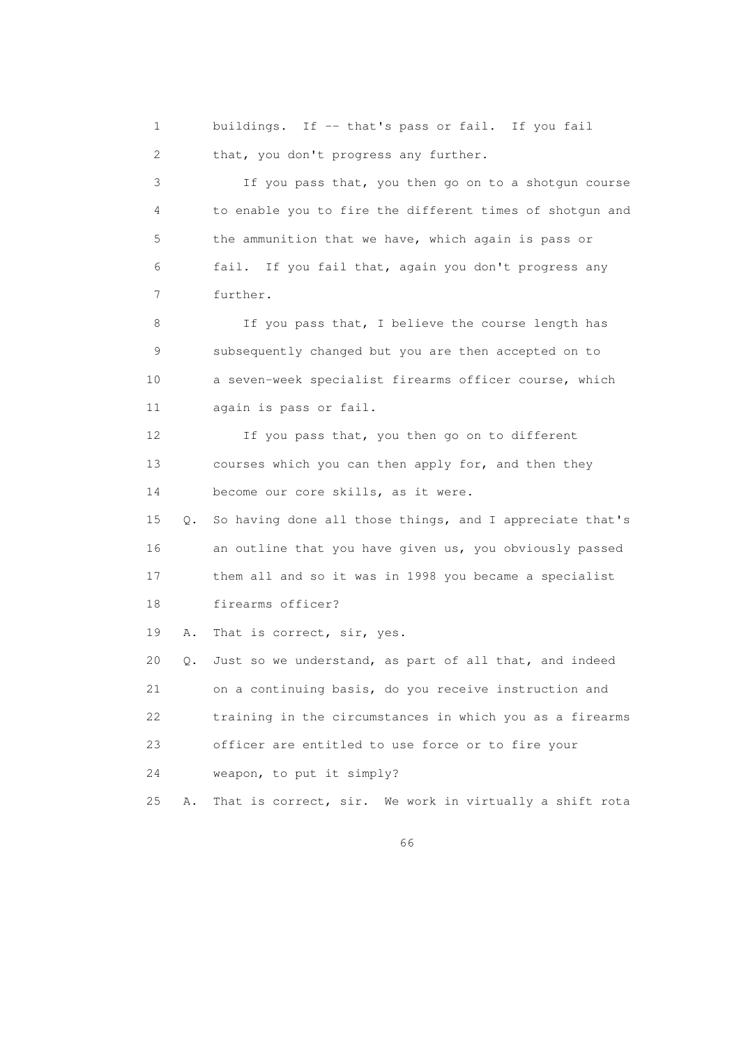1 buildings. If -- that's pass or fail. If you fail 2 that, you don't progress any further. 3 If you pass that, you then go on to a shotgun course 4 to enable you to fire the different times of shotgun and 5 the ammunition that we have, which again is pass or 6 fail. If you fail that, again you don't progress any

7 further.

8 If you pass that, I believe the course length has 9 subsequently changed but you are then accepted on to 10 a seven-week specialist firearms officer course, which 11 again is pass or fail.

 12 If you pass that, you then go on to different 13 courses which you can then apply for, and then they 14 become our core skills, as it were.

 15 Q. So having done all those things, and I appreciate that's 16 an outline that you have given us, you obviously passed 17 them all and so it was in 1998 you became a specialist 18 firearms officer?

19 A. That is correct, sir, yes.

 20 Q. Just so we understand, as part of all that, and indeed 21 on a continuing basis, do you receive instruction and 22 training in the circumstances in which you as a firearms 23 officer are entitled to use force or to fire your 24 weapon, to put it simply?

25 A. That is correct, sir. We work in virtually a shift rota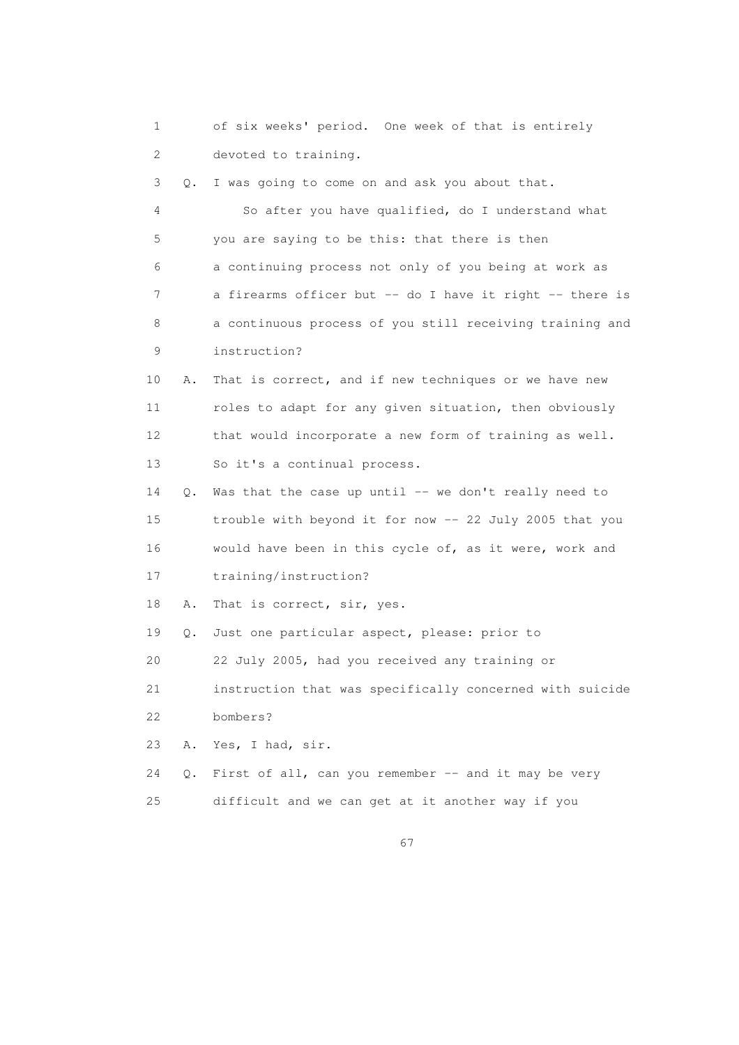1 of six weeks' period. One week of that is entirely 2 devoted to training. 3 Q. I was going to come on and ask you about that. 4 So after you have qualified, do I understand what 5 you are saying to be this: that there is then 6 a continuing process not only of you being at work as 7 a firearms officer but -- do I have it right -- there is 8 a continuous process of you still receiving training and 9 instruction? 10 A. That is correct, and if new techniques or we have new 11 roles to adapt for any given situation, then obviously 12 that would incorporate a new form of training as well. 13 So it's a continual process. 14 Q. Was that the case up until -- we don't really need to 15 trouble with beyond it for now -- 22 July 2005 that you 16 would have been in this cycle of, as it were, work and 17 training/instruction? 18 A. That is correct, sir, yes. 19 Q. Just one particular aspect, please: prior to 20 22 July 2005, had you received any training or 21 instruction that was specifically concerned with suicide 22 bombers? 23 A. Yes, I had, sir. 24 Q. First of all, can you remember -- and it may be very 25 difficult and we can get at it another way if you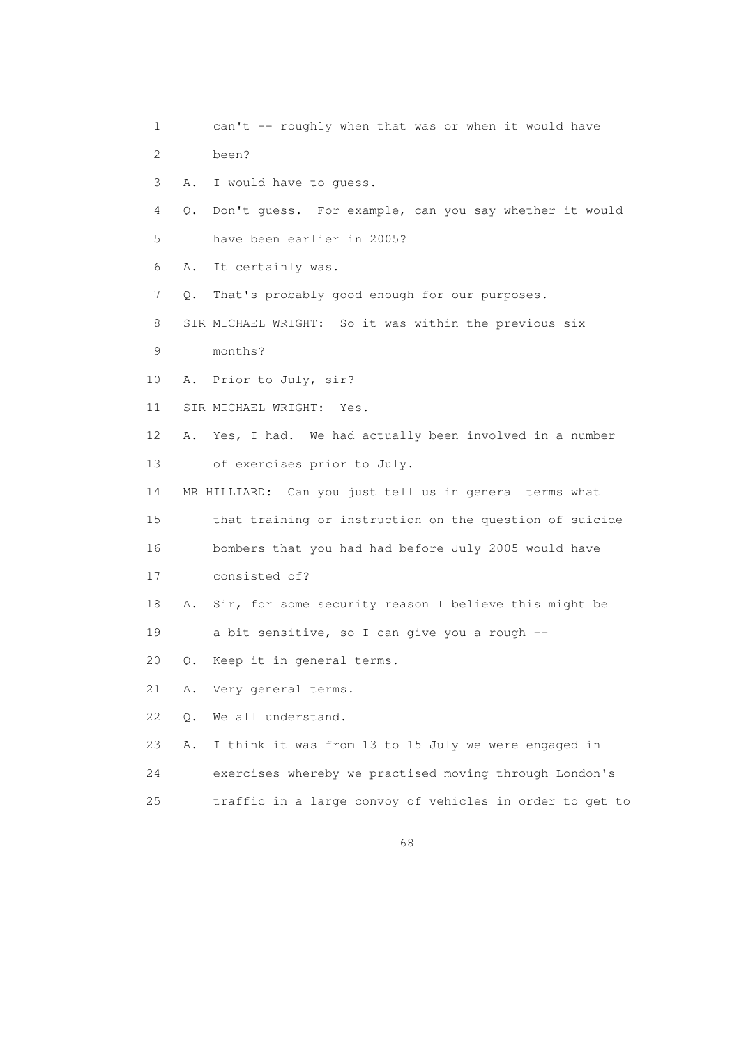1 can't -- roughly when that was or when it would have 2 been? 3 A. I would have to guess. 4 Q. Don't guess. For example, can you say whether it would 5 have been earlier in 2005? 6 A. It certainly was. 7 Q. That's probably good enough for our purposes. 8 SIR MICHAEL WRIGHT: So it was within the previous six 9 months? 10 A. Prior to July, sir? 11 SIR MICHAEL WRIGHT: Yes. 12 A. Yes, I had. We had actually been involved in a number 13 of exercises prior to July. 14 MR HILLIARD: Can you just tell us in general terms what 15 that training or instruction on the question of suicide 16 bombers that you had had before July 2005 would have 17 consisted of? 18 A. Sir, for some security reason I believe this might be 19 a bit sensitive, so I can give you a rough -- 20 Q. Keep it in general terms. 21 A. Very general terms. 22 Q. We all understand. 23 A. I think it was from 13 to 15 July we were engaged in 24 exercises whereby we practised moving through London's 25 traffic in a large convoy of vehicles in order to get to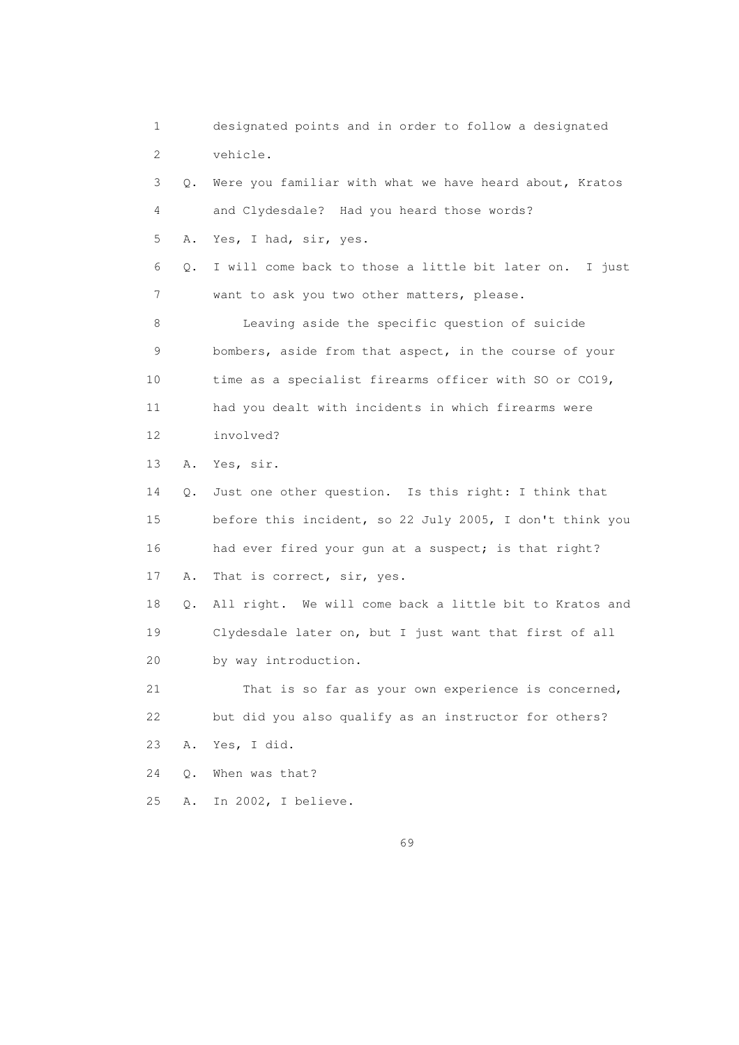1 designated points and in order to follow a designated 2 vehicle. 3 Q. Were you familiar with what we have heard about, Kratos 4 and Clydesdale? Had you heard those words? 5 A. Yes, I had, sir, yes. 6 Q. I will come back to those a little bit later on. I just 7 want to ask you two other matters, please. 8 Leaving aside the specific question of suicide 9 bombers, aside from that aspect, in the course of your 10 time as a specialist firearms officer with SO or CO19, 11 had you dealt with incidents in which firearms were 12 involved? 13 A. Yes, sir. 14 Q. Just one other question. Is this right: I think that 15 before this incident, so 22 July 2005, I don't think you 16 had ever fired your gun at a suspect; is that right? 17 A. That is correct, sir, yes. 18 Q. All right. We will come back a little bit to Kratos and 19 Clydesdale later on, but I just want that first of all 20 by way introduction. 21 That is so far as your own experience is concerned, 22 but did you also qualify as an instructor for others? 23 A. Yes, I did. 24 Q. When was that? 25 A. In 2002, I believe.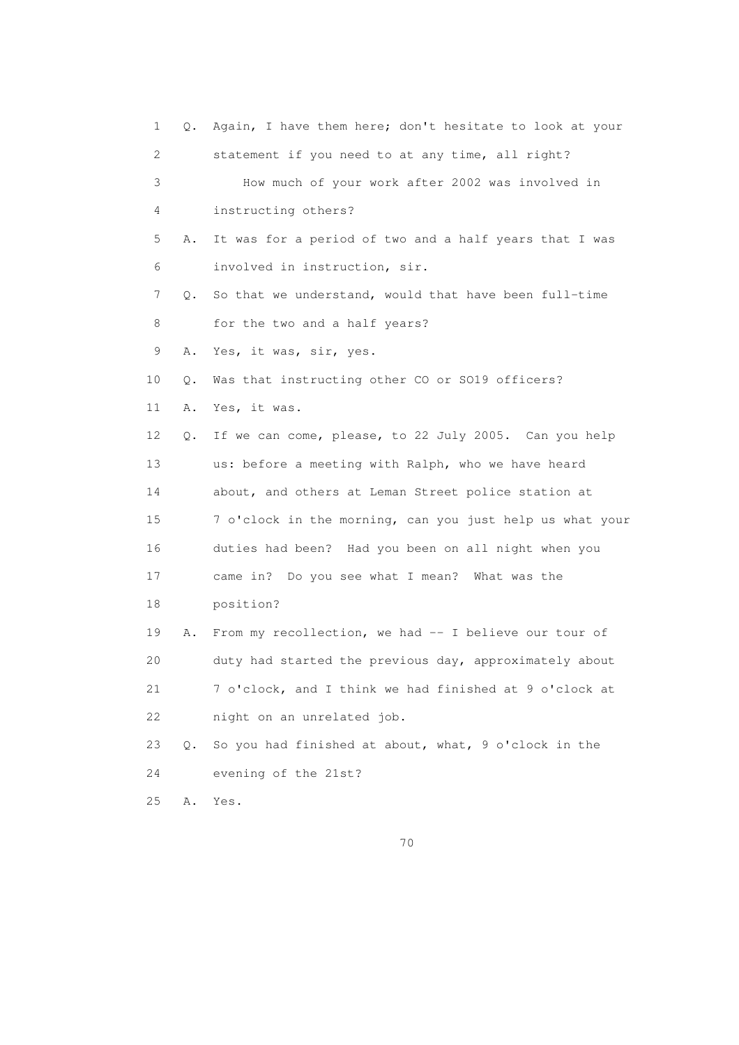1 Q. Again, I have them here; don't hesitate to look at your 2 statement if you need to at any time, all right? 3 How much of your work after 2002 was involved in 4 instructing others? 5 A. It was for a period of two and a half years that I was 6 involved in instruction, sir. 7 Q. So that we understand, would that have been full-time 8 for the two and a half years? 9 A. Yes, it was, sir, yes. 10 Q. Was that instructing other CO or SO19 officers? 11 A. Yes, it was. 12 Q. If we can come, please, to 22 July 2005. Can you help 13 us: before a meeting with Ralph, who we have heard 14 about, and others at Leman Street police station at 15 7 o'clock in the morning, can you just help us what your 16 duties had been? Had you been on all night when you 17 came in? Do you see what I mean? What was the 18 position? 19 A. From my recollection, we had -- I believe our tour of 20 duty had started the previous day, approximately about 21 7 o'clock, and I think we had finished at 9 o'clock at 22 night on an unrelated job. 23 Q. So you had finished at about, what, 9 o'clock in the 24 evening of the 21st? 25 A. Yes.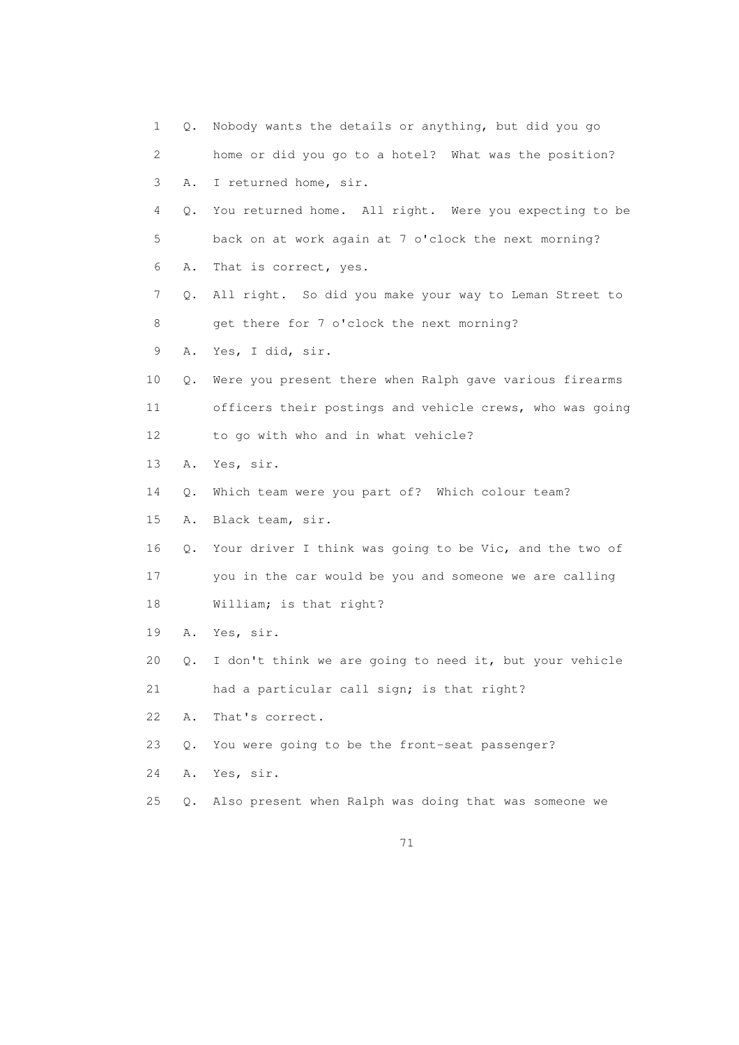| 1               | Q.    | Nobody wants the details or anything, but did you go     |
|-----------------|-------|----------------------------------------------------------|
| 2               |       | home or did you go to a hotel? What was the position?    |
| 3               | Α.    | I returned home, sir.                                    |
| 4               | Q.    | You returned home. All right. Were you expecting to be   |
| 5               |       | back on at work again at 7 o'clock the next morning?     |
| 6               | Α.    | That is correct, yes.                                    |
| 7               | Q.    | All right. So did you make your way to Leman Street to   |
| 8               |       | get there for 7 o'clock the next morning?                |
| 9               | Α.    | Yes, I did, sir.                                         |
| 10              | Q.    | Were you present there when Ralph gave various firearms  |
| 11              |       | officers their postings and vehicle crews, who was going |
| 12 <sup>°</sup> |       | to go with who and in what vehicle?                      |
| 13              | Α.    | Yes, sir.                                                |
| 14              | Q.    | Which team were you part of? Which colour team?          |
| 15              | Α.    | Black team, sir.                                         |
| 16              | Q.    | Your driver I think was going to be Vic, and the two of  |
| 17              |       | you in the car would be you and someone we are calling   |
| 18              |       | William; is that right?                                  |
| 19              | Α.    | Yes, sir.                                                |
| 20              | Q.    | I don't think we are going to need it, but your vehicle  |
| 21              |       | had a particular call sign; is that right?               |
| 22              | Α.    | That's correct.                                          |
| 23              | Q.    | You were going to be the front-seat passenger?           |
| 24              | Α.    | Yes, sir.                                                |
| 25              | $Q$ . | Also present when Ralph was doing that was someone we    |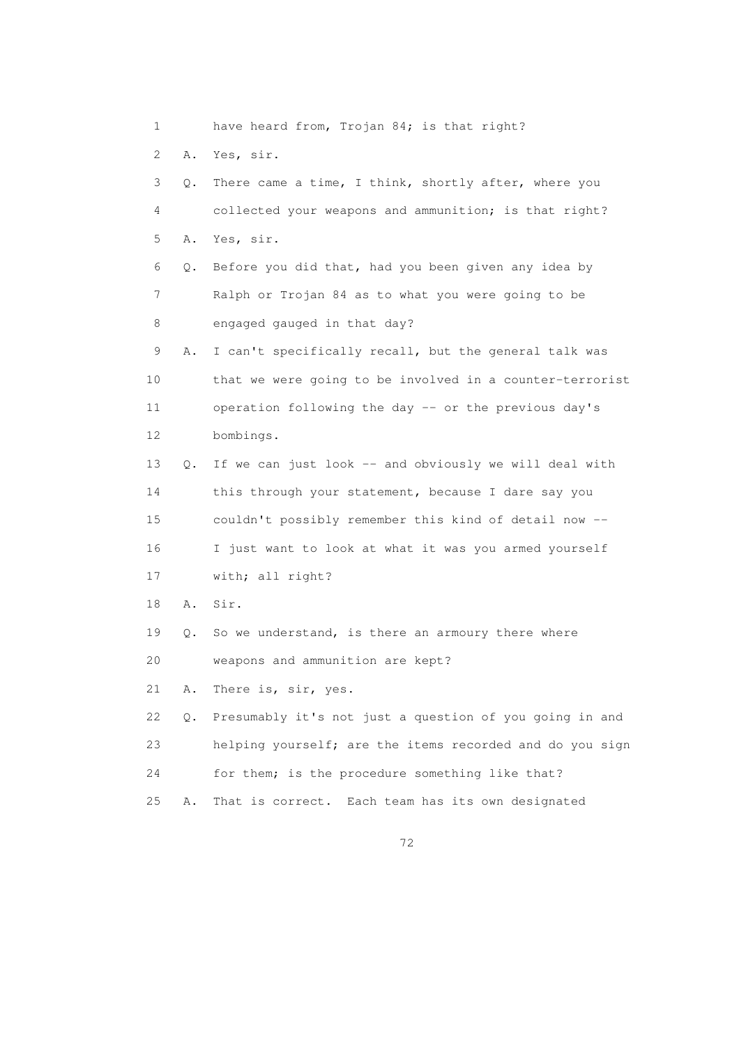1 have heard from, Trojan 84; is that right? 2 A. Yes, sir. 3 Q. There came a time, I think, shortly after, where you 4 collected your weapons and ammunition; is that right? 5 A. Yes, sir. 6 Q. Before you did that, had you been given any idea by 7 Ralph or Trojan 84 as to what you were going to be 8 engaged gauged in that day? 9 A. I can't specifically recall, but the general talk was 10 that we were going to be involved in a counter-terrorist 11 operation following the day -- or the previous day's 12 bombings. 13 Q. If we can just look -- and obviously we will deal with 14 this through your statement, because I dare say you 15 couldn't possibly remember this kind of detail now -- 16 I just want to look at what it was you armed yourself 17 with; all right? 18 A. Sir. 19 Q. So we understand, is there an armoury there where 20 weapons and ammunition are kept? 21 A. There is, sir, yes. 22 Q. Presumably it's not just a question of you going in and 23 helping yourself; are the items recorded and do you sign 24 for them; is the procedure something like that? 25 A. That is correct. Each team has its own designated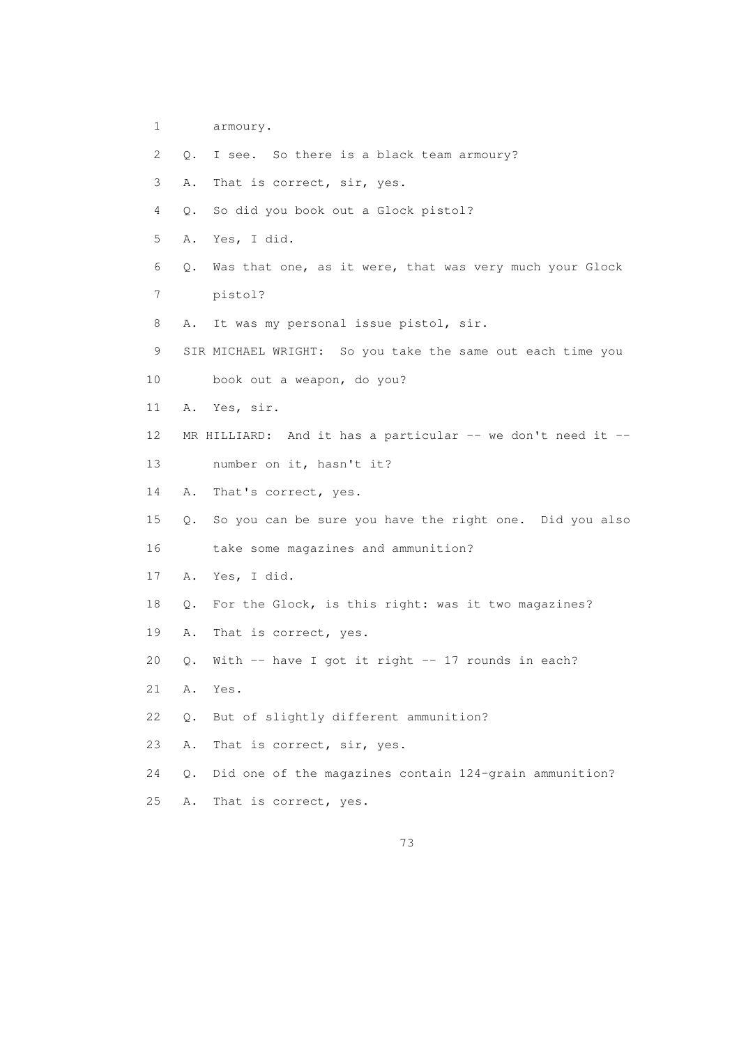- 1 armoury.
- 2 Q. I see. So there is a black team armoury?
- 3 A. That is correct, sir, yes.
- 4 Q. So did you book out a Glock pistol?
- 5 A. Yes, I did.
- 6 Q. Was that one, as it were, that was very much your Glock 7 pistol?
- 8 A. It was my personal issue pistol, sir.
- 9 SIR MICHAEL WRIGHT: So you take the same out each time you
- 10 book out a weapon, do you?
- 11 A. Yes, sir.
- 12 MR HILLIARD: And it has a particular -- we don't need it --13 number on it, hasn't it?
- 14 A. That's correct, yes.
- 15 Q. So you can be sure you have the right one. Did you also 16 take some magazines and ammunition?
- 17 A. Yes, I did.
- 18 Q. For the Glock, is this right: was it two magazines?
- 19 A. That is correct, yes.
- 20 Q. With -- have I got it right -- 17 rounds in each?
- 21 A. Yes.
- 22 Q. But of slightly different ammunition?
- 23 A. That is correct, sir, yes.
- 24 Q. Did one of the magazines contain 124-grain ammunition?
- 25 A. That is correct, yes.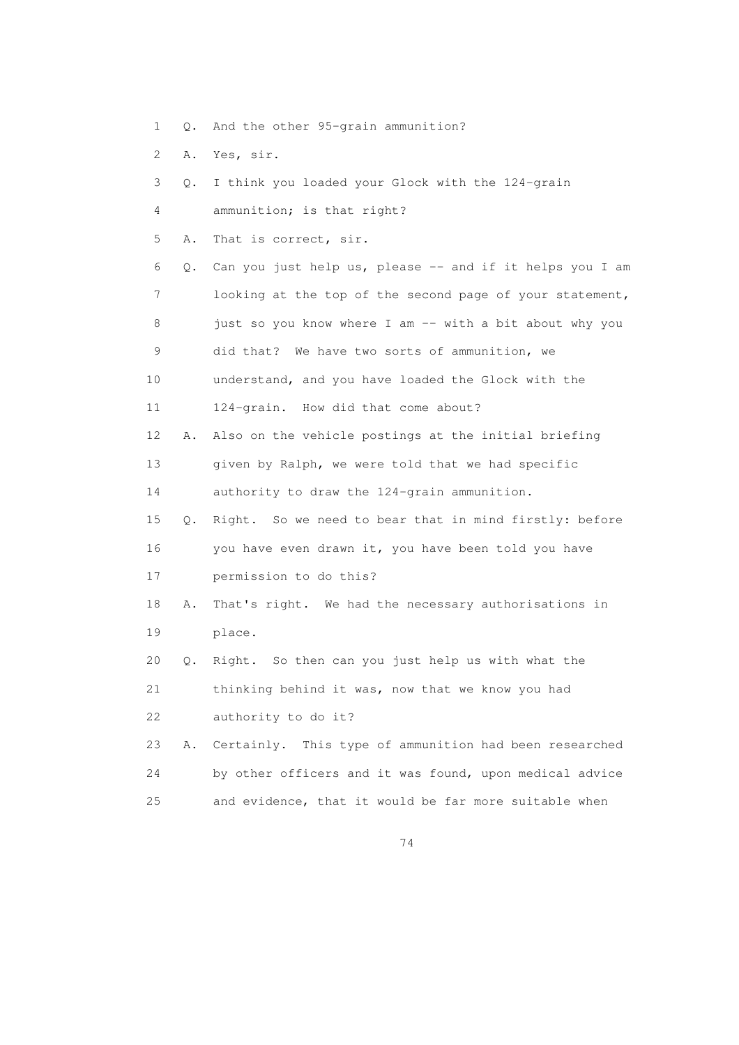- 1 Q. And the other 95-grain ammunition?
- 2 A. Yes, sir.

| 3  | О. | I think you loaded your Glock with the 124-grain         |
|----|----|----------------------------------------------------------|
| 4  |    | ammunition; is that right?                               |
| 5  | Α. | That is correct, sir.                                    |
| 6  | Q. | Can you just help us, please -- and if it helps you I am |
| 7  |    | looking at the top of the second page of your statement, |
| 8  |    | just so you know where I am -- with a bit about why you  |
| 9  |    | did that? We have two sorts of ammunition, we            |
| 10 |    | understand, and you have loaded the Glock with the       |
| 11 |    | 124-grain. How did that come about?                      |
| 12 | Α. | Also on the vehicle postings at the initial briefing     |
| 13 |    | given by Ralph, we were told that we had specific        |
| 14 |    | authority to draw the 124-grain ammunition.              |
| 15 | О. | Right. So we need to bear that in mind firstly: before   |
| 16 |    | you have even drawn it, you have been told you have      |
| 17 |    | permission to do this?                                   |
| 18 | Α. | That's right. We had the necessary authorisations in     |
| 19 |    | place.                                                   |
| 20 | Q. | Right. So then can you just help us with what the        |
| 21 |    | thinking behind it was, now that we know you had         |
| 22 |    | authority to do it?                                      |
| 23 | Α. | Certainly. This type of ammunition had been researched   |
| 24 |    | by other officers and it was found, upon medical advice  |
| 25 |    | and evidence, that it would be far more suitable when    |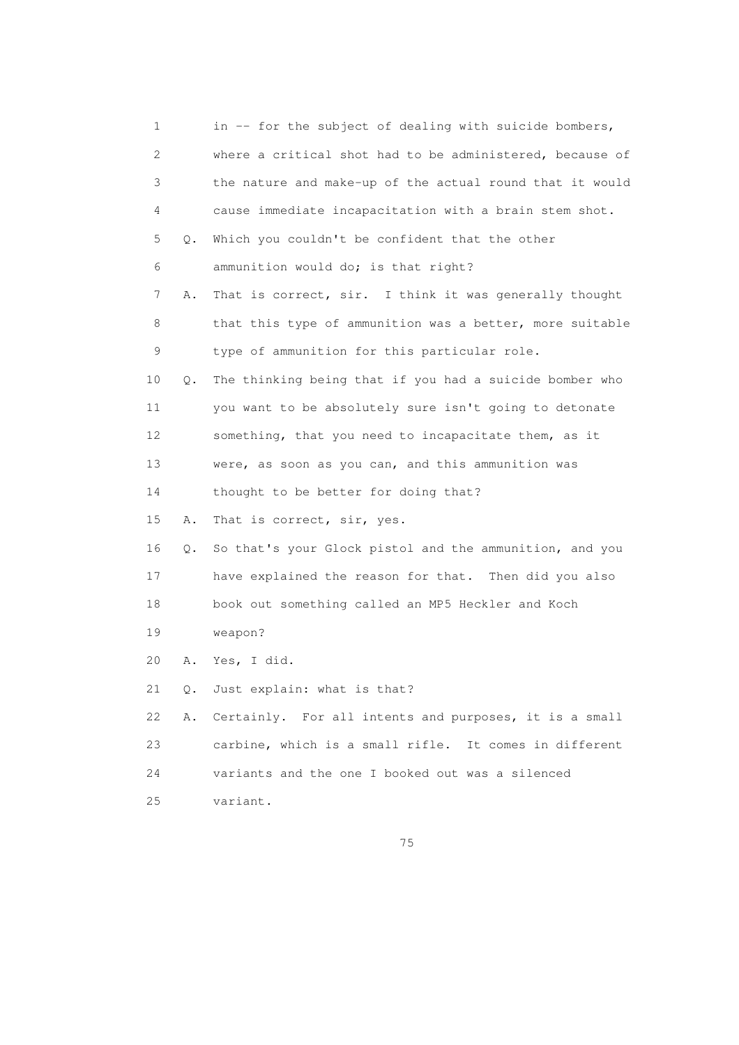|    | 1         | in -- for the subject of dealing with suicide bombers,   |
|----|-----------|----------------------------------------------------------|
|    | 2         | where a critical shot had to be administered, because of |
|    | 3         | the nature and make-up of the actual round that it would |
|    | 4         | cause immediate incapacitation with a brain stem shot.   |
|    | 5<br>Q.   | Which you couldn't be confident that the other           |
|    | 6         | ammunition would do; is that right?                      |
|    | 7<br>Α.   | That is correct, sir. I think it was generally thought   |
|    | 8         | that this type of ammunition was a better, more suitable |
|    | 9         | type of ammunition for this particular role.             |
| 10 | $\circ$ . | The thinking being that if you had a suicide bomber who  |
| 11 |           | you want to be absolutely sure isn't going to detonate   |
| 12 |           | something, that you need to incapacitate them, as it     |
| 13 |           | were, as soon as you can, and this ammunition was        |
| 14 |           | thought to be better for doing that?                     |
| 15 | Α.        | That is correct, sir, yes.                               |
| 16 | Q.        | So that's your Glock pistol and the ammunition, and you  |
| 17 |           | have explained the reason for that. Then did you also    |
| 18 |           | book out something called an MP5 Heckler and Koch        |
| 19 |           | weapon?                                                  |
| 20 | Α.        | Yes, I did.                                              |
| 21 |           | Q. Just explain: what is that?                           |
| 22 | Α.        | Certainly. For all intents and purposes, it is a small   |
| 23 |           | carbine, which is a small rifle. It comes in different   |
| 24 |           | variants and the one I booked out was a silenced         |
| 25 |           | variant.                                                 |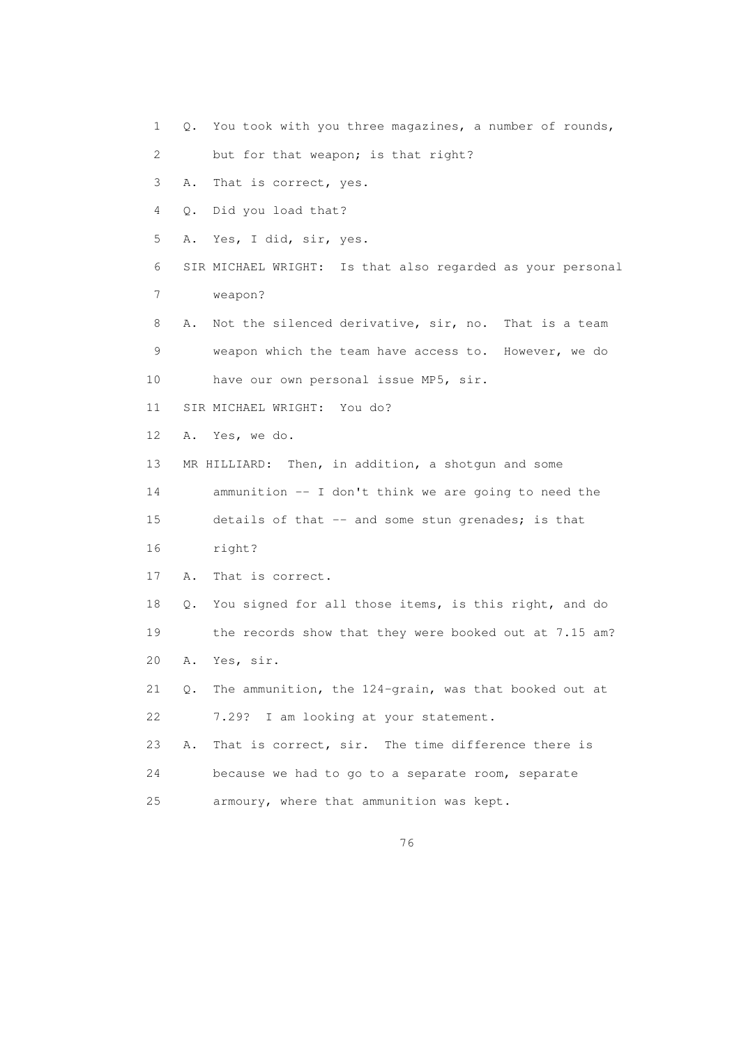- 1 Q. You took with you three magazines, a number of rounds,
- 2 but for that weapon; is that right?
- 3 A. That is correct, yes.
- 4 Q. Did you load that?
- 5 A. Yes, I did, sir, yes.
- 6 SIR MICHAEL WRIGHT: Is that also regarded as your personal 7 weapon?
- 8 A. Not the silenced derivative, sir, no. That is a team 9 weapon which the team have access to. However, we do 10 have our own personal issue MP5, sir.
- 11 SIR MICHAEL WRIGHT: You do?
- 12 A. Yes, we do.
- 13 MR HILLIARD: Then, in addition, a shotgun and some
- 
- 14 ammunition -- I don't think we are going to need the
- 15 details of that -- and some stun grenades; is that
- 16 right?
- 17 A. That is correct.
- 18 Q. You signed for all those items, is this right, and do 19 the records show that they were booked out at 7.15 am? 20 A. Yes, sir.
- 21 Q. The ammunition, the 124-grain, was that booked out at 22 7.29? I am looking at your statement.
- 23 A. That is correct, sir. The time difference there is 24 because we had to go to a separate room, separate 25 armoury, where that ammunition was kept.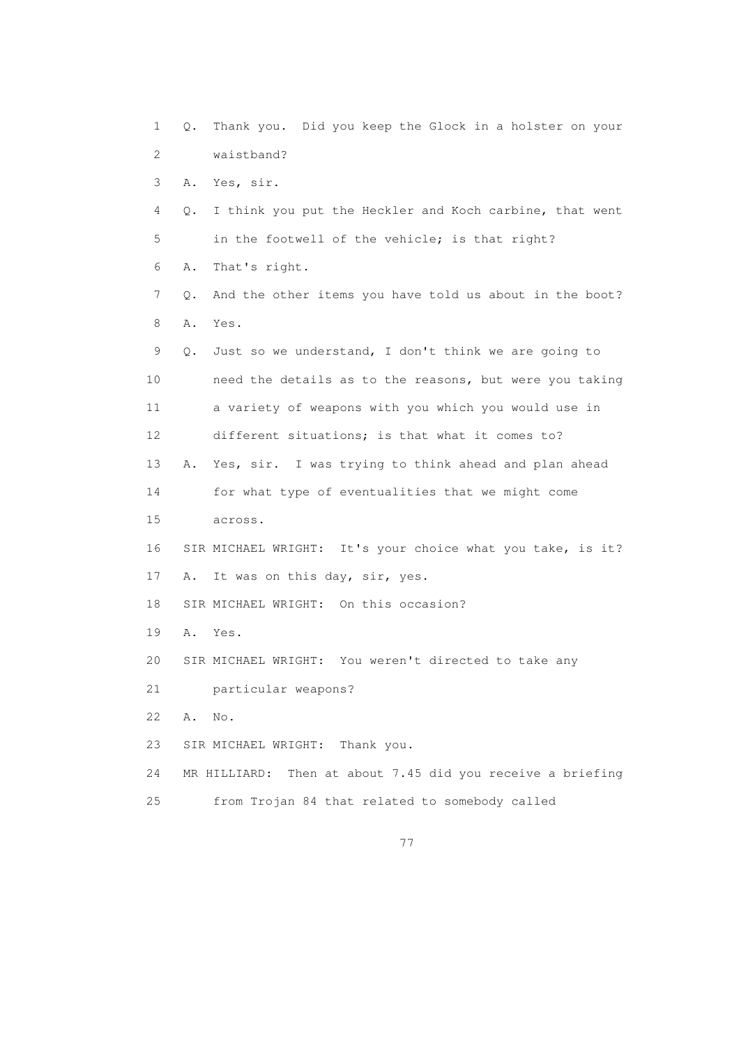1 Q. Thank you. Did you keep the Glock in a holster on your 2 waistband? 3 A. Yes, sir. 4 Q. I think you put the Heckler and Koch carbine, that went 5 in the footwell of the vehicle; is that right? 6 A. That's right. 7 Q. And the other items you have told us about in the boot? 8 A. Yes. 9 Q. Just so we understand, I don't think we are going to 10 need the details as to the reasons, but were you taking 11 a variety of weapons with you which you would use in 12 different situations; is that what it comes to? 13 A. Yes, sir. I was trying to think ahead and plan ahead 14 for what type of eventualities that we might come 15 across. 16 SIR MICHAEL WRIGHT: It's your choice what you take, is it? 17 A. It was on this day, sir, yes. 18 SIR MICHAEL WRIGHT: On this occasion? 19 A. Yes. 20 SIR MICHAEL WRIGHT: You weren't directed to take any 21 particular weapons? 22 A. No. 23 SIR MICHAEL WRIGHT: Thank you. 24 MR HILLIARD: Then at about 7.45 did you receive a briefing 25 from Trojan 84 that related to somebody called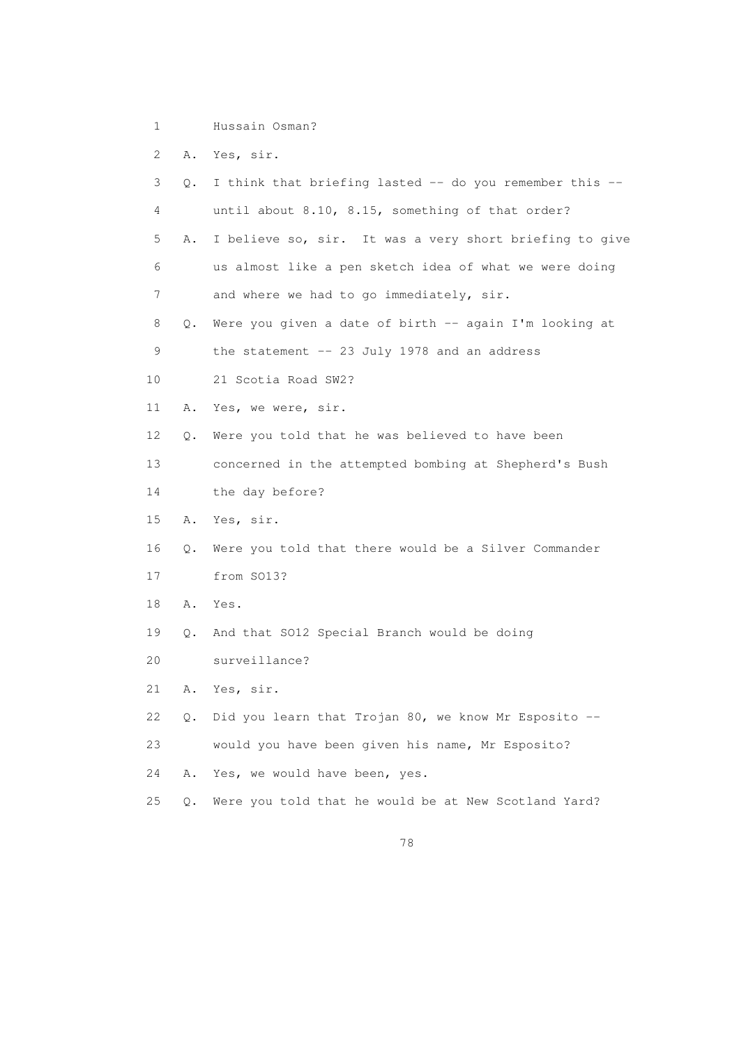1 Hussain Osman?

2 A. Yes, sir.

| 3  | О. | I think that briefing lasted -- do you remember this -- |
|----|----|---------------------------------------------------------|
| 4  |    | until about 8.10, 8.15, something of that order?        |
| 5  | Α. | I believe so, sir. It was a very short briefing to give |
| 6  |    | us almost like a pen sketch idea of what we were doing  |
| 7  |    | and where we had to go immediately, sir.                |
| 8  | Q. | Were you given a date of birth -- again I'm looking at  |
| 9  |    | the statement $--$ 23 July 1978 and an address          |
| 10 |    | 21 Scotia Road SW2?                                     |
| 11 | Α. | Yes, we were, sir.                                      |
| 12 | Q. | Were you told that he was believed to have been         |
| 13 |    | concerned in the attempted bombing at Shepherd's Bush   |
| 14 |    | the day before?                                         |
| 15 | Α. | Yes, sir.                                               |
| 16 | О. | Were you told that there would be a Silver Commander    |
| 17 |    | from SO13?                                              |
| 18 | Α. | Yes.                                                    |
| 19 | 0. | And that SO12 Special Branch would be doing             |
| 20 |    | surveillance?                                           |
| 21 | Α. | Yes, sir.                                               |
| 22 | О. | Did you learn that Trojan 80, we know Mr Esposito --    |
| 23 |    | would you have been given his name, Mr Esposito?        |
| 24 | Α. | Yes, we would have been, yes.                           |
| 25 | Q. | Were you told that he would be at New Scotland Yard?    |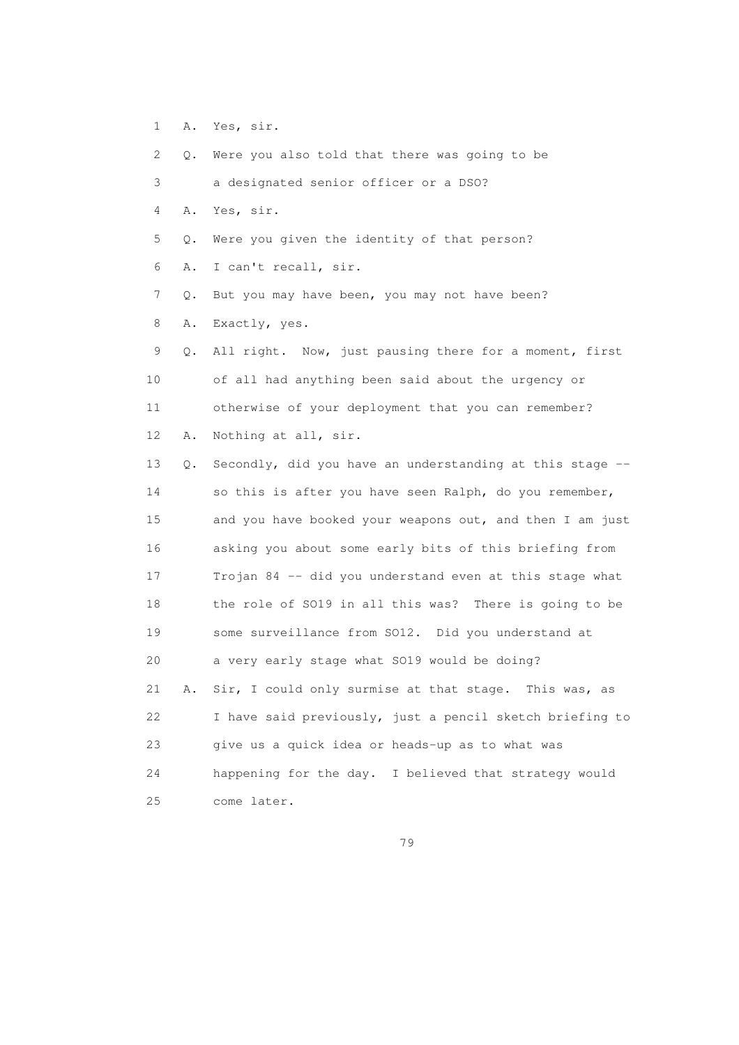1 A. Yes, sir.

 2 Q. Were you also told that there was going to be 3 a designated senior officer or a DSO? 4 A. Yes, sir. 5 Q. Were you given the identity of that person? 6 A. I can't recall, sir. 7 Q. But you may have been, you may not have been? 8 A. Exactly, yes. 9 Q. All right. Now, just pausing there for a moment, first 10 of all had anything been said about the urgency or 11 otherwise of your deployment that you can remember? 12 A. Nothing at all, sir. 13 Q. Secondly, did you have an understanding at this stage -- 14 so this is after you have seen Ralph, do you remember, 15 and you have booked your weapons out, and then I am just 16 asking you about some early bits of this briefing from

 17 Trojan 84 -- did you understand even at this stage what 18 the role of SO19 in all this was? There is going to be 19 some surveillance from SO12. Did you understand at 20 a very early stage what SO19 would be doing? 21 A. Sir, I could only surmise at that stage. This was, as 22 I have said previously, just a pencil sketch briefing to 23 give us a quick idea or heads-up as to what was 24 happening for the day. I believed that strategy would 25 come later.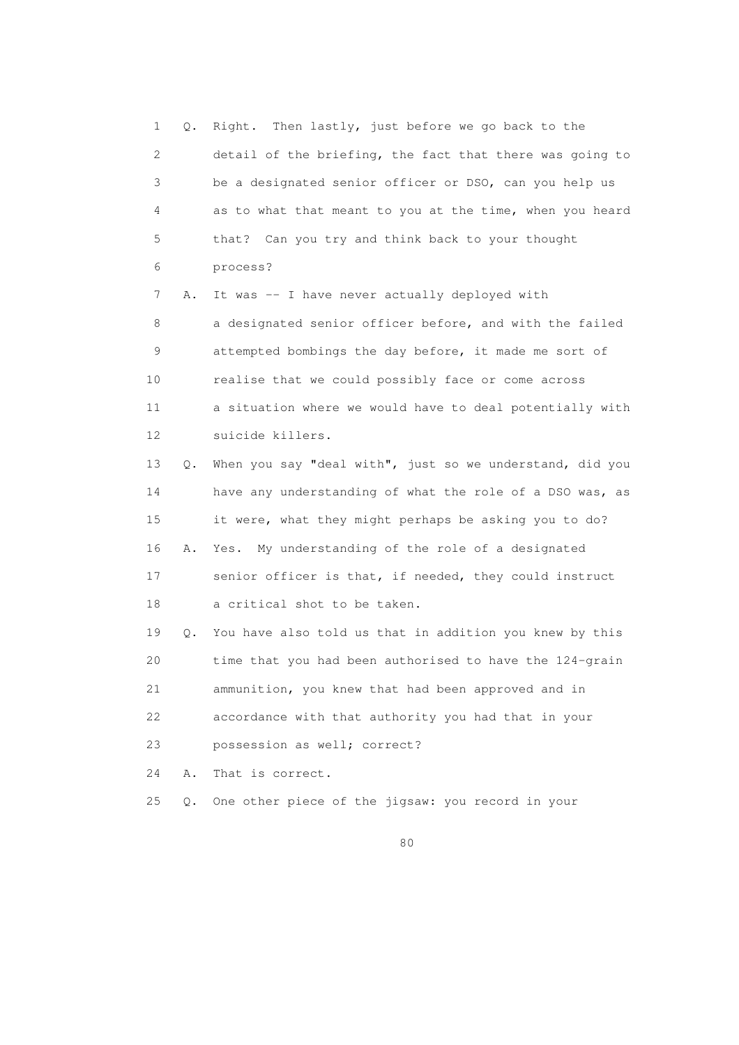1 Q. Right. Then lastly, just before we go back to the 2 detail of the briefing, the fact that there was going to 3 be a designated senior officer or DSO, can you help us 4 as to what that meant to you at the time, when you heard 5 that? Can you try and think back to your thought 6 process? 7 A. It was -- I have never actually deployed with 8 a designated senior officer before, and with the failed 9 attempted bombings the day before, it made me sort of 10 realise that we could possibly face or come across 11 a situation where we would have to deal potentially with 12 suicide killers. 13 Q. When you say "deal with", just so we understand, did you 14 have any understanding of what the role of a DSO was, as 15 it were, what they might perhaps be asking you to do? 16 A. Yes. My understanding of the role of a designated 17 senior officer is that, if needed, they could instruct 18 a critical shot to be taken. 19 Q. You have also told us that in addition you knew by this 20 time that you had been authorised to have the 124-grain 21 ammunition, you knew that had been approved and in 22 accordance with that authority you had that in your 23 possession as well; correct? 24 A. That is correct. 25 Q. One other piece of the jigsaw: you record in your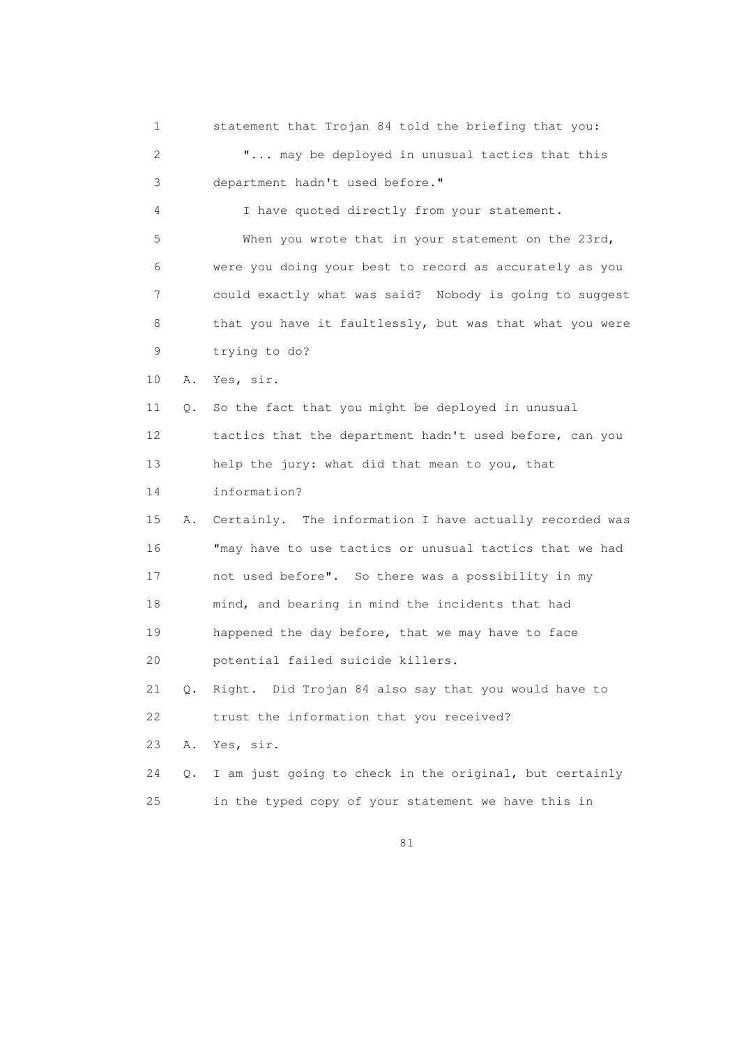1 statement that Trojan 84 told the briefing that you: 2 "... may be deployed in unusual tactics that this 3 department hadn't used before." 4 I have quoted directly from your statement. 5 When you wrote that in your statement on the 23rd, 6 were you doing your best to record as accurately as you 7 could exactly what was said? Nobody is going to suggest 8 that you have it faultlessly, but was that what you were 9 trying to do? 10 A. Yes, sir. 11 Q. So the fact that you might be deployed in unusual 12 tactics that the department hadn't used before, can you 13 help the jury: what did that mean to you, that 14 information? 15 A. Certainly. The information I have actually recorded was 16 "may have to use tactics or unusual tactics that we had 17 not used before". So there was a possibility in my 18 mind, and bearing in mind the incidents that had 19 happened the day before, that we may have to face 20 potential failed suicide killers. 21 Q. Right. Did Trojan 84 also say that you would have to 22 trust the information that you received? 23 A. Yes, sir. 24 Q. I am just going to check in the original, but certainly 25 in the typed copy of your statement we have this in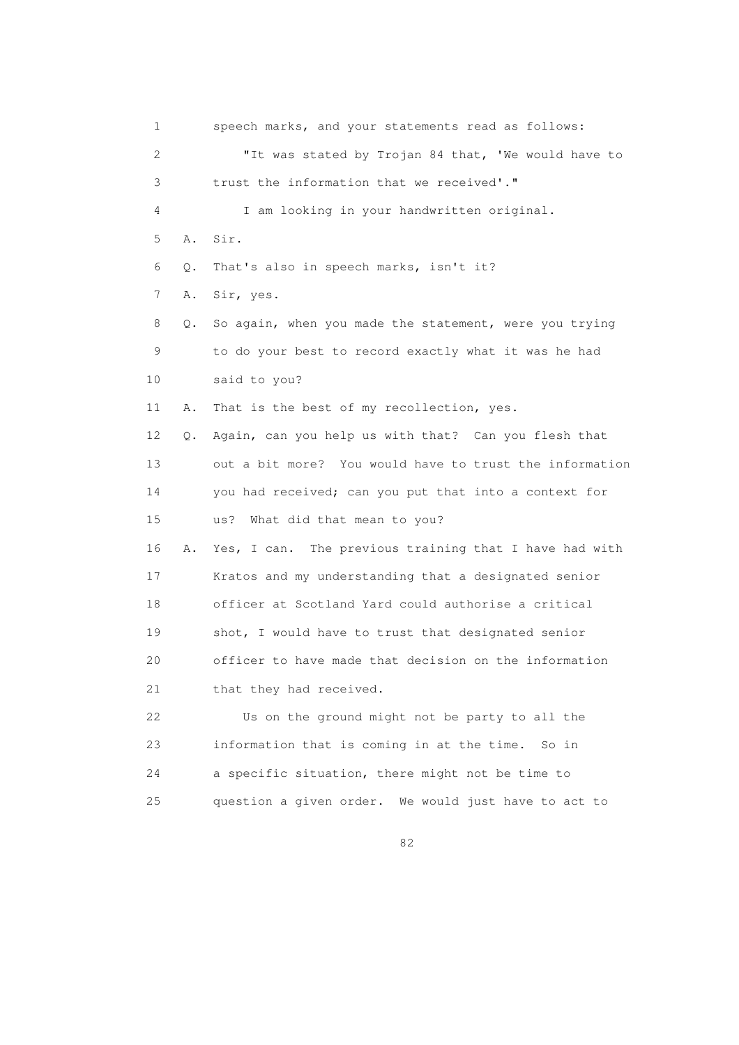1 speech marks, and your statements read as follows: 2 "It was stated by Trojan 84 that, 'We would have to 3 trust the information that we received'." 4 I am looking in your handwritten original. 5 A. Sir. 6 Q. That's also in speech marks, isn't it? 7 A. Sir, yes. 8 Q. So again, when you made the statement, were you trying 9 to do your best to record exactly what it was he had 10 said to you? 11 A. That is the best of my recollection, yes. 12 Q. Again, can you help us with that? Can you flesh that 13 out a bit more? You would have to trust the information 14 you had received; can you put that into a context for 15 us? What did that mean to you? 16 A. Yes, I can. The previous training that I have had with 17 Kratos and my understanding that a designated senior 18 officer at Scotland Yard could authorise a critical 19 shot, I would have to trust that designated senior 20 officer to have made that decision on the information 21 that they had received. 22 Us on the ground might not be party to all the 23 information that is coming in at the time. So in 24 a specific situation, there might not be time to 25 question a given order. We would just have to act to

<u>82</u>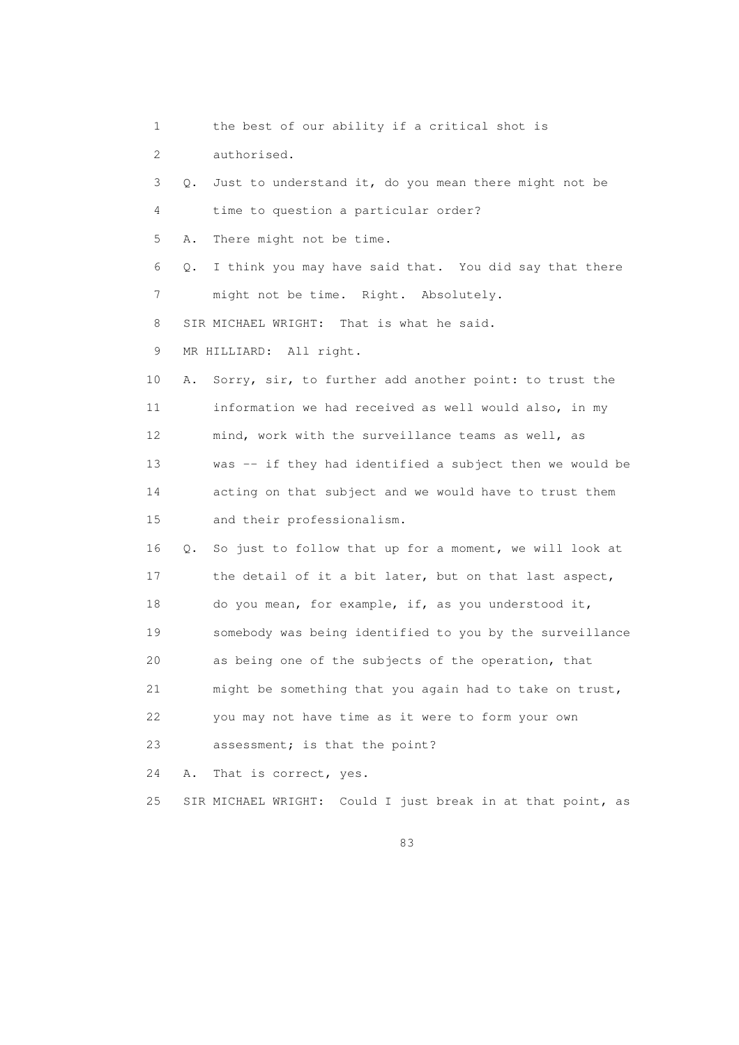1 the best of our ability if a critical shot is

2 authorised.

 3 Q. Just to understand it, do you mean there might not be 4 time to question a particular order? 5 A. There might not be time. 6 Q. I think you may have said that. You did say that there 7 might not be time. Right. Absolutely. 8 SIR MICHAEL WRIGHT: That is what he said. 9 MR HILLIARD: All right. 10 A. Sorry, sir, to further add another point: to trust the 11 information we had received as well would also, in my 12 mind, work with the surveillance teams as well, as 13 was -- if they had identified a subject then we would be 14 acting on that subject and we would have to trust them 15 and their professionalism. 16 Q. So just to follow that up for a moment, we will look at 17 the detail of it a bit later, but on that last aspect, 18 do you mean, for example, if, as you understood it, 19 somebody was being identified to you by the surveillance 20 as being one of the subjects of the operation, that 21 might be something that you again had to take on trust, 22 you may not have time as it were to form your own 23 assessment; is that the point? 24 A. That is correct, yes.

25 SIR MICHAEL WRIGHT: Could I just break in at that point, as

en and the state of the state of the state of the state of the state of the state of the state of the state of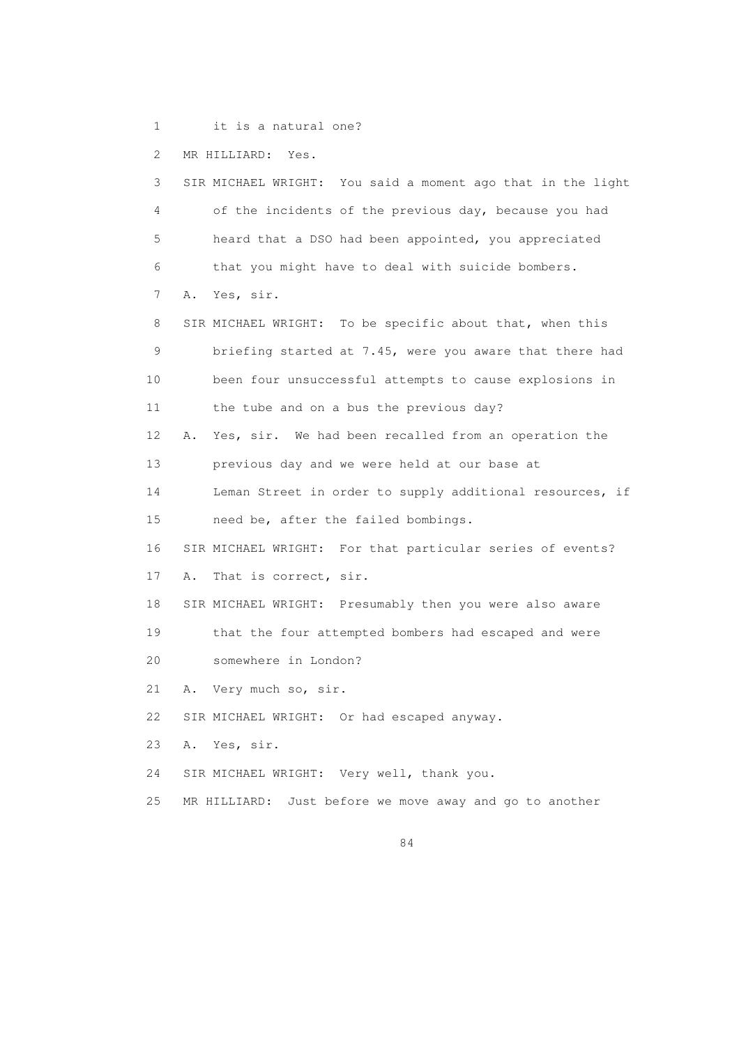1 it is a natural one?

2 MR HILLIARD: Yes.

 3 SIR MICHAEL WRIGHT: You said a moment ago that in the light 4 of the incidents of the previous day, because you had 5 heard that a DSO had been appointed, you appreciated 6 that you might have to deal with suicide bombers. 7 A. Yes, sir. 8 SIR MICHAEL WRIGHT: To be specific about that, when this 9 briefing started at 7.45, were you aware that there had 10 been four unsuccessful attempts to cause explosions in 11 the tube and on a bus the previous day? 12 A. Yes, sir. We had been recalled from an operation the 13 previous day and we were held at our base at 14 Leman Street in order to supply additional resources, if 15 need be, after the failed bombings. 16 SIR MICHAEL WRIGHT: For that particular series of events? 17 A. That is correct, sir. 18 SIR MICHAEL WRIGHT: Presumably then you were also aware 19 that the four attempted bombers had escaped and were 20 somewhere in London? 21 A. Very much so, sir. 22 SIR MICHAEL WRIGHT: Or had escaped anyway. 23 A. Yes, sir. 24 SIR MICHAEL WRIGHT: Very well, thank you. 25 MR HILLIARD: Just before we move away and go to another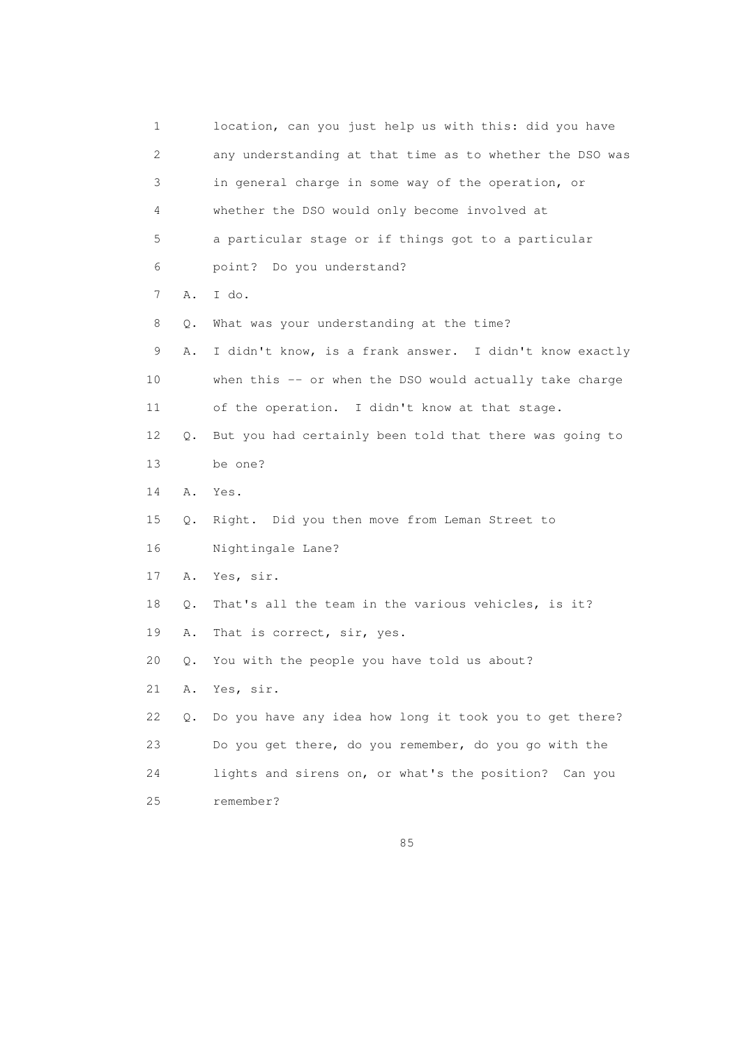1 location, can you just help us with this: did you have 2 any understanding at that time as to whether the DSO was 3 in general charge in some way of the operation, or 4 whether the DSO would only become involved at 5 a particular stage or if things got to a particular 6 point? Do you understand? 7 A. I do. 8 Q. What was your understanding at the time? 9 A. I didn't know, is a frank answer. I didn't know exactly 10 when this -- or when the DSO would actually take charge 11 of the operation. I didn't know at that stage. 12 Q. But you had certainly been told that there was going to 13 be one? 14 A. Yes. 15 Q. Right. Did you then move from Leman Street to 16 Nightingale Lane? 17 A. Yes, sir. 18 Q. That's all the team in the various vehicles, is it? 19 A. That is correct, sir, yes. 20 Q. You with the people you have told us about? 21 A. Yes, sir. 22 Q. Do you have any idea how long it took you to get there? 23 Do you get there, do you remember, do you go with the 24 lights and sirens on, or what's the position? Can you 25 remember?

<u>85 and 2001 and 2001 and 2001 and 2001 and 2001 and 2001 and 2001 and 2001 and 2001 and 2001 and 2001 and 200</u>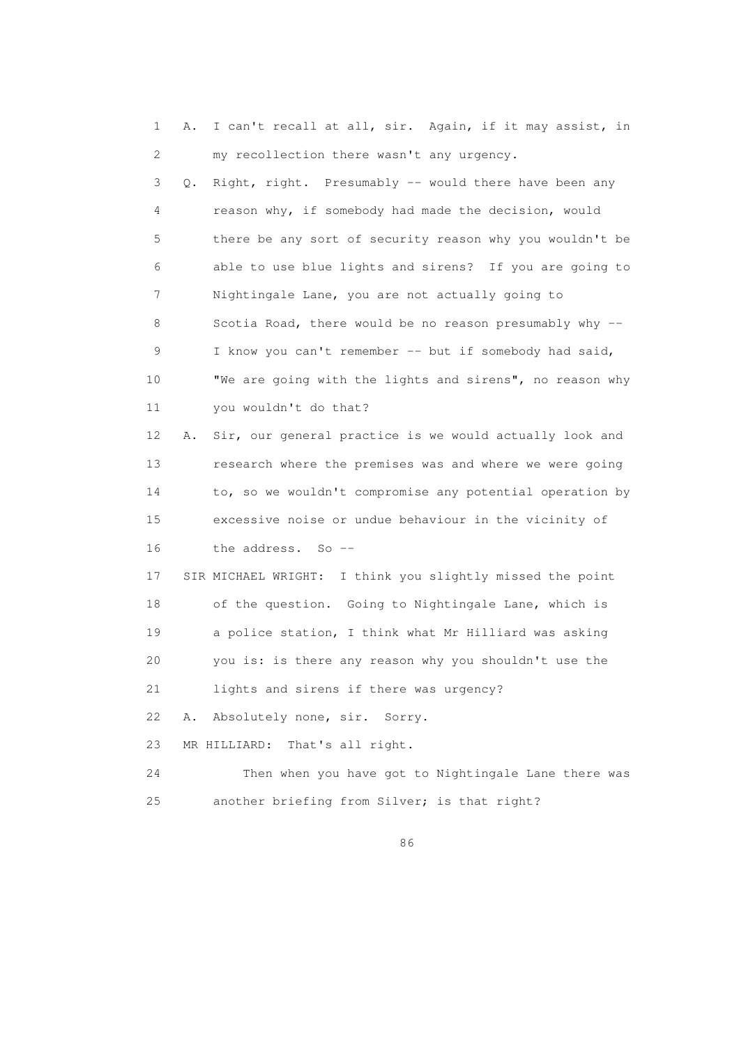1 A. I can't recall at all, sir. Again, if it may assist, in 2 my recollection there wasn't any urgency. 3 Q. Right, right. Presumably -- would there have been any 4 reason why, if somebody had made the decision, would 5 there be any sort of security reason why you wouldn't be 6 able to use blue lights and sirens? If you are going to 7 Nightingale Lane, you are not actually going to 8 Scotia Road, there would be no reason presumably why -- 9 I know you can't remember -- but if somebody had said, 10 "We are going with the lights and sirens", no reason why 11 you wouldn't do that? 12 A. Sir, our general practice is we would actually look and 13 research where the premises was and where we were going 14 to, so we wouldn't compromise any potential operation by 15 excessive noise or undue behaviour in the vicinity of 16 the address. So -- 17 SIR MICHAEL WRIGHT: I think you slightly missed the point 18 of the question. Going to Nightingale Lane, which is 19 a police station, I think what Mr Hilliard was asking 20 you is: is there any reason why you shouldn't use the 21 lights and sirens if there was urgency?

22 A. Absolutely none, sir. Sorry.

23 MR HILLIARD: That's all right.

 24 Then when you have got to Nightingale Lane there was 25 another briefing from Silver; is that right?

<u>86 and 200 and 200 and 200 and 200 and 200 and 200 and 200 and 200 and 200 and 200 and 200 and 200 and 200 and 200 and 200 and 200 and 200 and 200 and 200 and 200 and 200 and 200 and 200 and 200 and 200 and 200 and 200 an</u>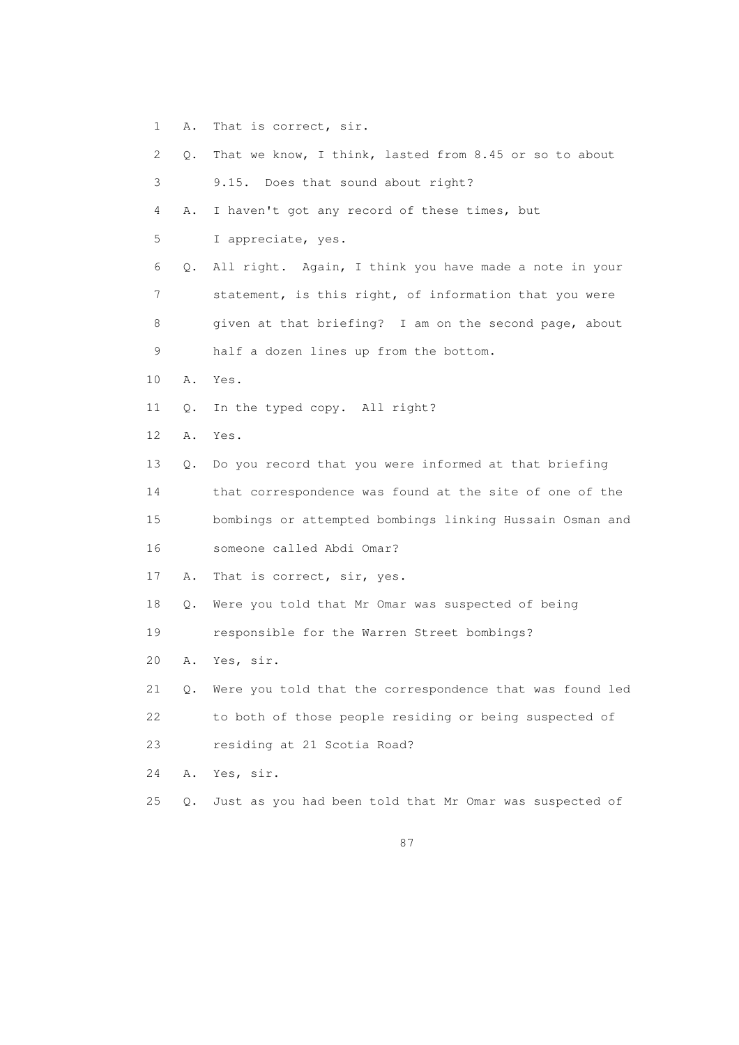- 1 A. That is correct, sir.
- 2 Q. That we know, I think, lasted from 8.45 or so to about 3 9.15. Does that sound about right? 4 A. I haven't got any record of these times, but 5 I appreciate, yes. 6 Q. All right. Again, I think you have made a note in your 7 statement, is this right, of information that you were 8 given at that briefing? I am on the second page, about 9 half a dozen lines up from the bottom. 10 A. Yes. 11 Q. In the typed copy. All right? 12 A. Yes. 13 Q. Do you record that you were informed at that briefing 14 that correspondence was found at the site of one of the 15 bombings or attempted bombings linking Hussain Osman and 16 someone called Abdi Omar? 17 A. That is correct, sir, yes. 18 Q. Were you told that Mr Omar was suspected of being 19 responsible for the Warren Street bombings? 20 A. Yes, sir. 21 Q. Were you told that the correspondence that was found led 22 to both of those people residing or being suspected of 23 residing at 21 Scotia Road? 24 A. Yes, sir. 25 Q. Just as you had been told that Mr Omar was suspected of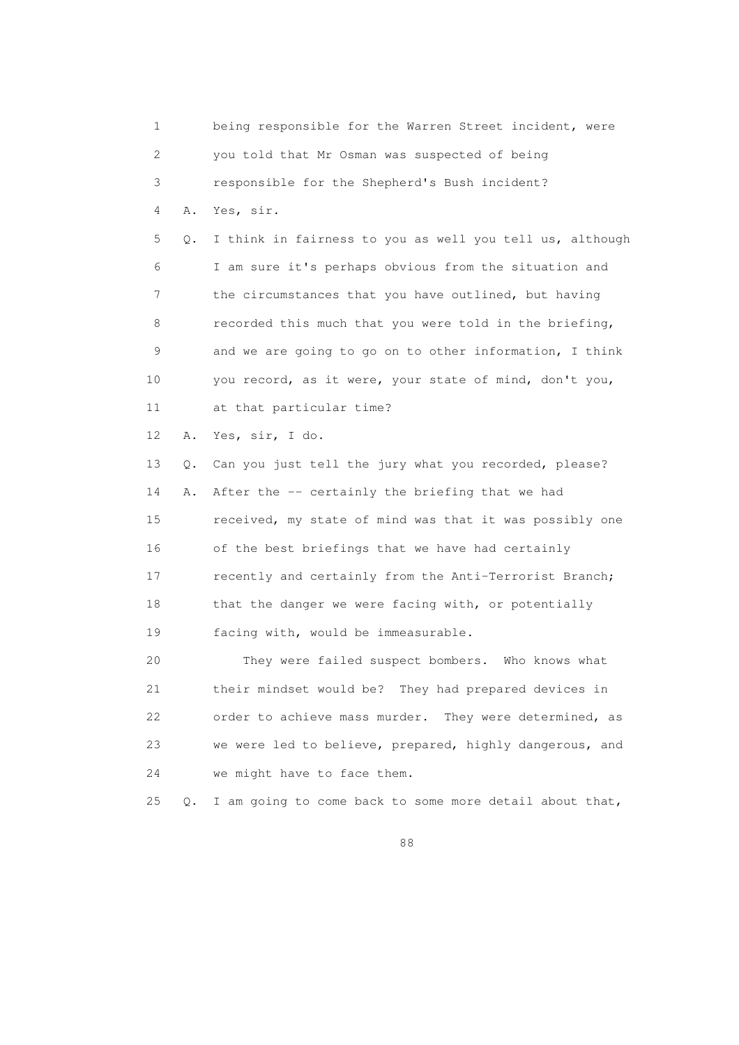1 being responsible for the Warren Street incident, were 2 you told that Mr Osman was suspected of being 3 responsible for the Shepherd's Bush incident? 4 A. Yes, sir. 5 Q. I think in fairness to you as well you tell us, although 6 I am sure it's perhaps obvious from the situation and 7 the circumstances that you have outlined, but having 8 recorded this much that you were told in the briefing, 9 and we are going to go on to other information, I think 10 you record, as it were, your state of mind, don't you, 11 at that particular time? 12 A. Yes, sir, I do. 13 Q. Can you just tell the jury what you recorded, please? 14 A. After the -- certainly the briefing that we had 15 received, my state of mind was that it was possibly one 16 of the best briefings that we have had certainly 17 recently and certainly from the Anti-Terrorist Branch; 18 that the danger we were facing with, or potentially 19 facing with, would be immeasurable. 20 They were failed suspect bombers. Who knows what 21 their mindset would be? They had prepared devices in 22 order to achieve mass murder. They were determined, as 23 we were led to believe, prepared, highly dangerous, and 24 we might have to face them. 25 Q. I am going to come back to some more detail about that,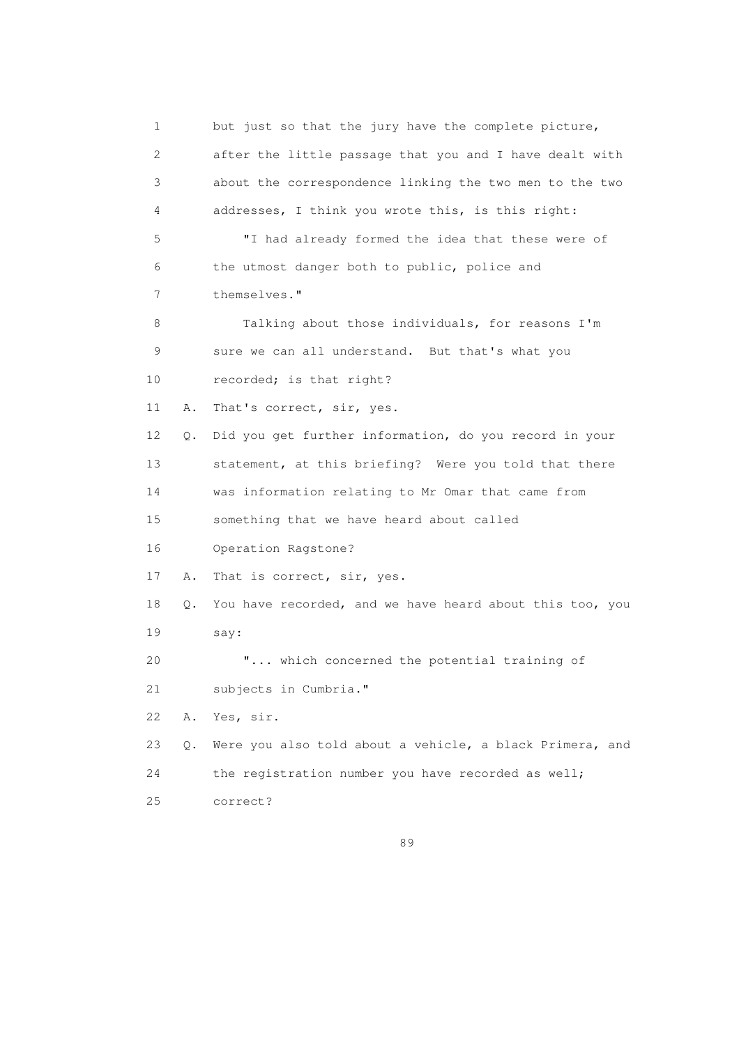1 but just so that the jury have the complete picture, 2 after the little passage that you and I have dealt with 3 about the correspondence linking the two men to the two 4 addresses, I think you wrote this, is this right: 5 "I had already formed the idea that these were of 6 the utmost danger both to public, police and 7 themselves." 8 Talking about those individuals, for reasons I'm 9 sure we can all understand. But that's what you 10 recorded; is that right? 11 A. That's correct, sir, yes. 12 Q. Did you get further information, do you record in your 13 statement, at this briefing? Were you told that there 14 was information relating to Mr Omar that came from 15 something that we have heard about called 16 Operation Ragstone? 17 A. That is correct, sir, yes. 18 Q. You have recorded, and we have heard about this too, you 19 say: 20 "... which concerned the potential training of 21 subjects in Cumbria." 22 A. Yes, sir. 23 Q. Were you also told about a vehicle, a black Primera, and 24 the registration number you have recorded as well; 25 correct?

<u>89 and 2001 and 2001 and 2001 and 2001 and 2001 and 2001 and 2001 and 2001 and 2001 and 2001 and 2001 and 200</u>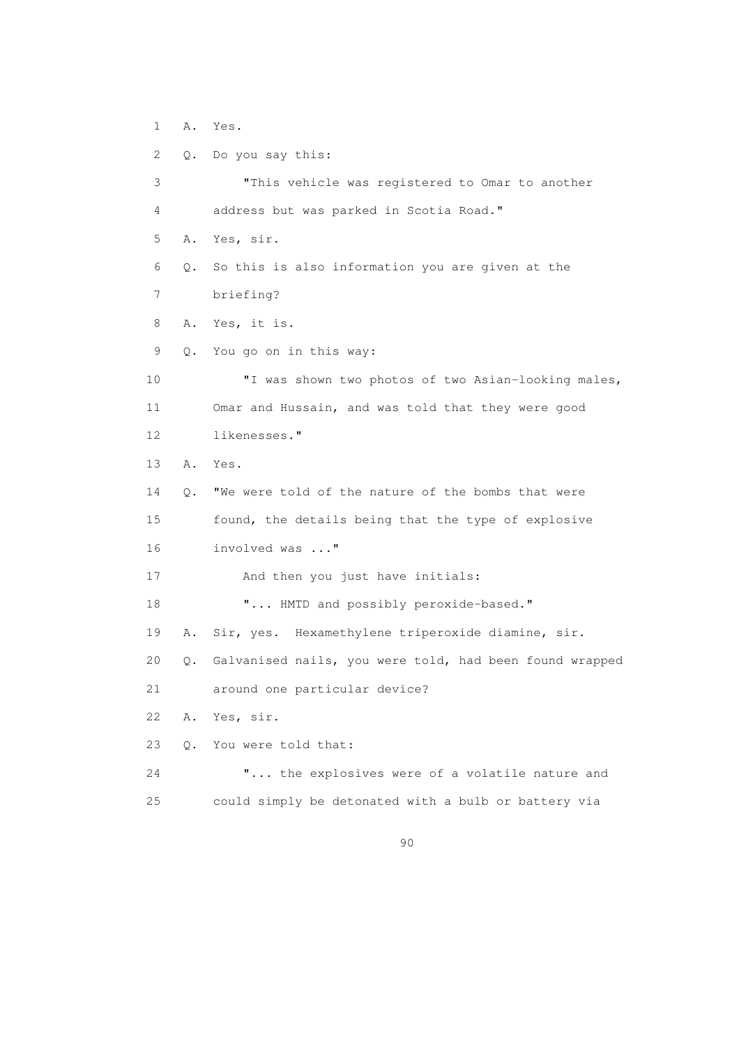1 A. Yes.

 2 Q. Do you say this: 3 "This vehicle was registered to Omar to another 4 address but was parked in Scotia Road." 5 A. Yes, sir. 6 Q. So this is also information you are given at the 7 briefing? 8 A. Yes, it is. 9 Q. You go on in this way: 10 "I was shown two photos of two Asian-looking males, 11 Omar and Hussain, and was told that they were good 12 likenesses." 13 A. Yes. 14 Q. "We were told of the nature of the bombs that were 15 found, the details being that the type of explosive 16 involved was ..." 17 And then you just have initials: 18  $\ldots$  HMTD and possibly peroxide-based." 19 A. Sir, yes. Hexamethylene triperoxide diamine, sir. 20 Q. Galvanised nails, you were told, had been found wrapped 21 around one particular device? 22 A. Yes, sir. 23 Q. You were told that: 24 "... the explosives were of a volatile nature and 25 could simply be detonated with a bulb or battery via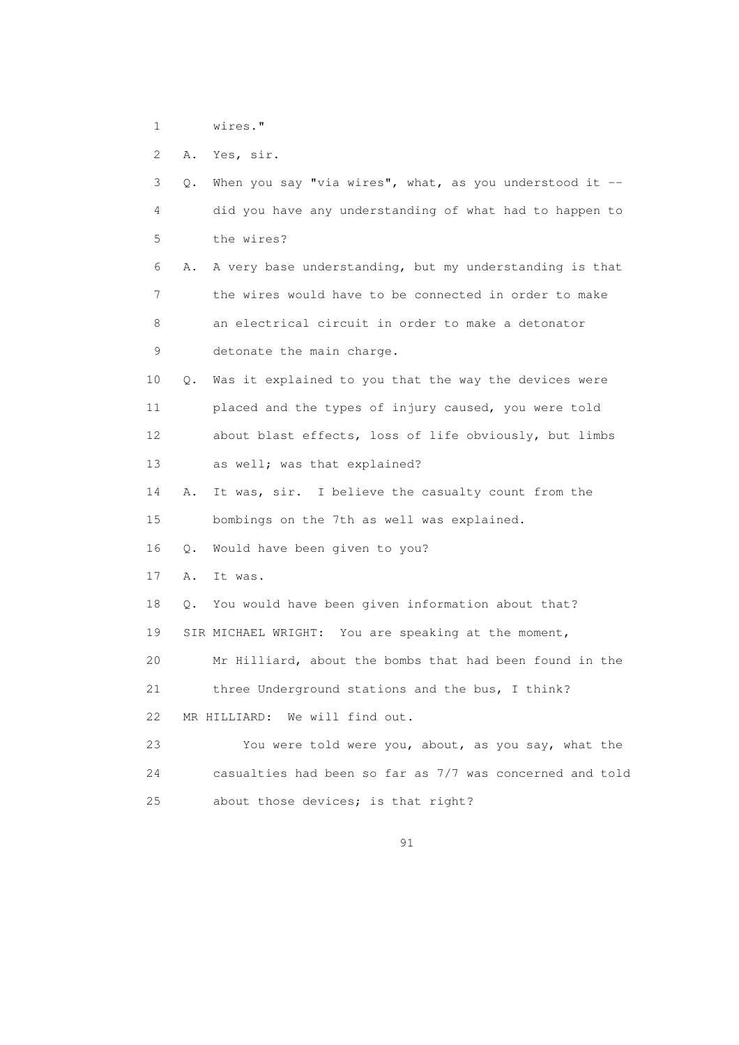1 wires."

2 A. Yes, sir.

| 3  | When you say "via wires", what, as you understood it $-$<br>О. |
|----|----------------------------------------------------------------|
| 4  | did you have any understanding of what had to happen to        |
| 5  | the wires?                                                     |
| 6  | A very base understanding, but my understanding is that<br>Α.  |
| 7  | the wires would have to be connected in order to make          |
| 8  | an electrical circuit in order to make a detonator             |
| 9  | detonate the main charge.                                      |
| 10 | Was it explained to you that the way the devices were<br>Q.    |
| 11 | placed and the types of injury caused, you were told           |
| 12 | about blast effects, loss of life obviously, but limbs         |
| 13 | as well; was that explained?                                   |
| 14 | It was, sir. I believe the casualty count from the<br>Α.       |
| 15 | bombings on the 7th as well was explained.                     |
| 16 | Would have been given to you?<br>Q.                            |
| 17 | Α.<br>It was.                                                  |
| 18 | You would have been given information about that?<br>$\circ$ . |
| 19 | SIR MICHAEL WRIGHT: You are speaking at the moment,            |
| 20 | Mr Hilliard, about the bombs that had been found in the        |
| 21 | three Underground stations and the bus, I think?               |
| 22 | MR HILLIARD: We will find out.                                 |
| 23 | You were told were you, about, as you say, what the            |
| 24 | casualties had been so far as 7/7 was concerned and told       |
| 25 | about those devices; is that right?                            |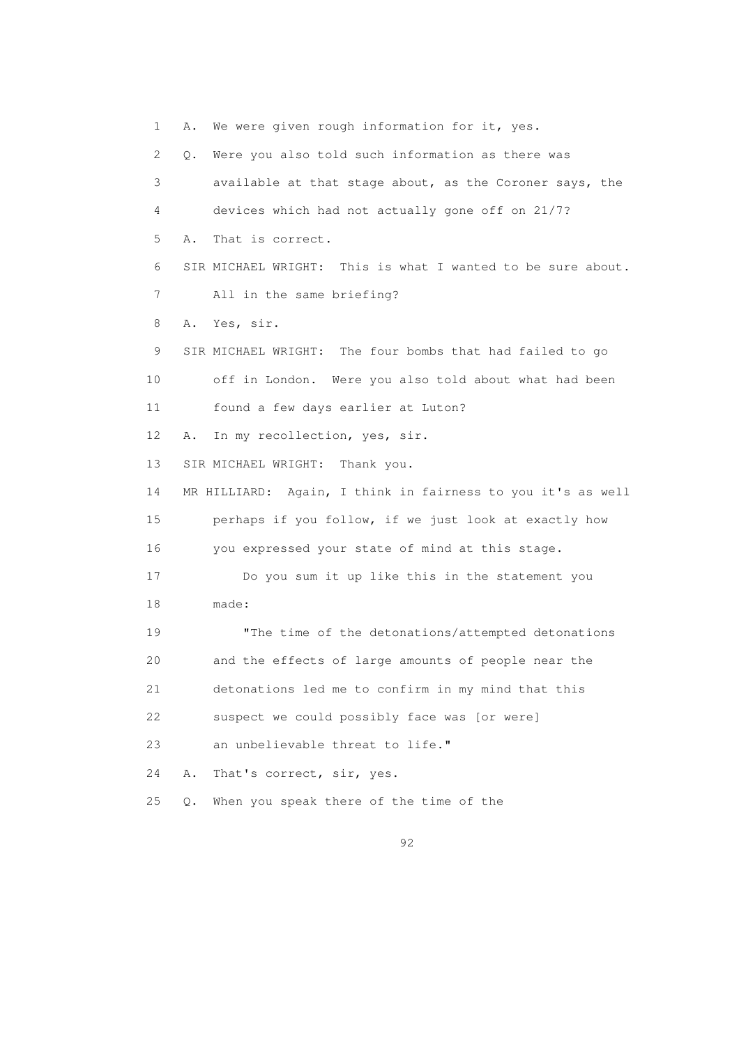1 A. We were given rough information for it, yes. 2 Q. Were you also told such information as there was 3 available at that stage about, as the Coroner says, the 4 devices which had not actually gone off on 21/7? 5 A. That is correct. 6 SIR MICHAEL WRIGHT: This is what I wanted to be sure about. 7 All in the same briefing? 8 A. Yes, sir. 9 SIR MICHAEL WRIGHT: The four bombs that had failed to go 10 off in London. Were you also told about what had been 11 found a few days earlier at Luton? 12 A. In my recollection, yes, sir. 13 SIR MICHAEL WRIGHT: Thank you. 14 MR HILLIARD: Again, I think in fairness to you it's as well 15 perhaps if you follow, if we just look at exactly how 16 you expressed your state of mind at this stage. 17 Do you sum it up like this in the statement you 18 made: 19 "The time of the detonations/attempted detonations 20 and the effects of large amounts of people near the 21 detonations led me to confirm in my mind that this 22 suspect we could possibly face was [or were] 23 an unbelievable threat to life." 24 A. That's correct, sir, yes. 25 Q. When you speak there of the time of the

<u>92</u>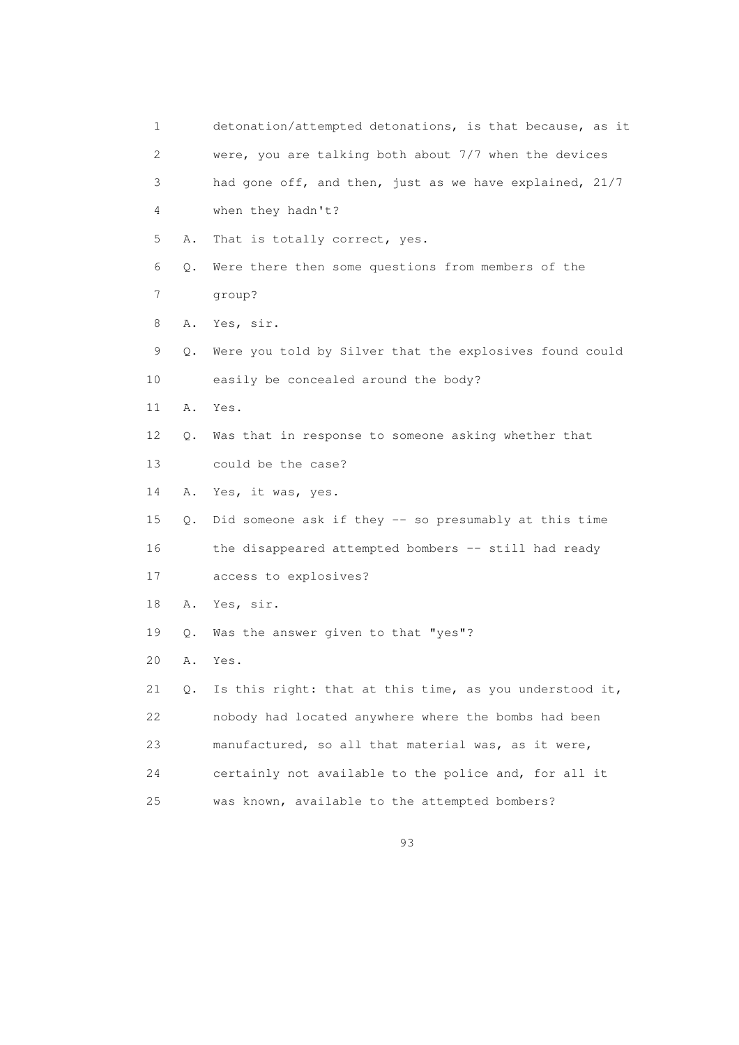| 1               |           | detonation/attempted detonations, is that because, as it |
|-----------------|-----------|----------------------------------------------------------|
| 2               |           | were, you are talking both about 7/7 when the devices    |
| 3               |           | had gone off, and then, just as we have explained, 21/7  |
| 4               |           | when they hadn't?                                        |
| 5               | Α.        | That is totally correct, yes.                            |
| 6               | Q.        | Were there then some questions from members of the       |
| 7               |           | group?                                                   |
| 8               | Α.        | Yes, sir.                                                |
| 9               | О.        | Were you told by Silver that the explosives found could  |
| 10              |           | easily be concealed around the body?                     |
| 11              | Α.        | Yes.                                                     |
| 12 <sup>°</sup> | Q.        | Was that in response to someone asking whether that      |
| 13              |           | could be the case?                                       |
| 14              | Α.        | Yes, it was, yes.                                        |
| 15              | Q.        | Did someone ask if they -- so presumably at this time    |
| 16              |           | the disappeared attempted bombers -- still had ready     |
| 17              |           | access to explosives?                                    |
| 18              | Α.        | Yes, sir.                                                |
| 19              | $\circ$ . | Was the answer given to that "yes"?                      |
| 20              | Α.        | Yes.                                                     |
| 21              | Q.        | Is this right: that at this time, as you understood it,  |
| 22              |           | nobody had located anywhere where the bombs had been     |
| 23              |           | manufactured, so all that material was, as it were,      |
| 24              |           | certainly not available to the police and, for all it    |
| 25              |           | was known, available to the attempted bombers?           |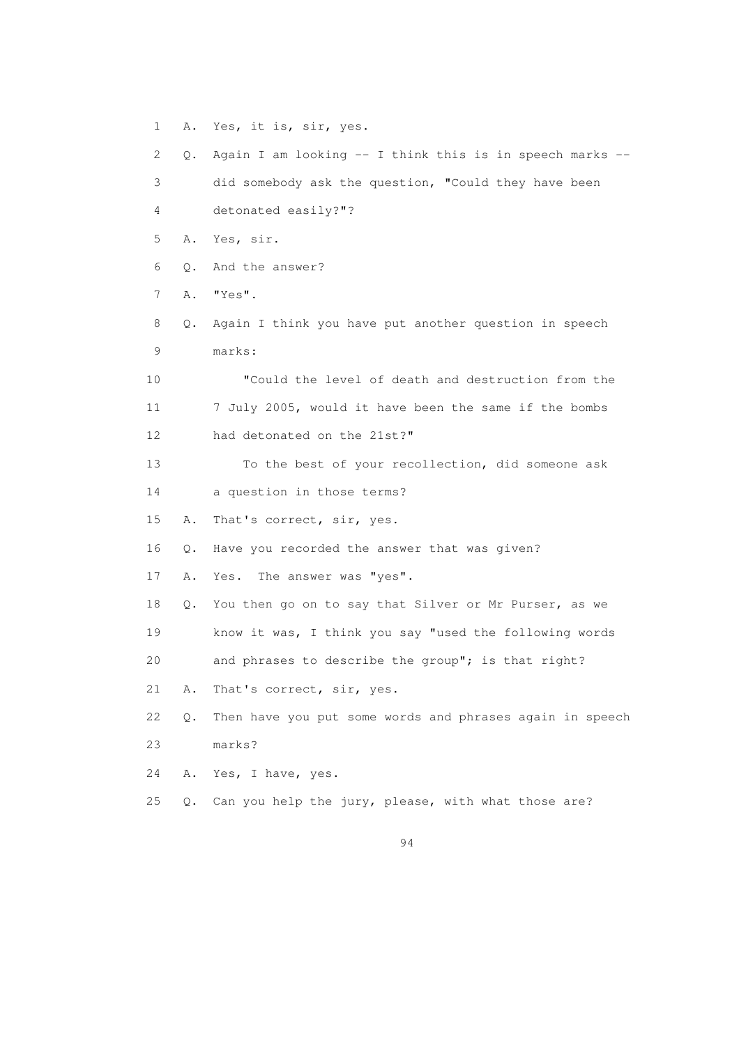1 A. Yes, it is, sir, yes. 2 Q. Again I am looking -- I think this is in speech marks -- 3 did somebody ask the question, "Could they have been 4 detonated easily?"? 5 A. Yes, sir. 6 Q. And the answer? 7 A. "Yes". 8 Q. Again I think you have put another question in speech 9 marks: 10 "Could the level of death and destruction from the 11 7 July 2005, would it have been the same if the bombs 12 had detonated on the 21st?" 13 To the best of your recollection, did someone ask 14 a question in those terms? 15 A. That's correct, sir, yes. 16 Q. Have you recorded the answer that was given? 17 A. Yes. The answer was "yes". 18 Q. You then go on to say that Silver or Mr Purser, as we 19 know it was, I think you say "used the following words 20 and phrases to describe the group"; is that right? 21 A. That's correct, sir, yes. 22 Q. Then have you put some words and phrases again in speech 23 marks? 24 A. Yes, I have, yes. 25 Q. Can you help the jury, please, with what those are?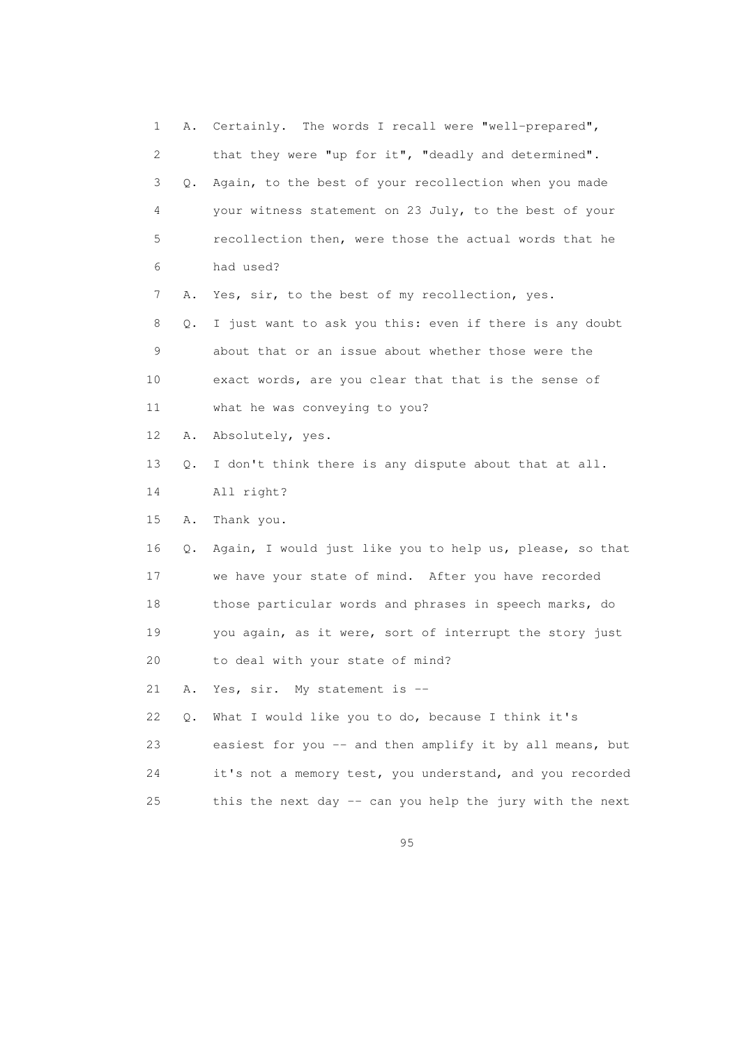1 A. Certainly. The words I recall were "well-prepared", 2 that they were "up for it", "deadly and determined". 3 Q. Again, to the best of your recollection when you made 4 your witness statement on 23 July, to the best of your 5 recollection then, were those the actual words that he 6 had used? 7 A. Yes, sir, to the best of my recollection, yes. 8 Q. I just want to ask you this: even if there is any doubt 9 about that or an issue about whether those were the 10 exact words, are you clear that that is the sense of 11 what he was conveying to you? 12 A. Absolutely, yes. 13 Q. I don't think there is any dispute about that at all. 14 All right? 15 A. Thank you. 16 Q. Again, I would just like you to help us, please, so that 17 we have your state of mind. After you have recorded 18 those particular words and phrases in speech marks, do 19 you again, as it were, sort of interrupt the story just 20 to deal with your state of mind? 21 A. Yes, sir. My statement is -- 22 Q. What I would like you to do, because I think it's 23 easiest for you -- and then amplify it by all means, but 24 it's not a memory test, you understand, and you recorded 25 this the next day -- can you help the jury with the next

<u>95 and the state of the state of the state of the state of the state of the state of the state of the state of the state of the state of the state of the state of the state of the state of the state of the state of the st</u>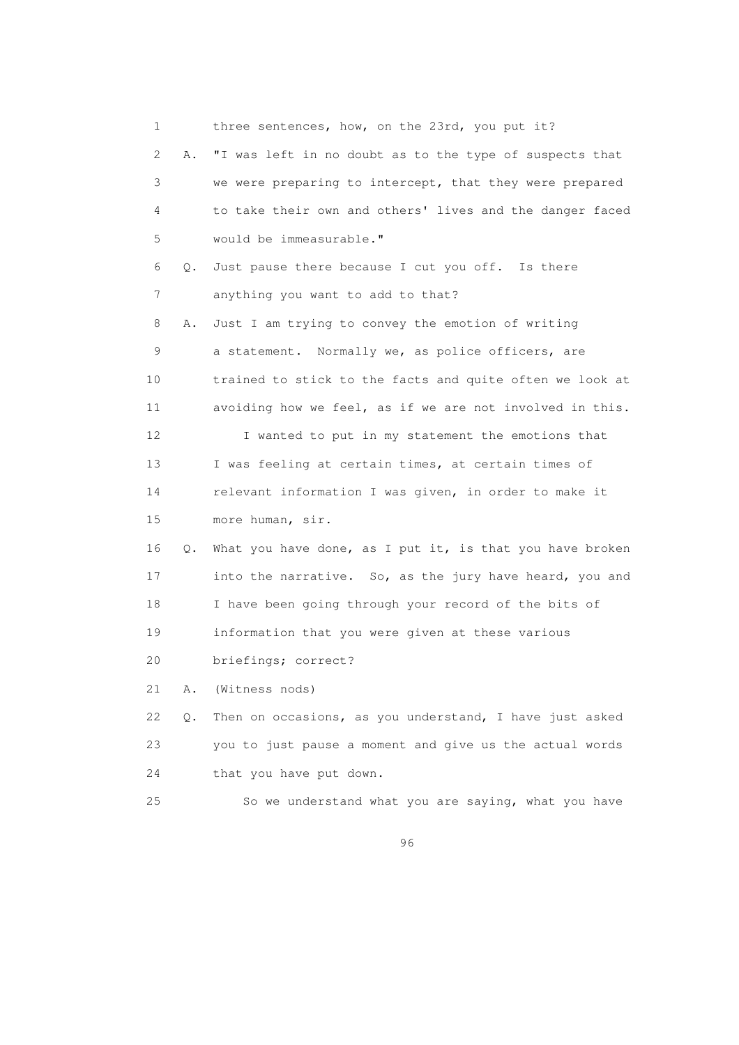| 1  |    | three sentences, how, on the 23rd, you put it?           |
|----|----|----------------------------------------------------------|
| 2  | Α. | "I was left in no doubt as to the type of suspects that  |
| 3  |    | we were preparing to intercept, that they were prepared  |
| 4  |    | to take their own and others' lives and the danger faced |
| 5  |    | would be immeasurable."                                  |
| 6  | Q. | Just pause there because I cut you off. Is there         |
| 7  |    | anything you want to add to that?                        |
| 8  | Α. | Just I am trying to convey the emotion of writing        |
| 9  |    | a statement. Normally we, as police officers, are        |
| 10 |    | trained to stick to the facts and quite often we look at |
| 11 |    | avoiding how we feel, as if we are not involved in this. |
| 12 |    | I wanted to put in my statement the emotions that        |
| 13 |    | I was feeling at certain times, at certain times of      |
| 14 |    | relevant information I was given, in order to make it    |
| 15 |    | more human, sir.                                         |
| 16 | Q. | What you have done, as I put it, is that you have broken |
| 17 |    | into the narrative. So, as the jury have heard, you and  |
| 18 |    | I have been going through your record of the bits of     |
| 19 |    | information that you were given at these various         |
| 20 |    | briefings; correct?                                      |
| 21 | Α. | (Witness nods)                                           |
| 22 | Q. | Then on occasions, as you understand, I have just asked  |
| 23 |    | you to just pause a moment and give us the actual words  |
| 24 |    | that you have put down.                                  |
| 25 |    | So we understand what you are saying, what you have      |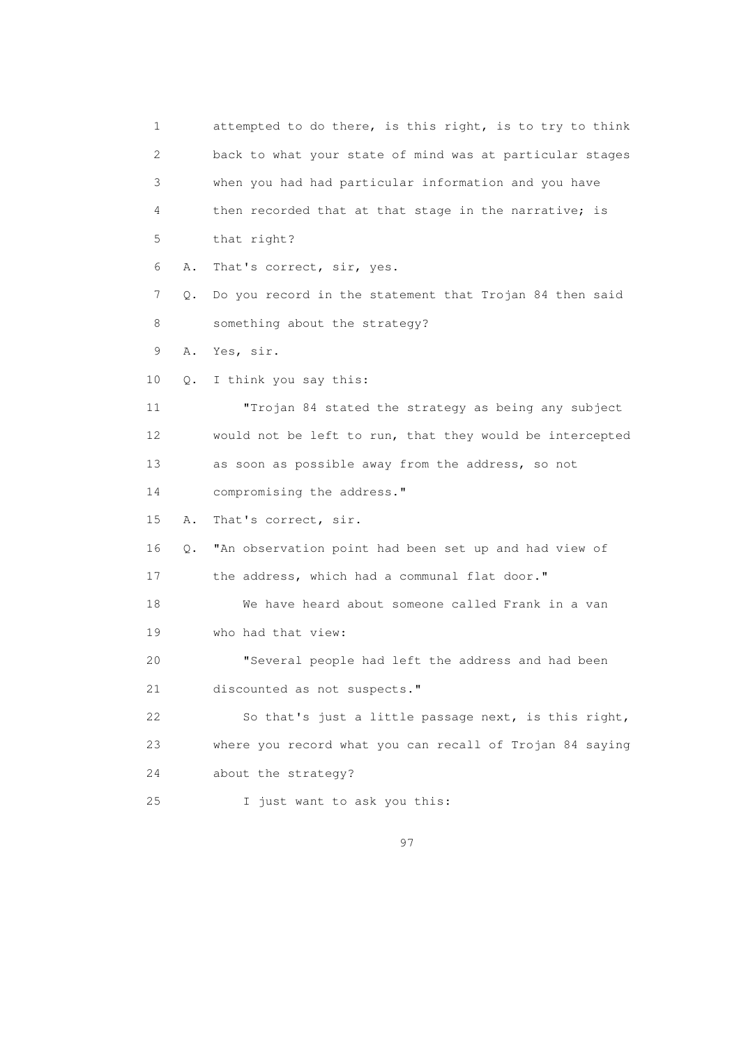1 attempted to do there, is this right, is to try to think 2 back to what your state of mind was at particular stages 3 when you had had particular information and you have 4 then recorded that at that stage in the narrative; is 5 that right? 6 A. That's correct, sir, yes. 7 Q. Do you record in the statement that Trojan 84 then said 8 something about the strategy? 9 A. Yes, sir. 10 Q. I think you say this: 11 "Trojan 84 stated the strategy as being any subject 12 would not be left to run, that they would be intercepted 13 as soon as possible away from the address, so not 14 compromising the address." 15 A. That's correct, sir. 16 Q. "An observation point had been set up and had view of 17 the address, which had a communal flat door." 18 We have heard about someone called Frank in a van 19 who had that view: 20 "Several people had left the address and had been 21 discounted as not suspects." 22 So that's just a little passage next, is this right, 23 where you record what you can recall of Trojan 84 saying 24 about the strategy? 25 I just want to ask you this: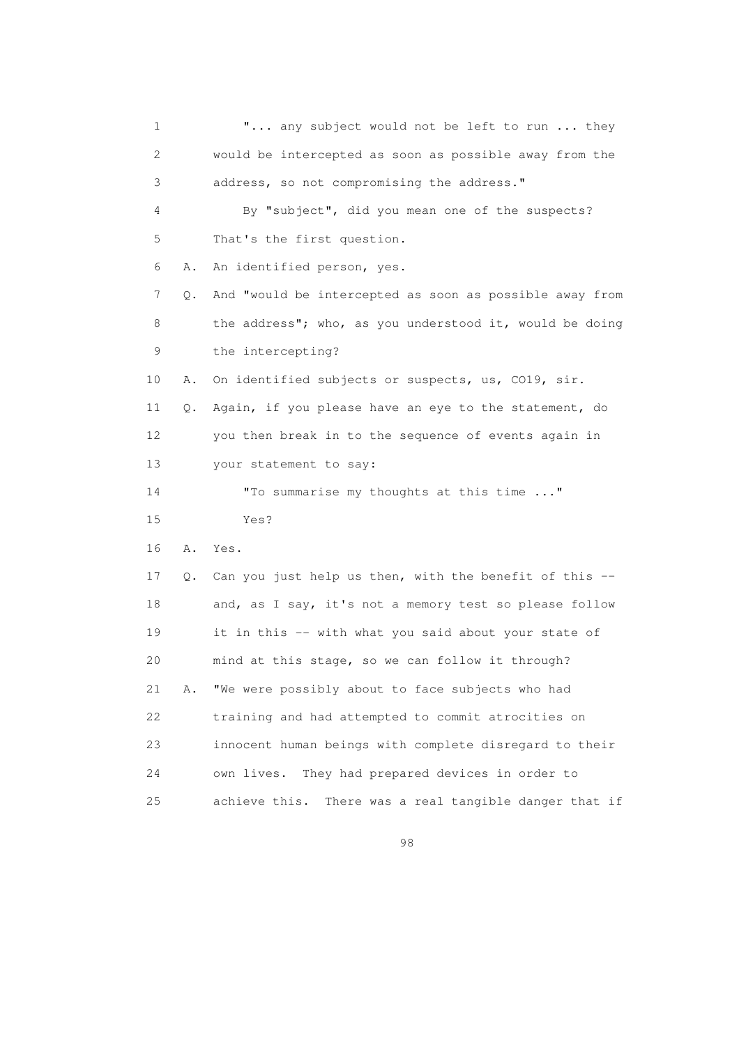1 **"...** any subject would not be left to run ... they 2 would be intercepted as soon as possible away from the 3 address, so not compromising the address." 4 By "subject", did you mean one of the suspects? 5 That's the first question. 6 A. An identified person, yes. 7 Q. And "would be intercepted as soon as possible away from 8 the address"; who, as you understood it, would be doing 9 the intercepting? 10 A. On identified subjects or suspects, us, CO19, sir. 11 Q. Again, if you please have an eye to the statement, do 12 you then break in to the sequence of events again in 13 your statement to say: 14 "To summarise my thoughts at this time ..." 15 Yes? 16 A. Yes. 17 Q. Can you just help us then, with the benefit of this -- 18 and, as I say, it's not a memory test so please follow 19 it in this -- with what you said about your state of 20 mind at this stage, so we can follow it through? 21 A. "We were possibly about to face subjects who had 22 training and had attempted to commit atrocities on 23 innocent human beings with complete disregard to their 24 own lives. They had prepared devices in order to 25 achieve this. There was a real tangible danger that if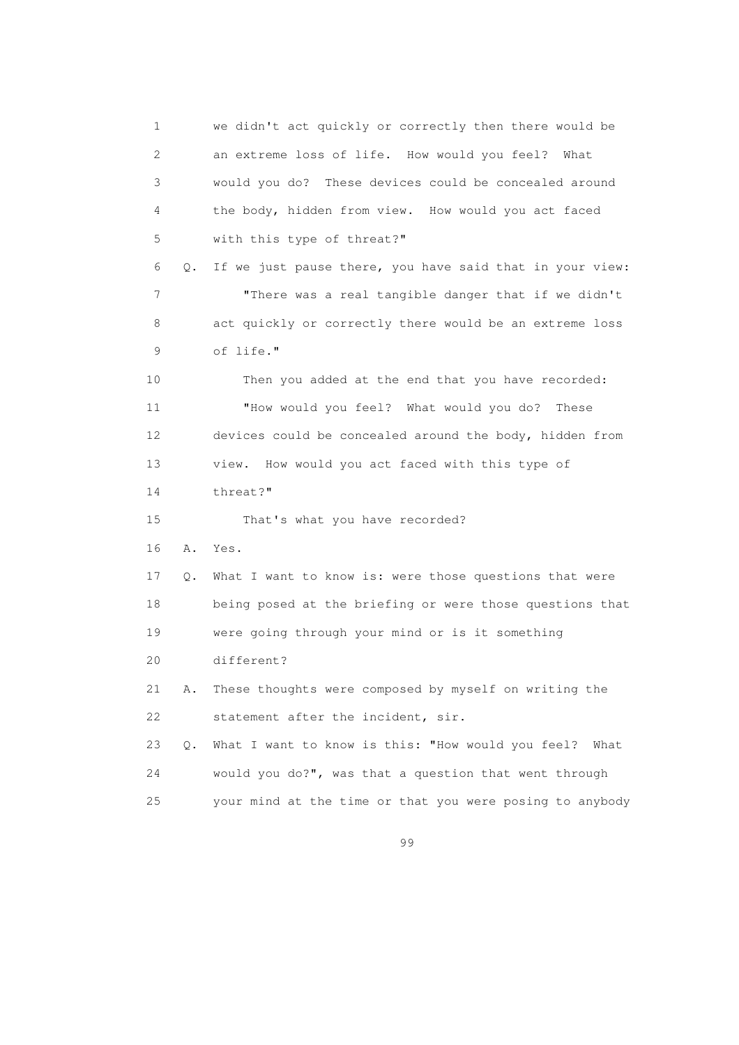1 we didn't act quickly or correctly then there would be 2 an extreme loss of life. How would you feel? What 3 would you do? These devices could be concealed around 4 the body, hidden from view. How would you act faced 5 with this type of threat?" 6 Q. If we just pause there, you have said that in your view: 7 "There was a real tangible danger that if we didn't 8 act quickly or correctly there would be an extreme loss 9 of life." 10 Then you added at the end that you have recorded: 11 "How would you feel? What would you do? These 12 devices could be concealed around the body, hidden from 13 view. How would you act faced with this type of 14 threat?" 15 That's what you have recorded? 16 A. Yes. 17 Q. What I want to know is: were those questions that were 18 being posed at the briefing or were those questions that 19 were going through your mind or is it something 20 different? 21 A. These thoughts were composed by myself on writing the 22 statement after the incident, sir. 23 Q. What I want to know is this: "How would you feel? What 24 would you do?", was that a question that went through 25 your mind at the time or that you were posing to anybody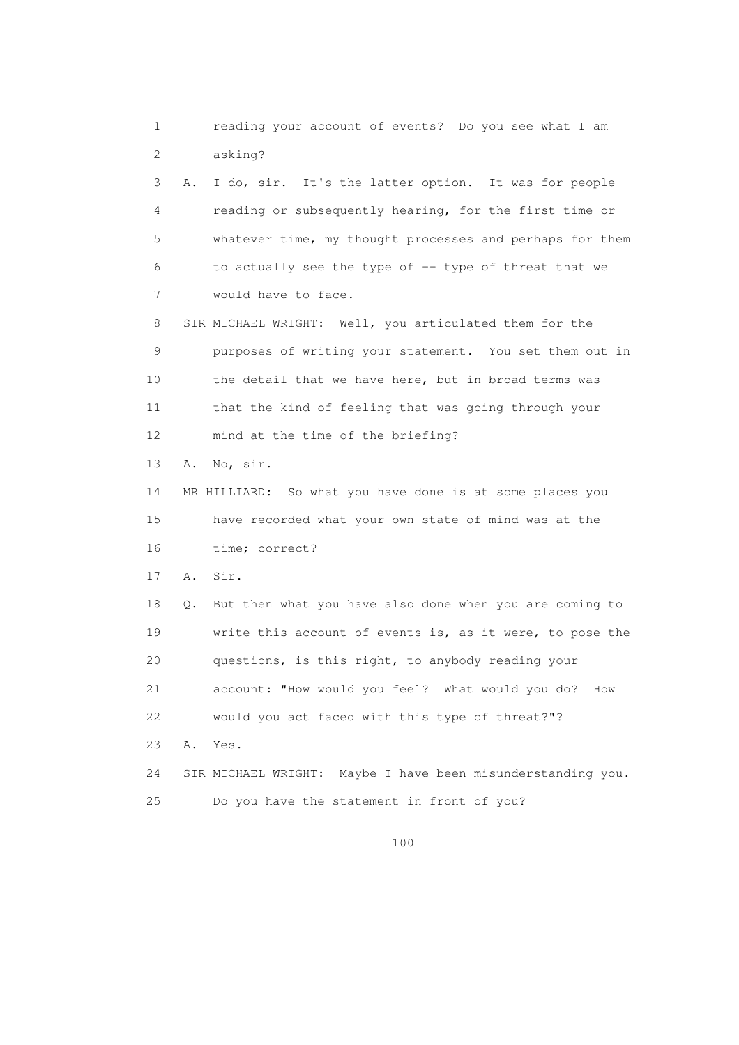1 reading your account of events? Do you see what I am 2 asking? 3 A. I do, sir. It's the latter option. It was for people 4 reading or subsequently hearing, for the first time or 5 whatever time, my thought processes and perhaps for them 6 to actually see the type of -- type of threat that we 7 would have to face. 8 SIR MICHAEL WRIGHT: Well, you articulated them for the 9 purposes of writing your statement. You set them out in 10 the detail that we have here, but in broad terms was 11 that the kind of feeling that was going through your 12 mind at the time of the briefing? 13 A. No, sir. 14 MR HILLIARD: So what you have done is at some places you 15 have recorded what your own state of mind was at the 16 time; correct? 17 A. Sir. 18 Q. But then what you have also done when you are coming to 19 write this account of events is, as it were, to pose the 20 questions, is this right, to anybody reading your 21 account: "How would you feel? What would you do? How 22 would you act faced with this type of threat?"? 23 A. Yes. 24 SIR MICHAEL WRIGHT: Maybe I have been misunderstanding you. 25 Do you have the statement in front of you?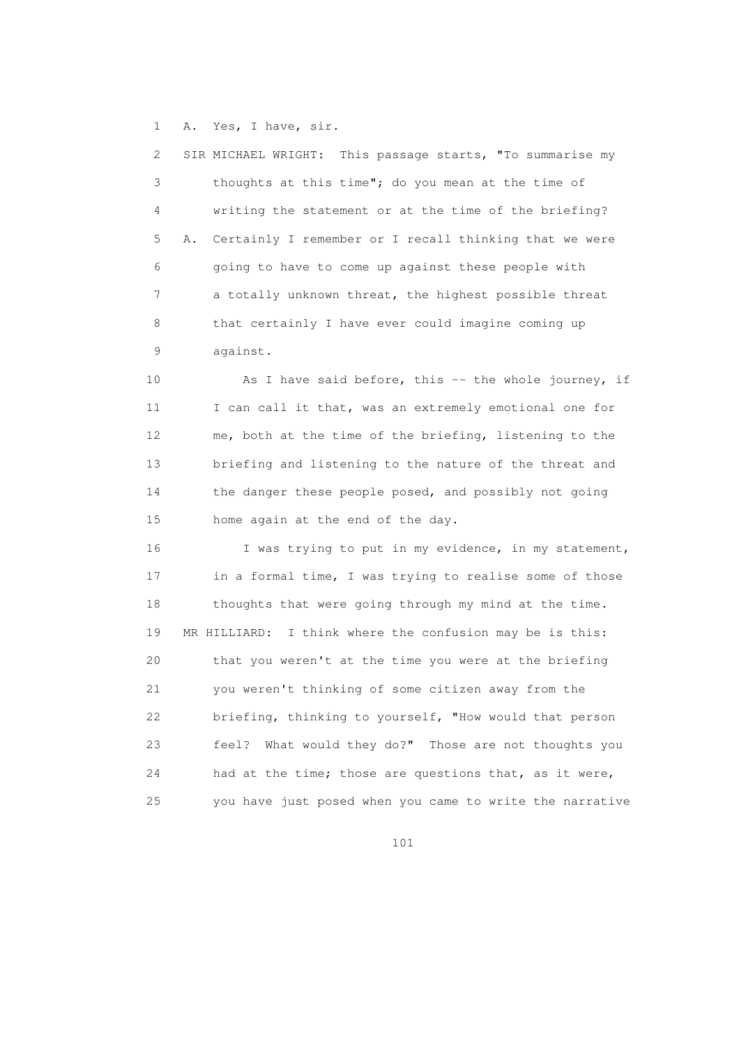1 A. Yes, I have, sir.

| 2 | SIR MICHAEL WRIGHT: This passage starts, "To summarise my |
|---|-----------------------------------------------------------|
| 3 | thoughts at this time"; do you mean at the time of        |
| 4 | writing the statement or at the time of the briefing?     |
| 5 | A. Certainly I remember or I recall thinking that we were |
| 6 | going to have to come up against these people with        |
| 7 | a totally unknown threat, the highest possible threat     |
| 8 | that certainly I have ever could imagine coming up        |
| 9 | against.                                                  |

10 As I have said before, this -- the whole journey, if 11 I can call it that, was an extremely emotional one for 12 me, both at the time of the briefing, listening to the 13 briefing and listening to the nature of the threat and 14 the danger these people posed, and possibly not going 15 home again at the end of the day.

16 I was trying to put in my evidence, in my statement, 17 in a formal time, I was trying to realise some of those 18 thoughts that were going through my mind at the time. 19 MR HILLIARD: I think where the confusion may be is this: 20 that you weren't at the time you were at the briefing 21 you weren't thinking of some citizen away from the 22 briefing, thinking to yourself, "How would that person 23 feel? What would they do?" Those are not thoughts you 24 had at the time; those are questions that, as it were, 25 you have just posed when you came to write the narrative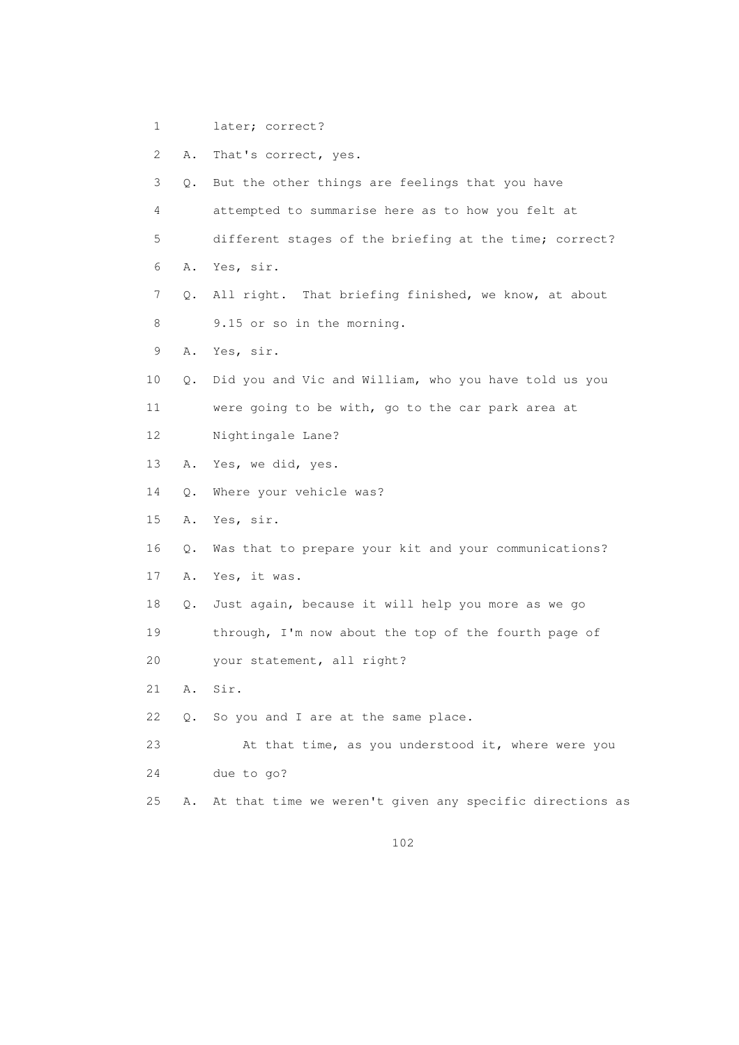- 1 later; correct?
- 2 A. That's correct, yes.
- 3 Q. But the other things are feelings that you have
- 4 attempted to summarise here as to how you felt at
- 5 different stages of the briefing at the time; correct?
- 6 A. Yes, sir.
- 7 Q. All right. That briefing finished, we know, at about 8 9.15 or so in the morning.
- 9 A. Yes, sir.
- 10 Q. Did you and Vic and William, who you have told us you 11 were going to be with, go to the car park area at
- 12 Nightingale Lane?
- 13 A. Yes, we did, yes.
- 14 Q. Where your vehicle was?
- 15 A. Yes, sir.
- 16 Q. Was that to prepare your kit and your communications?
- 17 A. Yes, it was.
- 18 Q. Just again, because it will help you more as we go
- 19 through, I'm now about the top of the fourth page of 20 your statement, all right?
- 21 A. Sir.
- 22 Q. So you and I are at the same place.
- 23 At that time, as you understood it, where were you 24 due to go?
- 25 A. At that time we weren't given any specific directions as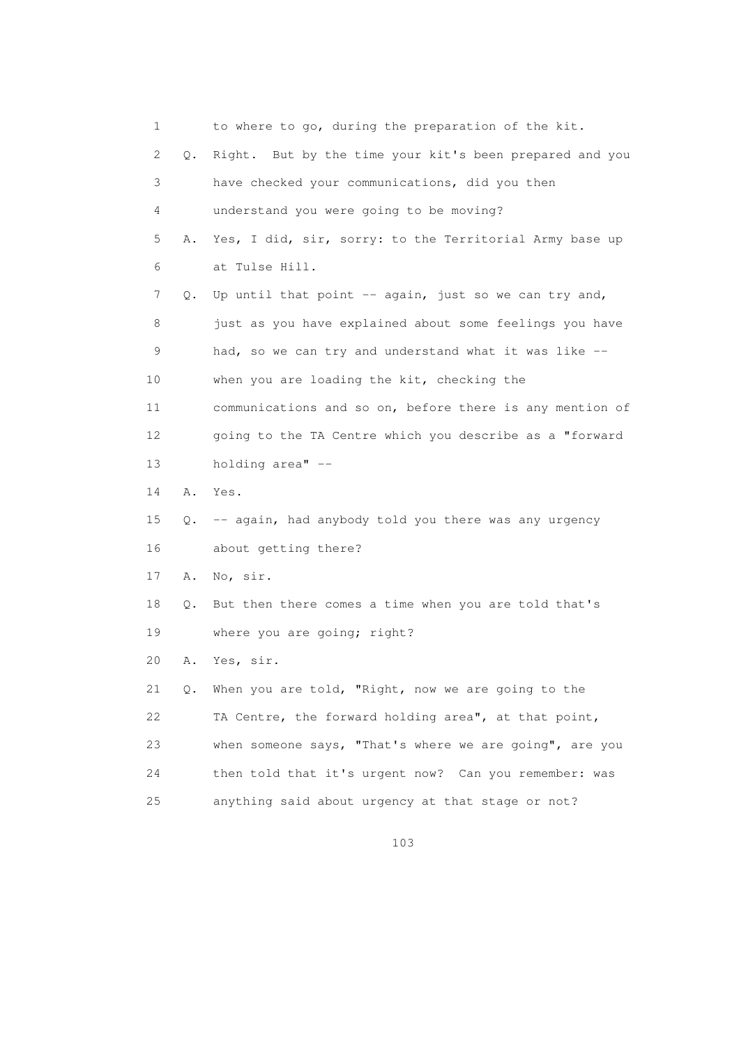1 to where to go, during the preparation of the kit. 2 Q. Right. But by the time your kit's been prepared and you 3 have checked your communications, did you then 4 understand you were going to be moving? 5 A. Yes, I did, sir, sorry: to the Territorial Army base up 6 at Tulse Hill. 7 Q. Up until that point -- again, just so we can try and, 8 just as you have explained about some feelings you have 9 had, so we can try and understand what it was like -- 10 when you are loading the kit, checking the 11 communications and so on, before there is any mention of 12 going to the TA Centre which you describe as a "forward 13 holding area" -- 14 A. Yes. 15 Q. -- again, had anybody told you there was any urgency 16 about getting there? 17 A. No, sir. 18 Q. But then there comes a time when you are told that's 19 where you are going; right? 20 A. Yes, sir. 21 Q. When you are told, "Right, now we are going to the 22 TA Centre, the forward holding area", at that point, 23 when someone says, "That's where we are going", are you 24 then told that it's urgent now? Can you remember: was 25 anything said about urgency at that stage or not?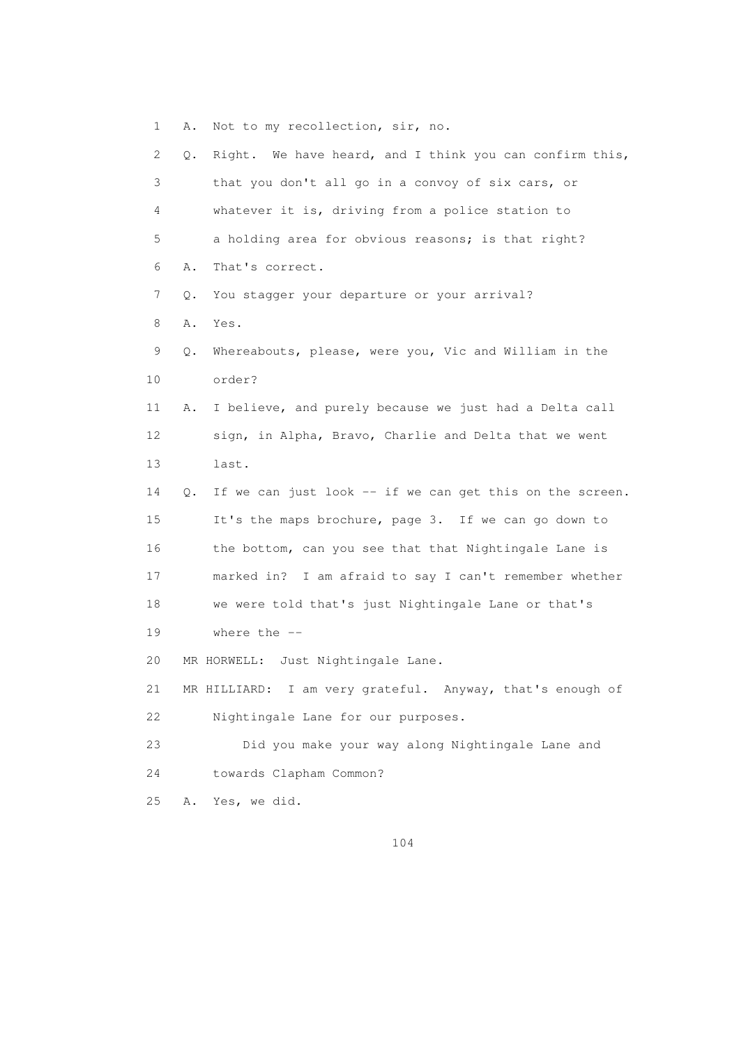1 A. Not to my recollection, sir, no. 2 Q. Right. We have heard, and I think you can confirm this, 3 that you don't all go in a convoy of six cars, or 4 whatever it is, driving from a police station to 5 a holding area for obvious reasons; is that right? 6 A. That's correct. 7 Q. You stagger your departure or your arrival? 8 A. Yes. 9 Q. Whereabouts, please, were you, Vic and William in the 10 order? 11 A. I believe, and purely because we just had a Delta call 12 sign, in Alpha, Bravo, Charlie and Delta that we went 13 last. 14 Q. If we can just look -- if we can get this on the screen. 15 It's the maps brochure, page 3. If we can go down to 16 the bottom, can you see that that Nightingale Lane is 17 marked in? I am afraid to say I can't remember whether 18 we were told that's just Nightingale Lane or that's 19 where the -- 20 MR HORWELL: Just Nightingale Lane. 21 MR HILLIARD: I am very grateful. Anyway, that's enough of 22 Nightingale Lane for our purposes. 23 Did you make your way along Nightingale Lane and 24 towards Clapham Common? 25 A. Yes, we did.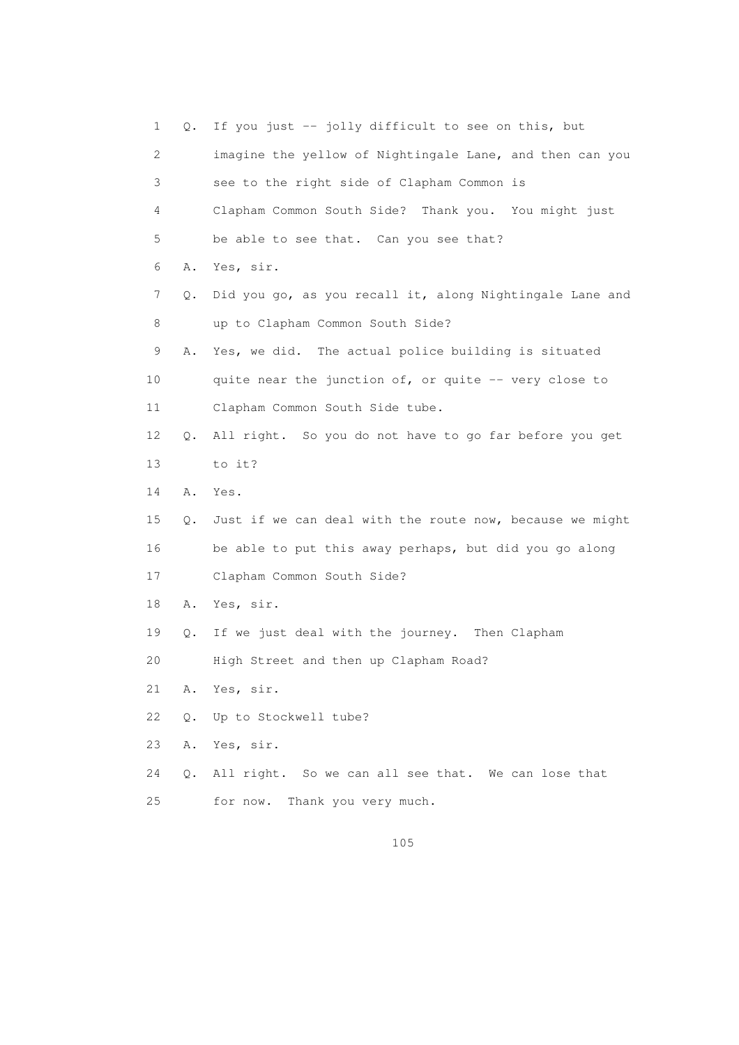1 Q. If you just -- jolly difficult to see on this, but 2 imagine the yellow of Nightingale Lane, and then can you 3 see to the right side of Clapham Common is 4 Clapham Common South Side? Thank you. You might just 5 be able to see that. Can you see that? 6 A. Yes, sir. 7 Q. Did you go, as you recall it, along Nightingale Lane and 8 up to Clapham Common South Side? 9 A. Yes, we did. The actual police building is situated 10 quite near the junction of, or quite -- very close to 11 Clapham Common South Side tube. 12 Q. All right. So you do not have to go far before you get 13 to it? 14 A. Yes. 15 Q. Just if we can deal with the route now, because we might 16 be able to put this away perhaps, but did you go along 17 Clapham Common South Side? 18 A. Yes, sir. 19 Q. If we just deal with the journey. Then Clapham 20 High Street and then up Clapham Road? 21 A. Yes, sir. 22 Q. Up to Stockwell tube? 23 A. Yes, sir. 24 Q. All right. So we can all see that. We can lose that 25 for now. Thank you very much.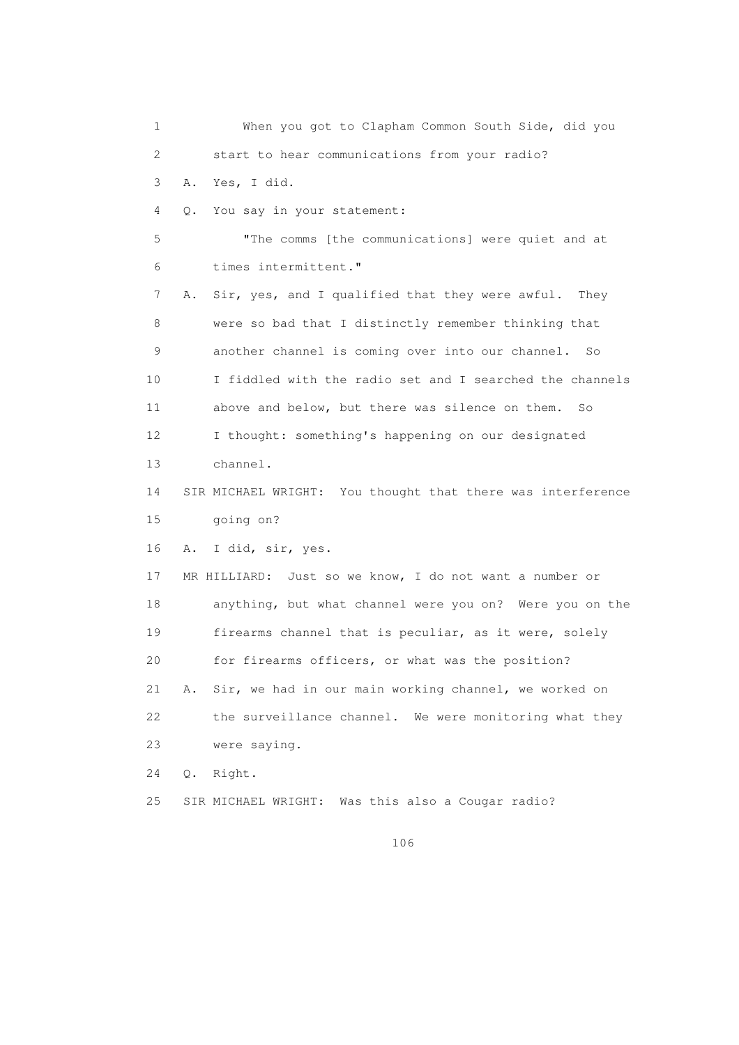1 When you got to Clapham Common South Side, did you 2 start to hear communications from your radio? 3 A. Yes, I did. 4 Q. You say in your statement: 5 "The comms [the communications] were quiet and at 6 times intermittent." 7 A. Sir, yes, and I qualified that they were awful. They 8 were so bad that I distinctly remember thinking that 9 another channel is coming over into our channel. So 10 I fiddled with the radio set and I searched the channels 11 above and below, but there was silence on them. So 12 I thought: something's happening on our designated 13 channel. 14 SIR MICHAEL WRIGHT: You thought that there was interference 15 going on? 16 A. I did, sir, yes. 17 MR HILLIARD: Just so we know, I do not want a number or 18 anything, but what channel were you on? Were you on the 19 firearms channel that is peculiar, as it were, solely 20 for firearms officers, or what was the position? 21 A. Sir, we had in our main working channel, we worked on 22 the surveillance channel. We were monitoring what they 23 were saying. 24 Q. Right. 25 SIR MICHAEL WRIGHT: Was this also a Cougar radio?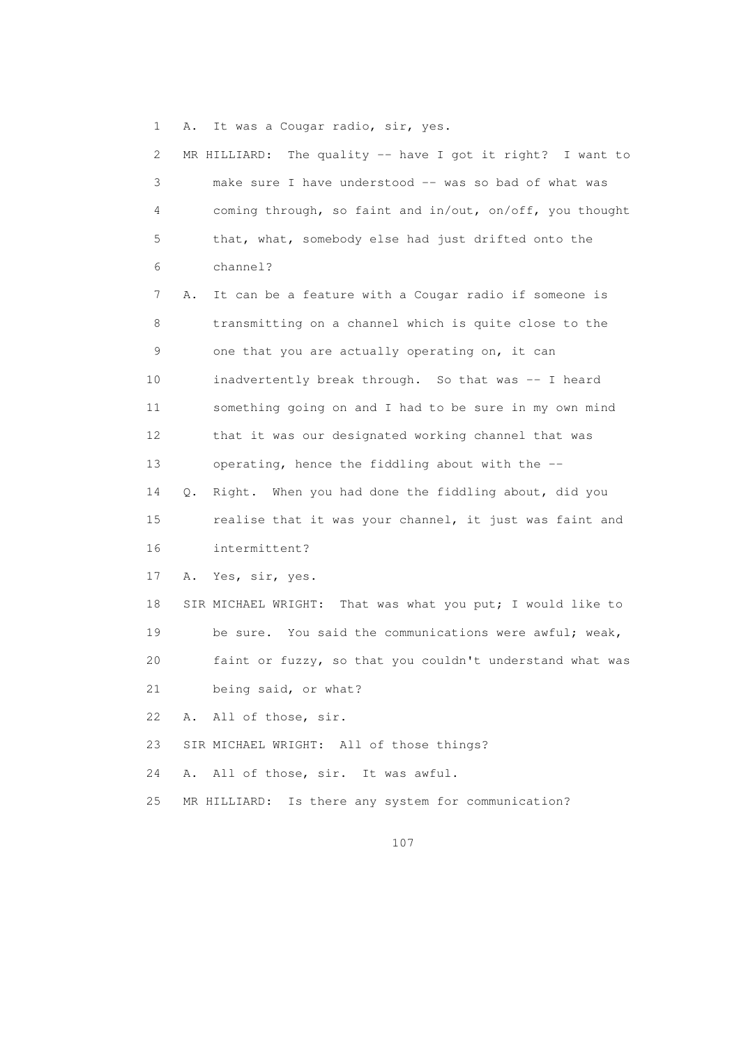1 A. It was a Cougar radio, sir, yes.

| 2  | The quality -- have I got it right? I want to<br>MR HILLIARD: |
|----|---------------------------------------------------------------|
| 3  | make sure I have understood -- was so bad of what was         |
| 4  | coming through, so faint and in/out, on/off, you thought      |
| 5  | that, what, somebody else had just drifted onto the           |
| 6  | channel?                                                      |
| 7  | It can be a feature with a Cougar radio if someone is<br>Α.   |
| 8  | transmitting on a channel which is quite close to the         |
| 9  | one that you are actually operating on, it can                |
| 10 | inadvertently break through. So that was -- I heard           |
| 11 | something going on and I had to be sure in my own mind        |
| 12 | that it was our designated working channel that was           |
| 13 | operating, hence the fiddling about with the --               |
| 14 | Right. When you had done the fiddling about, did you<br>Q.    |
| 15 | realise that it was your channel, it just was faint and       |
| 16 | intermittent?                                                 |
| 17 | Yes, sir, yes.<br>Α.                                          |
| 18 | SIR MICHAEL WRIGHT: That was what you put; I would like to    |
| 19 | be sure. You said the communications were awful; weak,        |
| 20 | faint or fuzzy, so that you couldn't understand what was      |
| 21 | being said, or what?                                          |
| 22 | A. All of those, sir.                                         |
| 23 | SIR MICHAEL WRIGHT: All of those things?                      |
| 24 | All of those, sir. It was awful.<br>Α.                        |
| 25 | Is there any system for communication?<br>MR HILLIARD:        |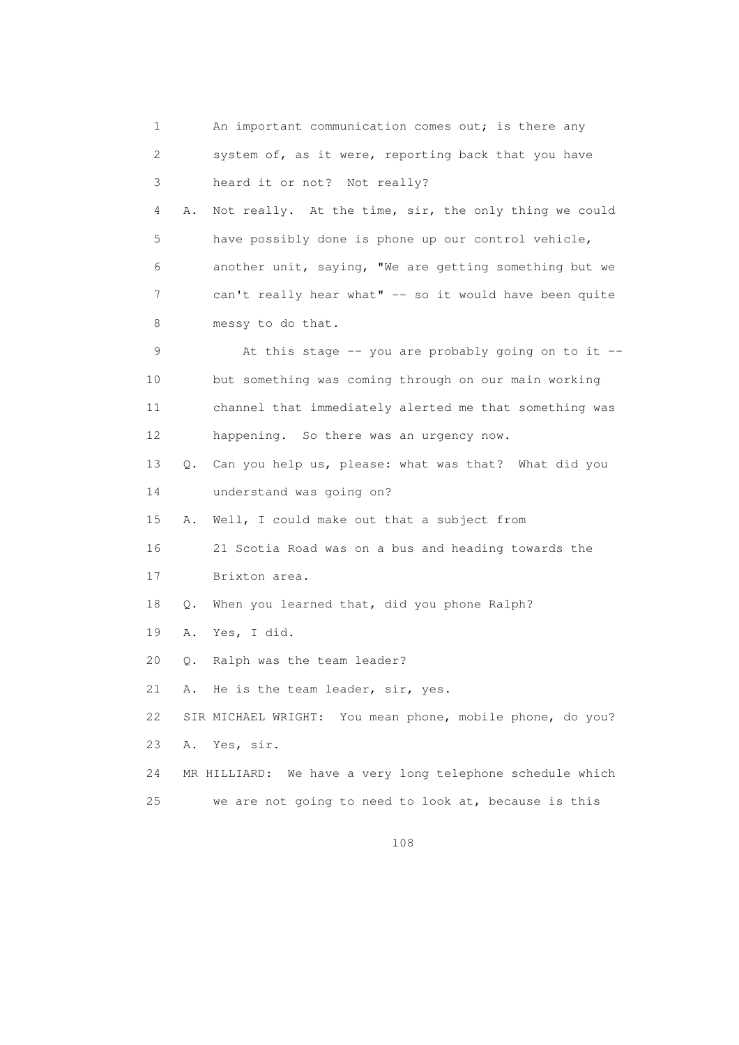1 An important communication comes out; is there any 2 system of, as it were, reporting back that you have 3 heard it or not? Not really? 4 A. Not really. At the time, sir, the only thing we could 5 have possibly done is phone up our control vehicle, 6 another unit, saying, "We are getting something but we 7 can't really hear what" -- so it would have been quite 8 messy to do that. 9 At this stage -- you are probably going on to it -- 10 but something was coming through on our main working 11 channel that immediately alerted me that something was 12 happening. So there was an urgency now. 13 Q. Can you help us, please: what was that? What did you 14 understand was going on? 15 A. Well, I could make out that a subject from 16 21 Scotia Road was on a bus and heading towards the 17 Brixton area. 18 Q. When you learned that, did you phone Ralph? 19 A. Yes, I did. 20 Q. Ralph was the team leader? 21 A. He is the team leader, sir, yes. 22 SIR MICHAEL WRIGHT: You mean phone, mobile phone, do you? 23 A. Yes, sir. 24 MR HILLIARD: We have a very long telephone schedule which 25 we are not going to need to look at, because is this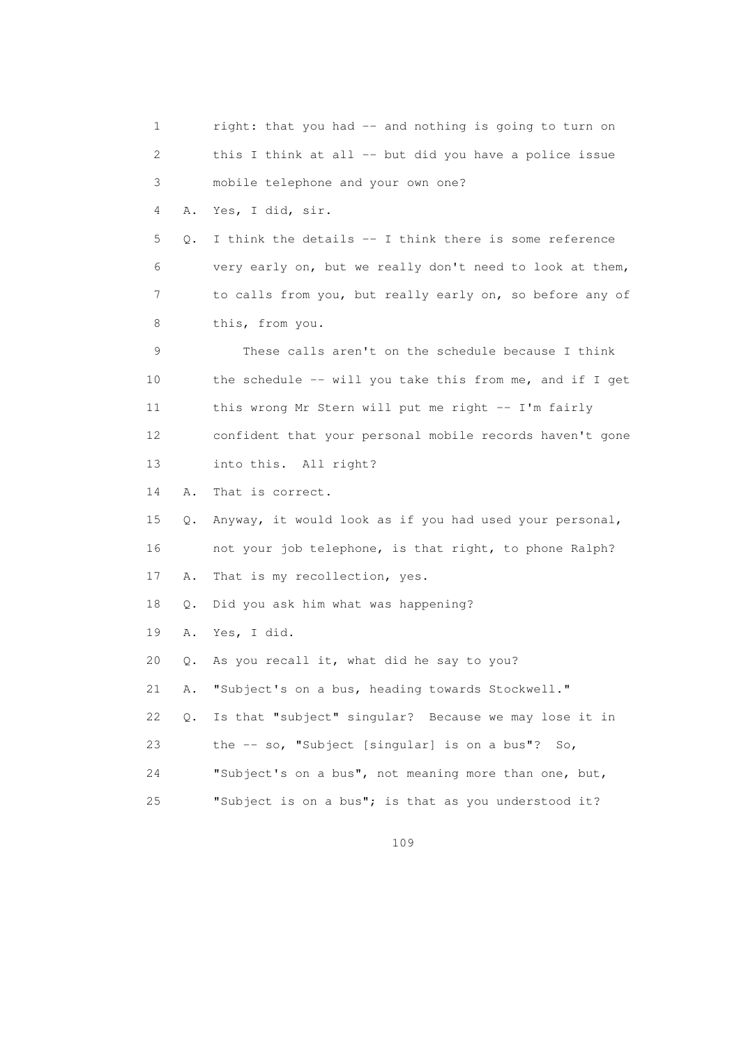1 right: that you had -- and nothing is going to turn on 2 this I think at all -- but did you have a police issue 3 mobile telephone and your own one? 4 A. Yes, I did, sir.  $5$  Q. I think the details  $--$  I think there is some reference 6 very early on, but we really don't need to look at them, 7 to calls from you, but really early on, so before any of 8 this, from you. 9 These calls aren't on the schedule because I think 10 the schedule -- will you take this from me, and if I get 11 this wrong Mr Stern will put me right -- I'm fairly 12 confident that your personal mobile records haven't gone 13 into this. All right? 14 A. That is correct. 15 Q. Anyway, it would look as if you had used your personal, 16 not your job telephone, is that right, to phone Ralph? 17 A. That is my recollection, yes. 18 Q. Did you ask him what was happening? 19 A. Yes, I did. 20 Q. As you recall it, what did he say to you? 21 A. "Subject's on a bus, heading towards Stockwell." 22 Q. Is that "subject" singular? Because we may lose it in 23 the -- so, "Subject [singular] is on a bus"? So, 24 "Subject's on a bus", not meaning more than one, but, 25 "Subject is on a bus"; is that as you understood it?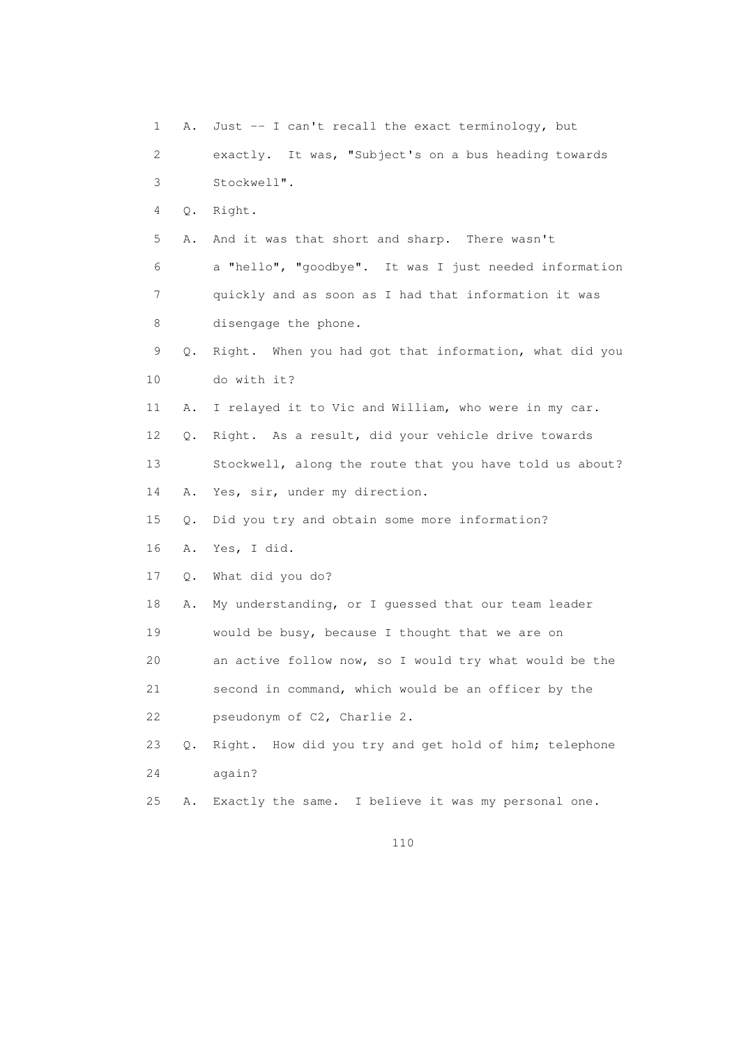1 A. Just -- I can't recall the exact terminology, but 2 exactly. It was, "Subject's on a bus heading towards 3 Stockwell". 4 Q. Right. 5 A. And it was that short and sharp. There wasn't 6 a "hello", "goodbye". It was I just needed information 7 quickly and as soon as I had that information it was 8 disengage the phone. 9 Q. Right. When you had got that information, what did you 10 do with it? 11 A. I relayed it to Vic and William, who were in my car. 12 Q. Right. As a result, did your vehicle drive towards 13 Stockwell, along the route that you have told us about? 14 A. Yes, sir, under my direction. 15 Q. Did you try and obtain some more information? 16 A. Yes, I did. 17 Q. What did you do? 18 A. My understanding, or I guessed that our team leader 19 would be busy, because I thought that we are on 20 an active follow now, so I would try what would be the 21 second in command, which would be an officer by the 22 pseudonym of C2, Charlie 2. 23 Q. Right. How did you try and get hold of him; telephone 24 again? 25 A. Exactly the same. I believe it was my personal one.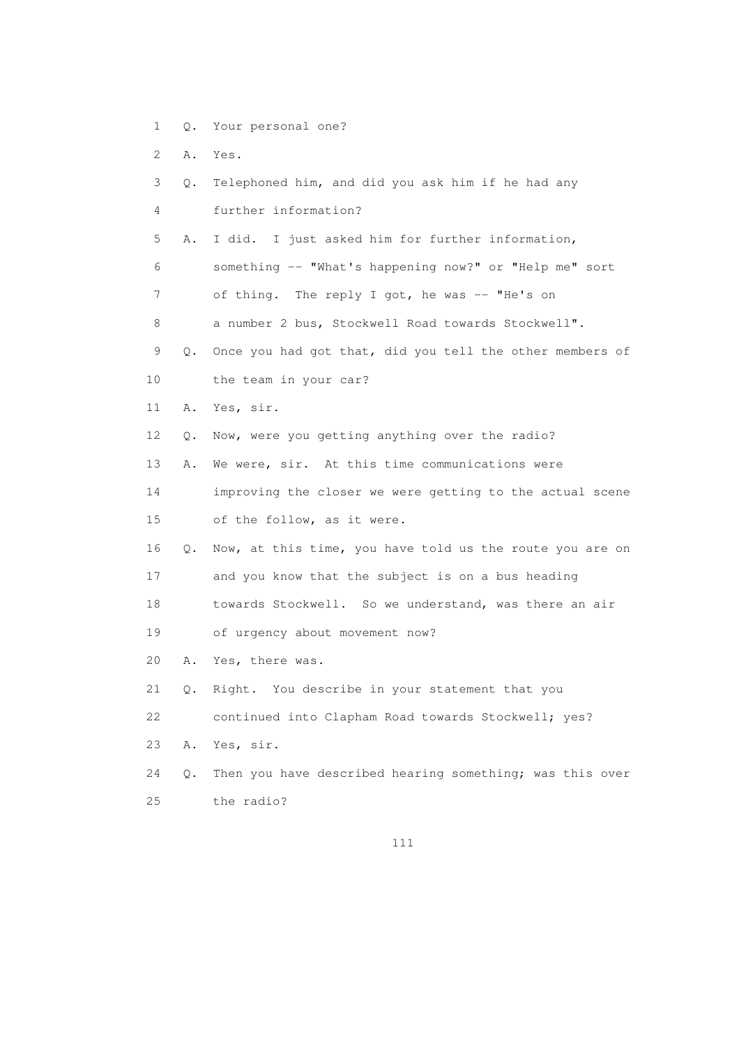- 1 Q. Your personal one?
- 2 A. Yes.
- 3 Q. Telephoned him, and did you ask him if he had any 4 further information? 5 A. I did. I just asked him for further information, 6 something -- "What's happening now?" or "Help me" sort 7 of thing. The reply I got, he was -- "He's on 8 a number 2 bus, Stockwell Road towards Stockwell". 9 Q. Once you had got that, did you tell the other members of 10 the team in your car? 11 A. Yes, sir. 12 Q. Now, were you getting anything over the radio? 13 A. We were, sir. At this time communications were 14 improving the closer we were getting to the actual scene 15 of the follow, as it were. 16 Q. Now, at this time, you have told us the route you are on 17 and you know that the subject is on a bus heading 18 towards Stockwell. So we understand, was there an air 19 of urgency about movement now? 20 A. Yes, there was. 21 Q. Right. You describe in your statement that you 22 continued into Clapham Road towards Stockwell; yes? 23 A. Yes, sir. 24 Q. Then you have described hearing something; was this over 25 the radio?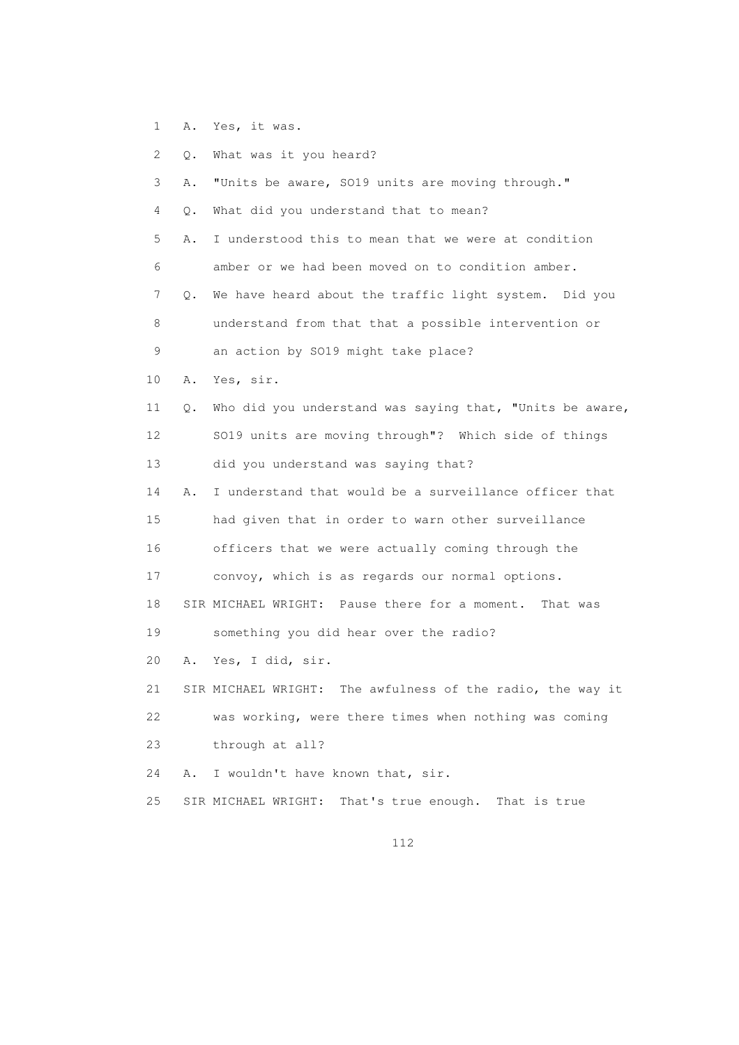1 A. Yes, it was.

|       | 2 Q. What was it you heard?                              |
|-------|----------------------------------------------------------|
| 3.    | A. "Units be aware, SO19 units are moving through."      |
| 4     | Q. What did you understand that to mean?                 |
| $5 -$ | A. I understood this to mean that we were at condition   |
| 6     | amber or we had been moved on to condition amber.        |
|       | Q. We have heard about the traffic light system. Did you |
|       |                                                          |

 8 understand from that that a possible intervention or 9 an action by SO19 might take place?

- 10 A. Yes, sir.
- 11 Q. Who did you understand was saying that, "Units be aware, 12 SO19 units are moving through"? Which side of things 13 did you understand was saying that?

 14 A. I understand that would be a surveillance officer that 15 had given that in order to warn other surveillance 16 officers that we were actually coming through the 17 convoy, which is as regards our normal options.

18 SIR MICHAEL WRIGHT: Pause there for a moment. That was

19 something you did hear over the radio?

20 A. Yes, I did, sir.

 21 SIR MICHAEL WRIGHT: The awfulness of the radio, the way it 22 was working, were there times when nothing was coming 23 through at all?

24 A. I wouldn't have known that, sir.

25 SIR MICHAEL WRIGHT: That's true enough. That is true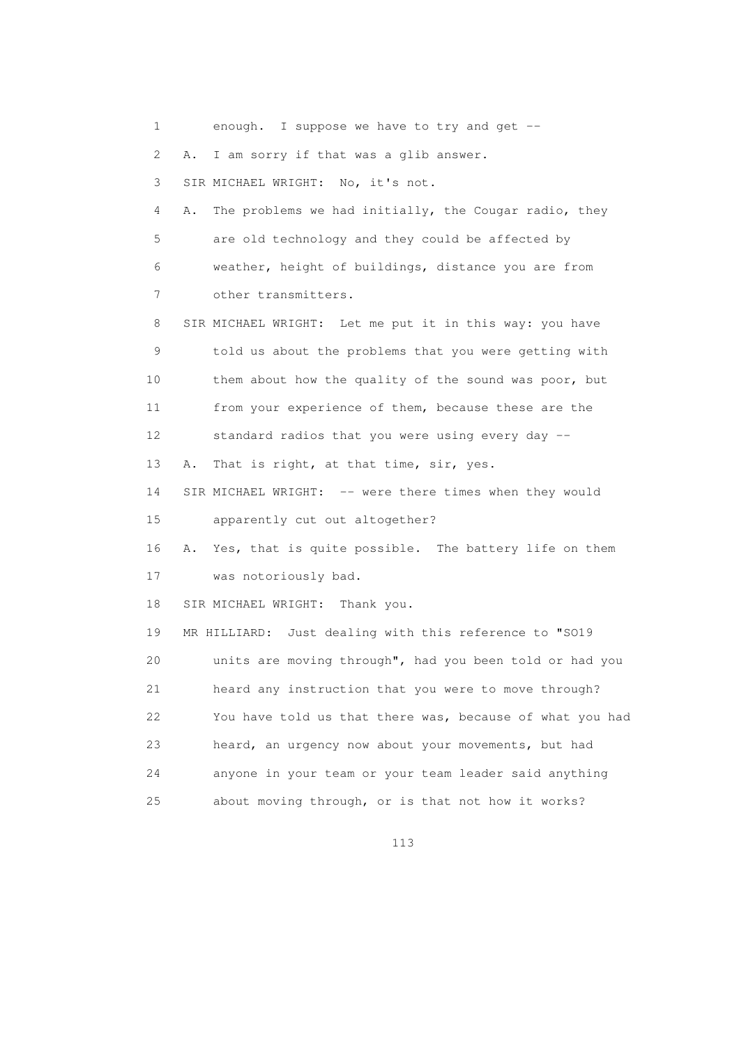1 enough. I suppose we have to try and get -- 2 A. I am sorry if that was a glib answer. 3 SIR MICHAEL WRIGHT: No, it's not. 4 A. The problems we had initially, the Cougar radio, they 5 are old technology and they could be affected by 6 weather, height of buildings, distance you are from 7 other transmitters. 8 SIR MICHAEL WRIGHT: Let me put it in this way: you have 9 told us about the problems that you were getting with 10 them about how the quality of the sound was poor, but 11 from your experience of them, because these are the 12 standard radios that you were using every day -- 13 A. That is right, at that time, sir, yes. 14 SIR MICHAEL WRIGHT: -- were there times when they would 15 apparently cut out altogether? 16 A. Yes, that is quite possible. The battery life on them 17 was notoriously bad. 18 SIR MICHAEL WRIGHT: Thank you. 19 MR HILLIARD: Just dealing with this reference to "SO19 20 units are moving through", had you been told or had you 21 heard any instruction that you were to move through? 22 You have told us that there was, because of what you had 23 heard, an urgency now about your movements, but had 24 anyone in your team or your team leader said anything 25 about moving through, or is that not how it works?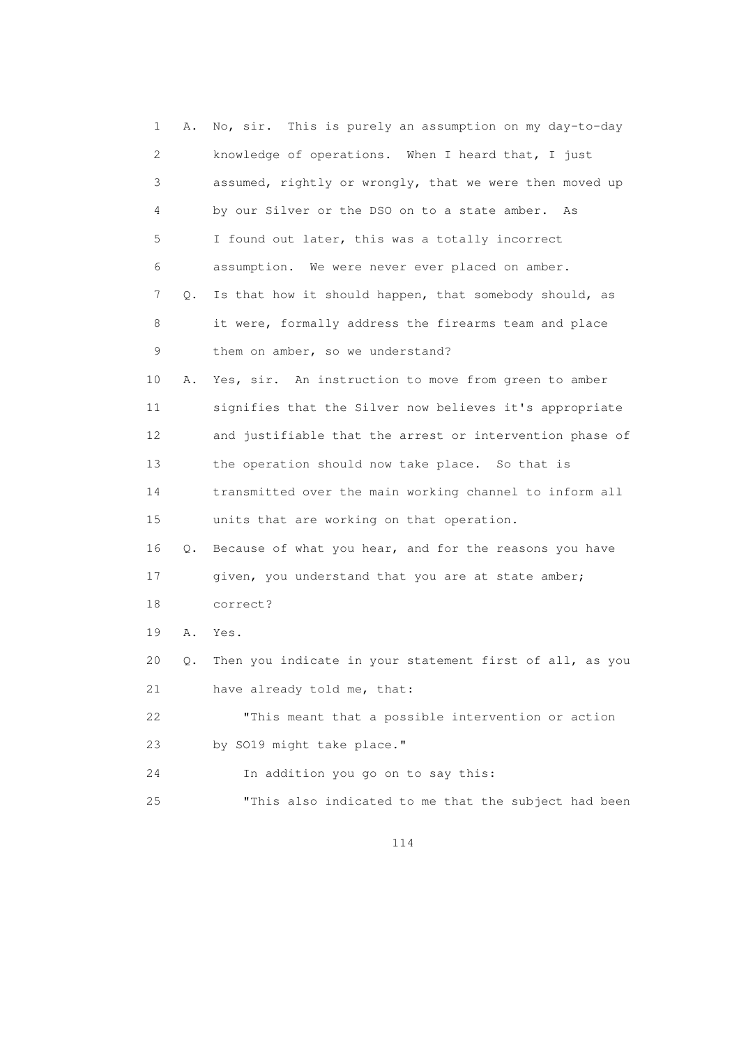1 A. No, sir. This is purely an assumption on my day-to-day 2 knowledge of operations. When I heard that, I just 3 assumed, rightly or wrongly, that we were then moved up 4 by our Silver or the DSO on to a state amber. As 5 I found out later, this was a totally incorrect 6 assumption. We were never ever placed on amber. 7 Q. Is that how it should happen, that somebody should, as 8 it were, formally address the firearms team and place 9 them on amber, so we understand? 10 A. Yes, sir. An instruction to move from green to amber 11 signifies that the Silver now believes it's appropriate 12 and justifiable that the arrest or intervention phase of 13 the operation should now take place. So that is 14 transmitted over the main working channel to inform all 15 units that are working on that operation. 16 Q. Because of what you hear, and for the reasons you have 17 given, you understand that you are at state amber; 18 correct? 19 A. Yes. 20 Q. Then you indicate in your statement first of all, as you 21 have already told me, that: 22 "This meant that a possible intervention or action 23 by SO19 might take place." 24 In addition you go on to say this: 25 "This also indicated to me that the subject had been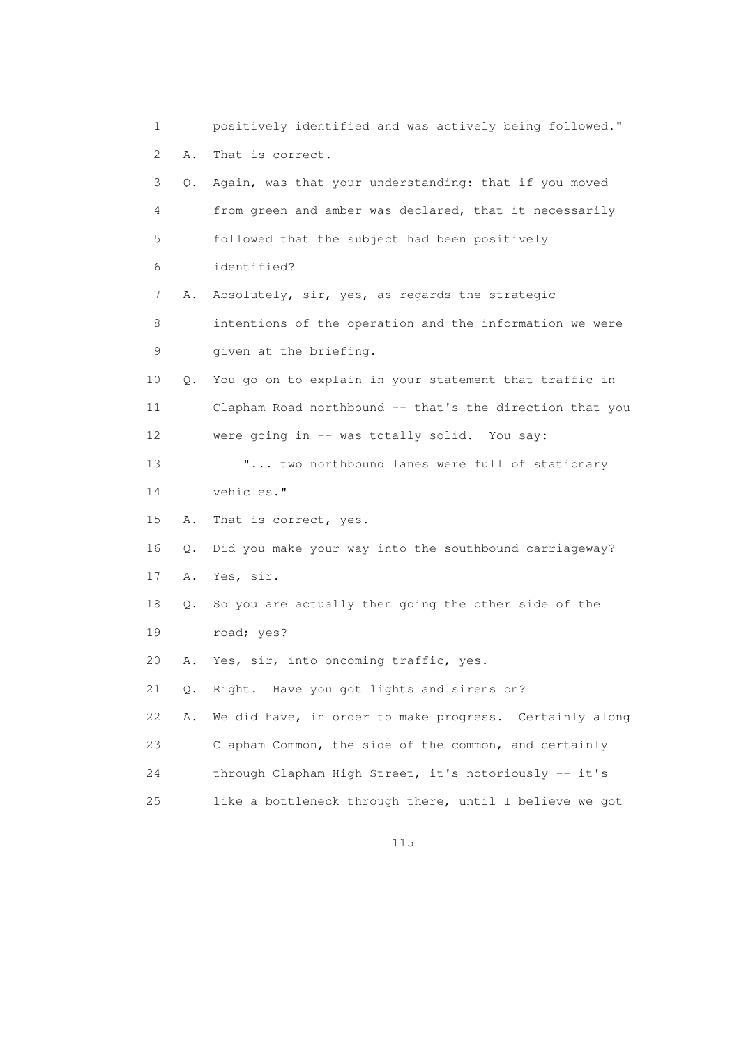1 positively identified and was actively being followed." 2 A. That is correct. 3 Q. Again, was that your understanding: that if you moved 4 from green and amber was declared, that it necessarily 5 followed that the subject had been positively 6 identified? 7 A. Absolutely, sir, yes, as regards the strategic 8 intentions of the operation and the information we were 9 given at the briefing. 10 Q. You go on to explain in your statement that traffic in 11 Clapham Road northbound -- that's the direction that you 12 were going in -- was totally solid. You say: 13 **"...** two northbound lanes were full of stationary 14 vehicles." 15 A. That is correct, yes. 16 Q. Did you make your way into the southbound carriageway? 17 A. Yes, sir. 18 Q. So you are actually then going the other side of the 19 road; yes? 20 A. Yes, sir, into oncoming traffic, yes. 21 Q. Right. Have you got lights and sirens on? 22 A. We did have, in order to make progress. Certainly along 23 Clapham Common, the side of the common, and certainly 24 through Clapham High Street, it's notoriously -- it's 25 like a bottleneck through there, until I believe we got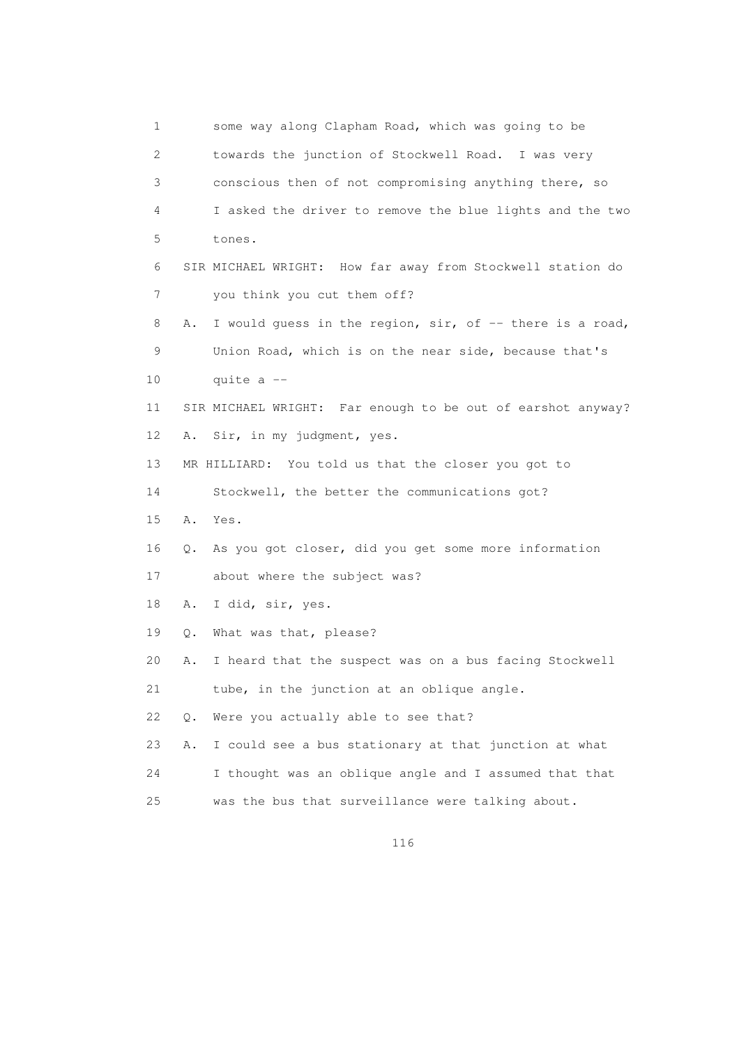1 some way along Clapham Road, which was going to be 2 towards the junction of Stockwell Road. I was very 3 conscious then of not compromising anything there, so 4 I asked the driver to remove the blue lights and the two 5 tones. 6 SIR MICHAEL WRIGHT: How far away from Stockwell station do 7 you think you cut them off? 8 A. I would quess in the region, sir, of -- there is a road, 9 Union Road, which is on the near side, because that's 10 quite a -- 11 SIR MICHAEL WRIGHT: Far enough to be out of earshot anyway? 12 A. Sir, in my judgment, yes. 13 MR HILLIARD: You told us that the closer you got to 14 Stockwell, the better the communications got? 15 A. Yes. 16 Q. As you got closer, did you get some more information 17 about where the subject was? 18 A. I did, sir, yes. 19 Q. What was that, please? 20 A. I heard that the suspect was on a bus facing Stockwell 21 tube, in the junction at an oblique angle. 22 Q. Were you actually able to see that? 23 A. I could see a bus stationary at that junction at what 24 I thought was an oblique angle and I assumed that that 25 was the bus that surveillance were talking about.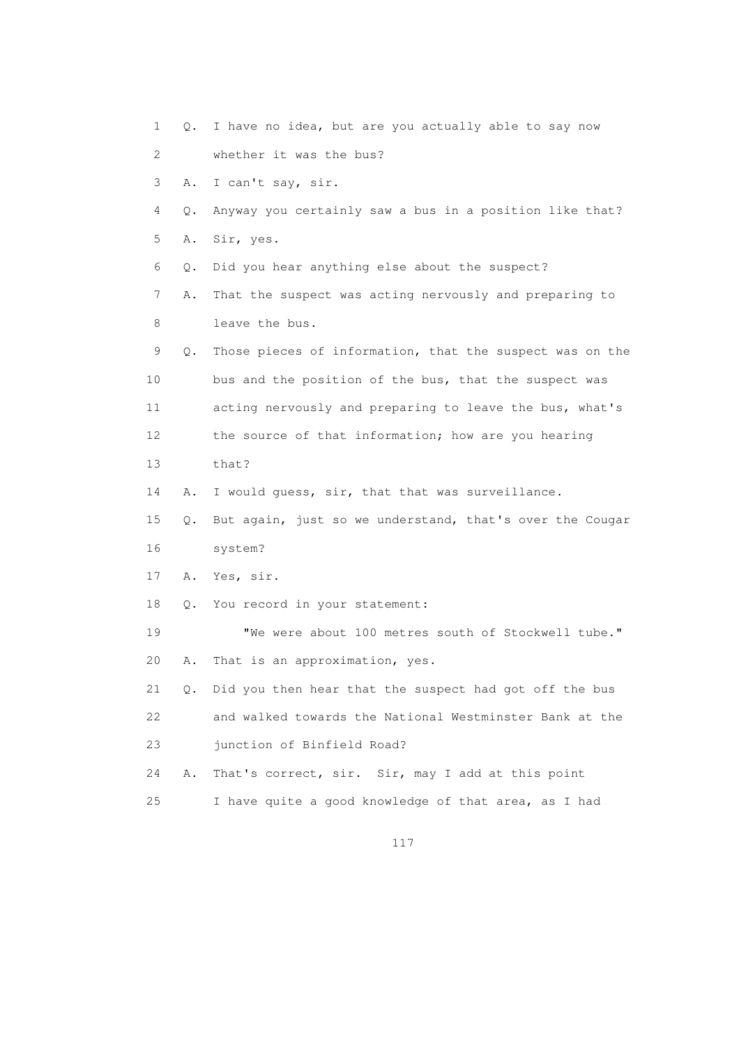1 Q. I have no idea, but are you actually able to say now 2 whether it was the bus? 3 A. I can't say, sir. 4 Q. Anyway you certainly saw a bus in a position like that? 5 A. Sir, yes. 6 Q. Did you hear anything else about the suspect? 7 A. That the suspect was acting nervously and preparing to 8 leave the bus. 9 Q. Those pieces of information, that the suspect was on the 10 bus and the position of the bus, that the suspect was 11 acting nervously and preparing to leave the bus, what's 12 the source of that information; how are you hearing 13 that? 14 A. I would guess, sir, that that was surveillance. 15 Q. But again, just so we understand, that's over the Cougar 16 system? 17 A. Yes, sir. 18 Q. You record in your statement: 19 "We were about 100 metres south of Stockwell tube." 20 A. That is an approximation, yes. 21 Q. Did you then hear that the suspect had got off the bus 22 and walked towards the National Westminster Bank at the 23 junction of Binfield Road? 24 A. That's correct, sir. Sir, may I add at this point 25 I have quite a good knowledge of that area, as I had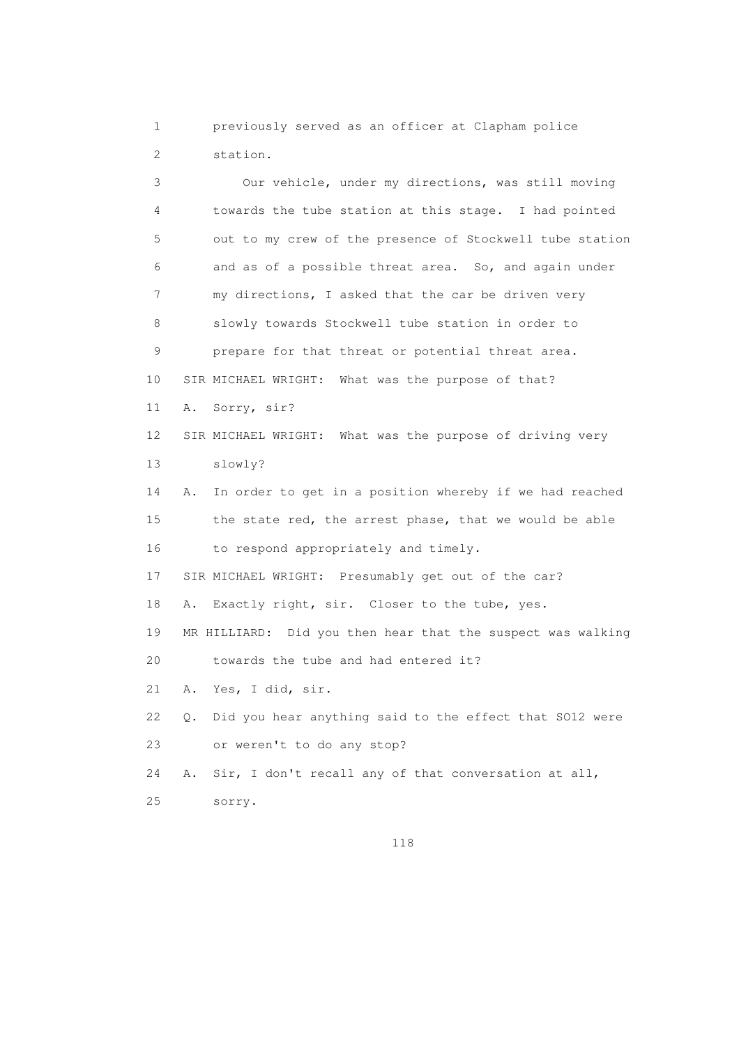1 previously served as an officer at Clapham police 2 station.

 3 Our vehicle, under my directions, was still moving 4 towards the tube station at this stage. I had pointed 5 out to my crew of the presence of Stockwell tube station 6 and as of a possible threat area. So, and again under 7 my directions, I asked that the car be driven very 8 slowly towards Stockwell tube station in order to 9 prepare for that threat or potential threat area. 10 SIR MICHAEL WRIGHT: What was the purpose of that? 11 A. Sorry, sir? 12 SIR MICHAEL WRIGHT: What was the purpose of driving very 13 slowly? 14 A. In order to get in a position whereby if we had reached 15 the state red, the arrest phase, that we would be able 16 to respond appropriately and timely. 17 SIR MICHAEL WRIGHT: Presumably get out of the car? 18 A. Exactly right, sir. Closer to the tube, yes. 19 MR HILLIARD: Did you then hear that the suspect was walking 20 towards the tube and had entered it? 21 A. Yes, I did, sir. 22 Q. Did you hear anything said to the effect that SO12 were 23 or weren't to do any stop? 24 A. Sir, I don't recall any of that conversation at all, 25 sorry.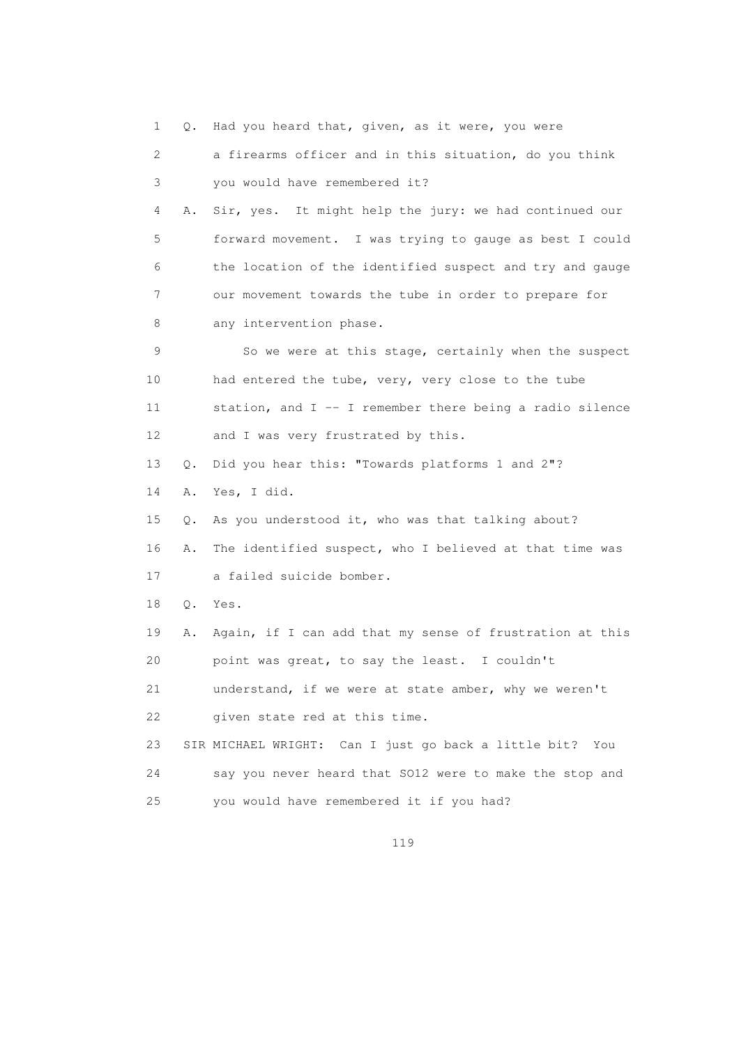1 Q. Had you heard that, given, as it were, you were 2 a firearms officer and in this situation, do you think 3 you would have remembered it? 4 A. Sir, yes. It might help the jury: we had continued our 5 forward movement. I was trying to gauge as best I could 6 the location of the identified suspect and try and gauge 7 our movement towards the tube in order to prepare for 8 any intervention phase. 9 So we were at this stage, certainly when the suspect 10 had entered the tube, very, very close to the tube 11 station, and I -- I remember there being a radio silence 12 and I was very frustrated by this. 13 Q. Did you hear this: "Towards platforms 1 and 2"? 14 A. Yes, I did. 15 Q. As you understood it, who was that talking about? 16 A. The identified suspect, who I believed at that time was 17 a failed suicide bomber. 18 Q. Yes. 19 A. Again, if I can add that my sense of frustration at this 20 point was great, to say the least. I couldn't 21 understand, if we were at state amber, why we weren't 22 given state red at this time. 23 SIR MICHAEL WRIGHT: Can I just go back a little bit? You 24 say you never heard that SO12 were to make the stop and 25 you would have remembered it if you had?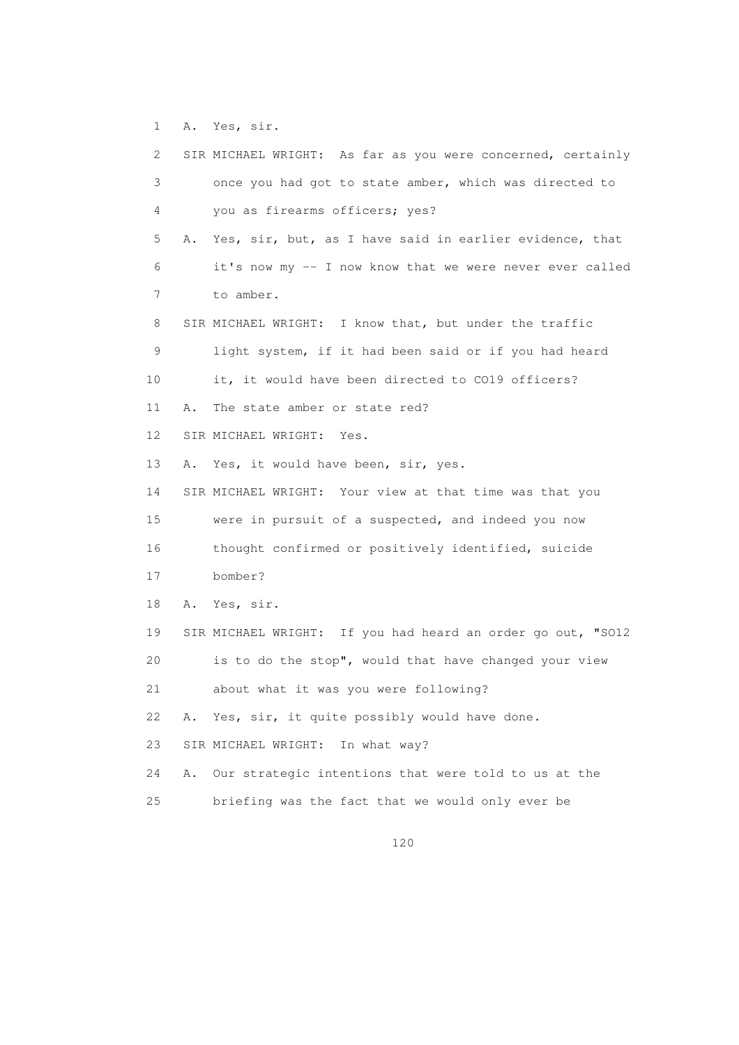1 A. Yes, sir.

| 2               |    | SIR MICHAEL WRIGHT: As far as you were concerned, certainly |
|-----------------|----|-------------------------------------------------------------|
| 3               |    | once you had got to state amber, which was directed to      |
| 4               |    | you as firearms officers; yes?                              |
| 5               | Α. | Yes, sir, but, as I have said in earlier evidence, that     |
| 6               |    | it's now my -- I now know that we were never ever called    |
| 7               |    | to amber.                                                   |
| 8               |    | SIR MICHAEL WRIGHT: I know that, but under the traffic      |
| 9               |    | light system, if it had been said or if you had heard       |
| 10 <sup>°</sup> |    | it, it would have been directed to CO19 officers?           |
| 11              | Α. | The state amber or state red?                               |
| 12 <sup>°</sup> |    | SIR MICHAEL WRIGHT: Yes.                                    |
| 13              | Α. | Yes, it would have been, sir, yes.                          |
| 14              |    | SIR MICHAEL WRIGHT: Your view at that time was that you     |
| 15              |    | were in pursuit of a suspected, and indeed you now          |
| 16              |    | thought confirmed or positively identified, suicide         |
| 17              |    | bomber?                                                     |
| 18              | Α. | Yes, sir.                                                   |
| 19              |    | SIR MICHAEL WRIGHT: If you had heard an order go out, "SO12 |
| 20              |    | is to do the stop", would that have changed your view       |
| 21              |    | about what it was you were following?                       |
| 22              | Α. | Yes, sir, it quite possibly would have done.                |
| 23              |    | SIR MICHAEL WRIGHT:<br>In what way?                         |
| 24              | Α. | Our strategic intentions that were told to us at the        |
| 25              |    | briefing was the fact that we would only ever be            |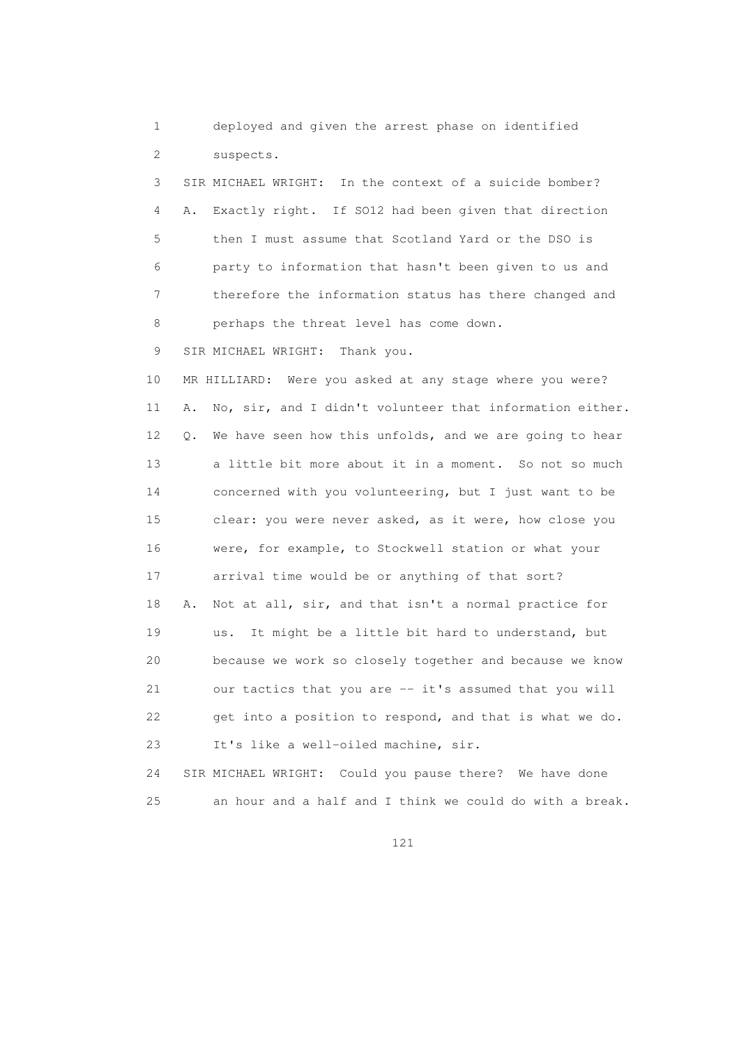1 deployed and given the arrest phase on identified 2 suspects.

 3 SIR MICHAEL WRIGHT: In the context of a suicide bomber? 4 A. Exactly right. If SO12 had been given that direction 5 then I must assume that Scotland Yard or the DSO is 6 party to information that hasn't been given to us and 7 therefore the information status has there changed and 8 perhaps the threat level has come down.

9 SIR MICHAEL WRIGHT: Thank you.

 10 MR HILLIARD: Were you asked at any stage where you were? 11 A. No, sir, and I didn't volunteer that information either. 12 Q. We have seen how this unfolds, and we are going to hear 13 a little bit more about it in a moment. So not so much 14 concerned with you volunteering, but I just want to be 15 clear: you were never asked, as it were, how close you 16 were, for example, to Stockwell station or what your 17 arrival time would be or anything of that sort? 18 A. Not at all, sir, and that isn't a normal practice for 19 us. It might be a little bit hard to understand, but 20 because we work so closely together and because we know 21 our tactics that you are -- it's assumed that you will 22 get into a position to respond, and that is what we do. 23 It's like a well-oiled machine, sir.

 24 SIR MICHAEL WRIGHT: Could you pause there? We have done 25 an hour and a half and I think we could do with a break.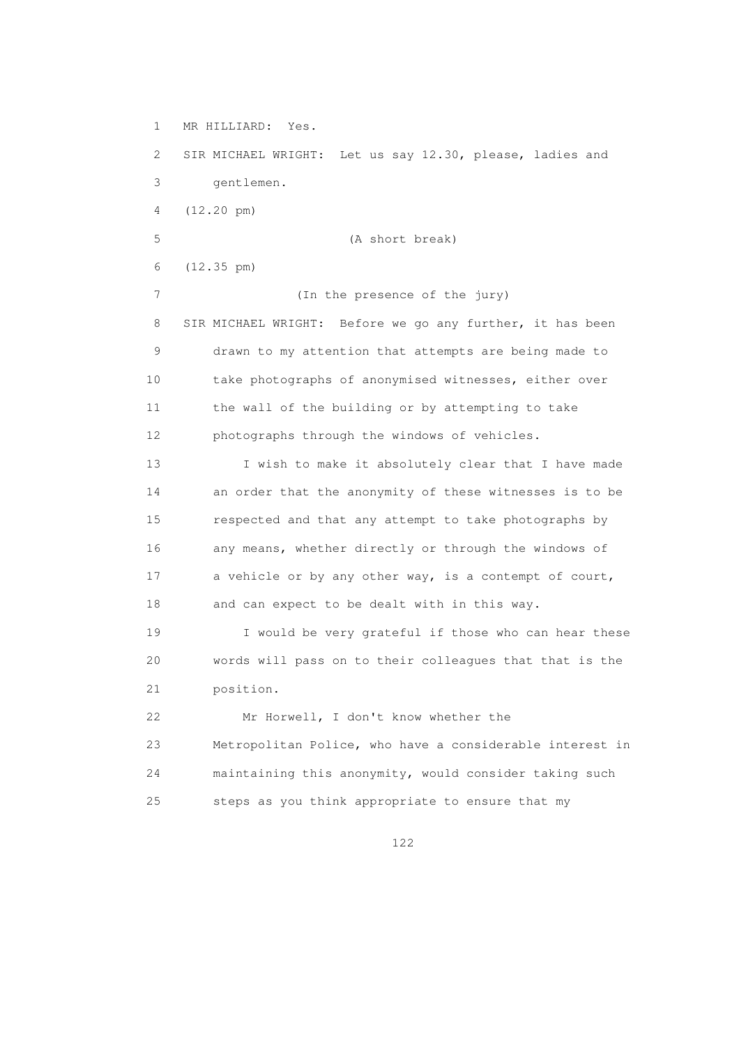1 MR HILLIARD: Yes.

 2 SIR MICHAEL WRIGHT: Let us say 12.30, please, ladies and 3 gentlemen. 4 (12.20 pm) 5 (A short break) 6 (12.35 pm) 7 (In the presence of the jury) 8 SIR MICHAEL WRIGHT: Before we go any further, it has been 9 drawn to my attention that attempts are being made to 10 take photographs of anonymised witnesses, either over 11 the wall of the building or by attempting to take 12 photographs through the windows of vehicles. 13 I wish to make it absolutely clear that I have made

 14 an order that the anonymity of these witnesses is to be 15 respected and that any attempt to take photographs by 16 any means, whether directly or through the windows of 17 a vehicle or by any other way, is a contempt of court, 18 and can expect to be dealt with in this way.

 19 I would be very grateful if those who can hear these 20 words will pass on to their colleagues that that is the 21 position.

 22 Mr Horwell, I don't know whether the 23 Metropolitan Police, who have a considerable interest in 24 maintaining this anonymity, would consider taking such 25 steps as you think appropriate to ensure that my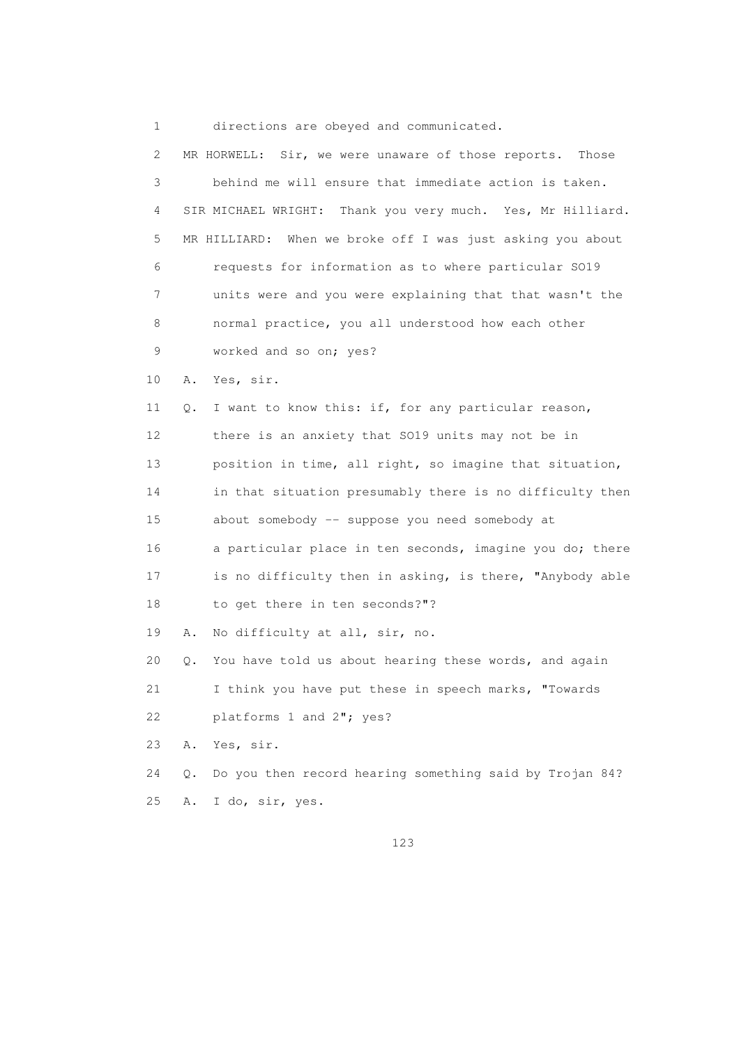1 directions are obeyed and communicated.

| 2  |           | MR HORWELL: Sir, we were unaware of those reports. Those      |
|----|-----------|---------------------------------------------------------------|
| 3  |           | behind me will ensure that immediate action is taken.         |
| 4  |           | Thank you very much. Yes, Mr Hilliard.<br>SIR MICHAEL WRIGHT: |
| 5  |           | When we broke off I was just asking you about<br>MR HILLIARD: |
| 6  |           | requests for information as to where particular S019          |
| 7  |           | units were and you were explaining that that wasn't the       |
| 8  |           | normal practice, you all understood how each other            |
| 9  |           | worked and so on; yes?                                        |
| 10 | Α.        | Yes, sir.                                                     |
| 11 | Q.        | I want to know this: if, for any particular reason,           |
| 12 |           | there is an anxiety that SO19 units may not be in             |
| 13 |           | position in time, all right, so imagine that situation,       |
| 14 |           | in that situation presumably there is no difficulty then      |
| 15 |           | about somebody -- suppose you need somebody at                |
| 16 |           | a particular place in ten seconds, imagine you do; there      |
| 17 |           | is no difficulty then in asking, is there, "Anybody able      |
| 18 |           | to get there in ten seconds?"?                                |
| 19 | Α.        | No difficulty at all, sir, no.                                |
| 20 | $\circ$ . | You have told us about hearing these words, and again         |
| 21 |           | I think you have put these in speech marks, "Towards          |
| 22 |           | platforms 1 and 2"; yes?                                      |
| 23 | Α.        | Yes, sir.                                                     |
| 24 | Q.        | Do you then record hearing something said by Trojan 84?       |
| 25 | Α.        | I do, sir, yes.                                               |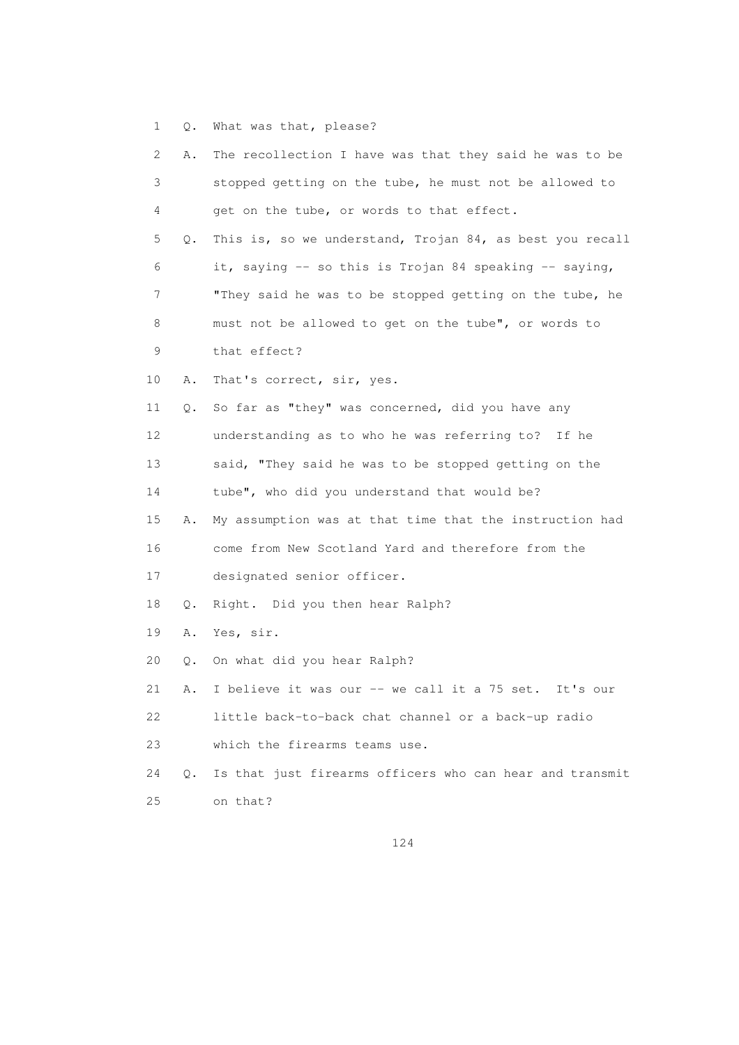1 Q. What was that, please?

| 2  | Α.        | The recollection I have was that they said he was to be  |
|----|-----------|----------------------------------------------------------|
| 3  |           | stopped getting on the tube, he must not be allowed to   |
| 4  |           | get on the tube, or words to that effect.                |
| 5  | Q.        | This is, so we understand, Trojan 84, as best you recall |
| 6  |           | it, saying -- so this is Trojan 84 speaking -- saying,   |
| 7  |           | "They said he was to be stopped getting on the tube, he  |
| 8  |           | must not be allowed to get on the tube", or words to     |
| 9  |           | that effect?                                             |
| 10 | Α.        | That's correct, sir, yes.                                |
| 11 | Q.        | So far as "they" was concerned, did you have any         |
| 12 |           | understanding as to who he was referring to?<br>If he    |
| 13 |           | said, "They said he was to be stopped getting on the     |
| 14 |           | tube", who did you understand that would be?             |
| 15 | Α.        | My assumption was at that time that the instruction had  |
| 16 |           | come from New Scotland Yard and therefore from the       |
| 17 |           | designated senior officer.                               |
| 18 | Q.        | Right. Did you then hear Ralph?                          |
| 19 | Α.        | Yes, sir.                                                |
| 20 | Q.        | On what did you hear Ralph?                              |
| 21 | Α.        | I believe it was our -- we call it a 75 set.<br>It's our |
| 22 |           | little back-to-back chat channel or a back-up radio      |
| 23 |           | which the firearms teams use.                            |
| 24 | $\circ$ . | Is that just firearms officers who can hear and transmit |
| 25 |           | on that?                                                 |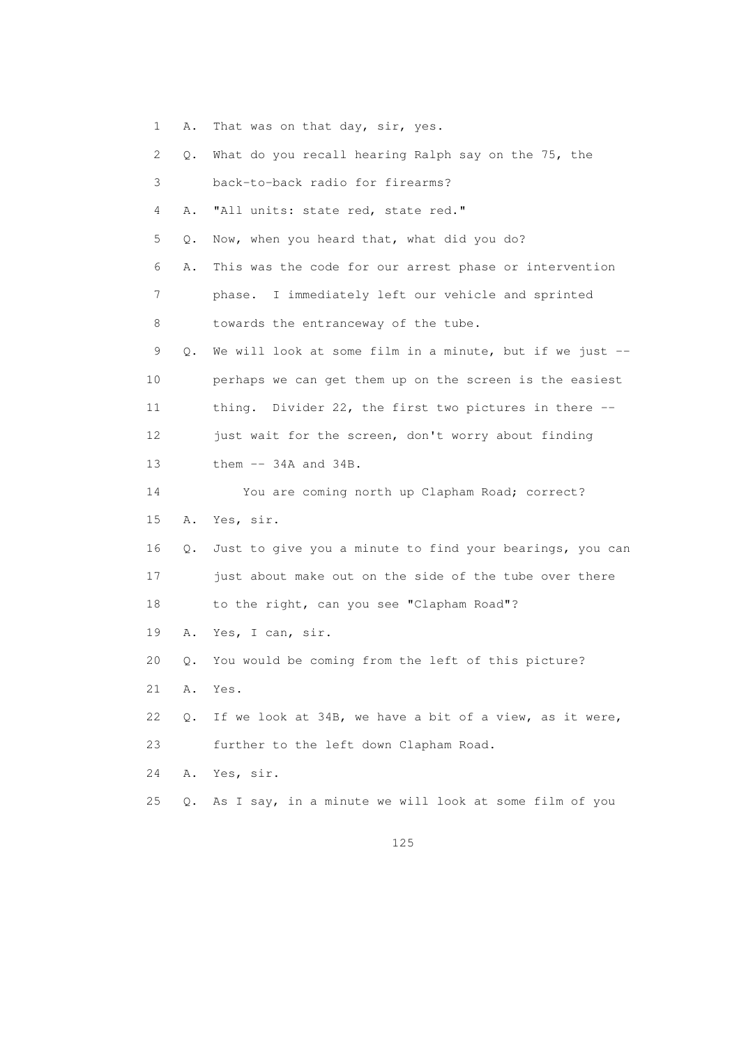- 1 A. That was on that day, sir, yes.
- 2 Q. What do you recall hearing Ralph say on the 75, the
- 3 back-to-back radio for firearms?
- 4 A. "All units: state red, state red."
- 5 Q. Now, when you heard that, what did you do?
- 6 A. This was the code for our arrest phase or intervention
- 7 phase. I immediately left our vehicle and sprinted 8 towards the entranceway of the tube.
- 9 Q. We will look at some film in a minute, but if we just -- 10 perhaps we can get them up on the screen is the easiest 11 thing. Divider 22, the first two pictures in there -- 12 just wait for the screen, don't worry about finding
- 13 them -- 34A and 34B.
- 14 You are coming north up Clapham Road; correct? 15 A. Yes, sir.
- 16 Q. Just to give you a minute to find your bearings, you can 17 just about make out on the side of the tube over there 18 to the right, can you see "Clapham Road"?
- 19 A. Yes, I can, sir.
- 20 Q. You would be coming from the left of this picture?
- 21 A. Yes.
- 22 Q. If we look at 34B, we have a bit of a view, as it were, 23 further to the left down Clapham Road.
- 24 A. Yes, sir.
- 25 Q. As I say, in a minute we will look at some film of you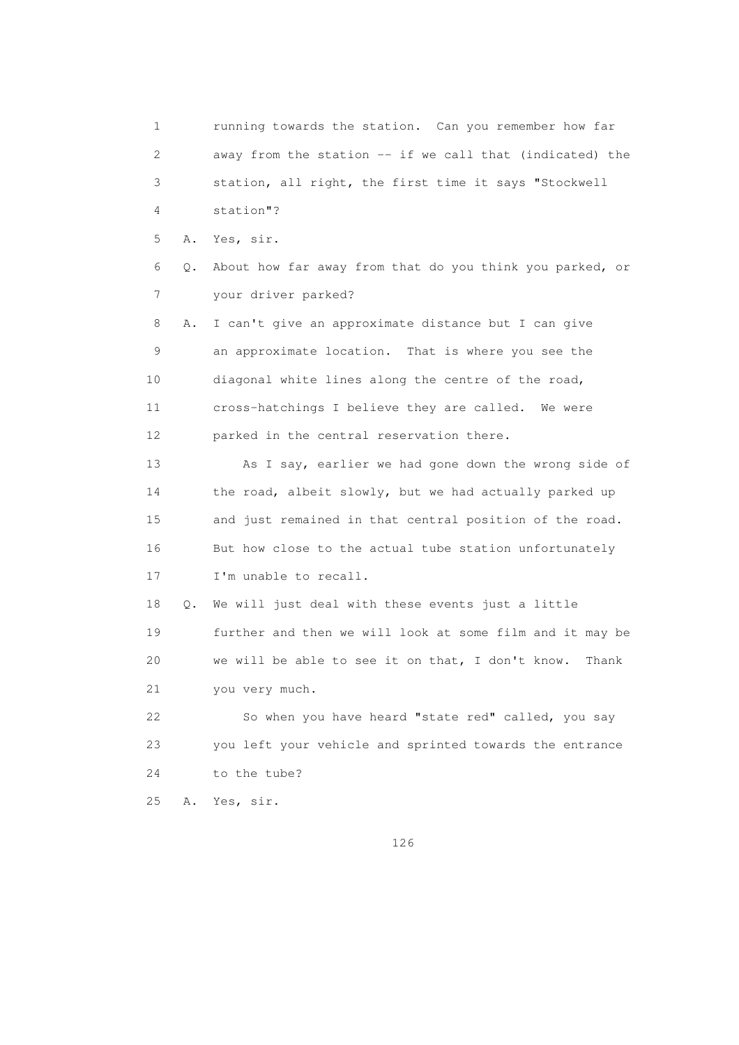1 running towards the station. Can you remember how far 2 away from the station -- if we call that (indicated) the 3 station, all right, the first time it says "Stockwell 4 station"? 5 A. Yes, sir. 6 Q. About how far away from that do you think you parked, or 7 your driver parked? 8 A. I can't give an approximate distance but I can give 9 an approximate location. That is where you see the 10 diagonal white lines along the centre of the road, 11 cross-hatchings I believe they are called. We were 12 parked in the central reservation there. 13 As I say, earlier we had gone down the wrong side of 14 the road, albeit slowly, but we had actually parked up 15 and just remained in that central position of the road. 16 But how close to the actual tube station unfortunately 17 I'm unable to recall. 18 Q. We will just deal with these events just a little 19 further and then we will look at some film and it may be 20 we will be able to see it on that, I don't know. Thank 21 you very much. 22 So when you have heard "state red" called, you say 23 you left your vehicle and sprinted towards the entrance 24 to the tube? 25 A. Yes, sir.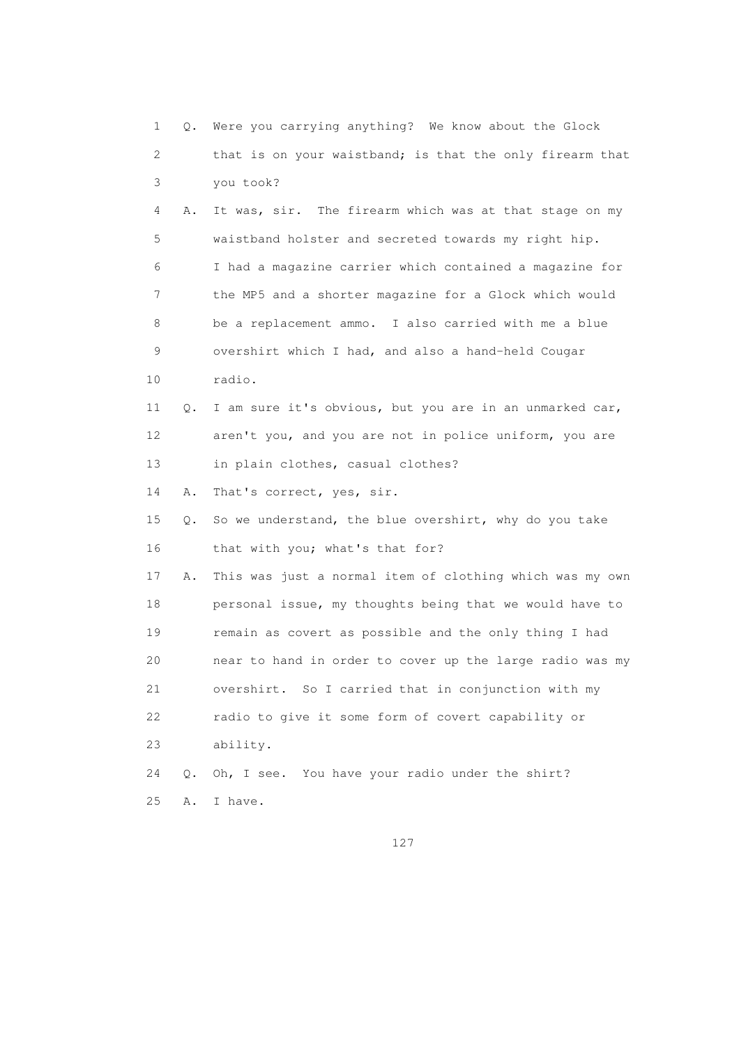1 Q. Were you carrying anything? We know about the Glock 2 that is on your waistband; is that the only firearm that 3 you took? 4 A. It was, sir. The firearm which was at that stage on my 5 waistband holster and secreted towards my right hip. 6 I had a magazine carrier which contained a magazine for 7 the MP5 and a shorter magazine for a Glock which would 8 be a replacement ammo. I also carried with me a blue 9 overshirt which I had, and also a hand-held Cougar 10 radio. 11 Q. I am sure it's obvious, but you are in an unmarked car, 12 aren't you, and you are not in police uniform, you are 13 in plain clothes, casual clothes? 14 A. That's correct, yes, sir. 15 Q. So we understand, the blue overshirt, why do you take 16 that with you; what's that for? 17 A. This was just a normal item of clothing which was my own 18 personal issue, my thoughts being that we would have to 19 remain as covert as possible and the only thing I had 20 near to hand in order to cover up the large radio was my 21 overshirt. So I carried that in conjunction with my 22 radio to give it some form of covert capability or 23 ability. 24 Q. Oh, I see. You have your radio under the shirt? 25 A. I have.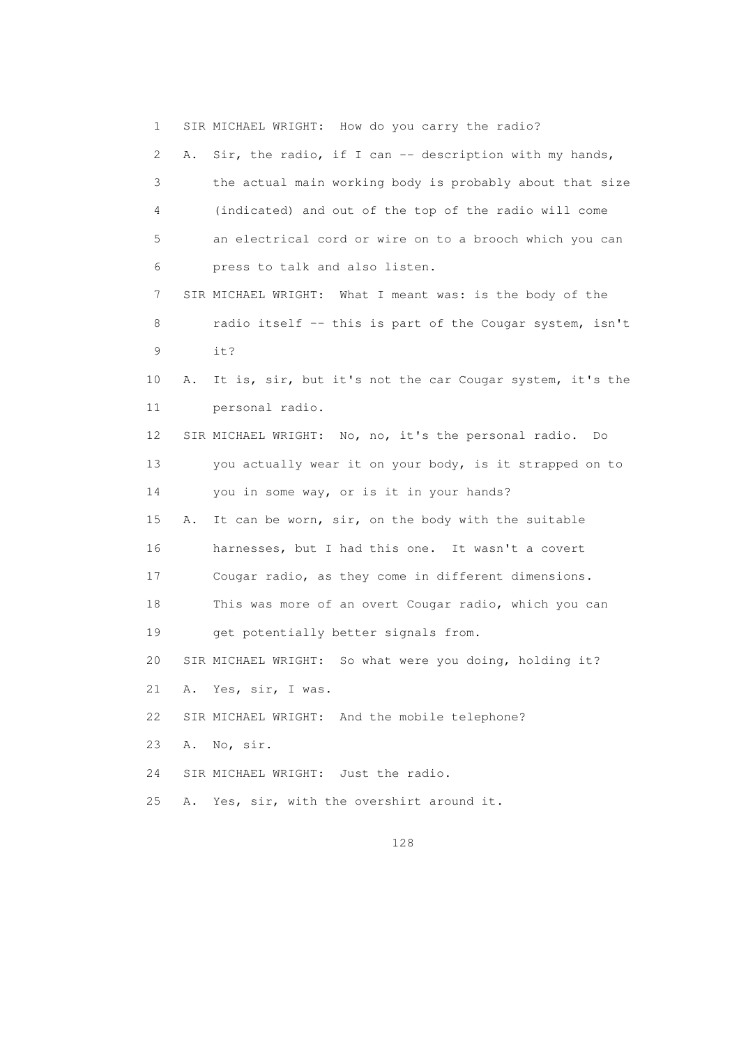1 SIR MICHAEL WRIGHT: How do you carry the radio? 2 A. Sir, the radio, if I can -- description with my hands, 3 the actual main working body is probably about that size 4 (indicated) and out of the top of the radio will come 5 an electrical cord or wire on to a brooch which you can 6 press to talk and also listen. 7 SIR MICHAEL WRIGHT: What I meant was: is the body of the 8 radio itself -- this is part of the Cougar system, isn't 9 it? 10 A. It is, sir, but it's not the car Cougar system, it's the 11 personal radio. 12 SIR MICHAEL WRIGHT: No, no, it's the personal radio. Do 13 you actually wear it on your body, is it strapped on to 14 you in some way, or is it in your hands? 15 A. It can be worn, sir, on the body with the suitable 16 harnesses, but I had this one. It wasn't a covert 17 Cougar radio, as they come in different dimensions. 18 This was more of an overt Cougar radio, which you can 19 get potentially better signals from. 20 SIR MICHAEL WRIGHT: So what were you doing, holding it? 21 A. Yes, sir, I was. 22 SIR MICHAEL WRIGHT: And the mobile telephone? 23 A. No, sir. 24 SIR MICHAEL WRIGHT: Just the radio. 25 A. Yes, sir, with the overshirt around it.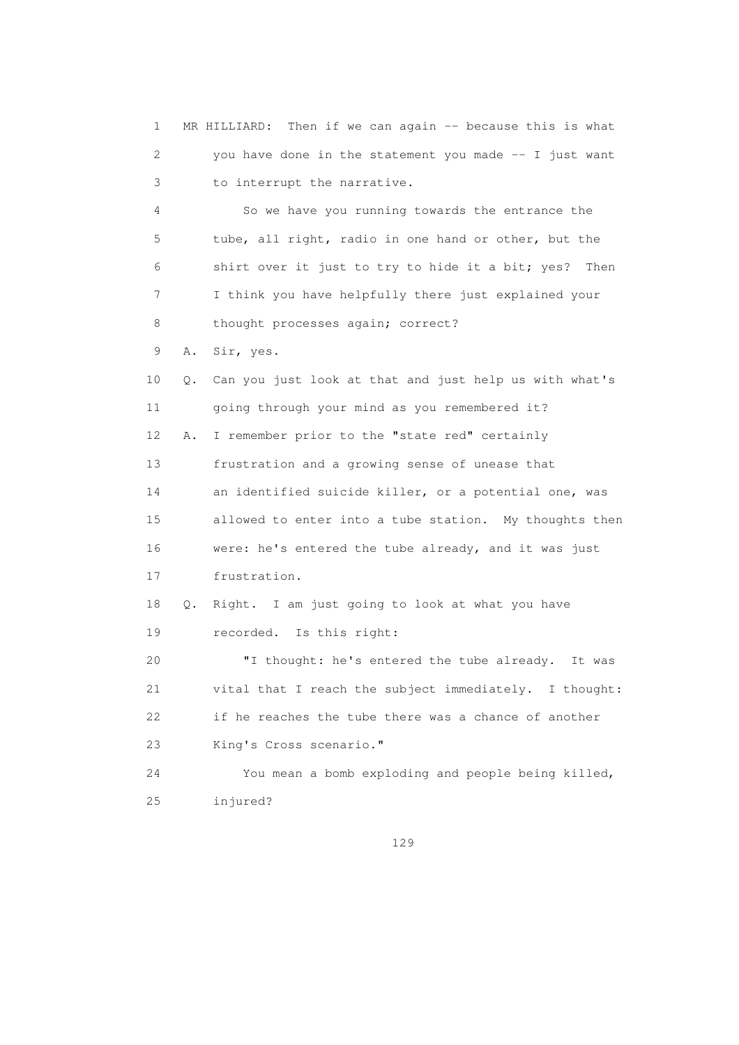1 MR HILLIARD: Then if we can again -- because this is what 2 you have done in the statement you made -- I just want 3 to interrupt the narrative. 4 So we have you running towards the entrance the 5 tube, all right, radio in one hand or other, but the 6 shirt over it just to try to hide it a bit; yes? Then 7 I think you have helpfully there just explained your 8 thought processes again; correct? 9 A. Sir, yes. 10 Q. Can you just look at that and just help us with what's 11 going through your mind as you remembered it? 12 A. I remember prior to the "state red" certainly 13 frustration and a growing sense of unease that 14 an identified suicide killer, or a potential one, was 15 allowed to enter into a tube station. My thoughts then 16 were: he's entered the tube already, and it was just 17 frustration. 18 Q. Right. I am just going to look at what you have 19 recorded. Is this right: 20 "I thought: he's entered the tube already. It was 21 vital that I reach the subject immediately. I thought: 22 if he reaches the tube there was a chance of another 23 King's Cross scenario." 24 You mean a bomb exploding and people being killed, 25 injured?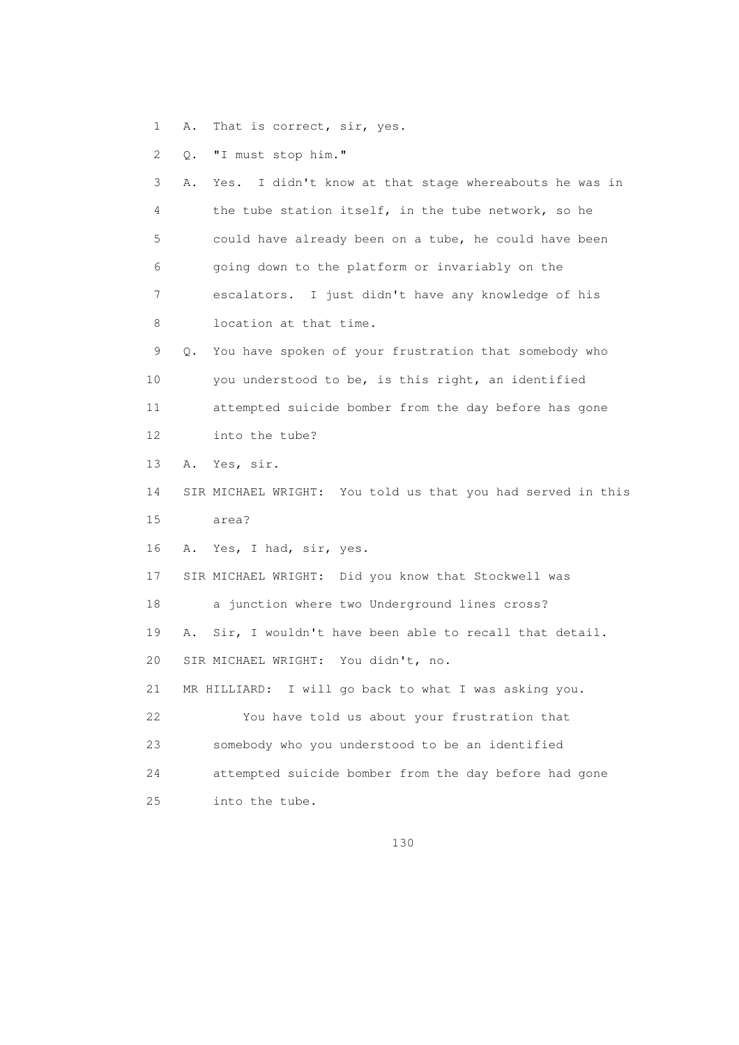1 A. That is correct, sir, yes.

2 Q. "I must stop him."

 3 A. Yes. I didn't know at that stage whereabouts he was in 4 the tube station itself, in the tube network, so he 5 could have already been on a tube, he could have been 6 going down to the platform or invariably on the 7 escalators. I just didn't have any knowledge of his 8 location at that time. 9 Q. You have spoken of your frustration that somebody who 10 you understood to be, is this right, an identified 11 attempted suicide bomber from the day before has gone 12 into the tube? 13 A. Yes, sir. 14 SIR MICHAEL WRIGHT: You told us that you had served in this 15 area? 16 A. Yes, I had, sir, yes. 17 SIR MICHAEL WRIGHT: Did you know that Stockwell was 18 a junction where two Underground lines cross? 19 A. Sir, I wouldn't have been able to recall that detail. 20 SIR MICHAEL WRIGHT: You didn't, no. 21 MR HILLIARD: I will go back to what I was asking you. 22 You have told us about your frustration that 23 somebody who you understood to be an identified 24 attempted suicide bomber from the day before had gone 25 into the tube.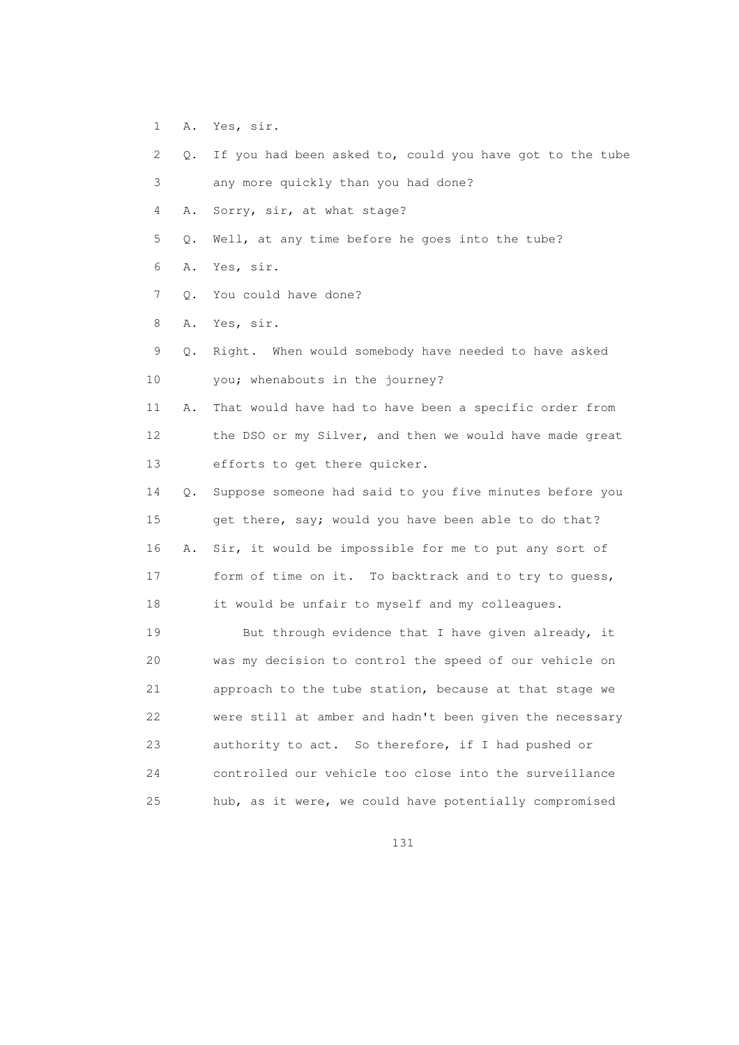- 1 A. Yes, sir.
- 2 Q. If you had been asked to, could you have got to the tube
- 3 any more quickly than you had done?
- 4 A. Sorry, sir, at what stage?
- 5 Q. Well, at any time before he goes into the tube?
- 6 A. Yes, sir.
- 7 Q. You could have done?
- 8 A. Yes, sir.
- 9 Q. Right. When would somebody have needed to have asked 10 you; whenabouts in the journey?
- 11 A. That would have had to have been a specific order from 12 the DSO or my Silver, and then we would have made great 13 efforts to get there quicker.
- 14 Q. Suppose someone had said to you five minutes before you 15 get there, say; would you have been able to do that? 16 A. Sir, it would be impossible for me to put any sort of 17 form of time on it. To backtrack and to try to guess, 18 it would be unfair to myself and my colleagues.
- 19 But through evidence that I have given already, it 20 was my decision to control the speed of our vehicle on 21 approach to the tube station, because at that stage we 22 were still at amber and hadn't been given the necessary 23 authority to act. So therefore, if I had pushed or 24 controlled our vehicle too close into the surveillance 25 hub, as it were, we could have potentially compromised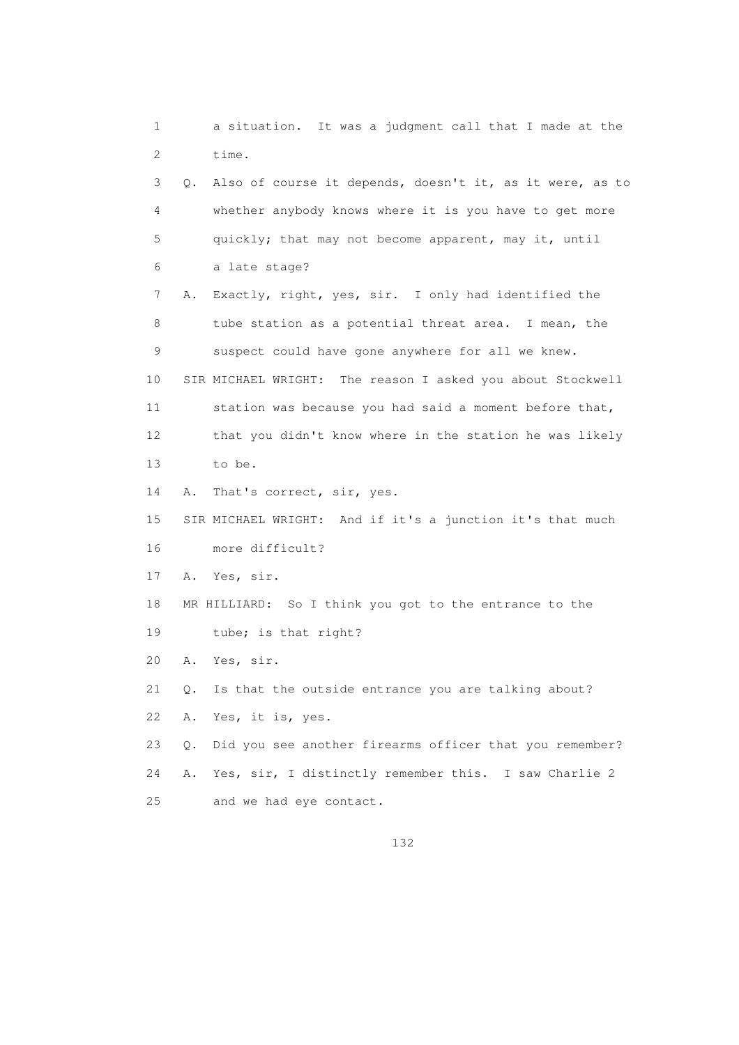1 a situation. It was a judgment call that I made at the 2 time. 3 Q. Also of course it depends, doesn't it, as it were, as to 4 whether anybody knows where it is you have to get more 5 quickly; that may not become apparent, may it, until 6 a late stage? 7 A. Exactly, right, yes, sir. I only had identified the 8 tube station as a potential threat area. I mean, the 9 suspect could have gone anywhere for all we knew. 10 SIR MICHAEL WRIGHT: The reason I asked you about Stockwell 11 station was because you had said a moment before that, 12 that you didn't know where in the station he was likely 13 to be. 14 A. That's correct, sir, yes. 15 SIR MICHAEL WRIGHT: And if it's a junction it's that much 16 more difficult? 17 A. Yes, sir. 18 MR HILLIARD: So I think you got to the entrance to the 19 tube; is that right? 20 A. Yes, sir. 21 Q. Is that the outside entrance you are talking about? 22 A. Yes, it is, yes. 23 Q. Did you see another firearms officer that you remember? 24 A. Yes, sir, I distinctly remember this. I saw Charlie 2 25 and we had eye contact.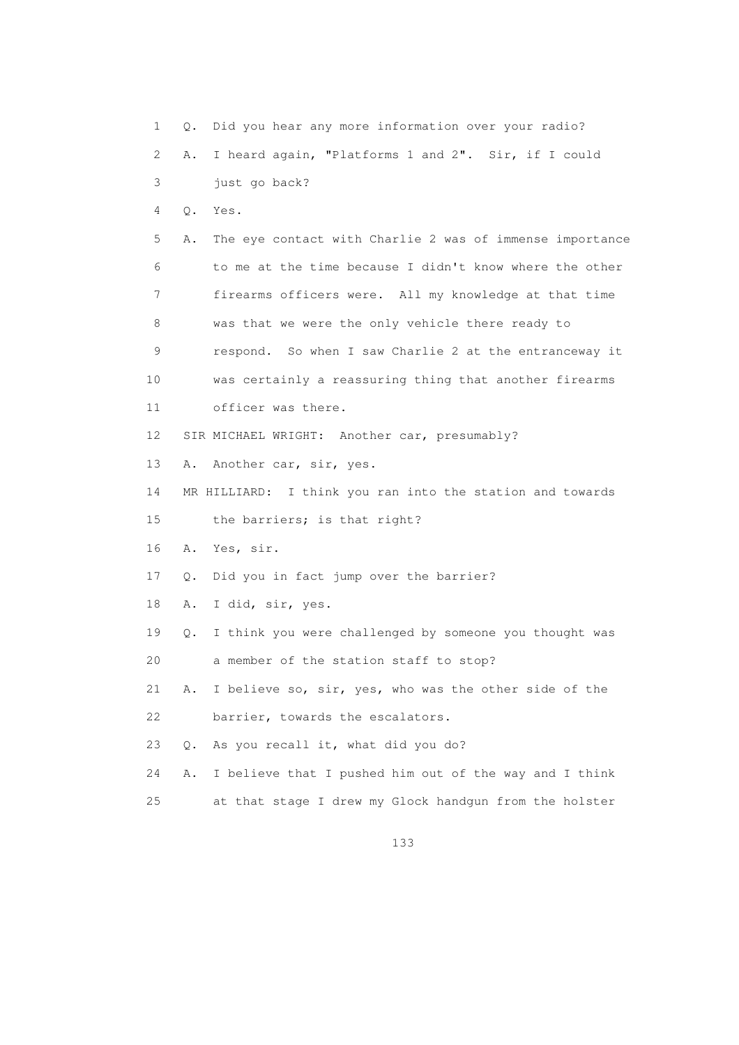1 Q. Did you hear any more information over your radio? 2 A. I heard again, "Platforms 1 and 2". Sir, if I could 3 just go back? 4 Q. Yes. 5 A. The eye contact with Charlie 2 was of immense importance 6 to me at the time because I didn't know where the other 7 firearms officers were. All my knowledge at that time 8 was that we were the only vehicle there ready to 9 respond. So when I saw Charlie 2 at the entranceway it 10 was certainly a reassuring thing that another firearms 11 officer was there. 12 SIR MICHAEL WRIGHT: Another car, presumably? 13 A. Another car, sir, yes. 14 MR HILLIARD: I think you ran into the station and towards 15 the barriers; is that right? 16 A. Yes, sir. 17 Q. Did you in fact jump over the barrier? 18 A. I did, sir, yes. 19 Q. I think you were challenged by someone you thought was 20 a member of the station staff to stop? 21 A. I believe so, sir, yes, who was the other side of the 22 barrier, towards the escalators. 23 Q. As you recall it, what did you do? 24 A. I believe that I pushed him out of the way and I think 25 at that stage I drew my Glock handgun from the holster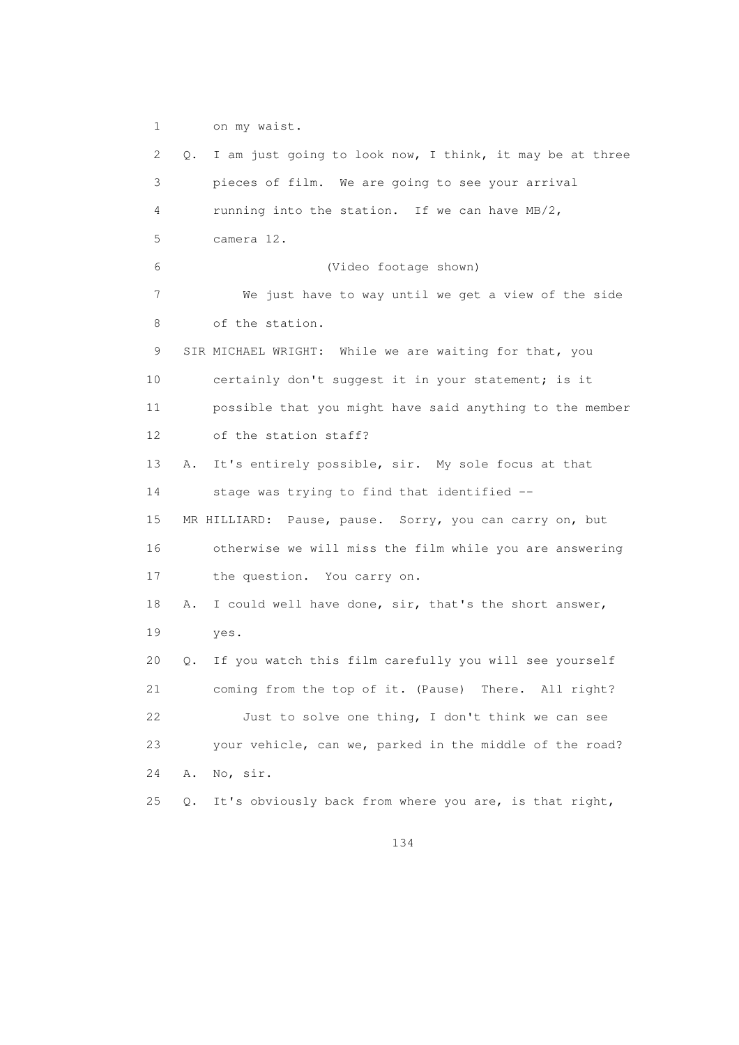1 on my waist.

 2 Q. I am just going to look now, I think, it may be at three 3 pieces of film. We are going to see your arrival 4 running into the station. If we can have MB/2, 5 camera 12. 6 (Video footage shown) 7 We just have to way until we get a view of the side 8 of the station. 9 SIR MICHAEL WRIGHT: While we are waiting for that, you 10 certainly don't suggest it in your statement; is it 11 possible that you might have said anything to the member 12 of the station staff? 13 A. It's entirely possible, sir. My sole focus at that 14 stage was trying to find that identified -- 15 MR HILLIARD: Pause, pause. Sorry, you can carry on, but 16 otherwise we will miss the film while you are answering 17 the question. You carry on. 18 A. I could well have done, sir, that's the short answer, 19 yes. 20 Q. If you watch this film carefully you will see yourself 21 coming from the top of it. (Pause) There. All right? 22 Just to solve one thing, I don't think we can see 23 your vehicle, can we, parked in the middle of the road? 24 A. No, sir. 25 Q. It's obviously back from where you are, is that right,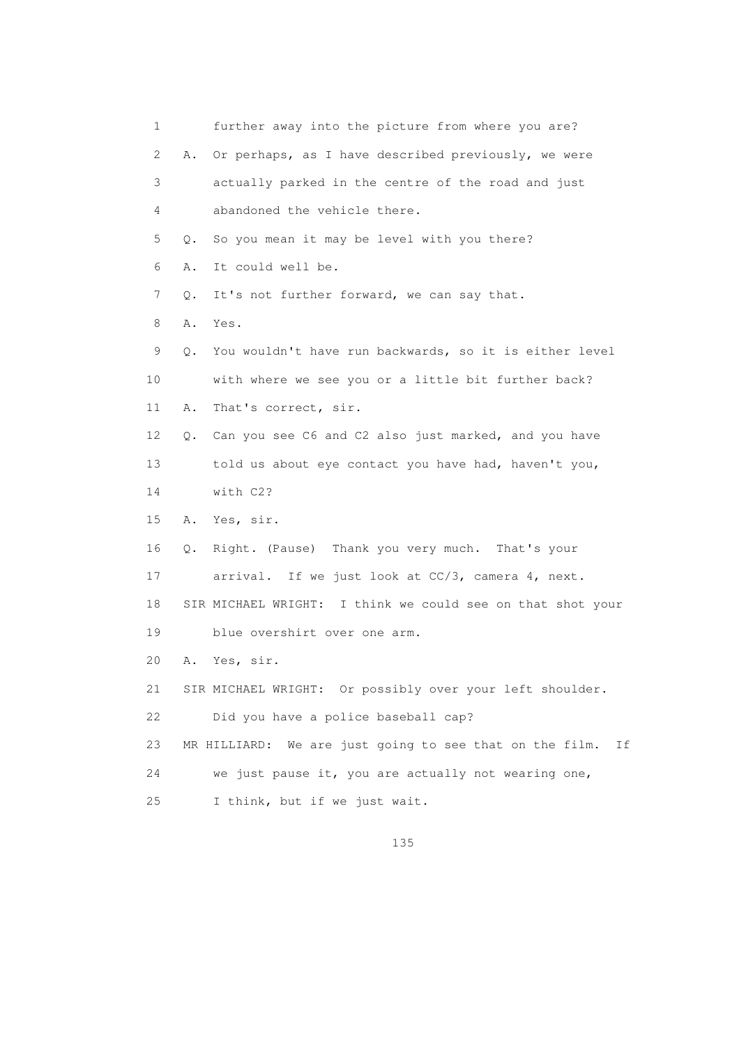1 further away into the picture from where you are? 2 A. Or perhaps, as I have described previously, we were 3 actually parked in the centre of the road and just 4 abandoned the vehicle there. 5 Q. So you mean it may be level with you there? 6 A. It could well be. 7 Q. It's not further forward, we can say that. 8 A. Yes. 9 Q. You wouldn't have run backwards, so it is either level 10 with where we see you or a little bit further back? 11 A. That's correct, sir. 12 Q. Can you see C6 and C2 also just marked, and you have 13 told us about eye contact you have had, haven't you, 14 with C2? 15 A. Yes, sir. 16 Q. Right. (Pause) Thank you very much. That's your 17 arrival. If we just look at CC/3, camera 4, next. 18 SIR MICHAEL WRIGHT: I think we could see on that shot your 19 blue overshirt over one arm. 20 A. Yes, sir. 21 SIR MICHAEL WRIGHT: Or possibly over your left shoulder. 22 Did you have a police baseball cap? 23 MR HILLIARD: We are just going to see that on the film. If 24 we just pause it, you are actually not wearing one, 25 I think, but if we just wait.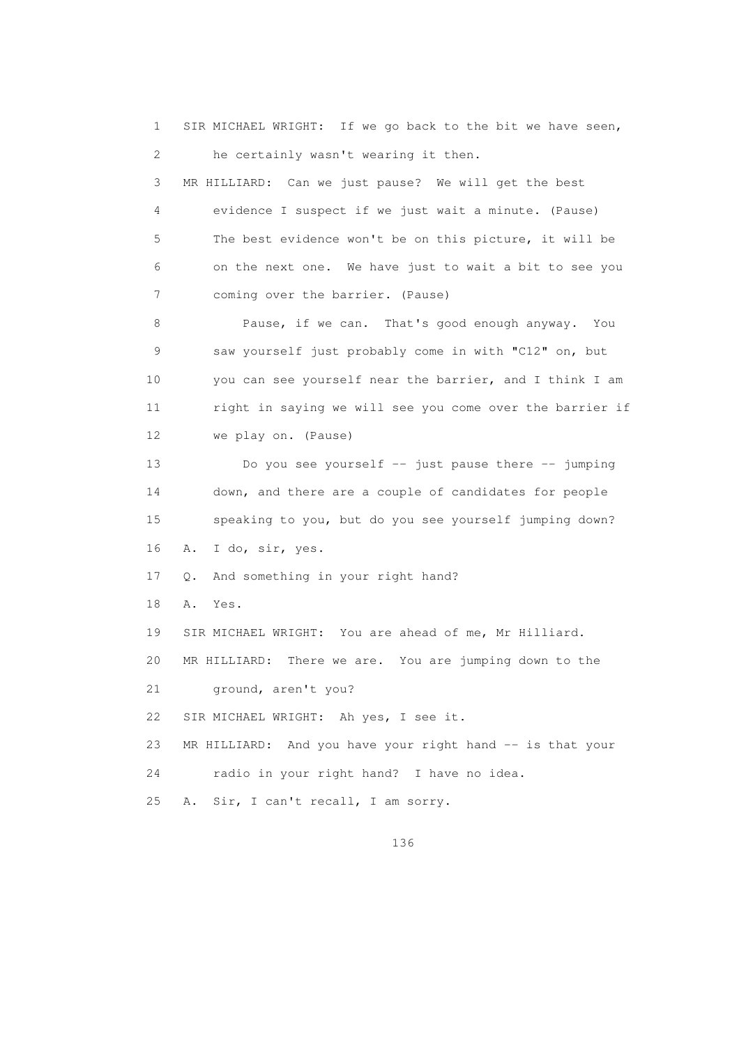1 SIR MICHAEL WRIGHT: If we go back to the bit we have seen, 2 he certainly wasn't wearing it then. 3 MR HILLIARD: Can we just pause? We will get the best 4 evidence I suspect if we just wait a minute. (Pause) 5 The best evidence won't be on this picture, it will be 6 on the next one. We have just to wait a bit to see you 7 coming over the barrier. (Pause) 8 Pause, if we can. That's good enough anyway. You 9 saw yourself just probably come in with "C12" on, but 10 you can see yourself near the barrier, and I think I am 11 right in saying we will see you come over the barrier if 12 we play on. (Pause) 13 Do you see yourself -- just pause there -- jumping 14 down, and there are a couple of candidates for people 15 speaking to you, but do you see yourself jumping down? 16 A. I do, sir, yes. 17 Q. And something in your right hand? 18 A. Yes. 19 SIR MICHAEL WRIGHT: You are ahead of me, Mr Hilliard. 20 MR HILLIARD: There we are. You are jumping down to the 21 ground, aren't you? 22 SIR MICHAEL WRIGHT: Ah yes, I see it. 23 MR HILLIARD: And you have your right hand -- is that your 24 radio in your right hand? I have no idea. 25 A. Sir, I can't recall, I am sorry.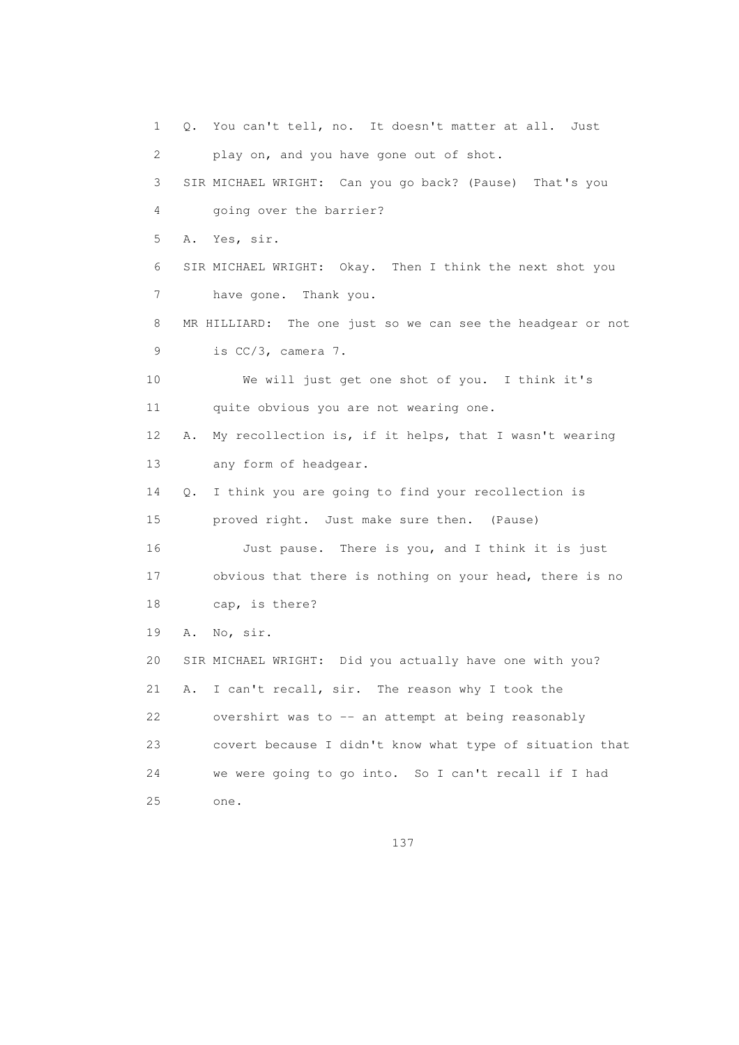1 Q. You can't tell, no. It doesn't matter at all. Just 2 play on, and you have gone out of shot. 3 SIR MICHAEL WRIGHT: Can you go back? (Pause) That's you 4 going over the barrier? 5 A. Yes, sir. 6 SIR MICHAEL WRIGHT: Okay. Then I think the next shot you 7 have gone. Thank you. 8 MR HILLIARD: The one just so we can see the headgear or not 9 is CC/3, camera 7. 10 We will just get one shot of you. I think it's 11 quite obvious you are not wearing one. 12 A. My recollection is, if it helps, that I wasn't wearing 13 any form of headgear. 14 Q. I think you are going to find your recollection is 15 proved right. Just make sure then. (Pause) 16 Just pause. There is you, and I think it is just 17 obvious that there is nothing on your head, there is no 18 cap, is there? 19 A. No, sir. 20 SIR MICHAEL WRIGHT: Did you actually have one with you? 21 A. I can't recall, sir. The reason why I took the 22 overshirt was to -- an attempt at being reasonably 23 covert because I didn't know what type of situation that 24 we were going to go into. So I can't recall if I had 25 one.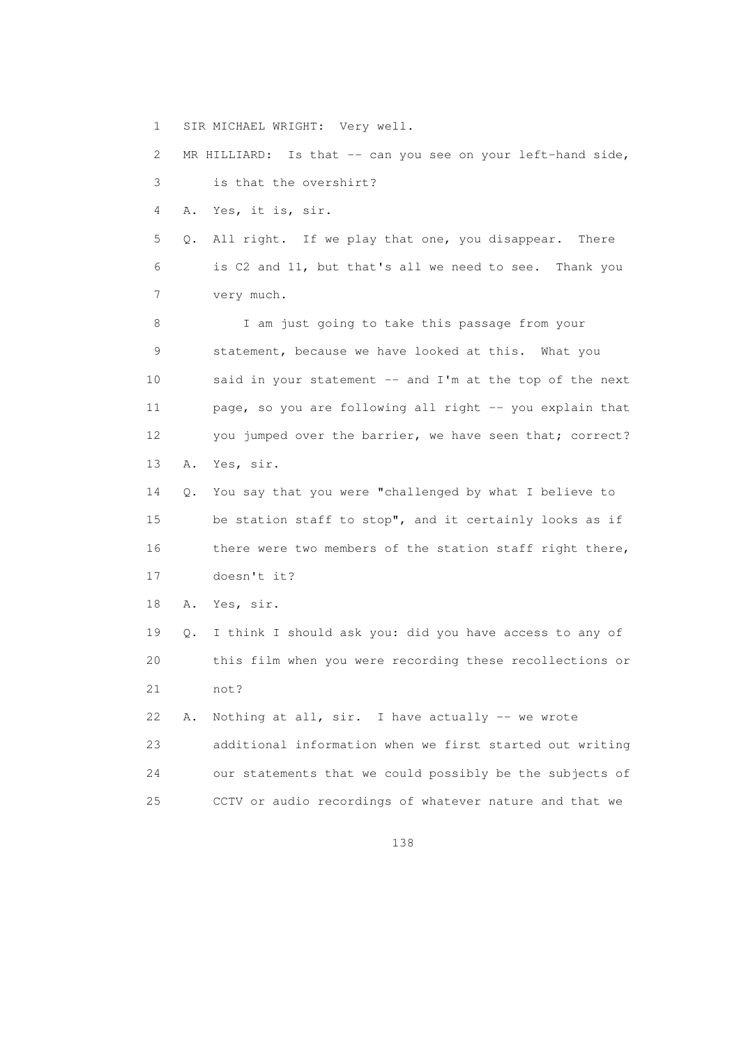1 SIR MICHAEL WRIGHT: Very well.

2 MR HILLIARD: Is that -- can you see on your left-hand side, 3 is that the overshirt?

4 A. Yes, it is, sir.

 5 Q. All right. If we play that one, you disappear. There 6 is C2 and 11, but that's all we need to see. Thank you 7 very much.

 8 I am just going to take this passage from your 9 statement, because we have looked at this. What you 10 said in your statement -- and I'm at the top of the next 11 page, so you are following all right -- you explain that 12 you jumped over the barrier, we have seen that; correct? 13 A. Yes, sir.

 14 Q. You say that you were "challenged by what I believe to 15 be station staff to stop", and it certainly looks as if 16 there were two members of the station staff right there, 17 doesn't it?

18 A. Yes, sir.

 19 Q. I think I should ask you: did you have access to any of 20 this film when you were recording these recollections or 21 not?

 22 A. Nothing at all, sir. I have actually -- we wrote 23 additional information when we first started out writing 24 our statements that we could possibly be the subjects of 25 CCTV or audio recordings of whatever nature and that we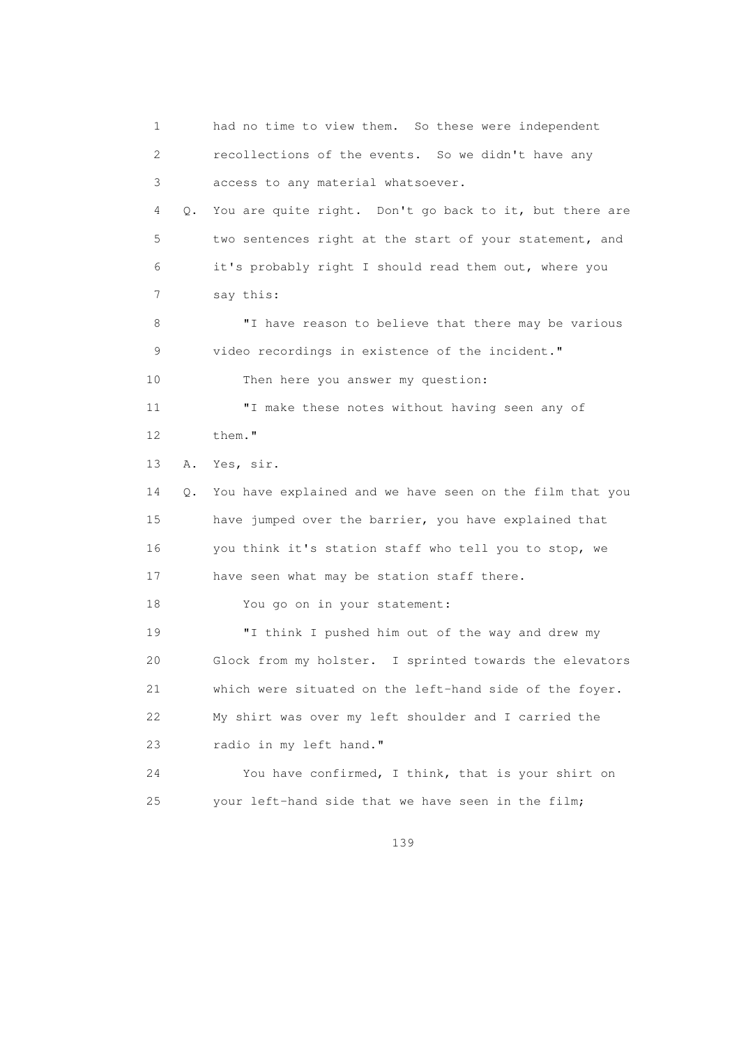1 had no time to view them. So these were independent 2 recollections of the events. So we didn't have any 3 access to any material whatsoever. 4 Q. You are quite right. Don't go back to it, but there are 5 two sentences right at the start of your statement, and 6 it's probably right I should read them out, where you 7 say this: 8 "I have reason to believe that there may be various 9 video recordings in existence of the incident." 10 Then here you answer my question: 11 "I make these notes without having seen any of 12 them." 13 A. Yes, sir. 14 Q. You have explained and we have seen on the film that you 15 have jumped over the barrier, you have explained that 16 you think it's station staff who tell you to stop, we 17 have seen what may be station staff there. 18 You go on in your statement: 19 "I think I pushed him out of the way and drew my 20 Glock from my holster. I sprinted towards the elevators 21 which were situated on the left-hand side of the foyer. 22 My shirt was over my left shoulder and I carried the 23 radio in my left hand." 24 You have confirmed, I think, that is your shirt on 25 your left-hand side that we have seen in the film;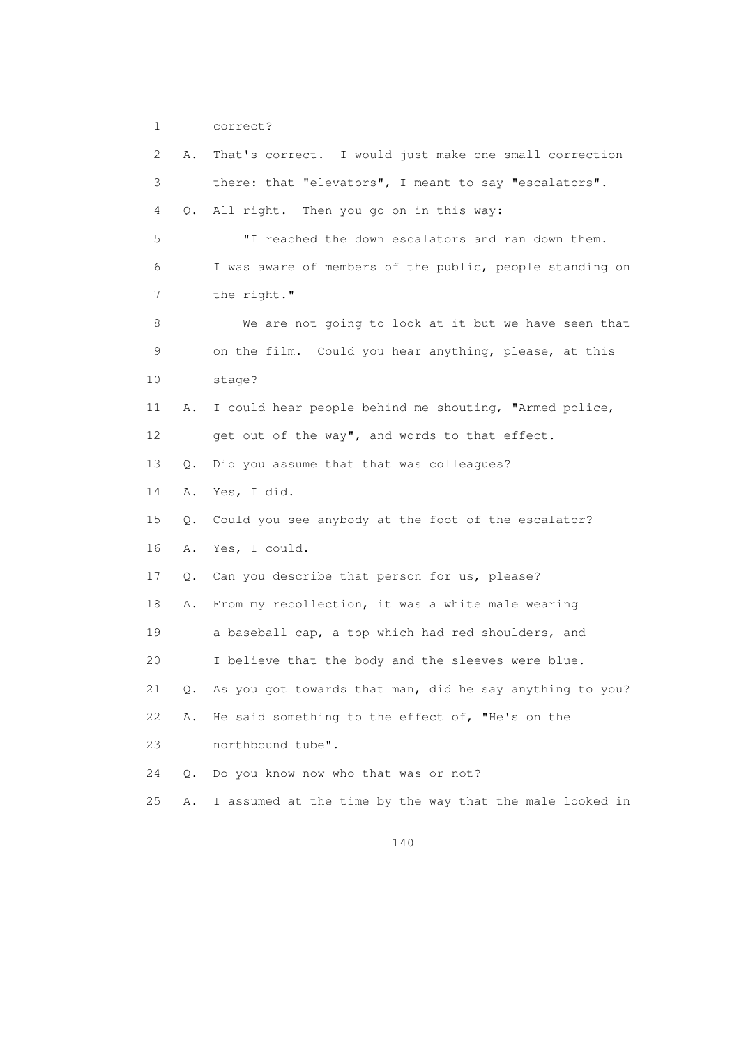```
 1 correct?
```
 2 A. That's correct. I would just make one small correction 3 there: that "elevators", I meant to say "escalators". 4 Q. All right. Then you go on in this way: 5 "I reached the down escalators and ran down them. 6 I was aware of members of the public, people standing on 7 the right." 8 We are not going to look at it but we have seen that 9 on the film. Could you hear anything, please, at this 10 stage? 11 A. I could hear people behind me shouting, "Armed police, 12 get out of the way", and words to that effect. 13 Q. Did you assume that that was colleagues? 14 A. Yes, I did. 15 Q. Could you see anybody at the foot of the escalator? 16 A. Yes, I could. 17 Q. Can you describe that person for us, please? 18 A. From my recollection, it was a white male wearing 19 a baseball cap, a top which had red shoulders, and 20 I believe that the body and the sleeves were blue. 21 Q. As you got towards that man, did he say anything to you? 22 A. He said something to the effect of, "He's on the 23 northbound tube". 24 Q. Do you know now who that was or not? 25 A. I assumed at the time by the way that the male looked in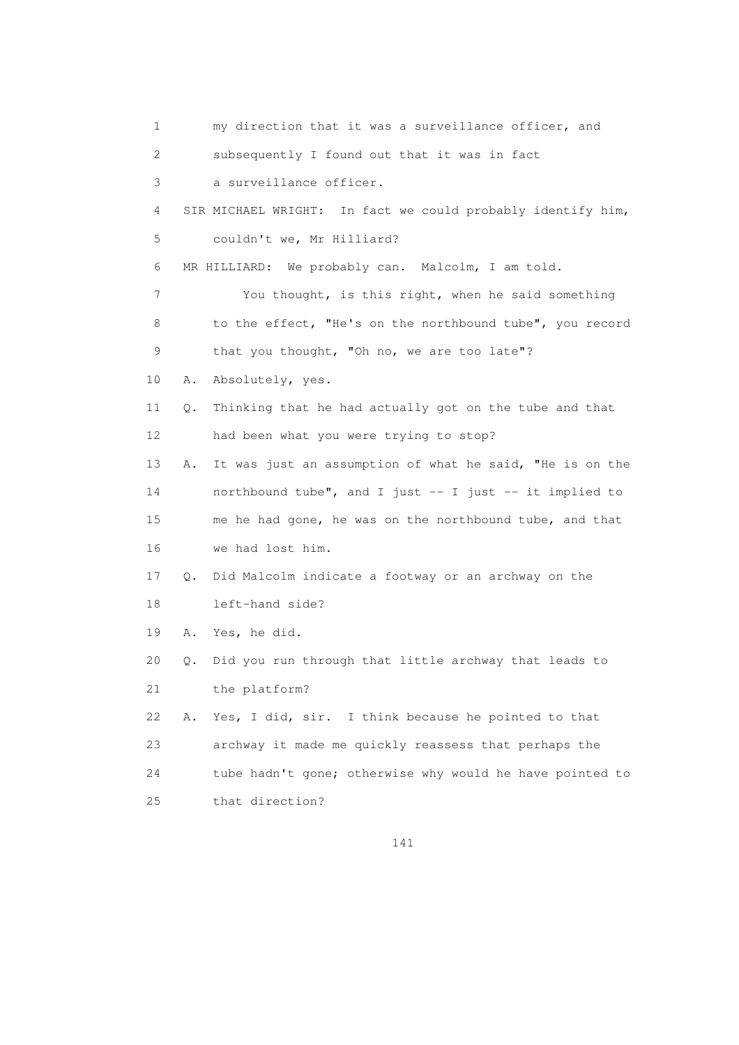1 my direction that it was a surveillance officer, and 2 subsequently I found out that it was in fact 3 a surveillance officer. 4 SIR MICHAEL WRIGHT: In fact we could probably identify him, 5 couldn't we, Mr Hilliard? 6 MR HILLIARD: We probably can. Malcolm, I am told. 7 You thought, is this right, when he said something 8 to the effect, "He's on the northbound tube", you record 9 that you thought, "Oh no, we are too late"? 10 A. Absolutely, yes. 11 Q. Thinking that he had actually got on the tube and that 12 had been what you were trying to stop? 13 A. It was just an assumption of what he said, "He is on the 14 northbound tube", and I just -- I just -- it implied to 15 me he had gone, he was on the northbound tube, and that 16 we had lost him. 17 Q. Did Malcolm indicate a footway or an archway on the 18 left-hand side? 19 A. Yes, he did. 20 Q. Did you run through that little archway that leads to 21 the platform? 22 A. Yes, I did, sir. I think because he pointed to that 23 archway it made me quickly reassess that perhaps the 24 tube hadn't gone; otherwise why would he have pointed to 25 that direction?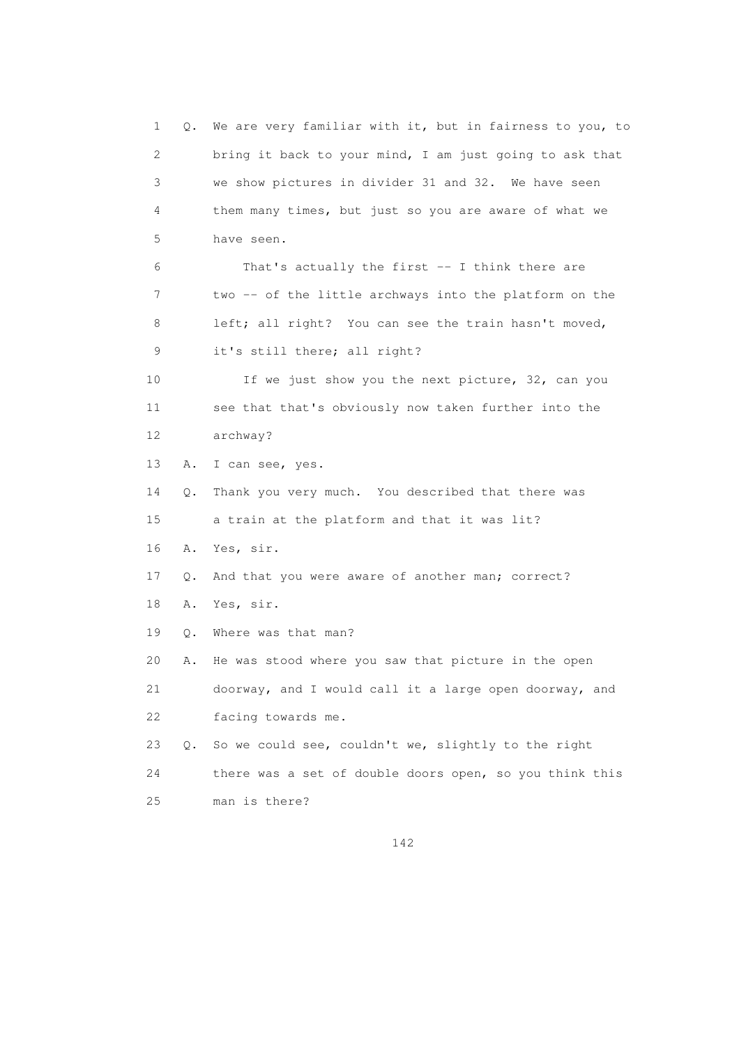1 Q. We are very familiar with it, but in fairness to you, to 2 bring it back to your mind, I am just going to ask that 3 we show pictures in divider 31 and 32. We have seen 4 them many times, but just so you are aware of what we 5 have seen. 6 That's actually the first -- I think there are 7 two -- of the little archways into the platform on the 8 left; all right? You can see the train hasn't moved, 9 it's still there; all right? 10 If we just show you the next picture, 32, can you 11 see that that's obviously now taken further into the 12 archway? 13 A. I can see, yes. 14 Q. Thank you very much. You described that there was 15 a train at the platform and that it was lit? 16 A. Yes, sir. 17 Q. And that you were aware of another man; correct? 18 A. Yes, sir. 19 Q. Where was that man? 20 A. He was stood where you saw that picture in the open 21 doorway, and I would call it a large open doorway, and 22 facing towards me. 23 Q. So we could see, couldn't we, slightly to the right 24 there was a set of double doors open, so you think this 25 man is there?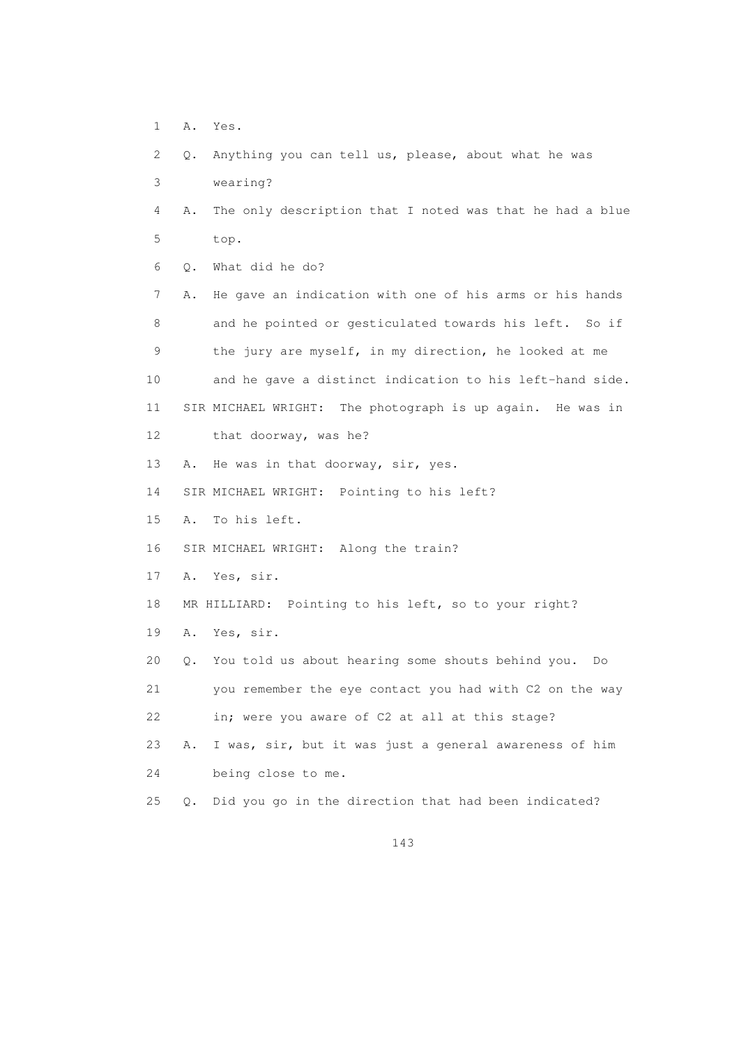1 A. Yes.

 2 Q. Anything you can tell us, please, about what he was 3 wearing? 4 A. The only description that I noted was that he had a blue 5 top. 6 Q. What did he do? 7 A. He gave an indication with one of his arms or his hands 8 and he pointed or gesticulated towards his left. So if 9 the jury are myself, in my direction, he looked at me 10 and he gave a distinct indication to his left-hand side. 11 SIR MICHAEL WRIGHT: The photograph is up again. He was in 12 that doorway, was he? 13 A. He was in that doorway, sir, yes. 14 SIR MICHAEL WRIGHT: Pointing to his left? 15 A. To his left. 16 SIR MICHAEL WRIGHT: Along the train? 17 A. Yes, sir. 18 MR HILLIARD: Pointing to his left, so to your right? 19 A. Yes, sir. 20 Q. You told us about hearing some shouts behind you. Do 21 you remember the eye contact you had with C2 on the way 22 in; were you aware of C2 at all at this stage? 23 A. I was, sir, but it was just a general awareness of him 24 being close to me. 25 Q. Did you go in the direction that had been indicated?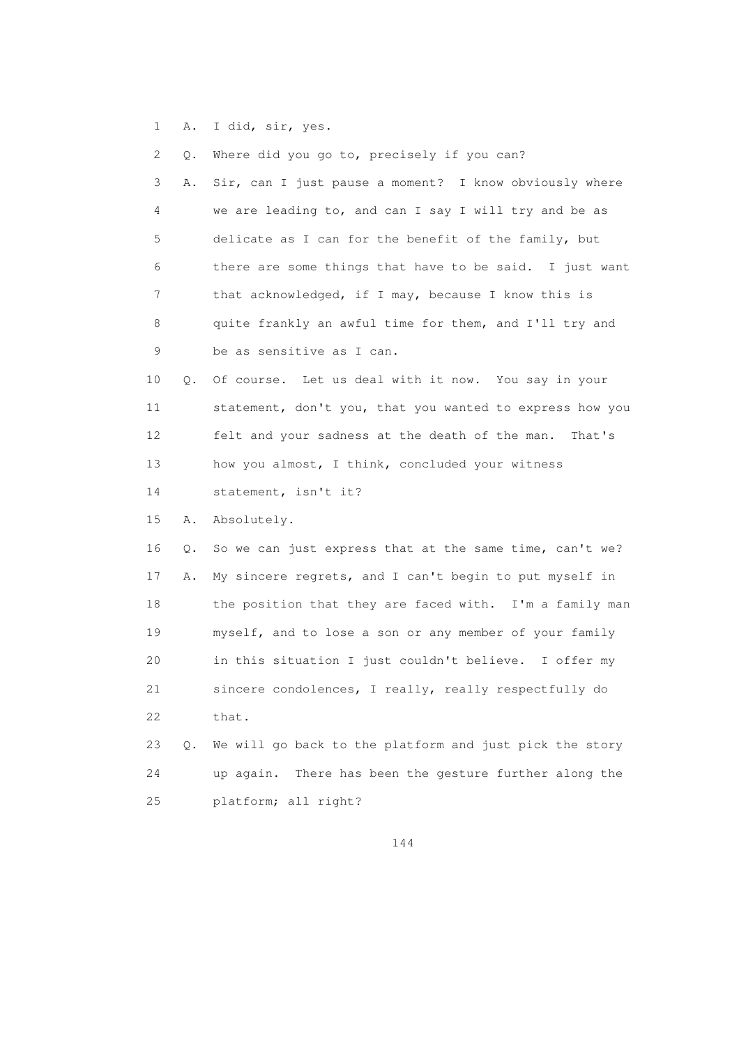1 A. I did, sir, yes.

| 2  | Q.        | Where did you go to, precisely if you can?                |
|----|-----------|-----------------------------------------------------------|
| 3  | Α.        | Sir, can I just pause a moment? I know obviously where    |
| 4  |           | we are leading to, and can I say I will try and be as     |
| 5  |           | delicate as I can for the benefit of the family, but      |
| 6  |           | there are some things that have to be said. I just want   |
| 7  |           | that acknowledged, if I may, because I know this is       |
| 8  |           | quite frankly an awful time for them, and I'll try and    |
| 9  |           | be as sensitive as I can.                                 |
| 10 | $\circ$ . | Of course. Let us deal with it now. You say in your       |
| 11 |           | statement, don't you, that you wanted to express how you  |
| 12 |           | felt and your sadness at the death of the man.<br>That's  |
| 13 |           | how you almost, I think, concluded your witness           |
| 14 |           | statement, isn't it?                                      |
| 15 | Α.        | Absolutely.                                               |
| 16 | Q.        | So we can just express that at the same time, can't we?   |
| 17 | Α.        | My sincere regrets, and I can't begin to put myself in    |
| 18 |           | the position that they are faced with. I'm a family man   |
| 19 |           | myself, and to lose a son or any member of your family    |
| 20 |           | in this situation I just couldn't believe. I offer my     |
| 21 |           | sincere condolences, I really, really respectfully do     |
| 22 |           | that.                                                     |
| 23 | $\circ$ . | We will go back to the platform and just pick the story   |
| 24 |           | There has been the gesture further along the<br>up again. |
| 25 |           | platform; all right?                                      |
|    |           |                                                           |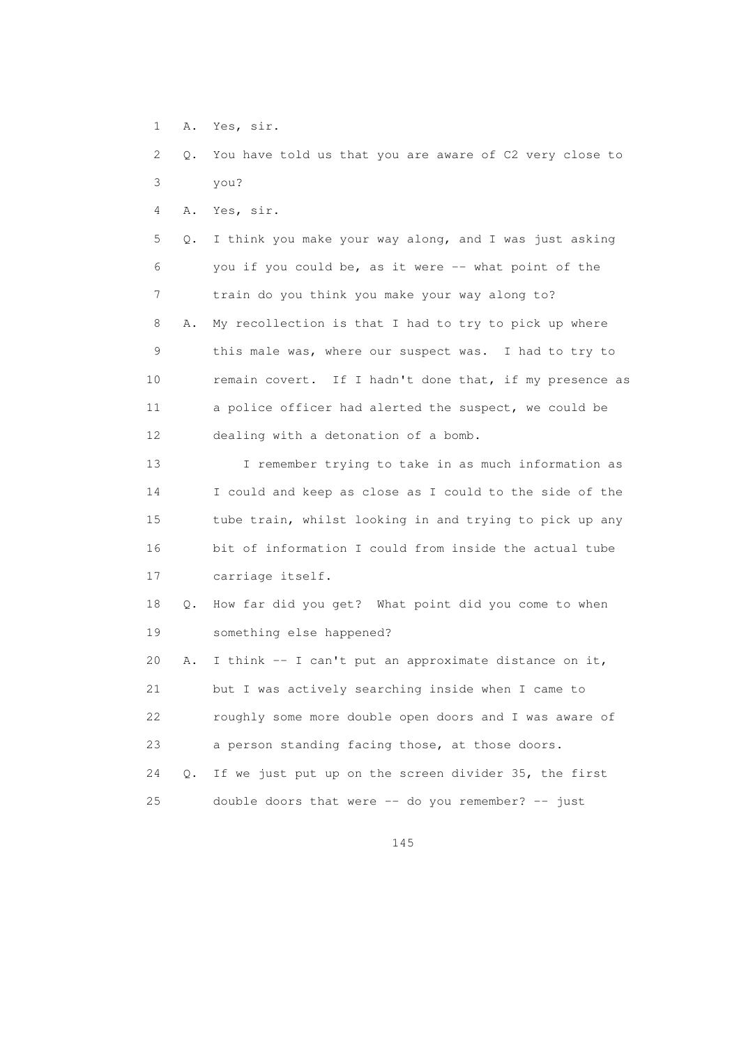- 1 A. Yes, sir.
- 2 Q. You have told us that you are aware of C2 very close to 3 you?

4 A. Yes, sir.

 5 Q. I think you make your way along, and I was just asking 6 you if you could be, as it were -- what point of the 7 train do you think you make your way along to? 8 A. My recollection is that I had to try to pick up where 9 this male was, where our suspect was. I had to try to 10 remain covert. If I hadn't done that, if my presence as 11 a police officer had alerted the suspect, we could be 12 dealing with a detonation of a bomb.

 13 I remember trying to take in as much information as 14 I could and keep as close as I could to the side of the 15 tube train, whilst looking in and trying to pick up any 16 bit of information I could from inside the actual tube 17 carriage itself.

 18 Q. How far did you get? What point did you come to when 19 something else happened?

20 A. I think  $-$  I can't put an approximate distance on it, 21 but I was actively searching inside when I came to 22 roughly some more double open doors and I was aware of 23 a person standing facing those, at those doors. 24 Q. If we just put up on the screen divider 35, the first 25 double doors that were -- do you remember? -- just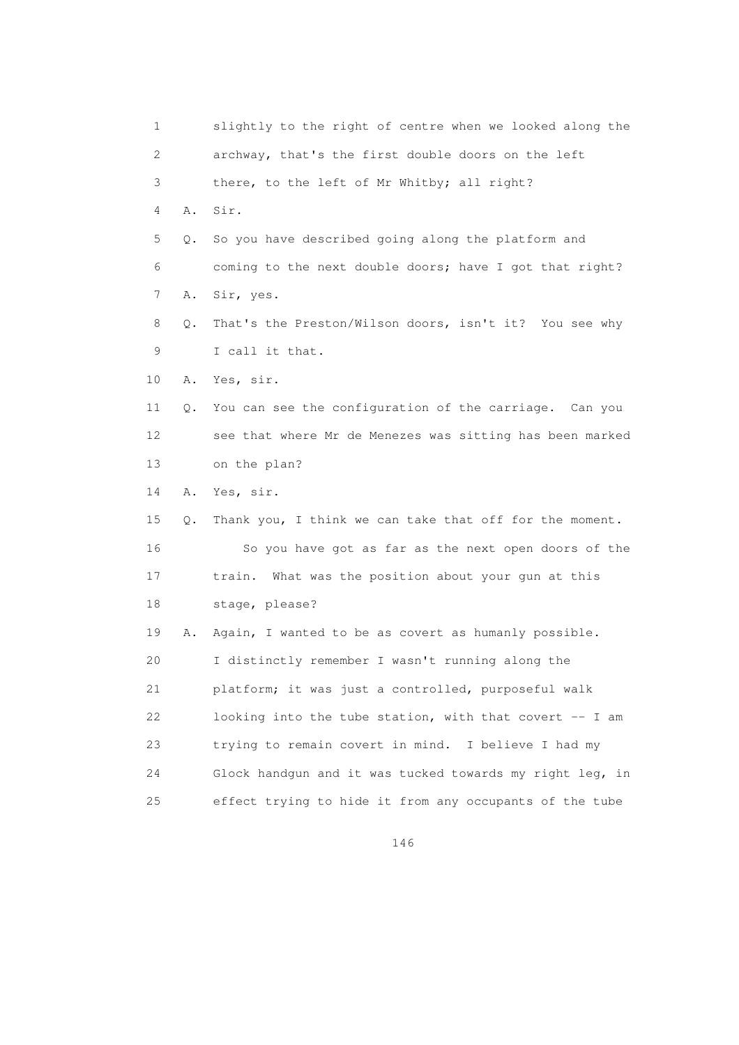1 slightly to the right of centre when we looked along the 2 archway, that's the first double doors on the left 3 there, to the left of Mr Whitby; all right? 4 A. Sir. 5 Q. So you have described going along the platform and 6 coming to the next double doors; have I got that right? 7 A. Sir, yes. 8 Q. That's the Preston/Wilson doors, isn't it? You see why 9 I call it that. 10 A. Yes, sir. 11 Q. You can see the configuration of the carriage. Can you 12 see that where Mr de Menezes was sitting has been marked 13 on the plan? 14 A. Yes, sir. 15 Q. Thank you, I think we can take that off for the moment. 16 So you have got as far as the next open doors of the 17 train. What was the position about your gun at this 18 stage, please? 19 A. Again, I wanted to be as covert as humanly possible. 20 I distinctly remember I wasn't running along the 21 platform; it was just a controlled, purposeful walk 22 looking into the tube station, with that covert -- I am 23 trying to remain covert in mind. I believe I had my 24 Glock handgun and it was tucked towards my right leg, in 25 effect trying to hide it from any occupants of the tube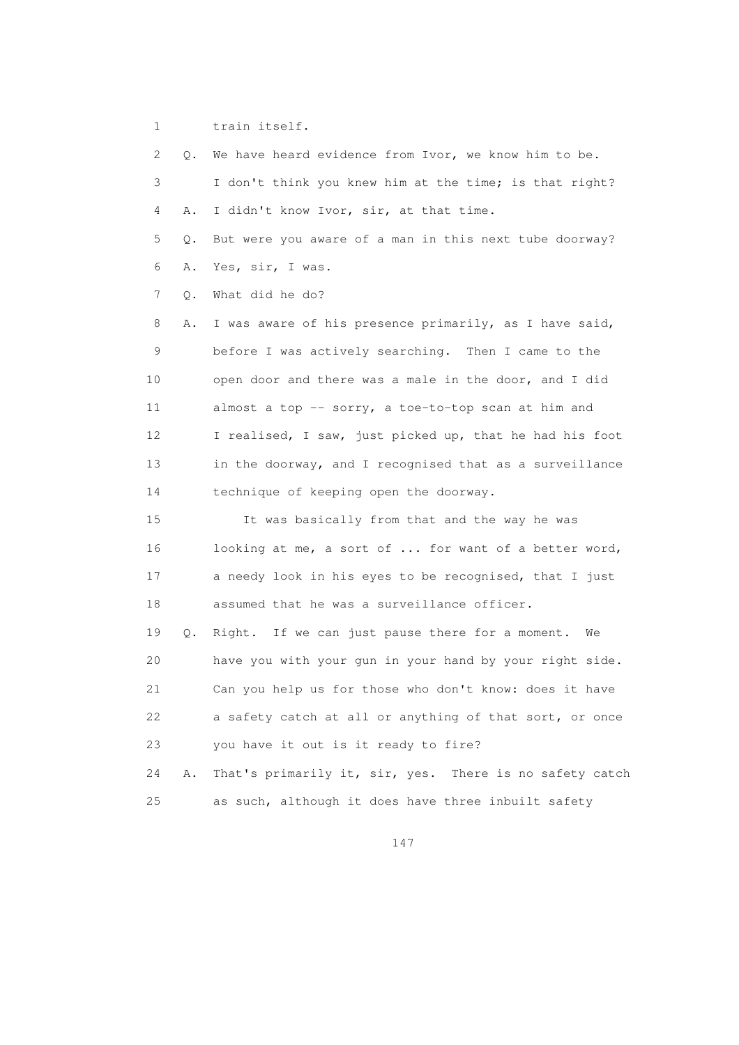1 train itself.

 2 Q. We have heard evidence from Ivor, we know him to be. 3 I don't think you knew him at the time; is that right? 4 A. I didn't know Ivor, sir, at that time. 5 Q. But were you aware of a man in this next tube doorway? 6 A. Yes, sir, I was. 7 Q. What did he do? 8 A. I was aware of his presence primarily, as I have said, 9 before I was actively searching. Then I came to the 10 open door and there was a male in the door, and I did 11 almost a top -- sorry, a toe-to-top scan at him and 12 I realised, I saw, just picked up, that he had his foot 13 in the doorway, and I recognised that as a surveillance 14 technique of keeping open the doorway. 15 It was basically from that and the way he was 16 looking at me, a sort of ... for want of a better word, 17 a needy look in his eyes to be recognised, that I just 18 assumed that he was a surveillance officer. 19 Q. Right. If we can just pause there for a moment. We 20 have you with your gun in your hand by your right side. 21 Can you help us for those who don't know: does it have 22 a safety catch at all or anything of that sort, or once 23 you have it out is it ready to fire? 24 A. That's primarily it, sir, yes. There is no safety catch 25 as such, although it does have three inbuilt safety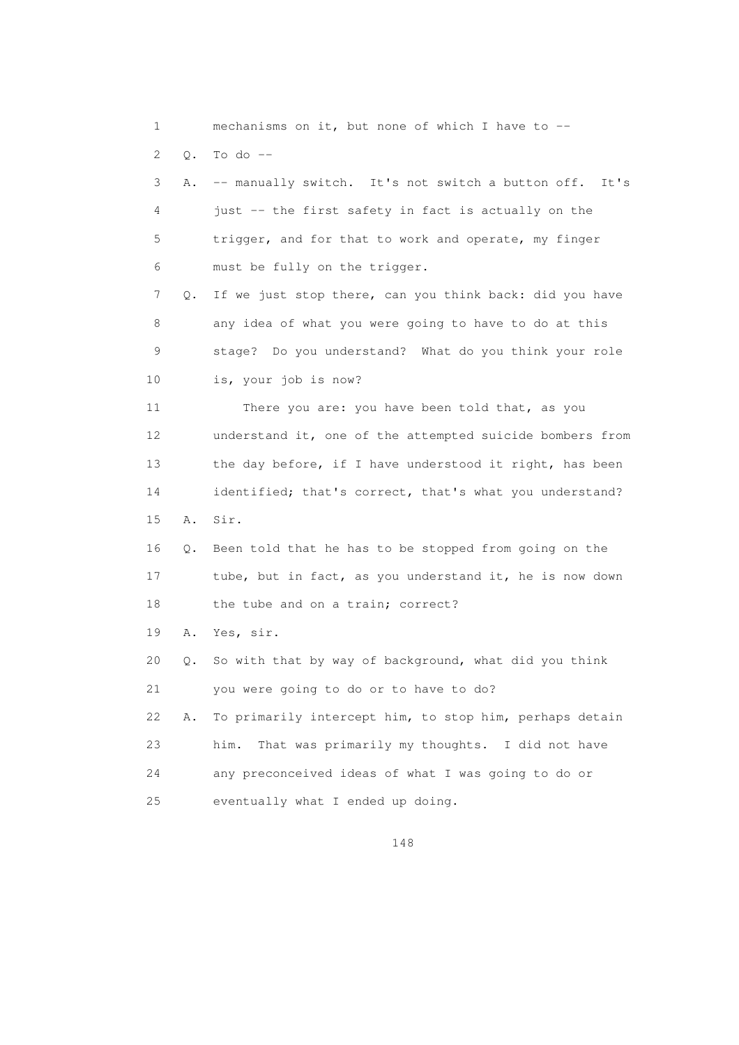1 mechanisms on it, but none of which I have to -- 2 Q. To do -- 3 A. -- manually switch. It's not switch a button off. It's 4 just -- the first safety in fact is actually on the 5 trigger, and for that to work and operate, my finger 6 must be fully on the trigger. 7 Q. If we just stop there, can you think back: did you have 8 any idea of what you were going to have to do at this 9 stage? Do you understand? What do you think your role 10 is, your job is now? 11 There you are: you have been told that, as you 12 understand it, one of the attempted suicide bombers from 13 the day before, if I have understood it right, has been 14 identified; that's correct, that's what you understand? 15 A. Sir. 16 Q. Been told that he has to be stopped from going on the 17 tube, but in fact, as you understand it, he is now down 18 the tube and on a train; correct? 19 A. Yes, sir. 20 Q. So with that by way of background, what did you think 21 you were going to do or to have to do? 22 A. To primarily intercept him, to stop him, perhaps detain 23 him. That was primarily my thoughts. I did not have 24 any preconceived ideas of what I was going to do or 25 eventually what I ended up doing.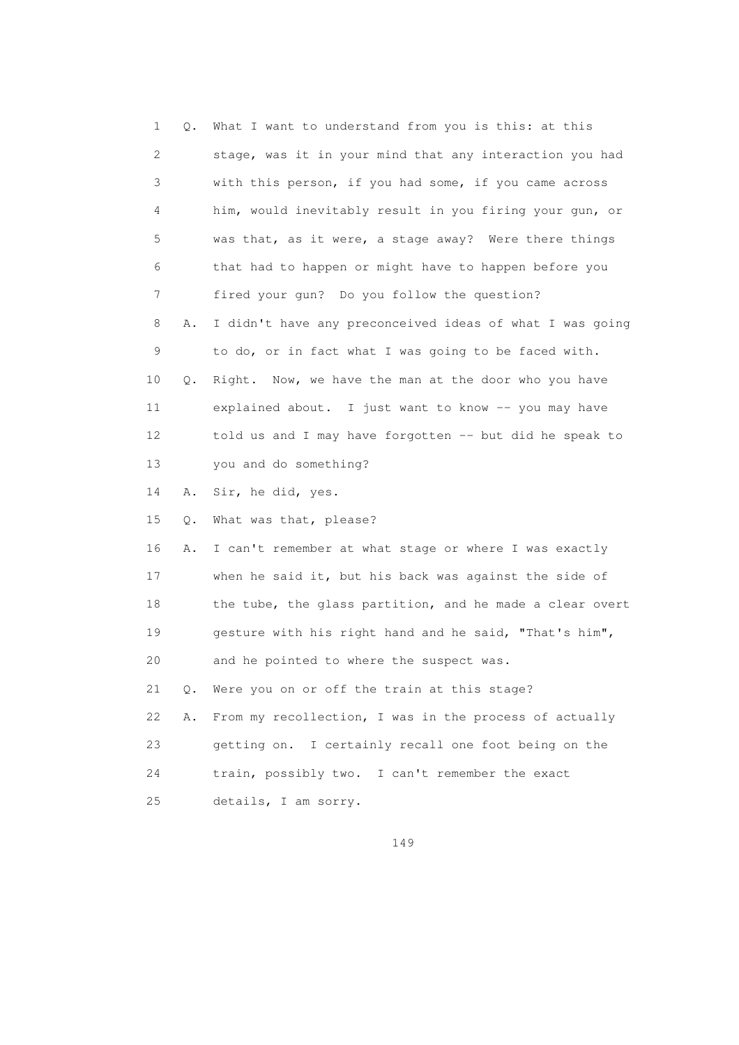| 1  | Q.    | What I want to understand from you is this: at this      |
|----|-------|----------------------------------------------------------|
| 2  |       | stage, was it in your mind that any interaction you had  |
| 3  |       | with this person, if you had some, if you came across    |
| 4  |       | him, would inevitably result in you firing your gun, or  |
| 5  |       | was that, as it were, a stage away? Were there things    |
| 6  |       | that had to happen or might have to happen before you    |
| 7  |       | fired your gun? Do you follow the question?              |
| 8  | Α.    | I didn't have any preconceived ideas of what I was going |
| 9  |       | to do, or in fact what I was going to be faced with.     |
| 10 | Q.    | Right. Now, we have the man at the door who you have     |
| 11 |       | explained about. I just want to know -- you may have     |
| 12 |       | told us and I may have forgotten -- but did he speak to  |
| 13 |       | you and do something?                                    |
| 14 | Α.    | Sir, he did, yes.                                        |
| 15 | Q.    | What was that, please?                                   |
| 16 | Α.    | I can't remember at what stage or where I was exactly    |
| 17 |       | when he said it, but his back was against the side of    |
| 18 |       | the tube, the glass partition, and he made a clear overt |
| 19 |       | gesture with his right hand and he said, "That's him",   |
| 20 |       | and he pointed to where the suspect was.                 |
| 21 | $Q$ . | Were you on or off the train at this stage?              |
| 22 | Α.    | From my recollection, I was in the process of actually   |
| 23 |       | I certainly recall one foot being on the<br>getting on.  |
| 24 |       | train, possibly two. I can't remember the exact          |
| 25 |       | details, I am sorry.                                     |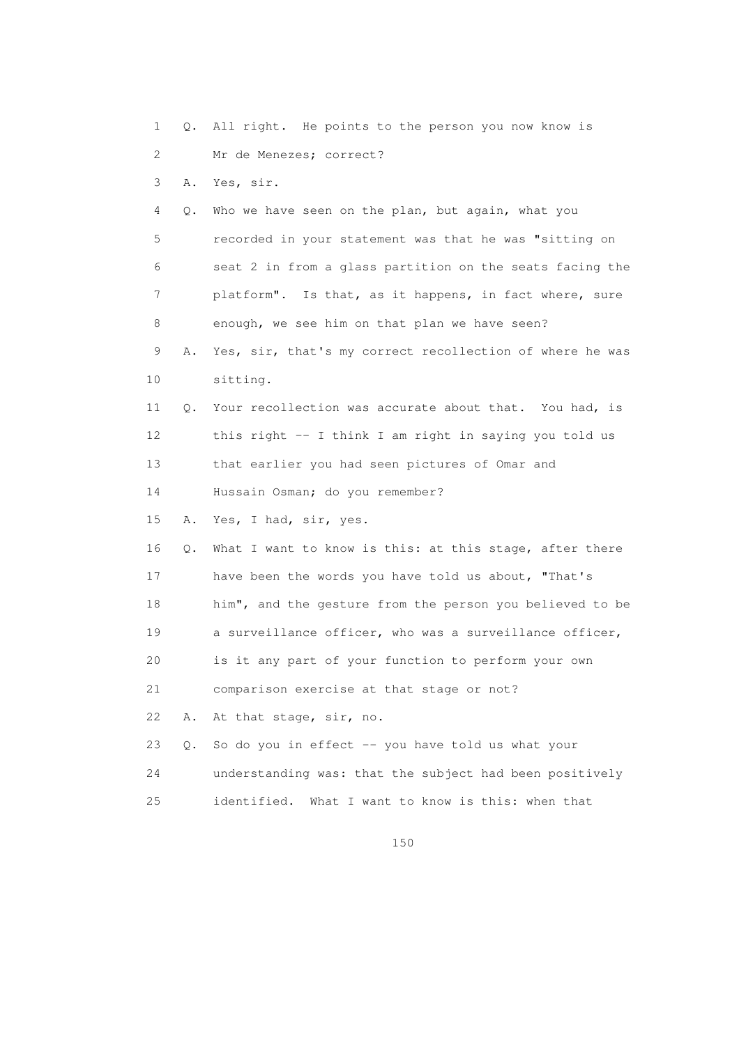1 Q. All right. He points to the person you now know is 2 Mr de Menezes; correct? 3 A. Yes, sir. 4 Q. Who we have seen on the plan, but again, what you 5 recorded in your statement was that he was "sitting on 6 seat 2 in from a glass partition on the seats facing the 7 platform". Is that, as it happens, in fact where, sure 8 enough, we see him on that plan we have seen? 9 A. Yes, sir, that's my correct recollection of where he was 10 sitting. 11 Q. Your recollection was accurate about that. You had, is 12 this right -- I think I am right in saying you told us 13 that earlier you had seen pictures of Omar and 14 Hussain Osman; do you remember? 15 A. Yes, I had, sir, yes. 16 Q. What I want to know is this: at this stage, after there 17 have been the words you have told us about, "That's 18 him", and the gesture from the person you believed to be 19 a surveillance officer, who was a surveillance officer, 20 is it any part of your function to perform your own 21 comparison exercise at that stage or not? 22 A. At that stage, sir, no. 23 Q. So do you in effect -- you have told us what your 24 understanding was: that the subject had been positively 25 identified. What I want to know is this: when that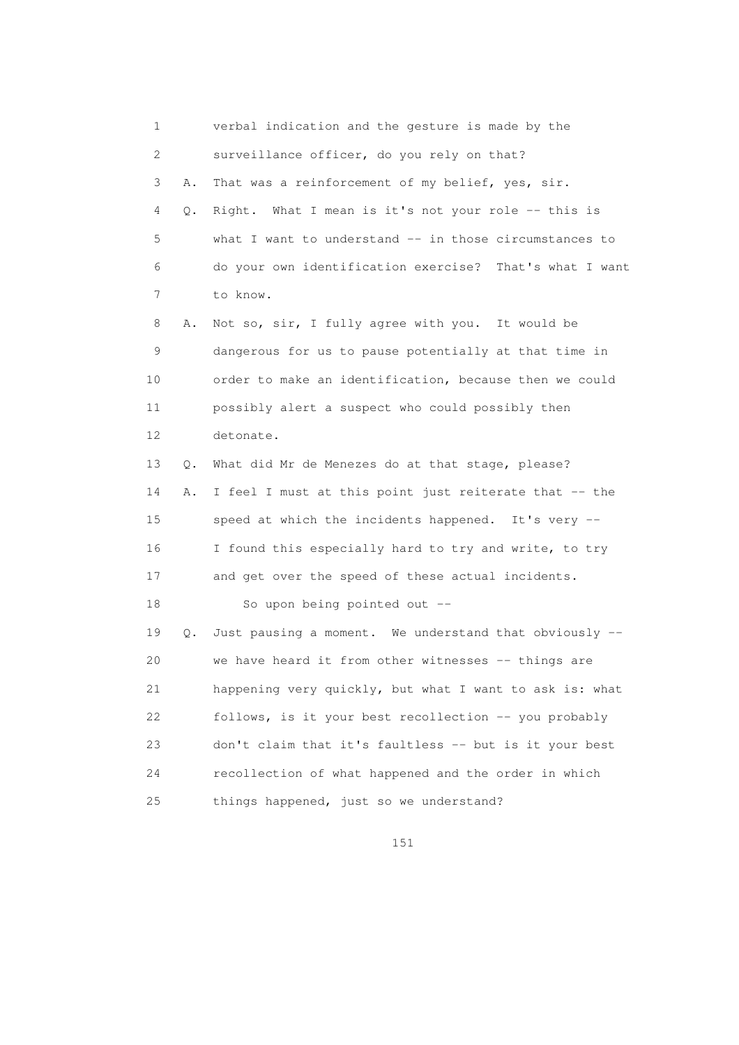1 verbal indication and the gesture is made by the 2 surveillance officer, do you rely on that? 3 A. That was a reinforcement of my belief, yes, sir. 4 Q. Right. What I mean is it's not your role -- this is 5 what I want to understand -- in those circumstances to 6 do your own identification exercise? That's what I want 7 to know. 8 A. Not so, sir, I fully agree with you. It would be 9 dangerous for us to pause potentially at that time in 10 order to make an identification, because then we could 11 possibly alert a suspect who could possibly then 12 detonate. 13 Q. What did Mr de Menezes do at that stage, please? 14 A. I feel I must at this point just reiterate that -- the 15 speed at which the incidents happened. It's very -- 16 I found this especially hard to try and write, to try 17 and get over the speed of these actual incidents. 18 So upon being pointed out -- 19 Q. Just pausing a moment. We understand that obviously -- 20 we have heard it from other witnesses -- things are 21 happening very quickly, but what I want to ask is: what 22 follows, is it your best recollection -- you probably 23 don't claim that it's faultless -- but is it your best 24 recollection of what happened and the order in which 25 things happened, just so we understand?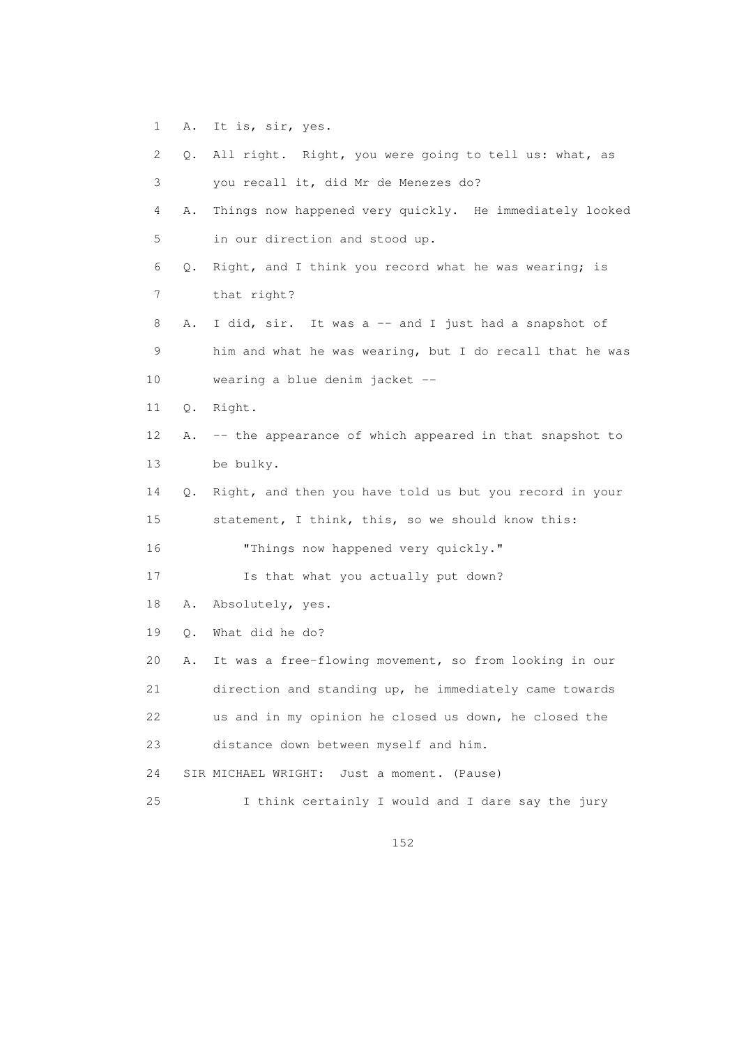1 A. It is, sir, yes.

| 2               |           | Q. All right. Right, you were going to tell us: what, as |
|-----------------|-----------|----------------------------------------------------------|
| 3               |           | you recall it, did Mr de Menezes do?                     |
| 4               | Α.        | Things now happened very quickly. He immediately looked  |
| 5               |           | in our direction and stood up.                           |
| 6               | Q.        | Right, and I think you record what he was wearing; is    |
| 7               |           | that right?                                              |
| 8               | Α.        | I did, sir. It was a -- and I just had a snapshot of     |
| 9               |           | him and what he was wearing, but I do recall that he was |
| 10 <sub>o</sub> |           | wearing a blue denim jacket --                           |
| 11              | Q.        | Right.                                                   |
| 12              | Α.        | -- the appearance of which appeared in that snapshot to  |
| 13              |           | be bulky.                                                |
| 14              | $\circ$ . | Right, and then you have told us but you record in your  |
| 15              |           | statement, I think, this, so we should know this:        |
| 16              |           | "Things now happened very quickly."                      |
| 17              |           | Is that what you actually put down?                      |
| 18              | Α.        | Absolutely, yes.                                         |
| 19              | Q.        | What did he do?                                          |
| 20              | Α.        | It was a free-flowing movement, so from looking in our   |
| 21              |           | direction and standing up, he immediately came towards   |
| 22              |           | us and in my opinion he closed us down, he closed the    |
| 23              |           | distance down between myself and him.                    |
| 24              |           | SIR MICHAEL WRIGHT:<br>Just a moment. (Pause)            |
| 25              |           | I think certainly I would and I dare say the jury        |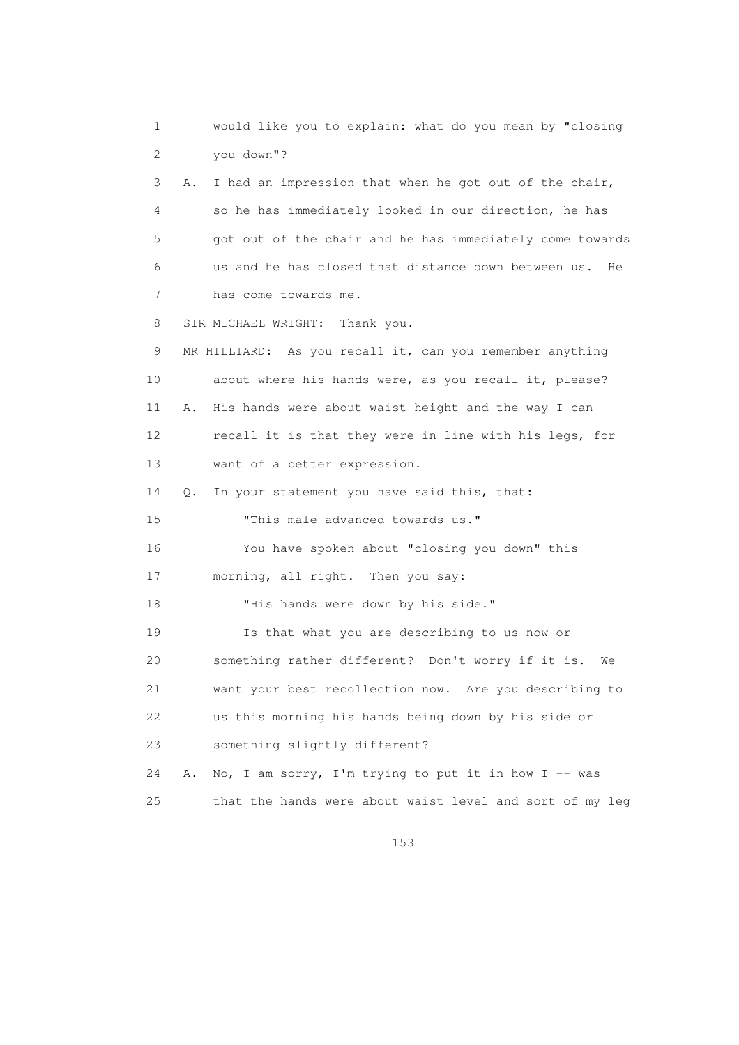1 would like you to explain: what do you mean by "closing 2 you down"? 3 A. I had an impression that when he got out of the chair, 4 so he has immediately looked in our direction, he has 5 got out of the chair and he has immediately come towards 6 us and he has closed that distance down between us. He 7 has come towards me. 8 SIR MICHAEL WRIGHT: Thank you. 9 MR HILLIARD: As you recall it, can you remember anything 10 about where his hands were, as you recall it, please? 11 A. His hands were about waist height and the way I can 12 recall it is that they were in line with his legs, for 13 want of a better expression. 14 Q. In your statement you have said this, that: 15 "This male advanced towards us." 16 You have spoken about "closing you down" this 17 morning, all right. Then you say: 18 "His hands were down by his side." 19 Is that what you are describing to us now or 20 something rather different? Don't worry if it is. We 21 want your best recollection now. Are you describing to 22 us this morning his hands being down by his side or 23 something slightly different? 24 A. No, I am sorry, I'm trying to put it in how I -- was 25 that the hands were about waist level and sort of my leg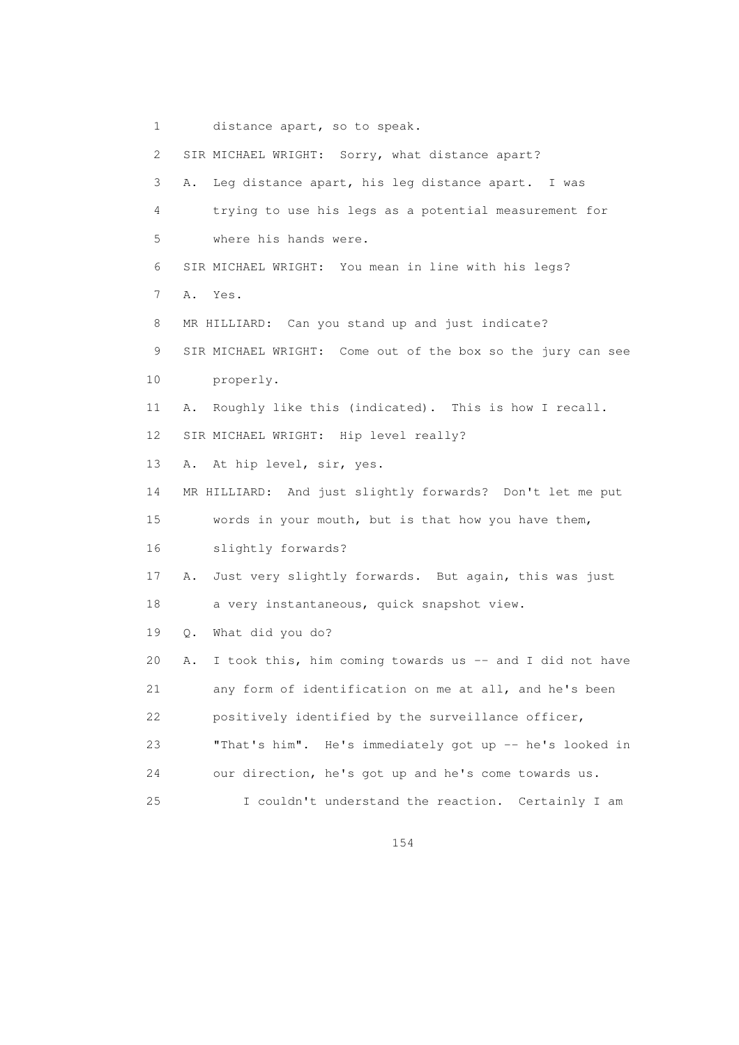1 distance apart, so to speak. 2 SIR MICHAEL WRIGHT: Sorry, what distance apart? 3 A. Leg distance apart, his leg distance apart. I was 4 trying to use his legs as a potential measurement for 5 where his hands were. 6 SIR MICHAEL WRIGHT: You mean in line with his legs? 7 A. Yes. 8 MR HILLIARD: Can you stand up and just indicate? 9 SIR MICHAEL WRIGHT: Come out of the box so the jury can see 10 properly. 11 A. Roughly like this (indicated). This is how I recall. 12 SIR MICHAEL WRIGHT: Hip level really? 13 A. At hip level, sir, yes. 14 MR HILLIARD: And just slightly forwards? Don't let me put 15 words in your mouth, but is that how you have them, 16 slightly forwards? 17 A. Just very slightly forwards. But again, this was just 18 a very instantaneous, quick snapshot view. 19 Q. What did you do? 20 A. I took this, him coming towards us -- and I did not have 21 any form of identification on me at all, and he's been 22 positively identified by the surveillance officer, 23 "That's him". He's immediately got up -- he's looked in 24 our direction, he's got up and he's come towards us. 25 I couldn't understand the reaction. Certainly I am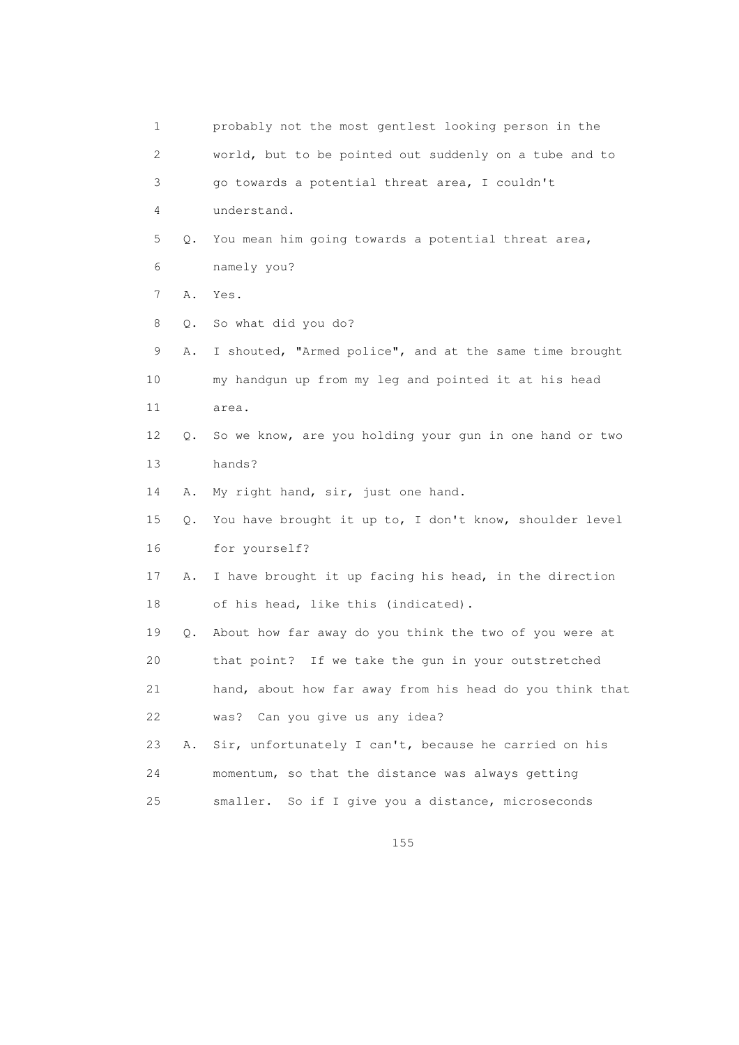| 1  |    | probably not the most gentlest looking person in the     |
|----|----|----------------------------------------------------------|
| 2  |    | world, but to be pointed out suddenly on a tube and to   |
| 3  |    | go towards a potential threat area, I couldn't           |
| 4  |    | understand.                                              |
| 5  | Q. | You mean him going towards a potential threat area,      |
| 6  |    | namely you?                                              |
| 7  | Α. | Yes.                                                     |
| 8  | О. | So what did you do?                                      |
| 9  | Α. | I shouted, "Armed police", and at the same time brought  |
| 10 |    | my handgun up from my leg and pointed it at his head     |
| 11 |    | area.                                                    |
| 12 | Q. | So we know, are you holding your gun in one hand or two  |
| 13 |    | hands?                                                   |
| 14 | Α. | My right hand, sir, just one hand.                       |
| 15 | Q. | You have brought it up to, I don't know, shoulder level  |
| 16 |    | for yourself?                                            |
| 17 | Α. | I have brought it up facing his head, in the direction   |
| 18 |    | of his head, like this (indicated).                      |
| 19 | Q. | About how far away do you think the two of you were at   |
| 20 |    | that point? If we take the gun in your outstretched      |
| 21 |    | hand, about how far away from his head do you think that |
| 22 |    | Can you give us any idea?<br>was?                        |
| 23 | Α. | Sir, unfortunately I can't, because he carried on his    |
| 24 |    | momentum, so that the distance was always getting        |
| 25 |    | smaller. So if I give you a distance, microseconds       |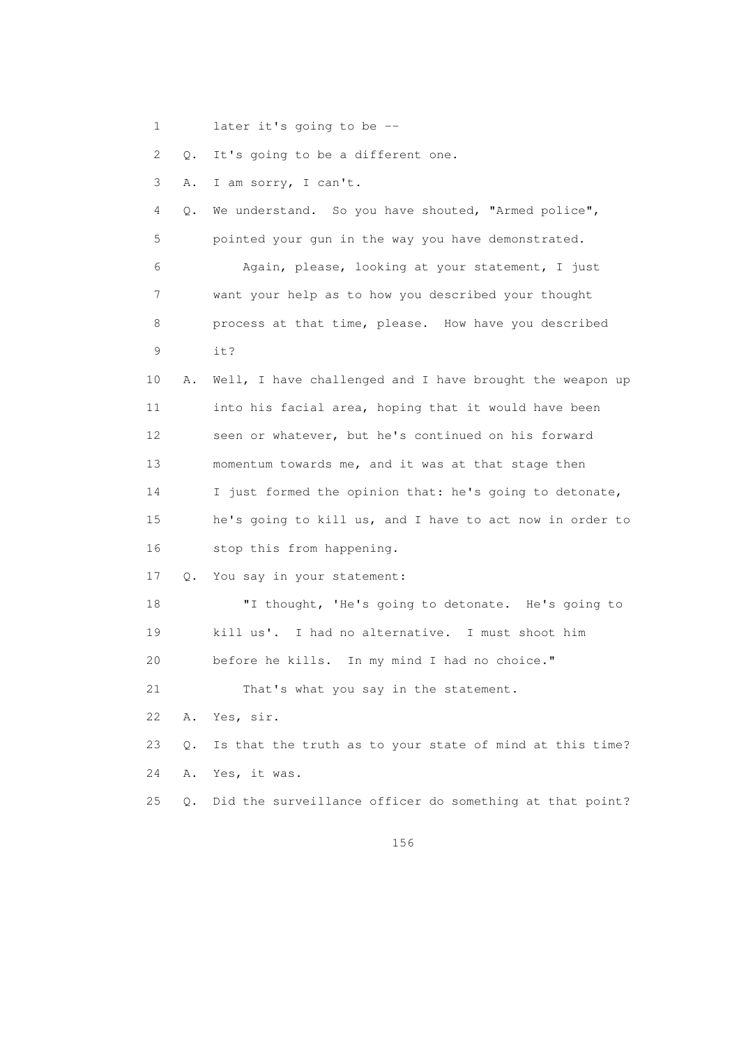1 later it's going to be --

2 Q. It's going to be a different one.

3 A. I am sorry, I can't.

 4 Q. We understand. So you have shouted, "Armed police", 5 pointed your gun in the way you have demonstrated. 6 Again, please, looking at your statement, I just 7 want your help as to how you described your thought 8 process at that time, please. How have you described 9 it?

 10 A. Well, I have challenged and I have brought the weapon up 11 into his facial area, hoping that it would have been 12 seen or whatever, but he's continued on his forward 13 momentum towards me, and it was at that stage then 14 I just formed the opinion that: he's going to detonate, 15 he's going to kill us, and I have to act now in order to 16 stop this from happening.

17 Q. You say in your statement:

 18 "I thought, 'He's going to detonate. He's going to 19 kill us'. I had no alternative. I must shoot him 20 before he kills. In my mind I had no choice." 21 That's what you say in the statement. 22 A. Yes, sir.

 23 Q. Is that the truth as to your state of mind at this time? 24 A. Yes, it was.

25 Q. Did the surveillance officer do something at that point?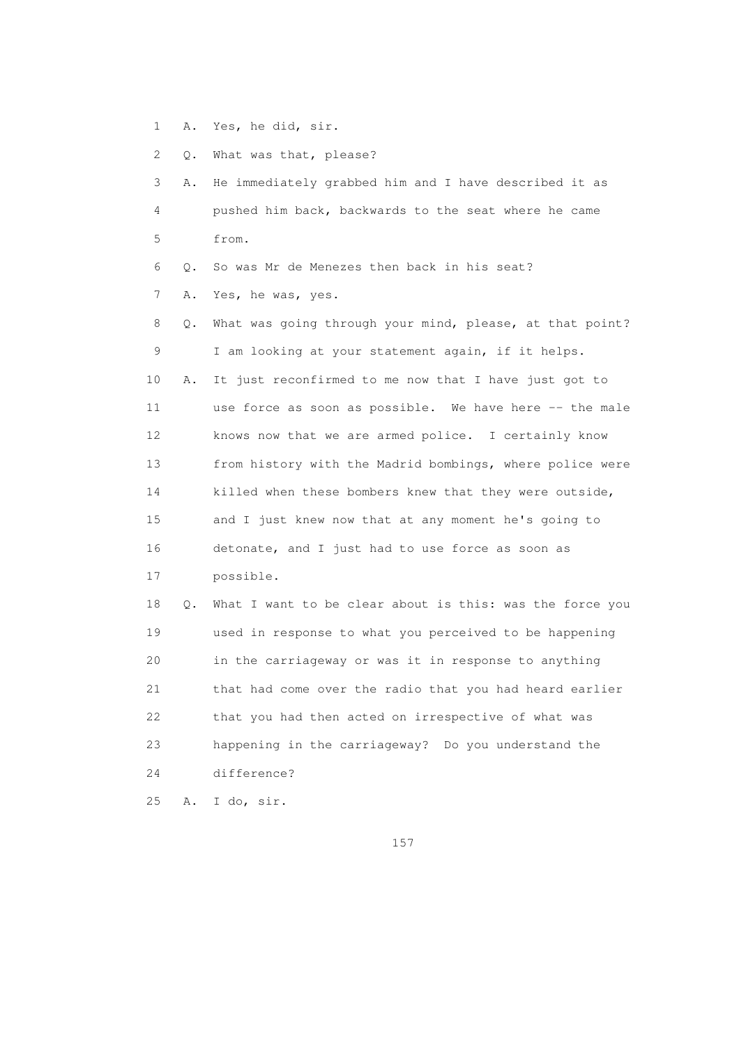1 A. Yes, he did, sir.

2 Q. What was that, please?

| 3  | Α. | He immediately grabbed him and I have described it as    |
|----|----|----------------------------------------------------------|
| 4  |    | pushed him back, backwards to the seat where he came     |
| 5  |    | from.                                                    |
| 6  | О. | So was Mr de Menezes then back in his seat?              |
| 7  | Α. | Yes, he was, yes.                                        |
| 8  | О. | What was going through your mind, please, at that point? |
| 9  |    | I am looking at your statement again, if it helps.       |
| 10 | Α. | It just reconfirmed to me now that I have just got to    |
| 11 |    | use force as soon as possible. We have here -- the male  |
| 12 |    | knows now that we are armed police. I certainly know     |
| 13 |    | from history with the Madrid bombings, where police were |
| 14 |    | killed when these bombers knew that they were outside,   |
| 15 |    | and I just knew now that at any moment he's going to     |
| 16 |    | detonate, and I just had to use force as soon as         |
| 17 |    | possible.                                                |
| 18 | О. | What I want to be clear about is this: was the force you |
| 19 |    | used in response to what you perceived to be happening   |
| 20 |    | in the carriageway or was it in response to anything     |
| 21 |    | that had come over the radio that you had heard earlier  |
| 22 |    | that you had then acted on irrespective of what was      |
| 23 |    | happening in the carriageway? Do you understand the      |
| 24 |    | difference?                                              |
| 25 | Α. | I do, sir.                                               |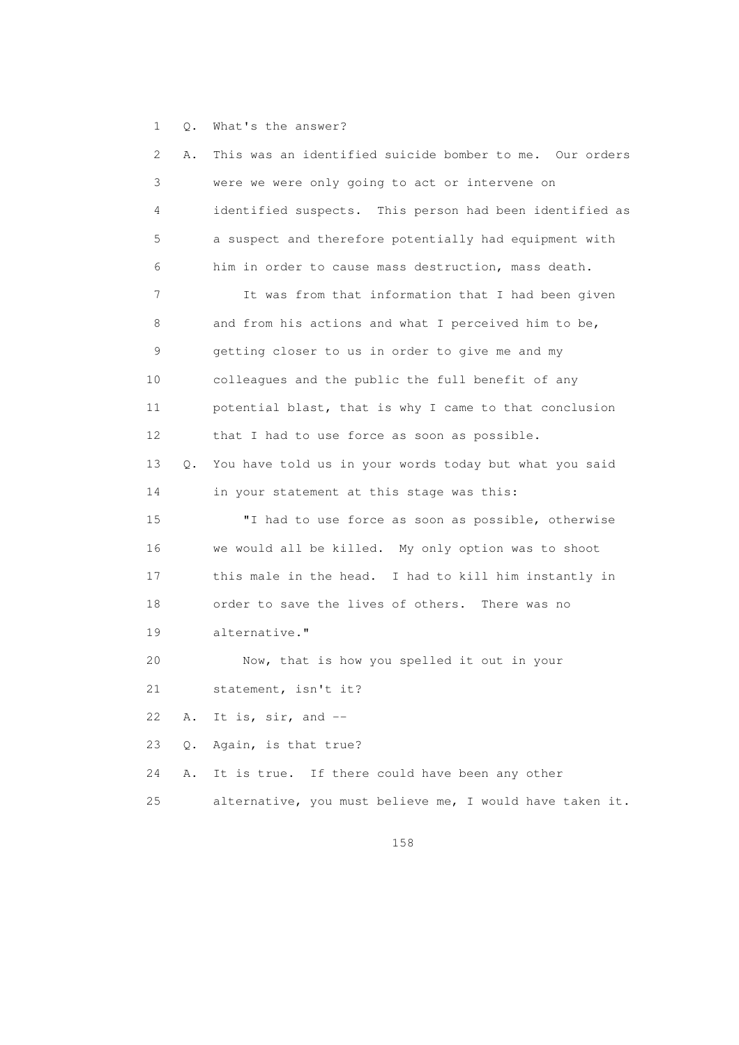1 Q. What's the answer?

| 2  | Α.        | This was an identified suicide bomber to me. Our orders  |
|----|-----------|----------------------------------------------------------|
| 3  |           | were we were only going to act or intervene on           |
| 4  |           | identified suspects. This person had been identified as  |
| 5  |           | a suspect and therefore potentially had equipment with   |
| 6  |           | him in order to cause mass destruction, mass death.      |
| 7  |           | It was from that information that I had been given       |
| 8  |           | and from his actions and what I perceived him to be,     |
| 9  |           | getting closer to us in order to give me and my          |
| 10 |           | colleagues and the public the full benefit of any        |
| 11 |           | potential blast, that is why I came to that conclusion   |
| 12 |           | that I had to use force as soon as possible.             |
| 13 | $\circ$ . | You have told us in your words today but what you said   |
| 14 |           | in your statement at this stage was this:                |
| 15 |           | "I had to use force as soon as possible, otherwise       |
| 16 |           | we would all be killed. My only option was to shoot      |
| 17 |           | this male in the head. I had to kill him instantly in    |
| 18 |           | order to save the lives of others. There was no          |
| 19 |           | alternative."                                            |
| 20 |           | Now, that is how you spelled it out in your              |
| 21 |           | statement, isn't it?                                     |
| 22 | Α.        | It is, sir, and --                                       |
| 23 | $\circ$ . | Again, is that true?                                     |
| 24 | Α.        | If there could have been any other<br>It is true.        |
| 25 |           | alternative, you must believe me, I would have taken it. |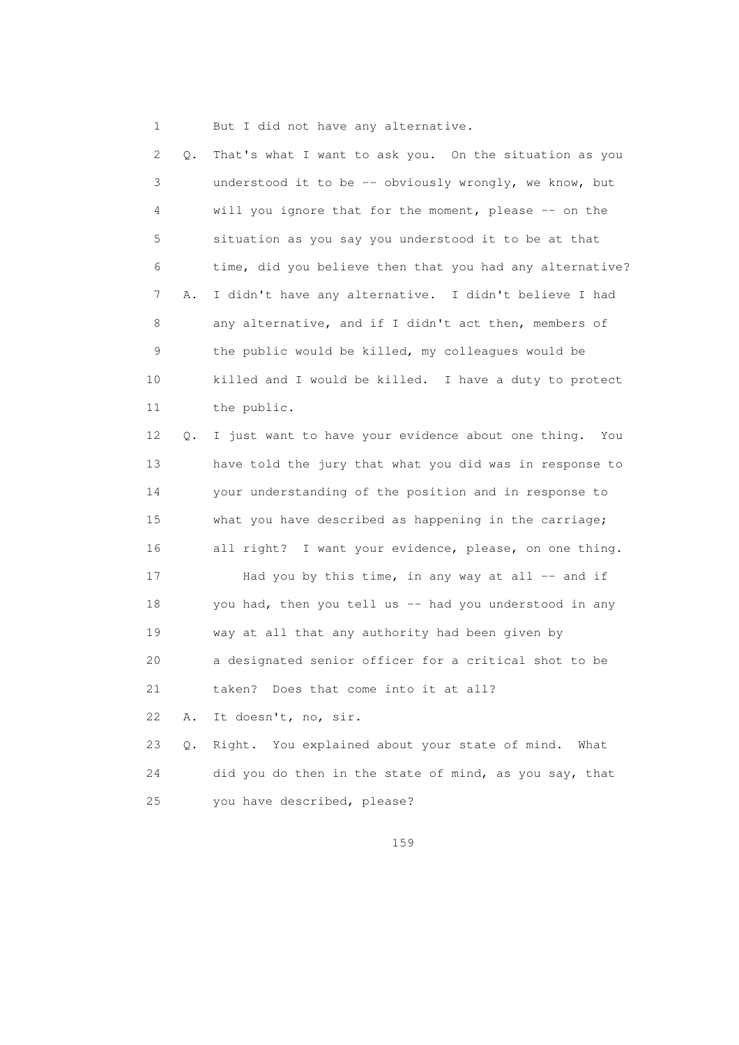1 But I did not have any alternative.

| 2  | Q. | That's what I want to ask you. On the situation as you    |
|----|----|-----------------------------------------------------------|
| 3  |    | understood it to be -- obviously wrongly, we know, but    |
| 4  |    | will you ignore that for the moment, please -- on the     |
| 5  |    | situation as you say you understood it to be at that      |
| 6  |    | time, did you believe then that you had any alternative?  |
| 7  | Α. | I didn't have any alternative. I didn't believe I had     |
| 8  |    | any alternative, and if I didn't act then, members of     |
| 9  |    | the public would be killed, my colleagues would be        |
| 10 |    | killed and I would be killed. I have a duty to protect    |
| 11 |    | the public.                                               |
| 12 | Q. | I just want to have your evidence about one thing.<br>You |
| 13 |    | have told the jury that what you did was in response to   |
| 14 |    | your understanding of the position and in response to     |
| 15 |    | what you have described as happening in the carriage;     |
| 16 |    | all right? I want your evidence, please, on one thing.    |
| 17 |    | Had you by this time, in any way at all $-$ and if        |
| 18 |    | you had, then you tell us -- had you understood in any    |
| 19 |    | way at all that any authority had been given by           |
| 20 |    | a designated senior officer for a critical shot to be     |
| 21 |    | taken? Does that come into it at all?                     |
| 22 | Α. | It doesn't, no, sir.                                      |
| 23 | Q. | Right. You explained about your state of mind.<br>What    |
| 24 |    | did you do then in the state of mind, as you say, that    |
| 25 |    | you have described, please?                               |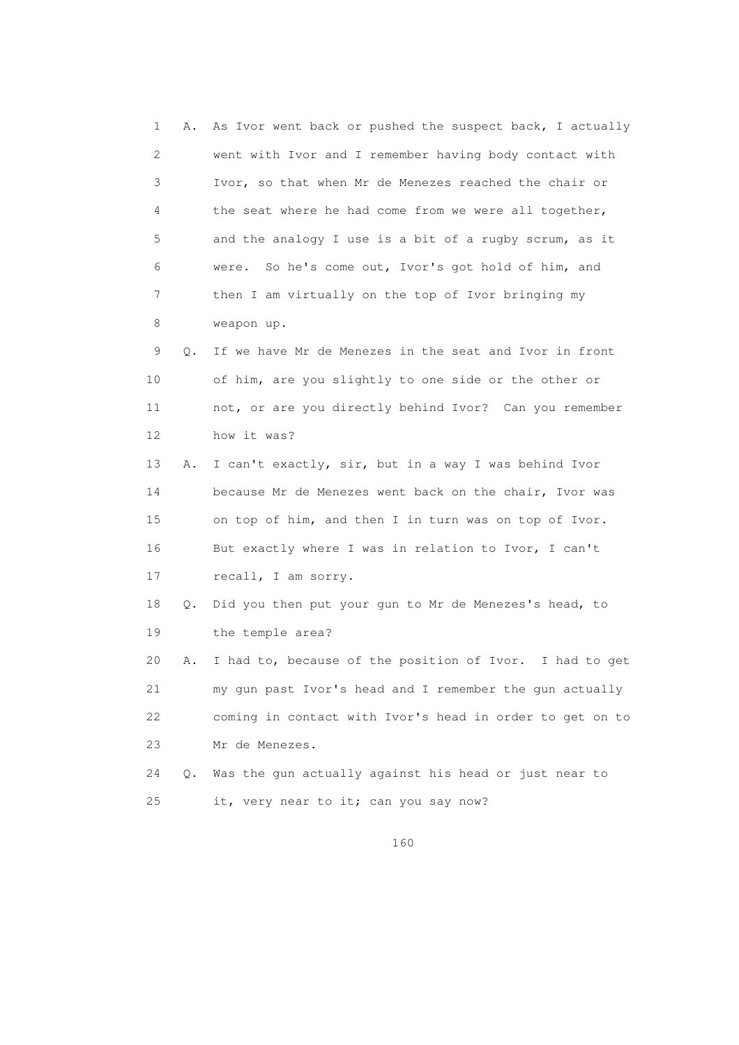1 A. As Ivor went back or pushed the suspect back, I actually 2 went with Ivor and I remember having body contact with 3 Ivor, so that when Mr de Menezes reached the chair or 4 the seat where he had come from we were all together, 5 and the analogy I use is a bit of a rugby scrum, as it 6 were. So he's come out, Ivor's got hold of him, and 7 then I am virtually on the top of Ivor bringing my 8 weapon up. 9 Q. If we have Mr de Menezes in the seat and Ivor in front 10 of him, are you slightly to one side or the other or 11 not, or are you directly behind Ivor? Can you remember 12 how it was? 13 A. I can't exactly, sir, but in a way I was behind Ivor 14 because Mr de Menezes went back on the chair, Ivor was 15 on top of him, and then I in turn was on top of Ivor. 16 But exactly where I was in relation to Ivor, I can't 17 recall, I am sorry. 18 Q. Did you then put your gun to Mr de Menezes's head, to 19 the temple area? 20 A. I had to, because of the position of Ivor. I had to get 21 my gun past Ivor's head and I remember the gun actually 22 coming in contact with Ivor's head in order to get on to 23 Mr de Menezes. 24 Q. Was the gun actually against his head or just near to 25 it, very near to it; can you say now?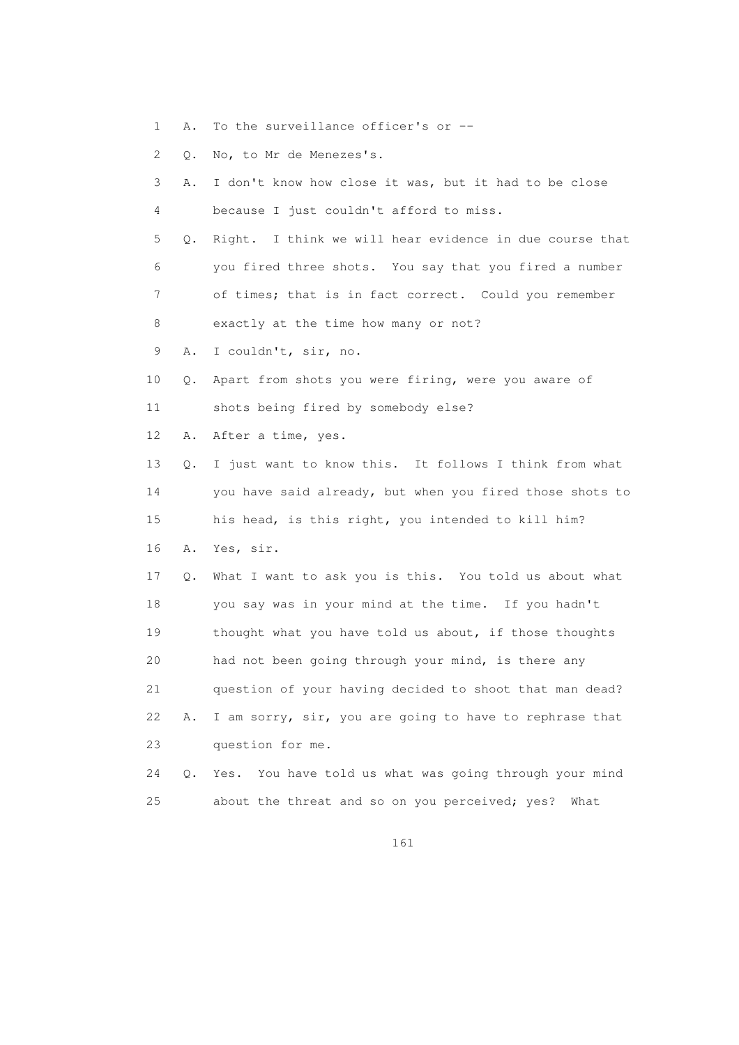1 A. To the surveillance officer's or --

2 Q. No, to Mr de Menezes's.

| 3  | Α.        | I don't know how close it was, but it had to be close    |
|----|-----------|----------------------------------------------------------|
| 4  |           | because I just couldn't afford to miss.                  |
| 5  | Q.        | Right. I think we will hear evidence in due course that  |
| 6  |           | you fired three shots. You say that you fired a number   |
| 7  |           | of times; that is in fact correct. Could you remember    |
| 8  |           | exactly at the time how many or not?                     |
| 9  | Α.        | I couldn't, sir, no.                                     |
| 10 | $\circ$ . | Apart from shots you were firing, were you aware of      |
| 11 |           | shots being fired by somebody else?                      |
| 12 | Α.        | After a time, yes.                                       |
| 13 | 0.        | I just want to know this. It follows I think from what   |
| 14 |           | you have said already, but when you fired those shots to |
| 15 |           | his head, is this right, you intended to kill him?       |
| 16 | Α.        | Yes, sir.                                                |
| 17 | Q.        | What I want to ask you is this. You told us about what   |
| 18 |           | you say was in your mind at the time. If you hadn't      |
| 19 |           | thought what you have told us about, if those thoughts   |
| 20 |           | had not been going through your mind, is there any       |
| 21 |           | question of your having decided to shoot that man dead?  |
| 22 | Α.        | I am sorry, sir, you are going to have to rephrase that  |
| 23 |           | question for me.                                         |
| 24 | Q.        | Yes. You have told us what was going through your mind   |
| 25 |           | about the threat and so on you perceived; yes?<br>What   |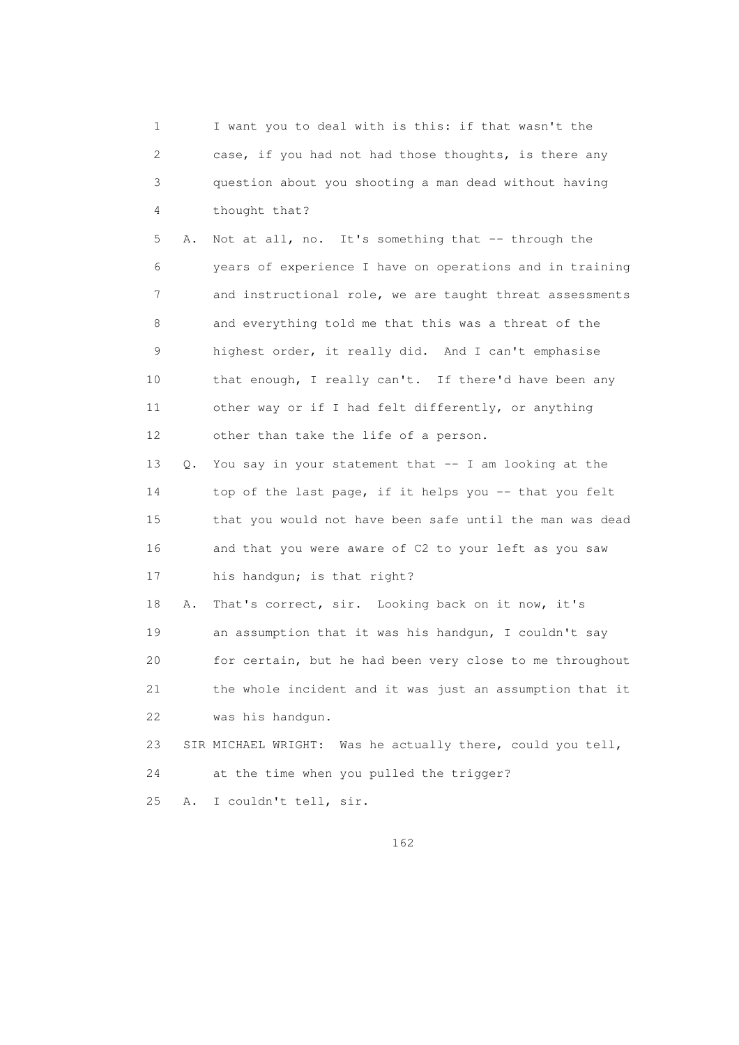1 I want you to deal with is this: if that wasn't the 2 case, if you had not had those thoughts, is there any 3 question about you shooting a man dead without having 4 thought that? 5 A. Not at all, no. It's something that -- through the 6 years of experience I have on operations and in training 7 and instructional role, we are taught threat assessments 8 and everything told me that this was a threat of the 9 highest order, it really did. And I can't emphasise 10 that enough, I really can't. If there'd have been any 11 other way or if I had felt differently, or anything 12 other than take the life of a person. 13 Q. You say in your statement that -- I am looking at the 14 top of the last page, if it helps you -- that you felt 15 that you would not have been safe until the man was dead 16 and that you were aware of C2 to your left as you saw 17 his handgun; is that right? 18 A. That's correct, sir. Looking back on it now, it's 19 an assumption that it was his handgun, I couldn't say 20 for certain, but he had been very close to me throughout 21 the whole incident and it was just an assumption that it 22 was his handgun. 23 SIR MICHAEL WRIGHT: Was he actually there, could you tell, 24 at the time when you pulled the trigger? 25 A. I couldn't tell, sir.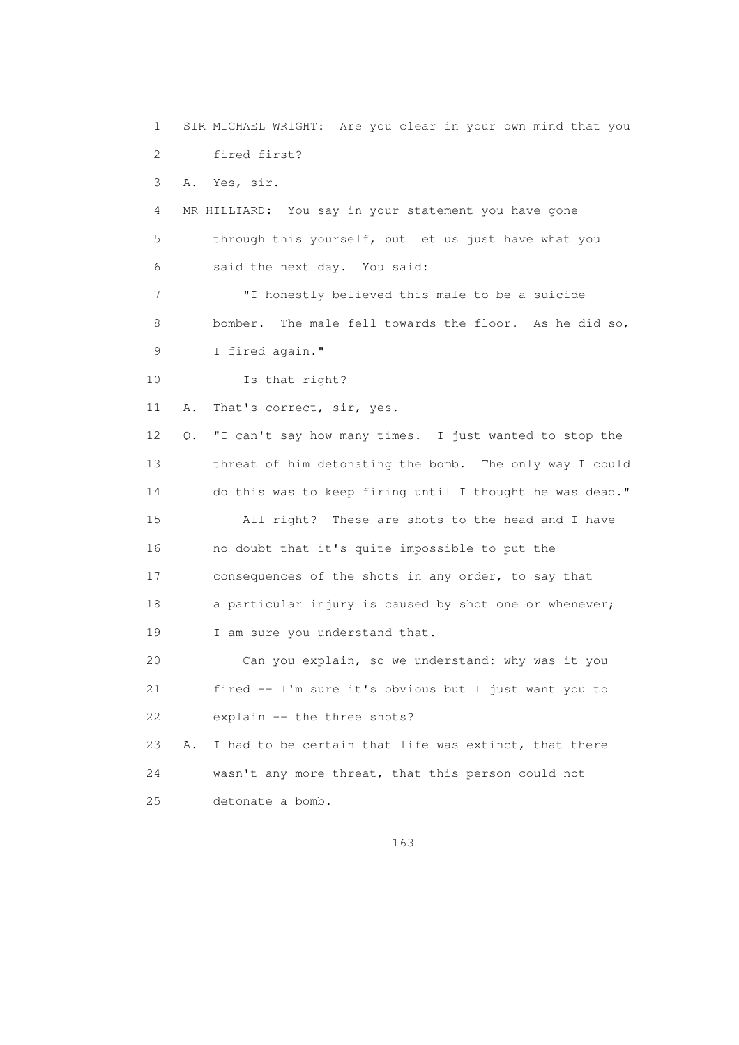1 SIR MICHAEL WRIGHT: Are you clear in your own mind that you 2 fired first? 3 A. Yes, sir. 4 MR HILLIARD: You say in your statement you have gone 5 through this yourself, but let us just have what you 6 said the next day. You said: 7 "I honestly believed this male to be a suicide 8 bomber. The male fell towards the floor. As he did so, 9 I fired again." 10 Is that right? 11 A. That's correct, sir, yes. 12 Q. "I can't say how many times. I just wanted to stop the 13 threat of him detonating the bomb. The only way I could 14 do this was to keep firing until I thought he was dead." 15 All right? These are shots to the head and I have 16 no doubt that it's quite impossible to put the 17 consequences of the shots in any order, to say that 18 a particular injury is caused by shot one or whenever; 19 I am sure you understand that. 20 Can you explain, so we understand: why was it you 21 fired -- I'm sure it's obvious but I just want you to 22 explain -- the three shots? 23 A. I had to be certain that life was extinct, that there 24 wasn't any more threat, that this person could not 25 detonate a bomb.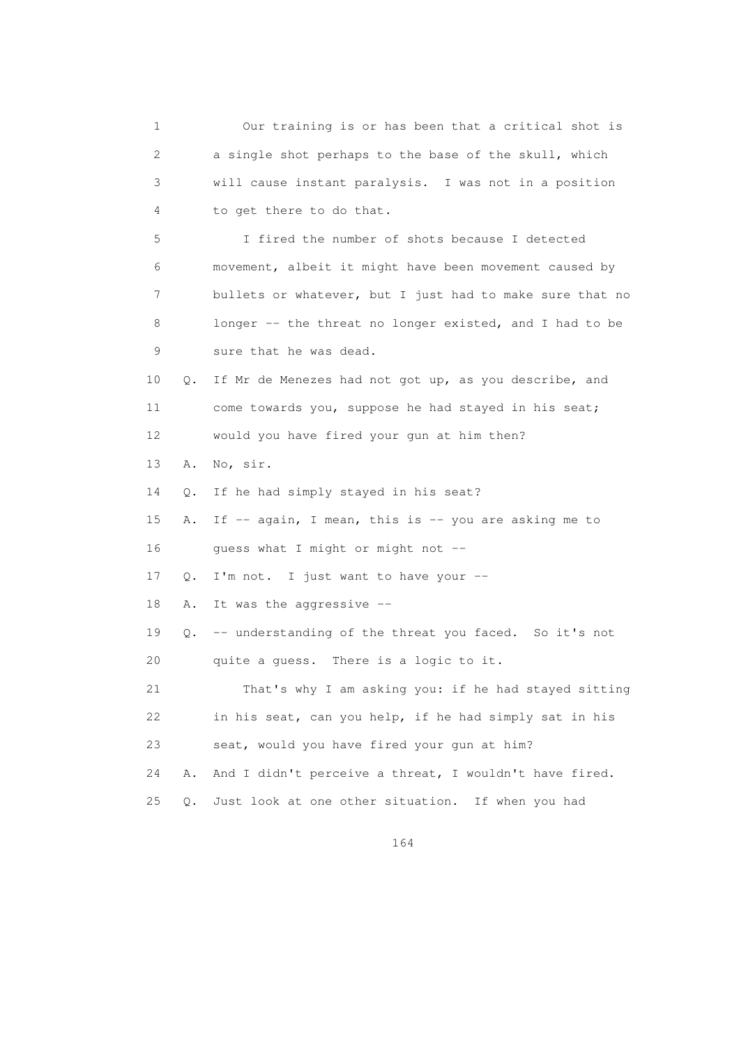1 Our training is or has been that a critical shot is 2 a single shot perhaps to the base of the skull, which 3 will cause instant paralysis. I was not in a position 4 to get there to do that. 5 I fired the number of shots because I detected 6 movement, albeit it might have been movement caused by 7 bullets or whatever, but I just had to make sure that no 8 longer -- the threat no longer existed, and I had to be 9 sure that he was dead. 10 Q. If Mr de Menezes had not got up, as you describe, and 11 come towards you, suppose he had stayed in his seat; 12 would you have fired your gun at him then? 13 A. No, sir. 14 Q. If he had simply stayed in his seat? 15 A. If -- again, I mean, this is -- you are asking me to 16 guess what I might or might not -- 17 Q. I'm not. I just want to have your -- 18 A. It was the aggressive -- 19 Q. -- understanding of the threat you faced. So it's not 20 quite a guess. There is a logic to it. 21 That's why I am asking you: if he had stayed sitting 22 in his seat, can you help, if he had simply sat in his 23 seat, would you have fired your gun at him? 24 A. And I didn't perceive a threat, I wouldn't have fired. 25 Q. Just look at one other situation. If when you had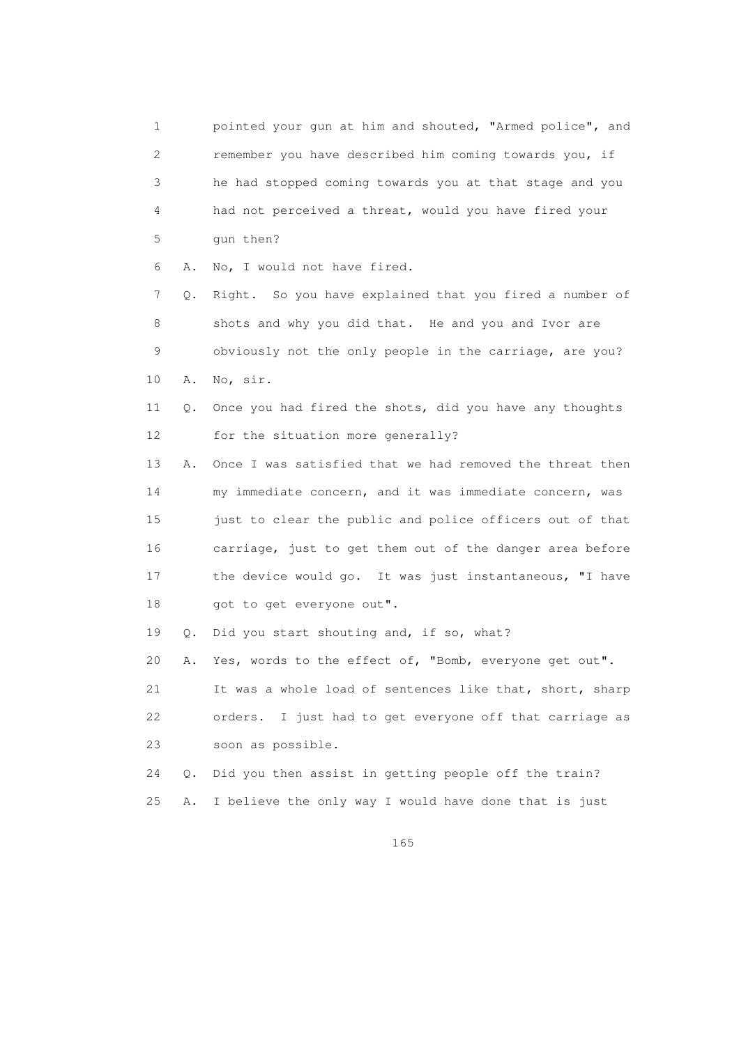1 pointed your gun at him and shouted, "Armed police", and 2 remember you have described him coming towards you, if 3 he had stopped coming towards you at that stage and you 4 had not perceived a threat, would you have fired your 5 gun then? 6 A. No, I would not have fired. 7 Q. Right. So you have explained that you fired a number of 8 shots and why you did that. He and you and Ivor are 9 obviously not the only people in the carriage, are you? 10 A. No, sir. 11 Q. Once you had fired the shots, did you have any thoughts 12 for the situation more generally? 13 A. Once I was satisfied that we had removed the threat then 14 my immediate concern, and it was immediate concern, was 15 just to clear the public and police officers out of that 16 carriage, just to get them out of the danger area before 17 the device would go. It was just instantaneous, "I have 18 got to get everyone out". 19 Q. Did you start shouting and, if so, what? 20 A. Yes, words to the effect of, "Bomb, everyone get out". 21 It was a whole load of sentences like that, short, sharp 22 orders. I just had to get everyone off that carriage as 23 soon as possible. 24 Q. Did you then assist in getting people off the train? 25 A. I believe the only way I would have done that is just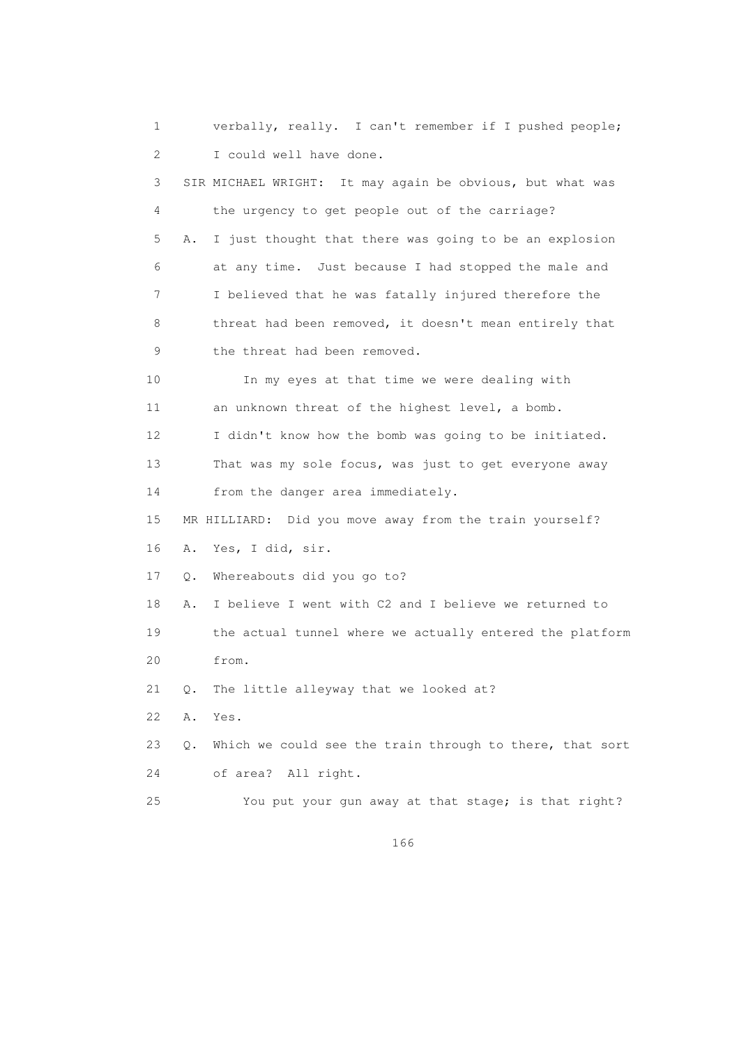1 verbally, really. I can't remember if I pushed people; 2 I could well have done. 3 SIR MICHAEL WRIGHT: It may again be obvious, but what was 4 the urgency to get people out of the carriage? 5 A. I just thought that there was going to be an explosion 6 at any time. Just because I had stopped the male and 7 I believed that he was fatally injured therefore the 8 threat had been removed, it doesn't mean entirely that 9 the threat had been removed. 10 In my eyes at that time we were dealing with 11 an unknown threat of the highest level, a bomb. 12 I didn't know how the bomb was going to be initiated. 13 That was my sole focus, was just to get everyone away 14 from the danger area immediately. 15 MR HILLIARD: Did you move away from the train yourself? 16 A. Yes, I did, sir. 17 Q. Whereabouts did you go to? 18 A. I believe I went with C2 and I believe we returned to 19 the actual tunnel where we actually entered the platform 20 from. 21 Q. The little alleyway that we looked at? 22 A. Yes. 23 Q. Which we could see the train through to there, that sort 24 of area? All right. 25 You put your gun away at that stage; is that right?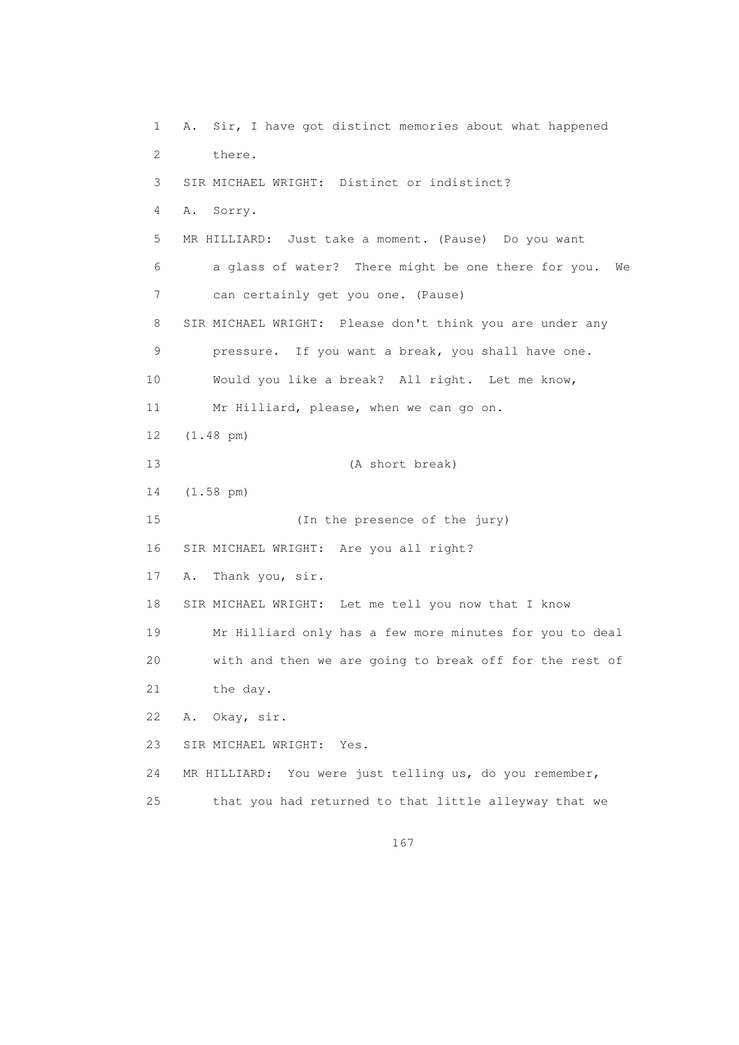1 A. Sir, I have got distinct memories about what happened 2 there. 3 SIR MICHAEL WRIGHT: Distinct or indistinct? 4 A. Sorry. 5 MR HILLIARD: Just take a moment. (Pause) Do you want 6 a glass of water? There might be one there for you. We 7 can certainly get you one. (Pause) 8 SIR MICHAEL WRIGHT: Please don't think you are under any 9 pressure. If you want a break, you shall have one. 10 Would you like a break? All right. Let me know, 11 Mr Hilliard, please, when we can go on. 12 (1.48 pm) 13 (A short break) 14 (1.58 pm) 15 (In the presence of the jury) 16 SIR MICHAEL WRIGHT: Are you all right? 17 A. Thank you, sir. 18 SIR MICHAEL WRIGHT: Let me tell you now that I know 19 Mr Hilliard only has a few more minutes for you to deal 20 with and then we are going to break off for the rest of 21 the day. 22 A. Okay, sir. 23 SIR MICHAEL WRIGHT: Yes. 24 MR HILLIARD: You were just telling us, do you remember, 25 that you had returned to that little alleyway that we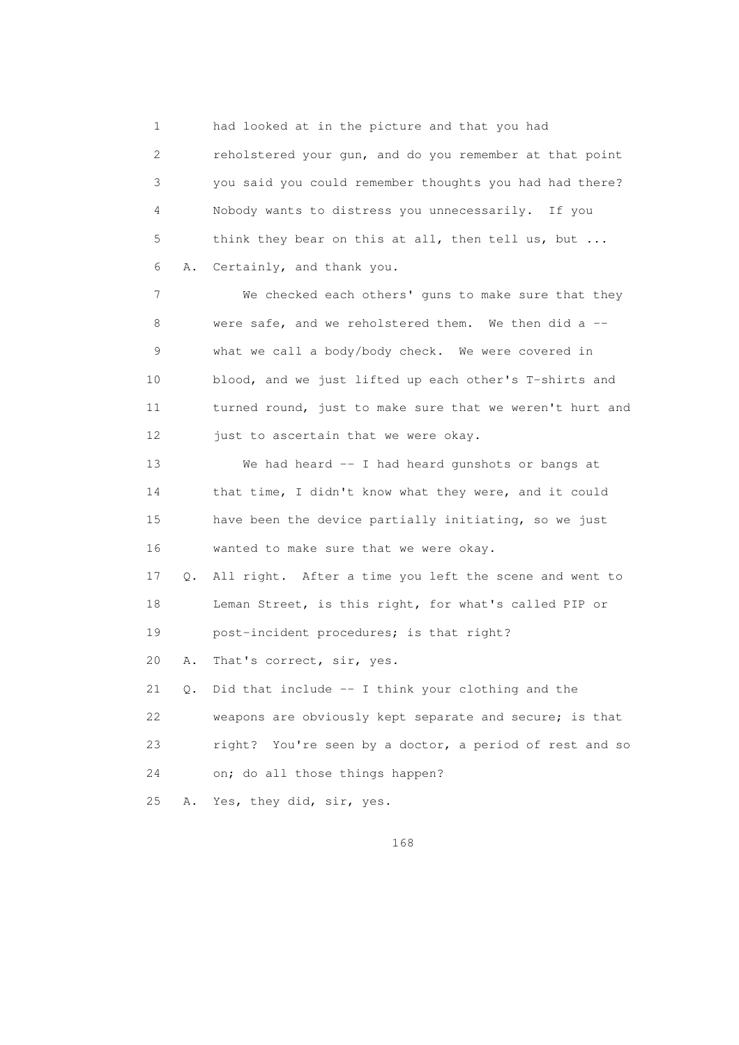1 had looked at in the picture and that you had 2 reholstered your gun, and do you remember at that point 3 you said you could remember thoughts you had had there? 4 Nobody wants to distress you unnecessarily. If you 5 think they bear on this at all, then tell us, but ... 6 A. Certainly, and thank you.

 7 We checked each others' guns to make sure that they 8 were safe, and we reholstered them. We then did a -- 9 what we call a body/body check. We were covered in 10 blood, and we just lifted up each other's T-shirts and 11 turned round, just to make sure that we weren't hurt and 12 just to ascertain that we were okay.

 13 We had heard -- I had heard gunshots or bangs at 14 that time, I didn't know what they were, and it could 15 have been the device partially initiating, so we just 16 wanted to make sure that we were okay.

 17 Q. All right. After a time you left the scene and went to 18 Leman Street, is this right, for what's called PIP or 19 post-incident procedures; is that right?

20 A. That's correct, sir, yes.

 21 Q. Did that include -- I think your clothing and the 22 weapons are obviously kept separate and secure; is that 23 right? You're seen by a doctor, a period of rest and so 24 on; do all those things happen?

25 A. Yes, they did, sir, yes.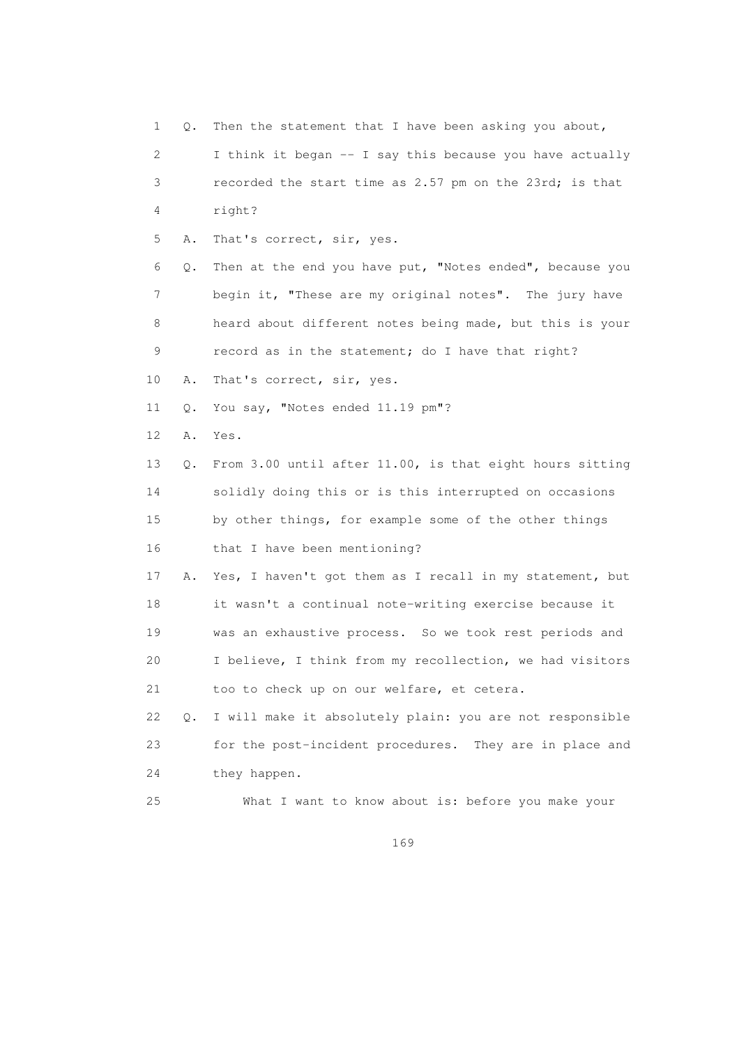| 1  | Q.        | Then the statement that I have been asking you about,    |
|----|-----------|----------------------------------------------------------|
| 2  |           | I think it began -- I say this because you have actually |
| 3  |           | recorded the start time as 2.57 pm on the 23rd; is that  |
| 4  |           | right?                                                   |
| 5  | Α.        | That's correct, sir, yes.                                |
| 6  | Q.        | Then at the end you have put, "Notes ended", because you |
| 7  |           | begin it, "These are my original notes". The jury have   |
| 8  |           | heard about different notes being made, but this is your |
| 9  |           | record as in the statement; do I have that right?        |
| 10 | Α.        | That's correct, sir, yes.                                |
| 11 | Q.        | You say, "Notes ended 11.19 pm"?                         |
| 12 | Α.        | Yes.                                                     |
| 13 | Q.        | From 3.00 until after 11.00, is that eight hours sitting |
| 14 |           | solidly doing this or is this interrupted on occasions   |
| 15 |           | by other things, for example some of the other things    |
| 16 |           | that I have been mentioning?                             |
| 17 | Α.        | Yes, I haven't got them as I recall in my statement, but |
| 18 |           | it wasn't a continual note-writing exercise because it   |
| 19 |           | was an exhaustive process. So we took rest periods and   |
| 20 |           | I believe, I think from my recollection, we had visitors |
| 21 |           | too to check up on our welfare, et cetera.               |
| 22 | $\circ$ . | I will make it absolutely plain: you are not responsible |
| 23 |           | for the post-incident procedures. They are in place and  |
| 24 |           | they happen.                                             |
| 25 |           | What I want to know about is: before you make your       |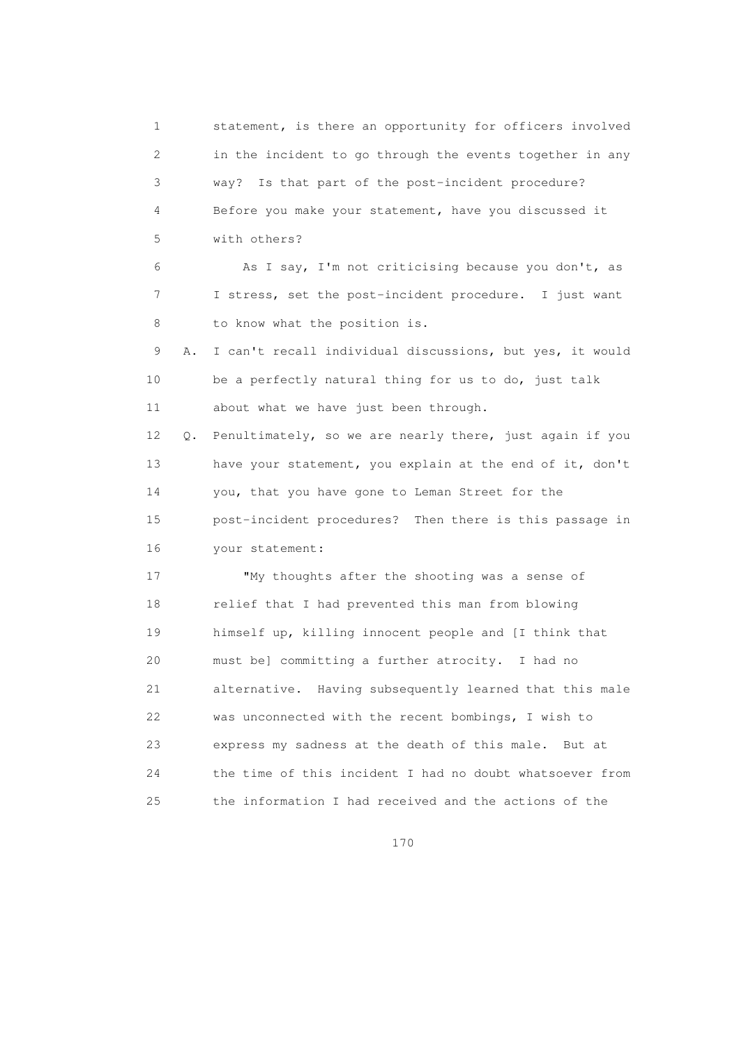1 statement, is there an opportunity for officers involved 2 in the incident to go through the events together in any 3 way? Is that part of the post-incident procedure? 4 Before you make your statement, have you discussed it 5 with others? 6 As I say, I'm not criticising because you don't, as 7 I stress, set the post-incident procedure. I just want 8 to know what the position is. 9 A. I can't recall individual discussions, but yes, it would 10 be a perfectly natural thing for us to do, just talk 11 about what we have just been through. 12 Q. Penultimately, so we are nearly there, just again if you 13 have your statement, you explain at the end of it, don't 14 you, that you have gone to Leman Street for the 15 post-incident procedures? Then there is this passage in 16 your statement: 17 "My thoughts after the shooting was a sense of 18 relief that I had prevented this man from blowing 19 himself up, killing innocent people and [I think that 20 must be] committing a further atrocity. I had no 21 alternative. Having subsequently learned that this male 22 was unconnected with the recent bombings, I wish to 23 express my sadness at the death of this male. But at 24 the time of this incident I had no doubt whatsoever from 25 the information I had received and the actions of the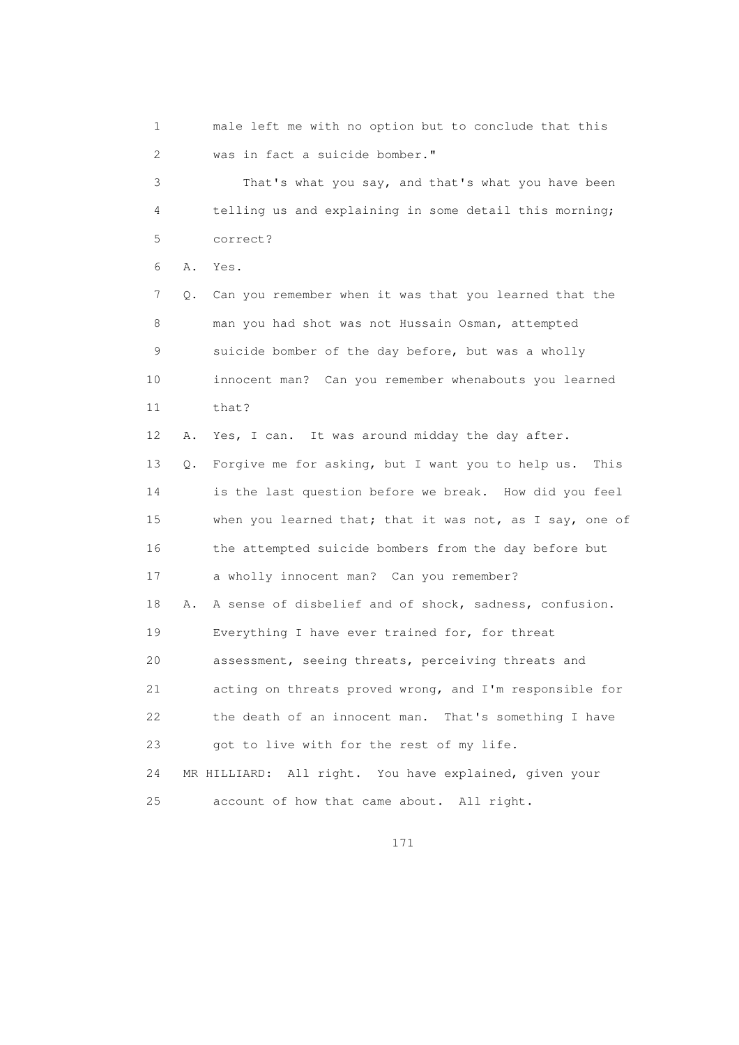1 male left me with no option but to conclude that this 2 was in fact a suicide bomber." 3 That's what you say, and that's what you have been 4 telling us and explaining in some detail this morning; 5 correct? 6 A. Yes. 7 Q. Can you remember when it was that you learned that the 8 man you had shot was not Hussain Osman, attempted 9 suicide bomber of the day before, but was a wholly 10 innocent man? Can you remember whenabouts you learned 11 that? 12 A. Yes, I can. It was around midday the day after. 13 Q. Forgive me for asking, but I want you to help us. This 14 is the last question before we break. How did you feel 15 when you learned that; that it was not, as I say, one of 16 the attempted suicide bombers from the day before but 17 a wholly innocent man? Can you remember? 18 A. A sense of disbelief and of shock, sadness, confusion. 19 Everything I have ever trained for, for threat 20 assessment, seeing threats, perceiving threats and 21 acting on threats proved wrong, and I'm responsible for 22 the death of an innocent man. That's something I have 23 got to live with for the rest of my life. 24 MR HILLIARD: All right. You have explained, given your 25 account of how that came about. All right.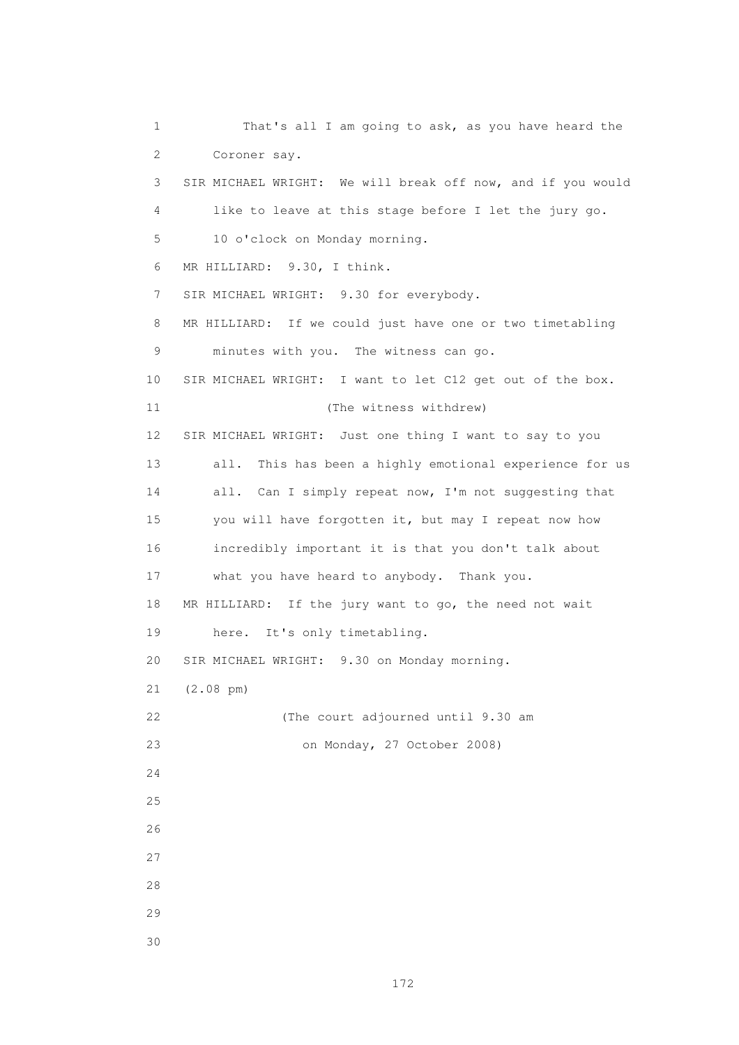1 That's all I am going to ask, as you have heard the 2 Coroner say. 3 SIR MICHAEL WRIGHT: We will break off now, and if you would 4 like to leave at this stage before I let the jury go. 5 10 o'clock on Monday morning. 6 MR HILLIARD: 9.30, I think. 7 SIR MICHAEL WRIGHT: 9.30 for everybody. 8 MR HILLIARD: If we could just have one or two timetabling 9 minutes with you. The witness can go. 10 SIR MICHAEL WRIGHT: I want to let C12 get out of the box. 11 (The witness withdrew) 12 SIR MICHAEL WRIGHT: Just one thing I want to say to you 13 all. This has been a highly emotional experience for us 14 all. Can I simply repeat now, I'm not suggesting that 15 you will have forgotten it, but may I repeat now how 16 incredibly important it is that you don't talk about 17 what you have heard to anybody. Thank you. 18 MR HILLIARD: If the jury want to go, the need not wait 19 here. It's only timetabling. 20 SIR MICHAEL WRIGHT: 9.30 on Monday morning. 21 (2.08 pm) 22 (The court adjourned until 9.30 am 23 on Monday, 27 October 2008) 24 25 26 27 28 29 30